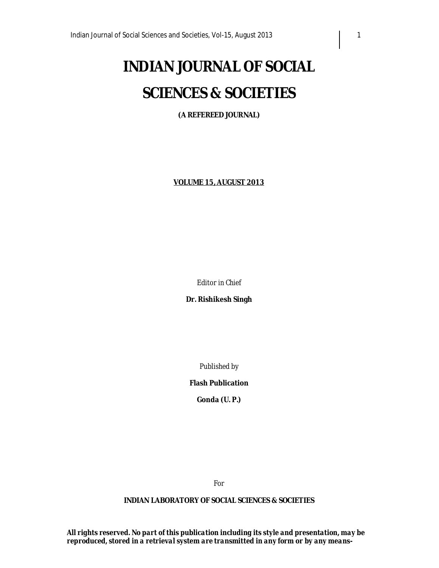# **INDIAN JOURNAL OF SOCIAL SCIENCES & SOCIETIES**

**(A REFEREED JOURNAL)**

**VOLUME 15, AUGUST 2013**

*Editor in Chief*

**Dr. Rishikesh Singh**

*Published by*

**Flash Publication**

**Gonda (U. P.)**

*For*

#### **INDIAN LABORATORY OF SOCIAL SCIENCES & SOCIETIES**

*All rights reserved. No part of this publication including its style and presentation, may be reproduced, stored in a retrieval system are transmitted in any form or by any means-*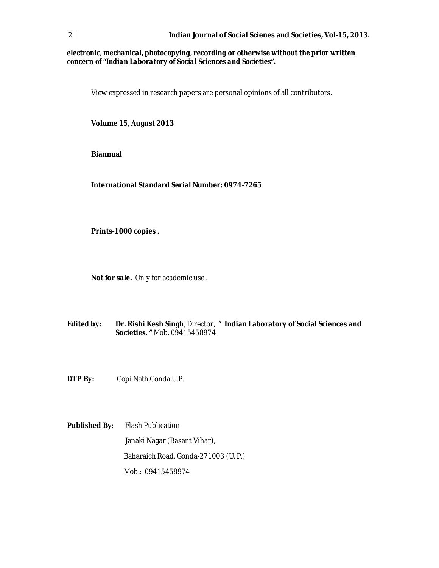#### *electronic, mechanical, photocopying, recording or otherwise without the prior written concern of "Indian Laboratory of Social Sciences and Societies".*

View expressed in research papers are personal opinions of all contributors.

**Volume 15, August 2013**

**Biannual**

**International Standard Serial Number: 0974-7265**

**Prints-1000 copies .**

**Not for sale.** Only for academic use .

- **Edited by: Dr. Rishi Kesh Singh**, Director, **" Indian Laboratory of Social Sciences and Societies. "** Mob. 09415458974
- **DTP By:** Gopi Nath,Gonda,U.P.

**Published By**: Flash Publication Janaki Nagar (Basant Vihar), Baharaich Road, Gonda-271003 (U. P.) Mob.: 09415458974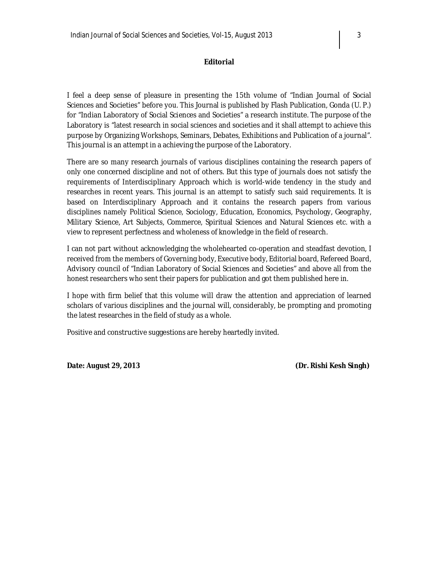#### **Editorial**

I feel a deep sense of pleasure in presenting the 15th volume of "Indian Journal of Social Sciences and Societies" before you. This Journal is published by Flash Publication, Gonda (U. P.) for "Indian Laboratory of Social Sciences and Societies" a research institute. The purpose of the Laboratory is "latest research in social sciences and societies and it shall attempt to achieve this purpose by Organizing Workshops, Seminars, Debates, Exhibitions and Publication of a journal". This journal is an attempt in a achieving the purpose of the Laboratory.

There are so many research journals of various disciplines containing the research papers of only one concerned discipline and not of others. But this type of journals does not satisfy the requirements of Interdisciplinary Approach which is world-wide tendency in the study and researches in recent years. This journal is an attempt to satisfy such said requirements. It is based on Interdisciplinary Approach and it contains the research papers from various disciplines namely Political Science, Sociology, Education, Economics, Psychology, Geography, Military Science, Art Subjects, Commerce, Spiritual Sciences and Natural Sciences etc. with a view to represent perfectness and wholeness of knowledge in the field of research.

I can not part without acknowledging the wholehearted co-operation and steadfast devotion, I received from the members of Governing body, Executive body, Editorial board, Refereed Board, Advisory council of "Indian Laboratory of Social Sciences and Societies" and above all from the honest researchers who sent their papers for publication and got them published here in.

I hope with firm belief that this volume will draw the attention and appreciation of learned scholars of various disciplines and the journal will, considerably, be prompting and promoting the latest researches in the field of study as a whole.

Positive and constructive suggestions are hereby heartedly invited.

**Date:** *August 29, 2013* **(Dr. Rishi Kesh Singh)**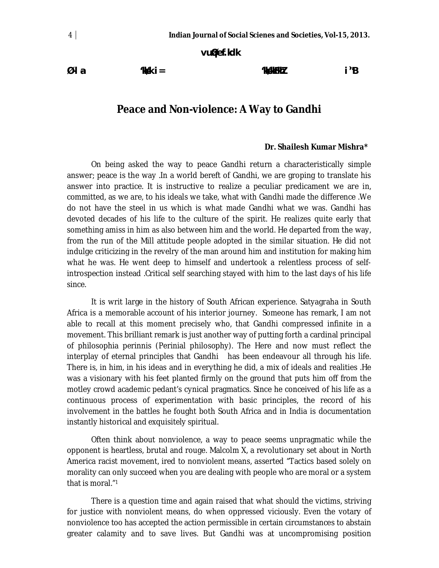**vu qØef.kdk**

**Ø-l a- 'kk s/k i= 'kk s/kkFkh Z i `"B**

# **Peace and Non-violence: A Way to Gandhi**

#### **Dr. Shailesh Kumar Mishra\***

On being asked the way to peace Gandhi return a characteristically simple answer; peace is the way .In a world bereft of Gandhi, we are groping to translate his answer into practice. It is instructive to realize a peculiar predicament we are in, committed, as we are, to his ideals we take, what with Gandhi made the difference .We do not have the steel in us which is what made Gandhi what we was. Gandhi has devoted decades of his life to the culture of the spirit. He realizes quite early that something amiss in him as also between him and the world. He departed from the way, from the run of the Mill attitude people adopted in the similar situation. He did not indulge criticizing in the revelry of the man around him and institution for making him what he was. He went deep to himself and undertook a relentless process of selfintrospection instead .Critical self searching stayed with him to the last days of his life since.

It is writ large in the history of South African experience. Satyagraha in South Africa is a memorable account of his interior journey. Someone has remark, I am not able to recall at this moment precisely who, that Gandhi compressed infinite in a movement. This brilliant remark is just another way of putting forth a cardinal principal of philosophia perinnis (Perinial philosophy). The Here and now must reflect the interplay of eternal principles that Gandhi has been endeavour all through his life. There is, in him, in his ideas and in everything he did, a mix of ideals and realities .He was a visionary with his feet planted firmly on the ground that puts him off from the motley crowd academic pedant's cynical pragmatics. Since he conceived of his life as a continuous process of experimentation with basic principles, the record of his involvement in the battles he fought both South Africa and in India is documentation instantly historical and exquisitely spiritual.

Often think about nonviolence, a way to peace seems unpragmatic while the opponent is heartless, brutal and rouge. Malcolm X, a revolutionary set about in North America racist movement, ired to nonviolent means, asserted "Tactics based solely on morality can only succeed when you are dealing with people who are moral or a system that is moral."<sup>1</sup>

There is a question time and again raised that what should the victims, striving for justice with nonviolent means, do when oppressed viciously. Even the votary of nonviolence too has accepted the action permissible in certain circumstances to abstain greater calamity and to save lives. But Gandhi was at uncompromising position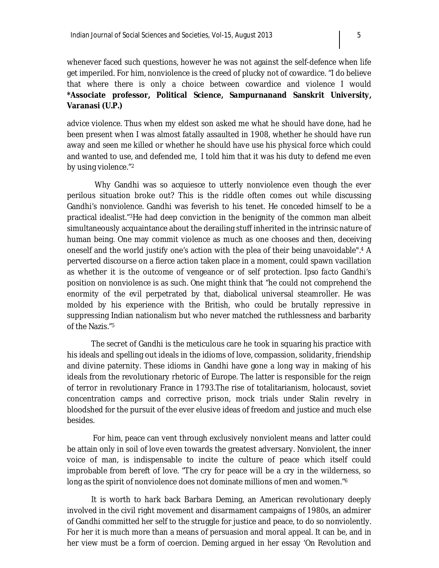whenever faced such questions, however he was not against the self-defence when life get imperiled. For him, nonviolence is the creed of plucky not of cowardice. "I do believe that where there is only a choice between cowardice and violence I would **\*Associate professor, Political Science, Sampurnanand Sanskrit University, Varanasi (U.P.)**

advice violence. Thus when my eldest son asked me what he should have done, had he been present when I was almost fatally assaulted in 1908, whether he should have run away and seen me killed or whether he should have use his physical force which could and wanted to use, and defended me, I told him that it was his duty to defend me even by using violence."<sup>2</sup>

 Why Gandhi was so acquiesce to utterly nonviolence even though the ever perilous situation broke out? This is the riddle often comes out while discussing Gandhi's nonviolence. Gandhi was feverish to his tenet. He conceded himself to be a practical idealist."3He had deep conviction in the benignity of the common man albeit simultaneously acquaintance about the derailing stuff inherited in the intrinsic nature of human being. One may commit violence as much as one chooses and then, deceiving oneself and the world justify one's action with the plea of their being unavoidable".<sup>4</sup> A perverted discourse on a fierce action taken place in a moment, could spawn vacillation as whether it is the outcome of vengeance or of self protection*. Ipso facto* Gandhi's position on nonviolence is as such. One might think that "he could not comprehend the enormity of the evil perpetrated by that, diabolical universal steamroller. He was molded by his experience with the British, who could be brutally repressive in suppressing Indian nationalism but who never matched the ruthlessness and barbarity of the Nazis."<sup>5</sup>

The secret of Gandhi is the meticulous care he took in squaring his practice with his ideals and spelling out ideals in the idioms of love, compassion, solidarity, friendship and divine paternity. These idioms in Gandhi have gone a long way in making of his ideals from the revolutionary rhetoric of Europe. The latter is responsible for the reign of terror in revolutionary France in 1793.The rise of totalitarianism, holocaust, soviet concentration camps and corrective prison, mock trials under Stalin revelry in bloodshed for the pursuit of the ever elusive ideas of freedom and justice and much else besides.

For him, peace can vent through exclusively nonviolent means and latter could be attain only in soil of love even towards the greatest adversary. Nonviolent, the inner voice of man, is indispensable to incite the culture of peace which itself could improbable from bereft of love. "The cry for peace will be a cry in the wilderness, so long as the spirit of nonviolence does not dominate millions of men and women."<sup>6</sup>

It is worth to hark back Barbara Deming, an American revolutionary deeply involved in the civil right movement and disarmament campaigns of 1980s, an admirer of Gandhi committed her self to the struggle for justice and peace, to do so nonviolently. For her it is much more than a means of persuasion and moral appeal. It can be, and in her view must be a form of coercion. Deming argued in her essay 'On Revolution and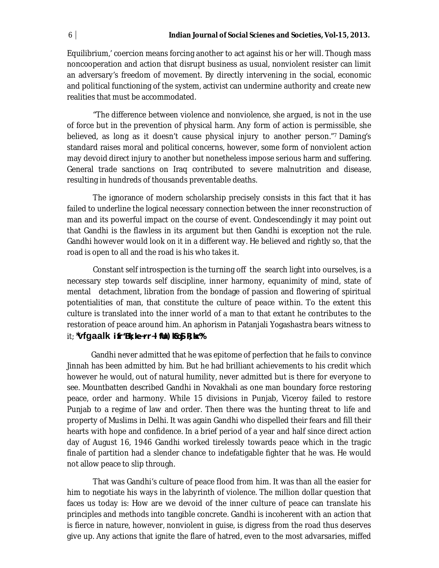Equilibrium,' coercion means forcing another to act against his or her will. Though mass noncooperation and action that disrupt business as usual, nonviolent resister can limit an adversary's freedom of movement. By directly intervening in the social, economic and political functioning of the system, activist can undermine authority and create new realities that must be accommodated.

"The difference between violence and nonviolence, she argued, is not in the use of force but in the prevention of physical harm. Any form of action is permissible, she believed, as long as it doesn't cause physical injury to another person."7 Daming's standard raises moral and political concerns, however, some form of nonviolent action may devoid direct injury to another but nonetheless impose serious harm and suffering. General trade sanctions on Iraq contributed to severe malnutrition and disease, resulting in hundreds of thousands preventable deaths.

The ignorance of modern scholarship precisely consists in this fact that it has failed to underline the logical necessary connection between the inner reconstruction of man and its powerful impact on the course of event. Condescendingly it may point out that Gandhi is the flawless in its argument but then Gandhi is exception not the rule. Gandhi however would look on it in a different way. He believed and rightly so, that the road is open to all and the road is his who takes it.

Constant self introspection is the turning off the search light into ourselves, is a necessary step towards self discipline, inner harmony, equanimity of mind, state of mental detachment, libration from the bondage of passion and flowering of spiritual potentialities of man, that constitute the culture of peace within. To the extent this culture is translated into the inner world of a man to that extant he contributes to the restoration of peace around him. An aphorism in Patanjali Yogashastra bears witness to it; **\*vfgaalk ifr'Bk; ke~rr~ If tu) ko\$ R; kx%** 

Gandhi never admitted that he was epitome of perfection that he fails to convince Jinnah has been admitted by him. But he had brilliant achievements to his credit which however he would, out of natural humility, never admitted but is there for everyone to see. Mountbatten described Gandhi in Novakhali as one man boundary force restoring peace, order and harmony. While 15 divisions in Punjab, Viceroy failed to restore Punjab to a regime of law and order. Then there was the hunting threat to life and property of Muslims in Delhi. It was again Gandhi who dispelled their fears and fill their hearts with hope and confidence. In a brief period of a year and half since direct action day of August 16, 1946 Gandhi worked tirelessly towards peace which in the tragic finale of partition had a slender chance to indefatigable fighter that he was. He would not allow peace to slip through.

That was Gandhi's culture of peace flood from him. It was than all the easier for him to negotiate his ways in the labyrinth of violence. The million dollar question that faces us today is: How are we devoid of the inner culture of peace can translate his principles and methods into tangible concrete. Gandhi is incoherent with an action that is fierce in nature, however, nonviolent in guise, is digress from the road thus deserves give up. Any actions that ignite the flare of hatred, even to the most advarsaries, miffed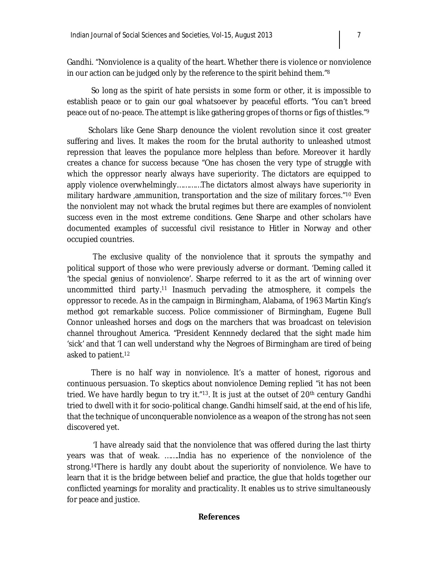Gandhi. "Nonviolence is a quality of the heart. Whether there is violence or nonviolence

So long as the spirit of hate persists in some form or other, it is impossible to establish peace or to gain our goal whatsoever by peaceful efforts. "You can't breed peace out of no-peace. The attempt is like gathering gropes of thorns or figs of thistles."<sup>9</sup>

in our action can be judged only by the reference to the spirit behind them."<sup>8</sup>

 Scholars like Gene Sharp denounce the violent revolution since it cost greater suffering and lives. It makes the room for the brutal authority to unleashed utmost repression that leaves the populance more helpless than before. Moreover it hardly creates a chance for success because "One has chosen the very type of struggle with which the oppressor nearly always have superiority. The dictators are equipped to apply violence overwhelmingly…………The dictators almost always have superiority in military hardware ,ammunition, transportation and the size of military forces."<sup>10</sup> Even the nonviolent may not whack the brutal regimes but there are examples of nonviolent success even in the most extreme conditions. Gene Sharpe and other scholars have documented examples of successful civil resistance to Hitler in Norway and other occupied countries.

The exclusive quality of the nonviolence that it sprouts the sympathy and political support of those who were previously adverse or dormant. 'Deming called it 'the special genius of nonviolence'. Sharpe referred to it as the art of winning over uncommitted third party.<sup>11</sup> Inasmuch pervading the atmosphere, it compels the oppressor to recede. As in the campaign in Birmingham, Alabama, of 1963 Martin King's method got remarkable success. Police commissioner of Birmingham, Eugene Bull Connor unleashed horses and dogs on the marchers that was broadcast on television channel throughout America. "President Kennnedy declared that the sight made him 'sick' and that 'I can well understand why the Negroes of Birmingham are tired of being asked to patient.<sup>12</sup>

 There is no half way in nonviolence. It's a matter of honest, rigorous and continuous persuasion. To skeptics about nonviolence Deming replied "it has not been tried. We have hardly begun to try it."<sup>13</sup>. It is just at the outset of 20<sup>th</sup> century Gandhi tried to dwell with it for socio-political change. Gandhi himself said, at the end of his life, that the technique of unconquerable nonviolence as a weapon of the strong has not seen discovered yet.

'I have already said that the nonviolence that was offered during the last thirty years was that of weak. …….India has no experience of the nonviolence of the strong.14There is hardly any doubt about the superiority of nonviolence. We have to learn that it is the bridge between belief and practice, the glue that holds together our conflicted yearnings for morality and practicality. It enables us to strive simultaneously for peace and justice.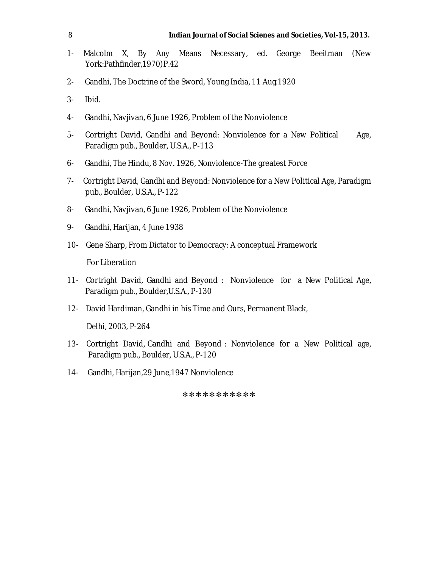- 1- Malcolm X, By Any Means Necessary, ed. George Beeitman (New York:Pathfinder,1970)P.42
- 2- Gandhi, The Doctrine of the Sword, Young India, 11 Aug.1920
- 3- Ibid.
- 4- Gandhi, Navjivan, 6 June 1926, Problem of the Nonviolence
- 5- Cortright David, Gandhi and Beyond: Nonviolence for a New Political Age, Paradigm pub., Boulder, U.S.A., P-113
- 6- Gandhi, The Hindu, 8 Nov. 1926, Nonviolence-The greatest Force
- 7- Cortright David, Gandhi and Beyond: Nonviolence for a New Political Age, Paradigm pub., Boulder, U.S.A., P-122
- 8- Gandhi, Navjivan, 6 June 1926, Problem of the Nonviolence
- 9- Gandhi, Harijan, 4 June 1938
- 10- Gene Sharp, From Dictator to Democracy: A conceptual Framework

For Liberation

- 11- Cortright David, Gandhi and Beyond : Nonviolence for a New Political Age, Paradigm pub., Boulder,U.S.A., P-130
- 12- David Hardiman, Gandhi in his Time and Ours, Permanent Black,

Delhi, 2003, P-264

- 13- Cortright David, Gandhi and Beyond : Nonviolence for a New Political age, Paradigm pub., Boulder, U.S.A., P-120
- 14- Gandhi, Harijan,29 June,1947 Nonviolence

\*\*\*\*\*\*\*\*\*\*\*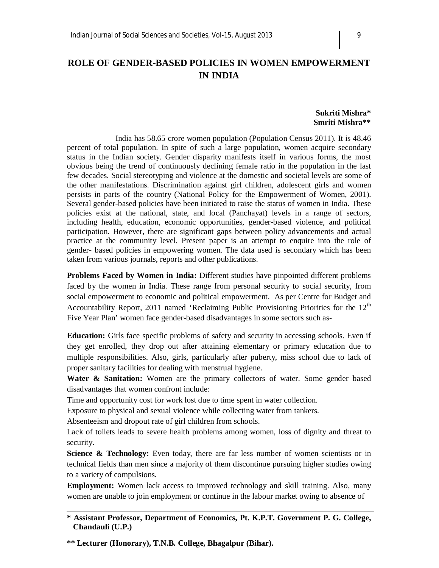## **ROLE OF GENDER-BASED POLICIES IN WOMEN EMPOWERMENT IN INDIA**

#### **Sukriti Mishra\* Smriti Mishra\*\***

 India has 58.65 crore women population (Population Census 2011). It is 48.46 percent of total population. In spite of such a large population, women acquire secondary status in the Indian society. Gender disparity manifests itself in various forms, the most obvious being the trend of continuously declining female ratio in the population in the last few decades. Social stereotyping and violence at the domestic and societal levels are some of the other manifestations. Discrimination against girl children, adolescent girls and women persists in parts of the country (National Policy for the Empowerment of Women, 2001). Several gender-based policies have been initiated to raise the status of women in India. These policies exist at the national, state, and local (Panchayat) levels in a range of sectors, including health, education, economic opportunities, gender-based violence, and political participation. However, there are significant gaps between policy advancements and actual practice at the community level. Present paper is an attempt to enquire into the role of gender- based policies in empowering women. The data used is secondary which has been taken from various journals, reports and other publications.

**Problems Faced by Women in India:** Different studies have pinpointed different problems faced by the women in India. These range from personal security to social security, from social empowerment to economic and political empowerment. As per Centre for Budget and Accountability Report, 2011 named 'Reclaiming Public Provisioning Priorities for the  $12<sup>th</sup>$ Five Year Plan' women face gender-based disadvantages in some sectors such as-

**Education:** Girls face specific problems of safety and security in accessing schools. Even if they get enrolled, they drop out after attaining elementary or primary education due to multiple responsibilities. Also, girls, particularly after puberty, miss school due to lack of proper sanitary facilities for dealing with menstrual hygiene.

Water & Sanitation: Women are the primary collectors of water. Some gender based disadvantages that women confront include:

Time and opportunity cost for work lost due to time spent in water collection.

Exposure to physical and sexual violence while collecting water from tankers.

Absenteeism and dropout rate of girl children from schools.

Lack of toilets leads to severe health problems among women, loss of dignity and threat to security.

**Science & Technology:** Even today, there are far less number of women scientists or in technical fields than men since a majority of them discontinue pursuing higher studies owing to a variety of compulsions.

**Employment:** Women lack access to improved technology and skill training. Also, many women are unable to join employment or continue in the labour market owing to absence of

**\*\* Lecturer (Honorary), T.N.B. College, Bhagalpur (Bihar).**

**<sup>\*</sup> Assistant Professor, Department of Economics, Pt. K.P.T. Government P. G. College, Chandauli (U.P.)**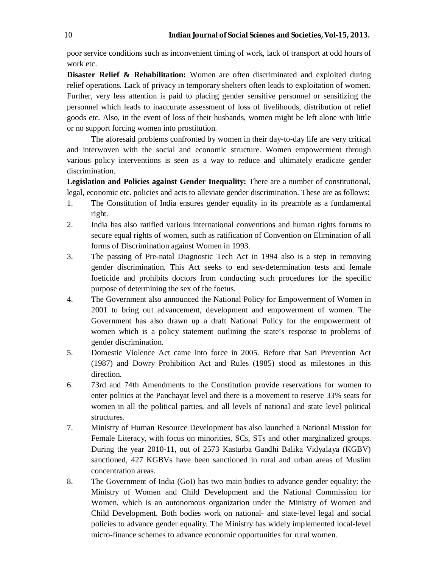poor service conditions such as inconvenient timing of work, lack of transport at odd hours of work etc.

**Disaster Relief & Rehabilitation:** Women are often discriminated and exploited during relief operations. Lack of privacy in temporary shelters often leads to exploitation of women. Further, very less attention is paid to placing gender sensitive personnel or sensitizing the personnel which leads to inaccurate assessment of loss of livelihoods, distribution of relief goods etc. Also, in the event of loss of their husbands, women might be left alone with little or no support forcing women into prostitution.

The aforesaid problems confronted by women in their day-to-day life are very critical and interwoven with the social and economic structure. Women empowerment through various policy interventions is seen as a way to reduce and ultimately eradicate gender discrimination.

**Legislation and Policies against Gender Inequality:** There are a number of constitutional, legal, economic etc. policies and acts to alleviate gender discrimination. These are as follows:

- 1. The Constitution of India ensures gender equality in its preamble as a fundamental right.
- 2. India has also ratified various international conventions and human rights forums to secure equal rights of women, such as ratification of Convention on Elimination of all forms of Discrimination against Women in 1993.
- 3. The passing of Pre-natal Diagnostic Tech Act in 1994 also is a step in removing gender discrimination. This Act seeks to end sex-determination tests and female foeticide and prohibits doctors from conducting such procedures for the specific purpose of determining the sex of the foetus.
- 4. The Government also announced the National Policy for Empowerment of Women in 2001 to bring out advancement, development and empowerment of women. The Government has also drawn up a draft National Policy for the empowerment of women which is a policy statement outlining the state's response to problems of gender discrimination.
- 5. Domestic Violence Act came into force in 2005. Before that Sati Prevention Act (1987) and Dowry Prohibition Act and Rules (1985) stood as milestones in this direction.
- 6. 73rd and 74th Amendments to the Constitution provide reservations for women to enter politics at the Panchayat level and there is a movement to reserve 33% seats for women in all the political parties, and all levels of national and state level political structures.
- 7. Ministry of Human Resource Development has also launched a National Mission for Female Literacy, with focus on minorities, SCs, STs and other marginalized groups. During the year 2010-11, out of 2573 Kasturba Gandhi Balika Vidyalaya (KGBV) sanctioned, 427 KGBVs have been sanctioned in rural and urban areas of Muslim concentration areas.
- 8. The Government of India (GoI) has two main bodies to advance gender equality: the Ministry of Women and Child Development and the National Commission for Women, which is an autonomous organization under the Ministry of Women and Child Development. Both bodies work on national- and state-level legal and social policies to advance gender equality. The Ministry has widely implemented local-level micro-finance schemes to advance economic opportunities for rural women.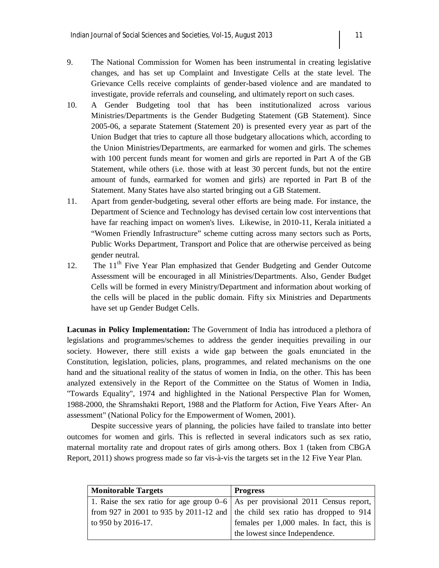- 9. The National Commission for Women has been instrumental in creating legislative changes, and has set up Complaint and Investigate Cells at the state level. The Grievance Cells receive complaints of gender-based violence and are mandated to investigate, provide referrals and counseling, and ultimately report on such cases.
- 10. A Gender Budgeting tool that has been institutionalized across various Ministries/Departments is the Gender Budgeting Statement (GB Statement). Since 2005-06, a separate Statement (Statement 20) is presented every year as part of the Union Budget that tries to capture all those budgetary allocations which, according to the Union Ministries/Departments, are earmarked for women and girls. The schemes with 100 percent funds meant for women and girls are reported in Part A of the GB Statement, while others (i.e. those with at least 30 percent funds, but not the entire amount of funds, earmarked for women and girls) are reported in Part B of the Statement. Many States have also started bringing out a GB Statement.
- 11. Apart from gender-budgeting, several other efforts are being made. For instance, the Department of Science and Technology has devised certain low cost interventions that have far reaching impact on women's lives. Likewise, in 2010-11, Kerala initiated a "Women Friendly Infrastructure" scheme cutting across many sectors such as Ports, Public Works Department, Transport and Police that are otherwise perceived as being gender neutral.
- 12. The 11<sup>th</sup> Five Year Plan emphasized that Gender Budgeting and Gender Outcome Assessment will be encouraged in all Ministries/Departments. Also, Gender Budget Cells will be formed in every Ministry/Department and information about working of the cells will be placed in the public domain. Fifty six Ministries and Departments have set up Gender Budget Cells.

**Lacunas in Policy Implementation:** The Government of India has introduced a plethora of legislations and programmes/schemes to address the gender inequities prevailing in our society. However, there still exists a wide gap between the goals enunciated in the Constitution, legislation, policies, plans, programmes, and related mechanisms on the one hand and the situational reality of the status of women in India, on the other. This has been analyzed extensively in the Report of the Committee on the Status of Women in India, "Towards Equality", 1974 and highlighted in the National Perspective Plan for Women, 1988-2000, the Shramshakti Report, 1988 and the Platform for Action, Five Years After- An assessment" (National Policy for the Empowerment of Women, 2001).

Despite successive years of planning, the policies have failed to translate into better outcomes for women and girls. This is reflected in several indicators such as sex ratio, maternal mortality rate and dropout rates of girls among others. Box 1 (taken from CBGA Report, 2011) shows progress made so far vis-à-vis the targets set in the 12 Five Year Plan.

| <b>Monitorable Targets</b>                                                        | <b>Progress</b>                                                                       |
|-----------------------------------------------------------------------------------|---------------------------------------------------------------------------------------|
| 1. Raise the sex ratio for age group $0-6$ As per provisional 2011 Census report, |                                                                                       |
|                                                                                   | from 927 in 2001 to 935 by 2011-12 and $\vert$ the child sex ratio has dropped to 914 |
| to 950 by 2016-17.                                                                | females per 1,000 males. In fact, this is                                             |
|                                                                                   | the lowest since Independence.                                                        |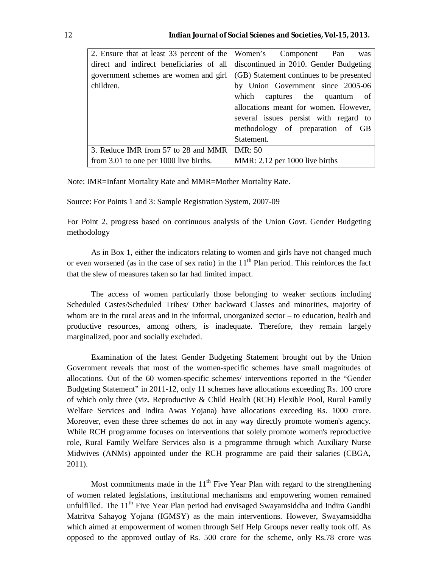| 2. Ensure that at least 33 percent of the Women's Component Pan | was                                      |  |
|-----------------------------------------------------------------|------------------------------------------|--|
| direct and indirect beneficiaries of all                        | discontinued in 2010. Gender Budgeting   |  |
| government schemes are women and girl                           | (GB) Statement continues to be presented |  |
| children.                                                       | by Union Government since 2005-06        |  |
|                                                                 | which captures the quantum of            |  |
|                                                                 | allocations meant for women. However,    |  |
|                                                                 | several issues persist with regard to    |  |
|                                                                 | methodology of preparation of GB         |  |
|                                                                 | Statement.                               |  |
| 3. Reduce IMR from 57 to 28 and MMR                             | <b>IMR</b> : 50                          |  |
| from 3.01 to one per 1000 live births.                          | MMR: 2.12 per 1000 live births           |  |

Note: IMR=Infant Mortality Rate and MMR=Mother Mortality Rate.

Source: For Points 1 and 3: Sample Registration System, 2007-09

For Point 2, progress based on continuous analysis of the Union Govt. Gender Budgeting methodology

As in Box 1, either the indicators relating to women and girls have not changed much or even worsened (as in the case of sex ratio) in the  $11<sup>th</sup>$  Plan period. This reinforces the fact that the slew of measures taken so far had limited impact.

The access of women particularly those belonging to weaker sections including Scheduled Castes/Scheduled Tribes/ Other backward Classes and minorities, majority of whom are in the rural areas and in the informal, unorganized sector – to education, health and productive resources, among others, is inadequate. Therefore, they remain largely marginalized, poor and socially excluded.

Examination of the latest Gender Budgeting Statement brought out by the Union Government reveals that most of the women-specific schemes have small magnitudes of allocations. Out of the 60 women-specific schemes/ interventions reported in the "Gender Budgeting Statement" in 2011-12, only 11 schemes have allocations exceeding Rs. 100 crore of which only three (viz. Reproductive & Child Health (RCH) Flexible Pool, Rural Family Welfare Services and Indira Awas Yojana) have allocations exceeding Rs. 1000 crore. Moreover, even these three schemes do not in any way directly promote women's agency. While RCH programme focuses on interventions that solely promote women's reproductive role, Rural Family Welfare Services also is a programme through which Auxiliary Nurse Midwives (ANMs) appointed under the RCH programme are paid their salaries (CBGA, 2011).

Most commitments made in the  $11<sup>th</sup>$  Five Year Plan with regard to the strengthening of women related legislations, institutional mechanisms and empowering women remained unfulfilled. The  $11<sup>th</sup>$  Five Year Plan period had envisaged Swayamsiddha and Indira Gandhi Matritva Sahayog Yojana (IGMSY) as the main interventions. However, Swayamsiddha which aimed at empowerment of women through Self Help Groups never really took off. As opposed to the approved outlay of Rs. 500 crore for the scheme, only Rs.78 crore was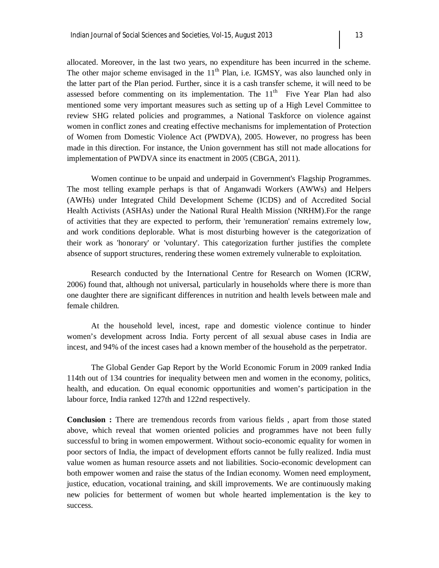allocated. Moreover, in the last two years, no expenditure has been incurred in the scheme. The other major scheme envisaged in the  $11<sup>th</sup>$  Plan, i.e. IGMSY, was also launched only in the latter part of the Plan period. Further, since it is a cash transfer scheme, it will need to be assessed before commenting on its implementation. The  $11<sup>th</sup>$  Five Year Plan had also mentioned some very important measures such as setting up of a High Level Committee to review SHG related policies and programmes, a National Taskforce on violence against women in conflict zones and creating effective mechanisms for implementation of Protection of Women from Domestic Violence Act (PWDVA), 2005. However, no progress has been made in this direction. For instance, the Union government has still not made allocations for implementation of PWDVA since its enactment in 2005 (CBGA, 2011).

Women continue to be unpaid and underpaid in Government's Flagship Programmes. The most telling example perhaps is that of Anganwadi Workers (AWWs) and Helpers (AWHs) under Integrated Child Development Scheme (ICDS) and of Accredited Social Health Activists (ASHAs) under the National Rural Health Mission (NRHM).For the range of activities that they are expected to perform, their 'remuneration' remains extremely low, and work conditions deplorable. What is most disturbing however is the categorization of their work as 'honorary' or 'voluntary'. This categorization further justifies the complete absence of support structures, rendering these women extremely vulnerable to exploitation.

Research conducted by the International Centre for Research on Women (ICRW, 2006) found that, although not universal, particularly in households where there is more than one daughter there are significant differences in nutrition and health levels between male and female children.

At the household level, incest, rape and domestic violence continue to hinder women's development across India. Forty percent of all sexual abuse cases in India are incest, and 94% of the incest cases had a known member of the household as the perpetrator.

The Global Gender Gap Report by the World Economic Forum in 2009 ranked India 114th out of 134 countries for inequality between men and women in the economy, politics, health, and education. On equal economic opportunities and women's participation in the labour force, India ranked 127th and 122nd respectively.

**Conclusion :** There are tremendous records from various fields , apart from those stated above, which reveal that women oriented policies and programmes have not been fully successful to bring in women empowerment. Without socio-economic equality for women in poor sectors of India, the impact of development efforts cannot be fully realized. India must value women as human resource assets and not liabilities. Socio-economic development can both empower women and raise the status of the Indian economy. Women need employment, justice, education, vocational training, and skill improvements. We are continuously making new policies for betterment of women but whole hearted implementation is the key to success.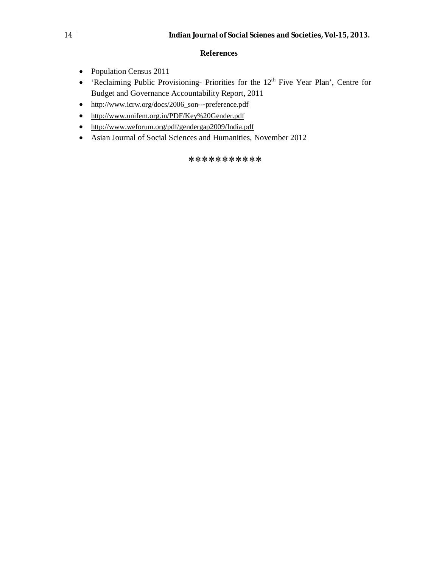#### **References**

- Population Census 2011
- 'Reclaiming Public Provisioning- Priorities for the 12th Five Year Plan', Centre for Budget and Governance Accountability Report, 2011
- http://www.icrw.org/docs/2006\_son--‐preference.pdf
- http://www.unifem.org.in/PDF/Key%20Gender.pdf
- http://www.weforum.org/pdf/gendergap2009/India.pdf
- Asian Journal of Social Sciences and Humanities, November 2012

#### \*\*\*\*\*\*\*\*\*\*\*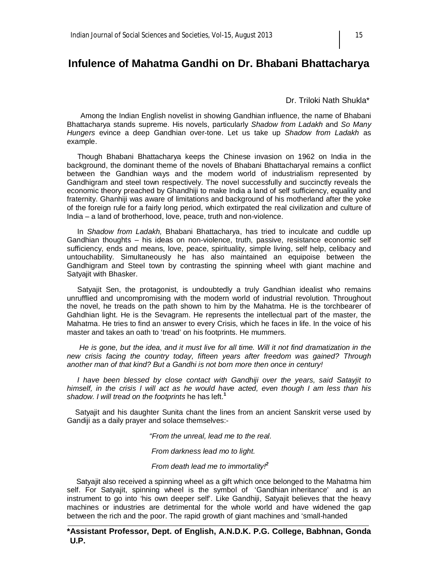# **Infulence of Mahatma Gandhi on Dr. Bhabani Bhattacharya**

Dr. Triloki Nath Shukla\*

 Among the Indian English novelist in showing Gandhian influence, the name of Bhabani Bhattacharya stands supreme. His novels, particularly *Shadow from Ladakh* and *So Many Hungers* evince a deep Gandhian over-tone. Let us take up *Shadow from Ladakh* as example.

 Though Bhabani Bhattacharya keeps the Chinese invasion on 1962 on India in the background, the dominant theme of the novels of Bhabani Bhattacharyal remains a conflict between the Gandhian ways and the modern world of industrialism represented by Gandhigram and steel town respectively. The novel successfully and succinctly reveals the economic theory preached by Ghandhiji to make India a land of self sufficiency, equality and fraternity. Ghanhiji was aware of limitations and background of his motherland after the yoke of the foreign rule for a fairly long period, which extirpated the real civilization and culture of India – a land of brotherhood, love, peace, truth and non-violence.

 In *Shadow from Ladakh,* Bhabani Bhattacharya, has tried to inculcate and cuddle up Gandhian thoughts – his ideas on non-violence, truth, passive, resistance economic self sufficiency, ends and means, love, peace, spirituality, simple living, self help, celibacy and untouchability. Simultaneously he has also maintained an equipoise between the Gandhigram and Steel town by contrasting the spinning wheel with giant machine and Satyajit with Bhasker.

 Satyajit Sen, the protagonist, is undoubtedly a truly Gandhian idealist who remains unrufflied and uncompromising with the modern world of industrial revolution. Throughout the novel, he treads on the path shown to him by the Mahatma. He is the torchbearer of Gahdhian light. He is the Sevagram. He represents the intellectual part of the master, the Mahatma. He tries to find an answer to every Crisis, which he faces in life. In the voice of his master and takes an oath to 'tread' on his footprints. He mummers.

 *He is gone, but the idea, and it must live for all time. Will it not find dramatization in the new crisis facing the country today, fifteen years after freedom was gained? Through another man of that kind? But a Gandhi is not born more then once in century!*

 *I have been blessed by close contact with Gandhiji over the years, said Satayjit to himself, in the crisis I will act as he would have acted, even though I am less than his shadow. I will tread on the footprints* he has left.**<sup>1</sup>**

 Satyajit and his daughter Sunita chant the lines from an ancient Sanskrit verse used by Gandiji as a daily prayer and solace themselves:-

 *"From the unreal, lead me to the real.*

 *From darkness lead mo to light.*

 *From death lead me to immortality!<sup>2</sup>*

 Satyajit also received a spinning wheel as a gift which once belonged to the Mahatma him self. For Satyajit, spinning wheel is the symbol of 'Gandhian inheritance' and is an instrument to go into 'his own deeper self'. Like Gandhiji, Satyajit believes that the heavy machines or industries are detrimental for the whole world and have widened the gap between the rich and the poor. The rapid growth of giant machines and 'small-handed

**\*Assistant Professor, Dept. of English, A.N.D.K. P.G. College, Babhnan, Gonda U.P.**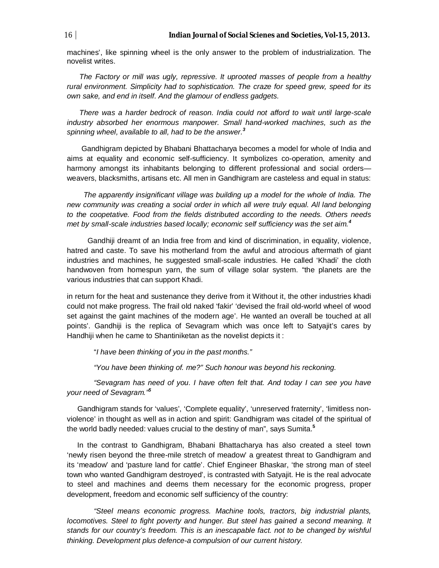machines', like spinning wheel is the only answer to the problem of industrialization. The novelist writes.

 *The Factory or mill was ugly, repressive. It uprooted masses of people from a healthy rural environment. Simplicity had to sophistication. The craze for speed grew, speed for its own sake, and end in itself. And the glamour of endless gadgets.*

 *There was a harder bedrock of reason. India could not afford to wait until large-scale industry absorbed her enormous manpower. Small hand-worked machines, such as the spinning wheel, available to all, had to be the answer.<sup>3</sup>*

 Gandhigram depicted by Bhabani Bhattacharya becomes a model for whole of India and aims at equality and economic self-sufficiency. It symbolizes co-operation, amenity and harmony amongst its inhabitants belonging to different professional and social orders weavers, blacksmiths, artisans etc. All men in Gandhigram are casteless and equal in status:

 *The apparently insignificant village was building up a model for the whole of India. The new community was creating a social order in which all were truly equal. All land belonging to the coopetative. Food from the fields distributed according to the needs. Others needs met by small-scale industries based locally; economic self sufficiency was the set aim.<sup>4</sup>*

 Gandhiji dreamt of an India free from and kind of discrimination, in equality, violence, hatred and caste. To save his motherland from the awful and atrocious aftermath of giant industries and machines, he suggested small-scale industries. He called 'Khadi' the cloth handwoven from homespun yarn, the sum of village solar system. "the planets are the various industries that can support Khadi.

in return for the heat and sustenance they derive from it Without it, the other industries khadi could not make progress. The frail old naked 'fakir' 'devised the frail old-world wheel of wood set against the gaint machines of the modern age'. He wanted an overall be touched at all points'. Gandhiji is the replica of Sevagram which was once left to Satyajit's cares by Handhiji when he came to Shantiniketan as the novelist depicts it :

"*I have been thinking of you in the past months."*

 *"You have been thinking of. me?" Such honour was beyond his reckoning.*

 *"Sevagram has need of you. I have often felt that. And today I can see you have your need of Sevagram."<sup>5</sup>*

 Gandhigram stands for 'values', 'Complete equality', 'unreserved fraternity', 'limitless nonviolence' in thought as well as in action and spirit: Gandhigram was citadel of the spiritual of the world badly needed: values crucial to the destiny of man", says Sumita.**<sup>5</sup>**

 In the contrast to Gandhigram, Bhabani Bhattacharya has also created a steel town 'newly risen beyond the three-mile stretch of meadow' a greatest threat to Gandhigram and its 'meadow' and 'pasture land for cattle'. Chief Engineer Bhaskar, 'the strong man of steel town who wanted Gandhigram destroyed', is contrasted with Satyajit. He is the real advocate to steel and machines and deems them necessary for the economic progress, proper development, freedom and economic self sufficiency of the country:

 *"Steel means economic progress. Machine tools, tractors, big industrial plants, locomotives. Steel to fight poverty and hunger. But steel has gained a second meaning. It stands for our country's freedom. This is an inescapable fact. not to be changed by wishful thinking. Development plus defence-a compulsion of our current history.*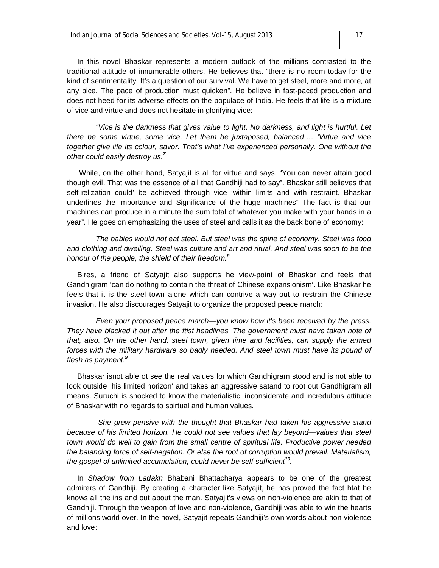In this novel Bhaskar represents a modern outlook of the millions contrasted to the traditional attitude of innumerable others. He believes that "there is no room today for the kind of sentimentality. It's a question of our survival. We have to get steel, more and more, at any pice. The pace of production must quicken". He believe in fast-paced production and does not heed for its adverse effects on the populace of India. He feels that life is a mixture of vice and virtue and does not hesitate in glorifying vice:

 *"Vice is the darkness that gives value to light. No darkness, and light is hurtful. Let there be some virtue, some vice. Let them be juxtaposed, balanced…. 'Virtue and vice together give life its colour, savor. That's what I've experienced personally. One without the other could easily destroy us.<sup>7</sup>*

 While, on the other hand, Satyajit is all for virtue and says, "You can never attain good though evil. That was the essence of all that Gandhiji had to say". Bhaskar still believes that self-relization could' be achieved through vice 'within limits and with restraint. Bhaskar underlines the importance and Significance of the huge machines" The fact is that our machines can produce in a minute the sum total of whatever you make with your hands in a year". He goes on emphasizing the uses of steel and calls it as the back bone of economy:

 *The babies would not eat steel. But steel was the spine of economy. Steel was food and clothing and dwelling. Steel was culture and art and ritual. And steel was soon to be the honour of the people, the shield of their freedom.<sup>8</sup>*

 Bires, a friend of Satyajit also supports he view-point of Bhaskar and feels that Gandhigram 'can do nothng to contain the threat of Chinese expansionism'. Like Bhaskar he feels that it is the steel town alone which can contrive a way out to restrain the Chinese invasion. He also discourages Satyajit to organize the proposed peace march:

 *Even your proposed peace march—you know how it's been received by the press.*  They have blacked it out after the ftist headlines. The government must have taken note of *that, also. On the other hand, steel town, given time and facilities, can supply the armed*  forces with the military hardware so badly needed. And steel town must have its pound of *flesh as payment.<sup>9</sup>*

 Bhaskar isnot able ot see the real values for which Gandhigram stood and is not able to look outside his limited horizon' and takes an aggressive satand to root out Gandhigram all means. Suruchi is shocked to know the materialistic, inconsiderate and incredulous attitude of Bhaskar with no regards to spirtual and human values.

 *She grew pensive with the thought that Bhaskar had taken his aggressive stand*  because of his limited horizon. He could not see values that lay beyond—values that steel *town would do well to gain from the small centre of spiritual life. Productive power needed the balancing force of self-negation. Or else the root of corruption would prevail. Materialism, the gospel of unlimited accumulation, could never be self-sufficient<sup>10</sup> .*

 In *Shadow from Ladakh* Bhabani Bhattacharya appears to be one of the greatest admirers of Gandhiji. By creating a character like Satyajit, he has proved the fact htat he knows all the ins and out about the man. Satyajit's views on non-violence are akin to that of Gandhiji. Through the weapon of love and non-violence, Gandhiji was able to win the hearts of millions world over. In the novel, Satyajit repeats Gandhiji's own words about non-violence and love: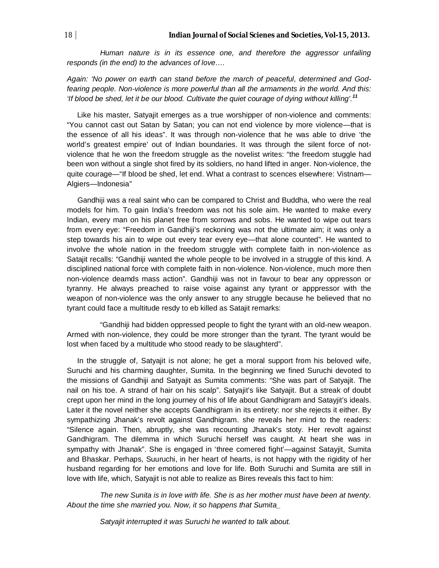*Human nature is in its essence one, and therefore the aggressor unfailing responds (in the end) to the advances of love….*

*Again: 'No power on earth can stand before the march of peaceful, determined and Godfearing people. Non-violence is more powerful than all the armaments in the world. And this: 'If blood be shed, let it be our blood. Cultivate the quiet courage of dying without killing'.<sup>11</sup>*

 Like his master, Satyajit emerges as a true worshipper of non-violence and comments: "You cannot cast out Satan by Satan; you can not end violence by more violence—that is the essence of all his ideas". It was through non-violence that he was able to drive 'the world's greatest empire' out of Indian boundaries. It was through the silent force of notviolence that he won the freedom struggle as the novelist writes: "the freedom stuggle had been won without a single shot fired by its soldiers, no hand lifted in anger. Non-violence, the quite courage—"If blood be shed, let end. What a contrast to scences elsewhere: Vistnam— Algiers—Indonesia"

 Gandhiji was a real saint who can be compared to Christ and Buddha, who were the real models for him. To gain India's freedom was not his sole aim. He wanted to make every Indian, every man on his planet free from sorrows and sobs. He wanted to wipe out tears from every eye: "Freedom in Gandhiji's reckoning was not the ultimate aim; it was only a step towards his ain to wipe out every tear every eye—that alone counted". He wanted to involve the whole nation in the freedom struggle with complete faith in non-violence as Satajit recalls: "Gandhiji wanted the whole people to be involved in a struggle of this kind. A disciplined national force with complete faith in non-violence. Non-violence, much more then non-violence deamds mass action". Gandhiji was not in favour to bear any oppresson or tyranny. He always preached to raise voise against any tyrant or apppressor with the weapon of non-violence was the only answer to any struggle because he believed that no tyrant could face a multitude resdy to eb killed as Satajit remarks:

 "Gandhiji had bidden oppressed people to fight the tyrant with an old-new weapon. Armed with non-violence, they could be more stronger than the tyrant. The tyrant would be lost when faced by a multitude who stood ready to be slaughterd".

 In the struggle of, Satyajit is not alone; he get a moral support from his beloved wife, Suruchi and his charming daughter, Sumita. In the beginning we fined Suruchi devoted to the missions of Gandhiji and Satyajit as Sumita comments: "She was part of Satyajit. The nail on his toe. A strand of hair on his scalp". Satyajit's like Satyajit. But a streak of doubt crept upon her mind in the long journey of his of life about Gandhigram and Satayjit's ideals. Later it the novel neither she accepts Gandhigram in its entirety: nor she rejects it either. By sympathizing Jhanak's revolt against Gandhigram. she reveals her mind to the readers: "Silence again. Then, abruptly, she was recounting Jhanak's stoty. Her revolt against Gandhigram. The dilemma in which Suruchi herself was caught. At heart she was in sympathy with Jhanak". She is engaged in 'three cornered fight'—against Satayjit, Sumita and Bhaskar. Perhaps, Suuruchi, in her heart of hearts, is not happy with the rigidity of her husband regarding for her emotions and love for life. Both Suruchi and Sumita are still in love with life, which, Satyajit is not able to realize as Bires reveals this fact to him:

 *The new Sunita is in love with life. She is as her mother must have been at twenty. About the time she married you. Now, it so happens that Sumita\_*

 *Satyajit interrupted it was Suruchi he wanted to talk about.*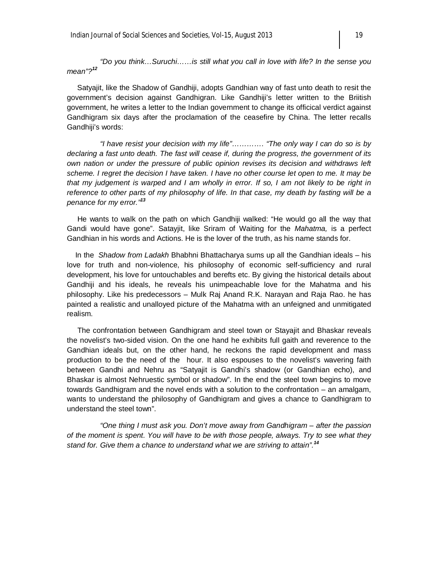*"Do you think…Suruchi……is still what you call in love with life? In the sense you mean"?<sup>12</sup>*

 Satyajit, like the Shadow of Gandhiji, adopts Gandhian way of fast unto death to resit the government's decision against Gandhigran. Like Gandhiji's letter written to the Briitish government, he writes a letter to the Indian government to change its officical verdict against Gandhigram six days after the proclamation of the ceasefire by China. The letter recalls Gandhiji's words:

 *"I have resist your decision with my life"…………. "The only way I can do so is by declaring a fast unto death. The fast will cease if, during the progress, the government of its own nation or under the pressure of public opinion revises its decision and withdraws left scheme. I regret the decision I have taken. I have no other course let open to me. It may be that my judgement is warped and I am wholly in error. If so, I am not likely to be right in reference to other parts of my philosophy of life. In that case, my death by fasting will be a penance for my error."<sup>13</sup>*

He wants to walk on the path on which Gandhiji walked: "He would go all the way that Gandi would have gone". Satayjit, like Sriram of Waiting for the *Mahatma,* is a perfect Gandhian in his words and Actions. He is the lover of the truth, as his name stands for.

 In the *Shadow from Ladakh* Bhabhni Bhattacharya sums up all the Gandhian ideals – his love for truth and non-violence, his philosophy of economic self-sufficiency and rural development, his love for untouchables and berefts etc. By giving the historical details about Gandhiji and his ideals, he reveals his unimpeachable love for the Mahatma and his philosophy. Like his predecessors – Mulk Raj Anand R.K. Narayan and Raja Rao. he has painted a realistic and unalloyed picture of the Mahatma with an unfeigned and unmitigated realism.

 The confrontation between Gandhigram and steel town or Stayajit and Bhaskar reveals the novelist's two-sided vision. On the one hand he exhibits full gaith and reverence to the Gandhian ideals but, on the other hand, he reckons the rapid development and mass production to be the need of the hour. It also espouses to the novelist's wavering faith between Gandhi and Nehru as "Satyajit is Gandhi's shadow (or Gandhian echo), and Bhaskar is almost Nehruestic symbol or shadow". In the end the steel town begins to move towards Gandhigram and the novel ends with a solution to the confrontation – an amalgam, wants to understand the philosophy of Gandhigram and gives a chance to Gandhigram to understand the steel town".

 *"One thing I must ask you. Don't move away from Gandhigram – after the passion of the moment is spent. You will have to be with those people, always. Try to see what they stand for. Give them a chance to understand what we are striving to attain".<sup>14</sup>*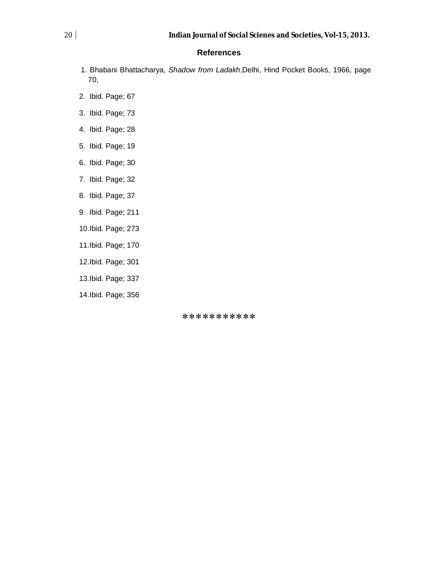#### **References**

- 1. Bhabani Bhattacharya, *Shadow from Ladakh*,Delhi, Hind Pocket Books, 1966, page 70,
- 2. Ibid. Page; 67
- 3. Ibid. Page; 73
- 4. Ibid. Page; 28
- 5. Ibid. Page; 19
- 6. Ibid. Page; 30
- 7. Ibid. Page; 32
- 8. Ibid. Page; 37
- 9. Ibid. Page; 211
- 10.Ibid. Page; 273
- 11.Ibid. Page; 170
- 12.Ibid. Page; 301
- 13.Ibid. Page; 337
- 14.Ibid. Page; 356

\*\*\*\*\*\*\*\*\*\*\*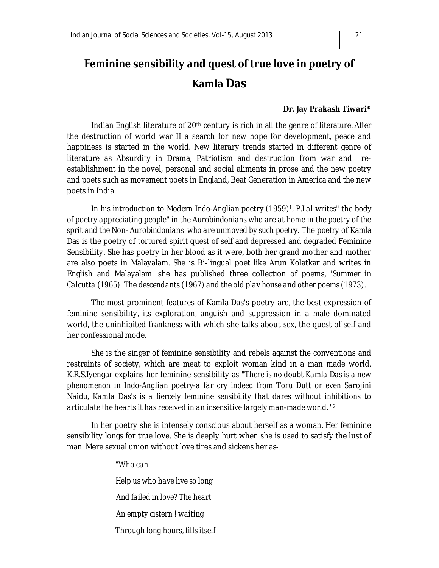# **Feminine sensibility and quest of true love in poetry of Kamla Das**

#### **Dr. Jay Prakash Tiwari\***

Indian English literature of 20<sup>th</sup> century is rich in all the genre of literature. After the destruction of world war II a search for new hope for development, peace and happiness is started in the world. New literary trends started in different genre of literature as Absurdity in Drama, Patriotism and destruction from war and reestablishment in the novel, personal and social aliments in prose and the new poetry and poets such as movement poets in England, Beat Generation in America and the new poets in India.

*In his introduction to Modern Indo-Anglian poetry (1959)<sup>1</sup> , P.Lal writes" the body of poetry appreciating people" in the Aurobindonians who are at home in the poetry of the sprit and the Non- Aurobindonians who are unmoved by such poetry.* The poetry of Kamla Das is the poetry of tortured spirit quest of self and depressed and degraded Feminine Sensibility. She has poetry in her blood as it were, both her grand mother and mother are also poets in Malayalam. She is Bi-lingual poet like Arun Kolatkar and writes in English and Malayalam. she has published three collection of poems, *'Summer in Calcutta (1965)' The descendants (1967) and the old play house and other poems (1973).*

The most prominent features of Kamla Das's poetry are, the best expression of feminine sensibility, its exploration, anguish and suppression in a male dominated world, the uninhibited frankness with which she talks about sex, the quest of self and her confessional mode.

She is the singer of feminine sensibility and rebels against the conventions and restraints of society, which are meat to exploit woman kind in a man made world. K.R.S.Iyengar explains her feminine sensibility as *"There is no doubt Kamla Das is a new phenomenon in Indo-Anglian poetry-a far cry indeed from Toru Dutt or even Sarojini Naidu, Kamla Das's is a fiercely feminine sensibility that dares without inhibitions to articulate the hearts it has received in an insensitive largely man-made world. "<sup>2</sup>*

In her poetry she is intensely conscious about herself as a woman. Her feminine sensibility longs for true love. She is deeply hurt when she is used to satisfy the lust of man. Mere sexual union without love tires and sickens her as-

> *"Who can Help us who have live so long And failed in love? The heart An empty cistern ! waiting Through long hours, fills itself*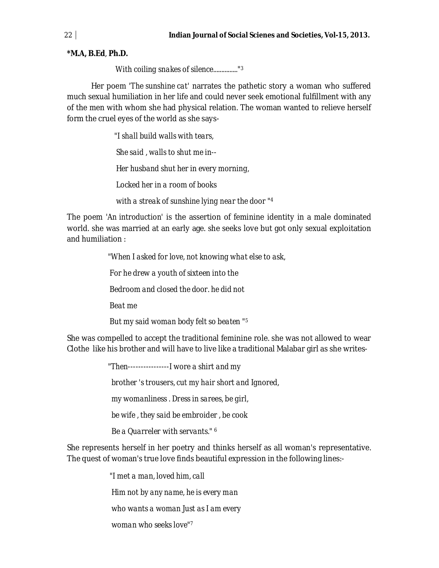**\*M.A, B.Ed**, **Ph.D.**

 *With coiling snakes of silence..............."<sup>3</sup>*

Her poem *'The sunshine cat'* narrates the pathetic story a woman who suffered much sexual humiliation in her life and could never seek emotional fulfillment with any of the men with whom she had physical relation. The woman wanted to relieve herself form the cruel eyes of the world as she says-

> *"I shall build walls with tears, She said , walls to shut me in-- Her husband shut her in every morning, Locked her in a room of books*

 *with a streak of sunshine lying near the door "<sup>4</sup>*

The poem *'An introduction'* is the assertion of feminine identity in a male dominated world. she was married at an early age. she seeks love but got only sexual exploitation and humiliation :

> *"When I asked for love, not knowing what else to ask, For he drew a youth of sixteen into the Bedroom and closed the door. he did not Beat me*

 *But my said woman body felt so beaten "<sup>5</sup>*

She was compelled to accept the traditional feminine role. she was not allowed to wear Clothe like his brother and will have to live like a traditional Malabar girl as she writes-

> *"Then----------------I wore a shirt and my brother 's trousers, cut my hair short and Ignored, my womanliness . Dress in sarees, be girl, be wife , they said be embroider , be cook Be a Quarreler with servants." <sup>6</sup>*

She represents herself in her poetry and thinks herself as all woman's representative. The quest of woman's true love finds beautiful expression in the following lines:-

> *"I met a man, loved him, call Him not by any name, he is every man who wants a woman Just as I am every woman who seeks love"7*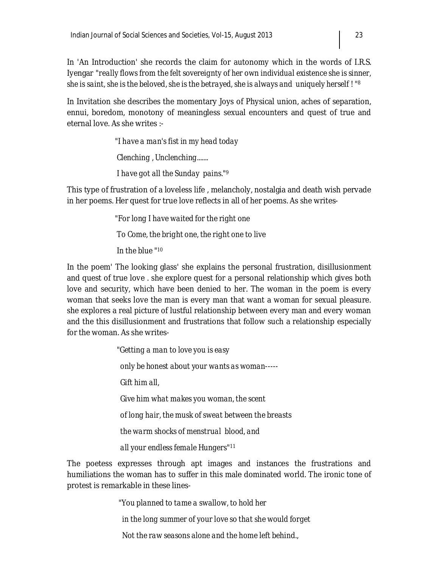In 'An Introduction' she records the claim for autonomy which in the words of I.R.S. Iyengar *"really flows from the felt sovereignty of her own individual existence she is sinner, she is saint, she is the beloved, she is the betrayed, she is always and uniquely herself ! "<sup>8</sup>*

In Invitation she describes the momentary Joys of Physical union, aches of separation, ennui, boredom, monotony of meaningless sexual encounters and quest of true and eternal love. As she writes :-

> *"I have a man's fist in my head today Clenching , Unclenching....... I have got all the Sunday pains."<sup>9</sup>*

This type of frustration of a loveless life , melancholy, nostalgia and death wish pervade in her poems. Her quest for true love reflects in all of her poems. As she writes-

> *"For long I have waited for the right one To Come, the bright one, the right one to live In the blue "<sup>10</sup>*

In the poem' The looking glass' she explains the personal frustration, disillusionment and quest of true love . she explore quest for a personal relationship which gives both love and security, which have been denied to her. The woman in the poem is every woman that seeks love the man is every man that want a woman for sexual pleasure. she explores a real picture of lustful relationship between every man and every woman and the this disillusionment and frustrations that follow such a relationship especially for the woman. As she writes-

> *"Getting a man to love you is easy only be honest about your wants as woman----- Gift him all, Give him what makes you woman, the scent of long hair, the musk of sweat between the breasts the warm shocks of menstrual blood, and all your endless female Hungers"<sup>11</sup>*

The poetess expresses through apt images and instances the frustrations and humiliations the woman has to suffer in this male dominated world. The ironic tone of protest is remarkable in these lines-

> *"You planned to tame a swallow, to hold her in the long summer of your love so that she would forget Not the raw seasons alone and the home left behind.,*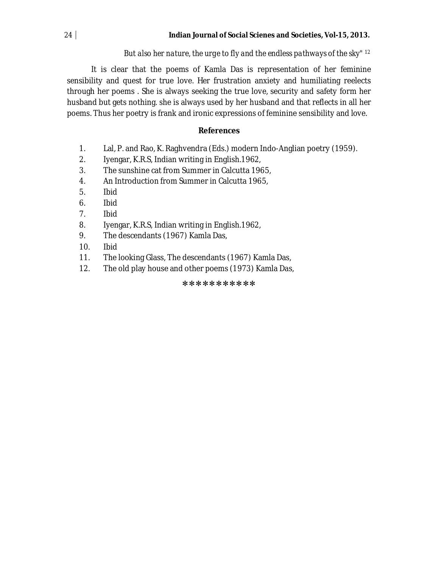#### *But also her nature, the urge to fly and the endless pathways of the sky" <sup>12</sup>*

It is clear that the poems of Kamla Das is representation of her feminine sensibility and quest for true love. Her frustration anxiety and humiliating reelects through her poems . She is always seeking the true love, security and safety form her husband but gets nothing. she is always used by her husband and that reflects in all her poems. Thus her poetry is frank and ironic expressions of feminine sensibility and love.

#### **References**

- 1. Lal, P. and Rao, K. Raghvendra (Eds.) modern Indo-Anglian poetry (1959).
- 2. Iyengar, K.R.S, Indian writing in English.1962,
- 3. The sunshine cat from Summer in Calcutta 1965,
- 4. An Introduction from Summer in Calcutta 1965,
- 5. Ibid
- 6. Ibid
- 7. Ibid
- 8. Iyengar, K.R.S, Indian writing in English.1962,
- 9. The descendants (1967) Kamla Das,
- 10. Ibid
- 11. The looking Glass, The descendants (1967) Kamla Das,
- 12. The old play house and other poems (1973) Kamla Das,

#### \*\*\*\*\*\*\*\*\*\*\*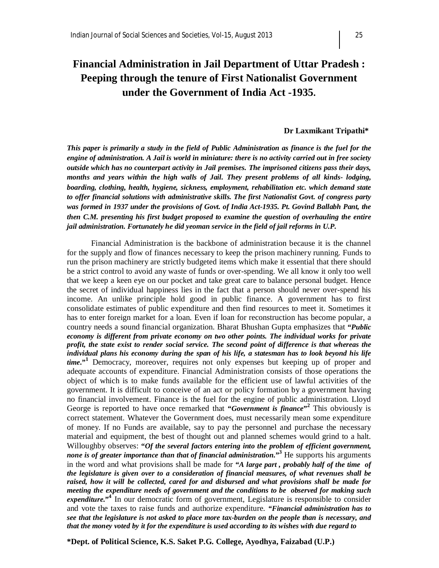# **Financial Administration in Jail Department of Uttar Pradesh : Peeping through the tenure of First Nationalist Government under the Government of India Act -1935.**

#### **Dr Laxmikant Tripathi\***

*This paper is primarily a study in the field of Public Administration as finance is the fuel for the engine of administration. A Jail is world in miniature: there is no activity carried out in free society outside which has no counterpart activity in Jail premises. The imprisoned citizens pass their days, months and years within the high walls of Jail. They present problems of all kinds- lodging, boarding, clothing, health, hygiene, sickness, employment, rehabilitation etc. which demand state to offer financial solutions with administrative skills. The first Nationalist Govt. of congress party was formed in 1937 under the provisions of Govt. of India Act-1935. Pt. Govind Ballabh Pant, the then C.M. presenting his first budget proposed to examine the question of overhauling the entire jail administration. Fortunately he did yeoman service in the field of jail reforms in U.P.*

Financial Administration is the backbone of administration because it is the channel for the supply and flow of finances necessary to keep the prison machinery running. Funds to run the prison machinery are strictly budgeted items which make it essential that there should be a strict control to avoid any waste of funds or over-spending. We all know it only too well that we keep a keen eye on our pocket and take great care to balance personal budget. Hence the secret of individual happiness lies in the fact that a person should never over-spend his income. An unlike principle hold good in public finance. A government has to first consolidate estimates of public expenditure and then find resources to meet it. Sometimes it has to enter foreign market for a loan. Even if loan for reconstruction has become popular, a country needs a sound financial organization. Bharat Bhushan Gupta emphasizes that **"***Public economy is different from private economy on two other points. The individual works for private profit, the state exist to render social service. The second point of difference is that whereas the individual plans his economy during the span of his life, a statesman has to look beyond his life time***."<sup>1</sup>** Democracy, moreover, requires not only expenses but keeping up of proper and adequate accounts of expenditure. Financial Administration consists of those operations the object of which is to make funds available for the efficient use of lawful activities of the government. It is difficult to conceive of an act or policy formation by a government having no financial involvement. Finance is the fuel for the engine of public administration. Lloyd George is reported to have once remarked that "*Government is finance*"<sup>2</sup> This obviously is correct statement. Whatever the Government does, must necessarily mean some expenditure of money. If no Funds are available, say to pay the personnel and purchase the necessary material and equipment, the best of thought out and planned schemes would grind to a halt. Willoughby observes: **"***Of the several factors entering into the problem of efficient government, none is of greater importance than that of financial administration***."<sup>3</sup>** He supports his arguments in the word and what provisions shall be made for **"***A large part , probably half of the time of the legislature is given over to a consideration of financial measures, of what revenues shall be raised, how it will be collected, cared for and disbursed and what provisions shall be made for meeting the expenditure needs of government and the conditions to be observed for making such*  expenditure."<sup>4</sup> In our democratic form of government, Legislature is responsible to consider and vote the taxes to raise funds and authorize expenditure*. "Financial administration has to see that the legislature is not asked to place more tax-burden on the people than is necessary, and that the money voted by it for the expenditure is used according to its wishes with due regard to*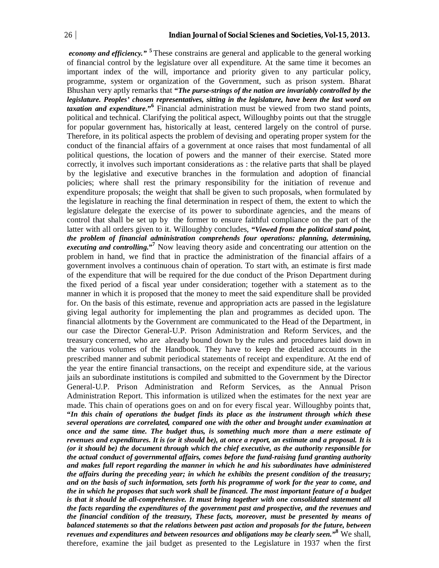*economy and efficiency."* **<sup>5</sup>** These constrains are general and applicable to the general working of financial control by the legislature over all expenditure. At the same time it becomes an important index of the will, importance and priority given to any particular policy, programme, system or organization of the Government, such as prison system. Bharat Bhushan very aptly remarks that **"***The purse-strings of the nation are invariably controlled by the legislature. Peoples' chosen representatives, sitting in the legislature, have been the last word on taxation and expenditure***."<sup>6</sup>** Financial administration must be viewed from two stand points, political and technical. Clarifying the political aspect, Willoughby points out that the struggle for popular government has, historically at least, centered largely on the control of purse. Therefore, in its political aspects the problem of devising and operating proper system for the conduct of the financial affairs of a government at once raises that most fundamental of all political questions, the location of powers and the manner of their exercise. Stated more correctly, it involves such important considerations as : the relative parts that shall be played by the legislative and executive branches in the formulation and adoption of financial policies; where shall rest the primary responsibility for the initiation of revenue and expenditure proposals; the weight that shall be given to such proposals, when formulated by the legislature in reaching the final determination in respect of them, the extent to which the legislature delegate the exercise of its power to subordinate agencies, and the means of control that shall be set up by the former to ensure faithful compliance on the part of the latter with all orders given to it. Willoughby concludes, **"***Viewed from the political stand point, the problem of financial administration comprehends four operations: planning, determining, executing and controlling***."<sup>7</sup>** Now leaving theory aside and concentrating our attention on the problem in hand, we find that in practice the administration of the financial affairs of a government involves a continuous chain of operation. To start with, an estimate is first made of the expenditure that will be required for the due conduct of the Prison Department during the fixed period of a fiscal year under consideration; together with a statement as to the manner in which it is proposed that the money to meet the said expenditure shall be provided for. On the basis of this estimate, revenue and appropriation acts are passed in the legislature giving legal authority for implementing the plan and programmes as decided upon. The financial allotments by the Government are communicated to the Head of the Department, in our case the Director General-U.P. Prison Administration and Reform Services, and the treasury concerned, who are already bound down by the rules and procedures laid down in the various volumes of the Handbook. They have to keep the detailed accounts in the prescribed manner and submit periodical statements of receipt and expenditure. At the end of the year the entire financial transactions, on the receipt and expenditure side, at the various jails an subordinate institutions is compiled and submitted to the Government by the Director General-U.P. Prison Administration and Reform Services, as the Annual Prison Administration Report. This information is utilized when the estimates for the next year are made. This chain of operations goes on and on for every fiscal year. Willoughby points that, **"***In this chain of operations the budget finds its place as the instrument through which these several operations are correlated, compared one with the other and brought under examination at once and the same time. The budget thus, is something much more than a mere estimate of revenues and expenditures. It is (or it should be), at once a report, an estimate and a proposal. It is (or it should be) the document through which the chief executive, as the authority responsible for the actual conduct of governmental affairs, comes before the fund-raising fund granting authority and makes full report regarding the manner in which he and his subordinates have administered the affairs during the preceding year; in which he exhibits the present condition of the treasury; and on the basis of such information, sets forth his programme of work for the year to come, and the in which he proposes that such work shall be financed. The most important feature of a budget is that it should be all-comprehensive. It must bring together with one consolidated statement all the facts regarding the expenditures of the government past and prospective, and the revenues and the financial condition of the treasury, These facts, moreover, must be presented by means of balanced statements so that the relations between past action and proposals for the future, between revenues and expenditures and between resources and obligations may be clearly seen.***" <sup>8</sup>** We shall, therefore, examine the jail budget as presented to the Legislature in 1937 when the first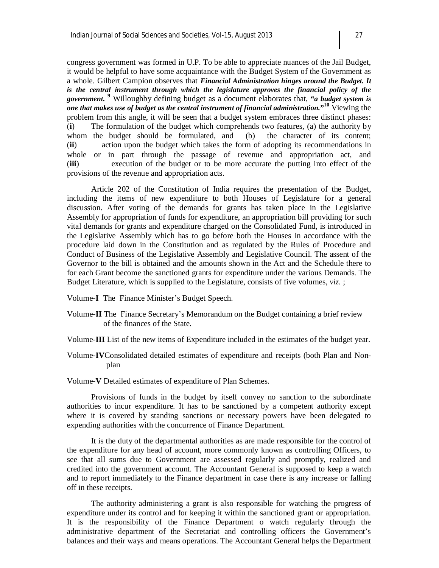congress government was formed in U.P. To be able to appreciate nuances of the Jail Budget, it would be helpful to have some acquaintance with the Budget System of the Government as a whole. Gilbert Campion observes that *Financial Administration hinges around the Budget. It is the central instrument through which the legislature approves the financial policy of the government.*  **<sup>9</sup>** Willoughby defining budget as a document elaborates that, **"***a budget system is one that makes use of budget as the central instrument of financial administration.***"** <sup>1</sup>**<sup>0</sup>** Viewing the problem from this angle, it will be seen that a budget system embraces three distinct phases: (**i**) The formulation of the budget which comprehends two features, (a) the authority by whom the budget should be formulated, and (b) the character of its content; (**ii**) action upon the budget which takes the form of adopting its recommendations in whole or in part through the passage of revenue and appropriation act, and (**iii**) execution of the budget or to be more accurate the putting into effect of the provisions of the revenue and appropriation acts.

Article 202 of the Constitution of India requires the presentation of the Budget, including the items of new expenditure to both Houses of Legislature for a general discussion. After voting of the demands for grants has taken place in the Legislative Assembly for appropriation of funds for expenditure, an appropriation bill providing for such vital demands for grants and expenditure charged on the Consolidated Fund, is introduced in the Legislative Assembly which has to go before both the Houses in accordance with the procedure laid down in the Constitution and as regulated by the Rules of Procedure and Conduct of Business of the Legislative Assembly and Legislative Council. The assent of the Governor to the bill is obtained and the amounts shown in the Act and the Schedule there to for each Grant become the sanctioned grants for expenditure under the various Demands. The Budget Literature, which is supplied to the Legislature, consists of five volumes, *viz*. ;

Volume-**I** The Finance Minister's Budget Speech.

- Volume-**II** The Finance Secretary's Memorandum on the Budget containing a brief review of the finances of the State.
- Volume-**III** List of the new items of Expenditure included in the estimates of the budget year.
- Volume-**IV**Consolidated detailed estimates of expenditure and receipts (both Plan and Nonplan

Volume-**V** Detailed estimates of expenditure of Plan Schemes.

Provisions of funds in the budget by itself convey no sanction to the subordinate authorities to incur expenditure. It has to be sanctioned by a competent authority except where it is covered by standing sanctions or necessary powers have been delegated to expending authorities with the concurrence of Finance Department.

It is the duty of the departmental authorities as are made responsible for the control of the expenditure for any head of account, more commonly known as controlling Officers, to see that all sums due to Government are assessed regularly and promptly, realized and credited into the government account. The Accountant General is supposed to keep a watch and to report immediately to the Finance department in case there is any increase or falling off in these receipts.

The authority administering a grant is also responsible for watching the progress of expenditure under its control and for keeping it within the sanctioned grant or appropriation. It is the responsibility of the Finance Department o watch regularly through the administrative department of the Secretariat and controlling officers the Government's balances and their ways and means operations. The Accountant General helps the Department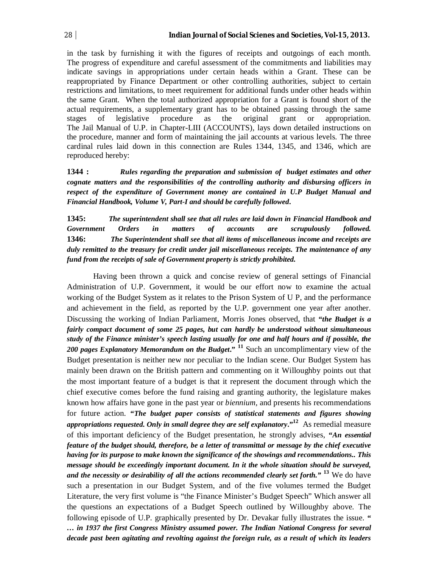in the task by furnishing it with the figures of receipts and outgoings of each month. The progress of expenditure and careful assessment of the commitments and liabilities may indicate savings in appropriations under certain heads within a Grant. These can be reappropriated by Finance Department or other controlling authorities, subject to certain restrictions and limitations, to meet requirement for additional funds under other heads within the same Grant. When the total authorized appropriation for a Grant is found short of the actual requirements, a supplementary grant has to be obtained passing through the same stages of legislative procedure as the original grant or appropriation. The Jail Manual of U.P. in Chapter-LIII (ACCOUNTS), lays down detailed instructions on the procedure, manner and form of maintaining the jail accounts at various levels. The three cardinal rules laid down in this connection are Rules 1344, 1345, and 1346, which are reproduced hereby:

**1344 :** *Rules regarding the preparation and submission of budget estimates and other cognate matters and the responsibilities of the controlling authority and disbursing officers in respect of the expenditure of Government money are contained in U.P Budget Manual and Financial Handbook, Volume V, Part-I and should be carefully followed***.**

**1345:** *The superintendent shall see that all rules are laid down in Financial Handbook and Government Orders in matters of accounts are scrupulously followed.*  **1346:** *The Superintendent shall see that all items of miscellaneous income and receipts are duly remitted to the treasury for credit under jail miscellaneous receipts. The maintenance of any fund from the receipts of sale of Government property is strictly prohibited.* 

Having been thrown a quick and concise review of general settings of Financial Administration of U.P. Government, it would be our effort now to examine the actual working of the Budget System as it relates to the Prison System of U P, and the performance and achievement in the field, as reported by the U.P. government one year after another. Discussing the working of Indian Parliament, Morris Jones observed, that **"***the Budget is a fairly compact document of some 25 pages, but can hardly be understood without simultaneous study of the Finance minister's speech lasting usually for one and half hours and if possible, the 200 pages Explanatory Memorandum on the Budget***." <sup>11</sup>** Such an uncomplimentary view of the Budget presentation is neither new nor peculiar to the Indian scene. Our Budget System has mainly been drawn on the British pattern and commenting on it Willoughby points out that the most important feature of a budget is that it represent the document through which the chief executive comes before the fund raising and granting authority, the legislature makes known how affairs have gone in the past year or *biennium,* and presents his recommendations for future action. **"***The budget paper consists of statistical statements and figures showing appropriations requested. Only in small degree they are self explanatory***."<sup>12</sup>** As remedial measure of this important deficiency of the Budget presentation, he strongly advises, **"***An essential feature of the budget should, therefore, be a letter of transmittal or message by the chief executive having for its purpose to make known the significance of the showings and recommendations.. This message should be exceedingly important document. In it the whole situation should be surveyed, and the necessity or desirability of all the actions recommended clearly set forth."* **<sup>13</sup>** We do have such a presentation in our Budget System, and of the five volumes termed the Budget Literature, the very first volume is "the Finance Minister's Budget Speech" Which answer all the questions an expectations of a Budget Speech outlined by Willoughby above. The following episode of U.P. graphically presented by Dr. Devakar fully illustrates the issue. **"**  *… in 1937 the first Congress Ministry assumed power. The Indian National Congress for several decade past been agitating and revolting against the foreign rule, as a result of which its leaders*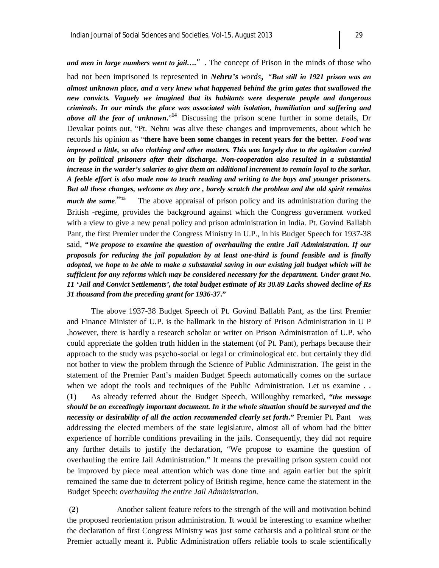*and men in large numbers went to jail….*". The concept of Prison in the minds of those who

had not been imprisoned is represented in *Nehru's words, "But still in 1921 prison was an almost unknown place, and a very knew what happened behind the grim gates that swallowed the new convicts. Vaguely we imagined that its habitants were desperate people and dangerous criminals. In our minds the place was associated with isolation, humiliation and suffering and above all the fear of unknown***.**" **<sup>14</sup>** Discussing the prison scene further in some details, Dr Devakar points out, "Pt. Nehru was alive these changes and improvements, about which he records his opinion as "**there have been some changes in recent years for the better.** *Food was improved a little, so also clothing and other matters. This was largely due to the agitation carried on by political prisoners after their discharge. Non-cooperation also resulted in a substantial increase in the warder's salaries to give them an additional increment to remain loyal to the sarkar. A feeble effort is also made now to teach reading and writing to the boys and younger prisoners. But all these changes, welcome as they are , barely scratch the problem and the old spirit remains much the same.*" **15** The above appraisal of prison policy and its administration during the British -regime, provides the background against which the Congress government worked with a view to give a new penal policy and prison administration in India. Pt. Govind Ballabh Pant, the first Premier under the Congress Ministry in U.P., in his Budget Speech for 1937-38 said, **"***We propose to examine the question of overhauling the entire Jail Administration. If our proposals for reducing the jail population by at least one-third is found feasible and is finally adopted, we hope to be able to make a substantial saving in our existing jail budget which will be sufficient for any reforms which may be considered necessary for the department. Under grant No. 11 'Jail and Convict Settlements', the total budget estimate of Rs 30.89 Lacks showed decline of Rs 31 thousand from the preceding grant for 1936-37***."** 

The above 1937-38 Budget Speech of Pt. Govind Ballabh Pant, as the first Premier and Finance Minister of U.P. is the hallmark in the history of Prison Administration in U P ,however, there is hardly a research scholar or writer on Prison Administration of U.P. who could appreciate the golden truth hidden in the statement (of Pt. Pant), perhaps because their approach to the study was psycho-social or legal or criminological etc. but certainly they did not bother to view the problem through the Science of Public Administration. The geist in the statement of the Premier Pant's maiden Budget Speech automatically comes on the surface when we adopt the tools and techniques of the Public Administration. Let us examine . . (**1**) As already referred about the Budget Speech, Willoughby remarked, **"***the message should be an exceedingly important document. In it the whole situation should be surveyed and the necessity or desirability of all the action recommended clearly set forth***."** Premier Pt. Pant was addressing the elected members of the state legislature, almost all of whom had the bitter experience of horrible conditions prevailing in the jails. Consequently, they did not require any further details to justify the declaration, "We propose to examine the question of overhauling the entire Jail Administration." It means the prevailing prison system could not be improved by piece meal attention which was done time and again earlier but the spirit remained the same due to deterrent policy of British regime, hence came the statement in the Budget Speech: *overhauling the entire Jail Administration.*

(**2**) Another salient feature refers to the strength of the will and motivation behind the proposed reorientation prison administration. It would be interesting to examine whether the declaration of first Congress Ministry was just some catharsis and a political stunt or the Premier actually meant it. Public Administration offers reliable tools to scale scientifically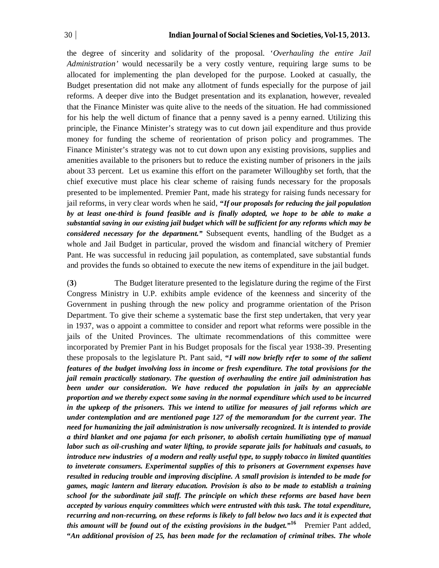the degree of sincerity and solidarity of the proposal. '*Overhauling the entire Jail Administration'* would necessarily be a very costly venture, requiring large sums to be allocated for implementing the plan developed for the purpose. Looked at casually, the Budget presentation did not make any allotment of funds especially for the purpose of jail reforms. A deeper dive into the Budget presentation and its explanation, however, revealed that the Finance Minister was quite alive to the needs of the situation. He had commissioned for his help the well dictum of finance that a penny saved is a penny earned. Utilizing this principle, the Finance Minister's strategy was to cut down jail expenditure and thus provide money for funding the scheme of reorientation of prison policy and programmes. The Finance Minister's strategy was not to cut down upon any existing provisions, supplies and amenities available to the prisoners but to reduce the existing number of prisoners in the jails about 33 percent. Let us examine this effort on the parameter Willoughby set forth, that the chief executive must place his clear scheme of raising funds necessary for the proposals presented to be implemented. Premier Pant, made his strategy for raising funds necessary for jail reforms, in very clear words when he said, **"***If our proposals for reducing the jail population by at least one-third is found feasible and is finally adopted, we hope to be able to make a substantial saving in our existing jail budget which will be sufficient for any reforms which may be considered necessary for the department."* Subsequent events, handling of the Budget as a whole and Jail Budget in particular, proved the wisdom and financial witchery of Premier Pant. He was successful in reducing jail population, as contemplated, save substantial funds and provides the funds so obtained to execute the new items of expenditure in the jail budget.

(**3**) The Budget literature presented to the legislature during the regime of the First Congress Ministry in U.P. exhibits ample evidence of the keenness and sincerity of the Government in pushing through the new policy and programme orientation of the Prison Department. To give their scheme a systematic base the first step undertaken, that very year in 1937, was o appoint a committee to consider and report what reforms were possible in the jails of the United Provinces. The ultimate recommendations of this committee were incorporated by Premier Pant in his Budget proposals for the fiscal year 1938-39. Presenting these proposals to the legislature Pt. Pant said, **"***I will now briefly refer to some of the salient features of the budget involving loss in income or fresh expenditure. The total provisions for the jail remain practically stationary. The question of overhauling the entire jail administration has been under our consideration. We have reduced the population in jails by an appreciable proportion and we thereby expect some saving in the normal expenditure which used to be incurred in the upkeep of the prisoners. This we intend to utilize for measures of jail reforms which are under contemplation and are mentioned page 127 of the memorandum for the current year. The need for humanizing the jail administration is now universally recognized. It is intended to provide a third blanket and one pajama for each prisoner, to abolish certain humiliating type of manual labor such as oil-crushing and water lifting, to provide separate jails for habituals and casuals, to introduce new industries of a modern and really useful type, to supply tobacco in limited quantities to inveterate consumers. Experimental supplies of this to prisoners at Government expenses have resulted in reducing trouble and improving discipline. A small provision is intended to be made for games, magic lantern and literary education. Provision is also to be made to establish a training school for the subordinate jail staff. The principle on which these reforms are based have been accepted by various enquiry committees which were entrusted with this task. The total expenditure, recurring and non-recurring, on these reforms is likely to fall below two lacs and it is expected that this amount will be found out of the existing provisions in the budget."<sup>16</sup> Premier Pant added,* **"***An additional provision of 25, has been made for the reclamation of criminal tribes. The whole*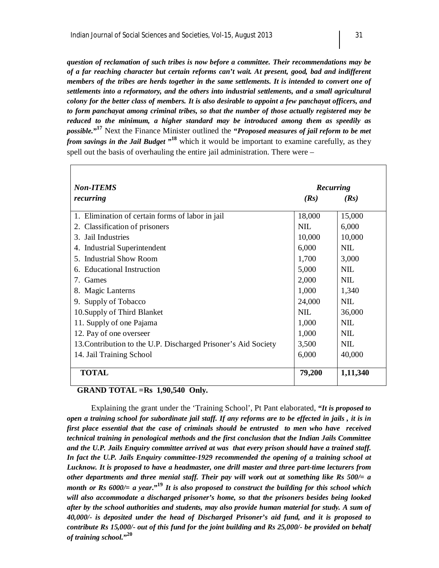*question of reclamation of such tribes is now before a committee. Their recommendations may be of a far reaching character but certain reforms can't wait. At present, good, bad and indifferent members of the tribes are herds together in the same settlements. It is intended to convert one of settlements into a reformatory, and the others into industrial settlements, and a small agricultural colony for the better class of members. It is also desirable to appoint a few panchayat officers, and to form panchayat among criminal tribes, so that the number of those actually registered may be reduced to the minimum, a higher standard may be introduced among them as speedily as possible.***" <sup>17</sup>** Next the Finance Minister outlined the **"***Proposed measures of jail reform to be met from savings in the Jail Budget* **" <sup>18</sup>** which it would be important to examine carefully, as they spell out the basis of overhauling the entire jail administration. There were –

| <b>Non-ITEMS</b>                                               | Recurring  |            |
|----------------------------------------------------------------|------------|------------|
| recurring                                                      | (Rs)       | (Rs)       |
| 1. Elimination of certain forms of labor in jail               | 18,000     | 15,000     |
| 2. Classification of prisoners                                 | <b>NIL</b> | 6,000      |
| 3. Jail Industries                                             | 10,000     | 10,000     |
| 4. Industrial Superintendent                                   | 6,000      | <b>NIL</b> |
| 5. Industrial Show Room                                        | 1,700      | 3,000      |
| 6. Educational Instruction                                     | 5,000      | NIL.       |
| 7. Games                                                       | 2,000      | <b>NIL</b> |
| 8. Magic Lanterns                                              | 1,000      | 1,340      |
| 9. Supply of Tobacco                                           | 24,000     | NIL.       |
| 10. Supply of Third Blanket                                    | NIL.       | 36,000     |
| 11. Supply of one Pajama                                       | 1,000      | <b>NIL</b> |
| 12. Pay of one overseer                                        | 1,000      | NIL.       |
| 13. Contribution to the U.P. Discharged Prisoner's Aid Society | 3,500      | NIL.       |
| 14. Jail Training School                                       | 6,000      | 40,000     |
| <b>TOTAL</b>                                                   | 79,200     | 1,11,340   |

#### .**GRAND TOTAL =Rs 1,90,540 Only.**

Explaining the grant under the 'Training School', Pt Pant elaborated, **"***It is proposed to open a training school for subordinate jail staff. If any reforms are to be effected in jails , it is in first place essential that the case of criminals should be entrusted to men who have received technical training in penological methods and the first conclusion that the Indian Jails Committee and the U.P. Jails Enquiry committee arrived at was that every prison should have a trained staff. In fact the U.P. Jails Enquiry committee-1929 recommended the opening of a training school at Lucknow. It is proposed to have a headmaster, one drill master and three part-time lecturers from other departments and three menial staff. Their pay will work out at something like Rs 500/= a month or Rs 6000/= a year***."<sup>19</sup>** *It is also proposed to construct the building for this school which will also accommodate a discharged prisoner's home, so that the prisoners besides being looked after by the school authorities and students, may also provide human material for study. A sum of 40,000/- is deposited under the head of Discharged Prisoner's aid fund, and it is proposed to contribute Rs 15,000/- out of this fund for the joint building and Rs 25,000/- be provided on behalf of training school.***" 20**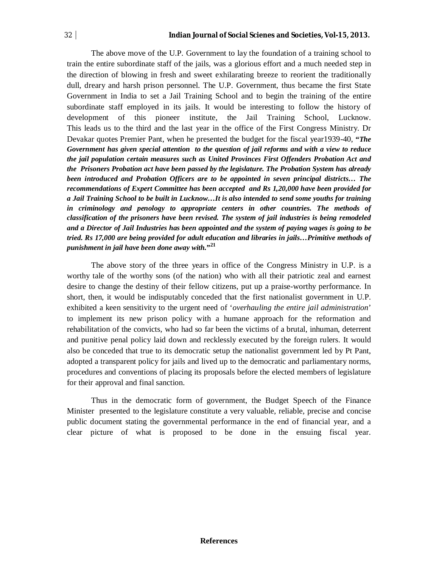The above move of the U.P. Government to lay the foundation of a training school to train the entire subordinate staff of the jails, was a glorious effort and a much needed step in the direction of blowing in fresh and sweet exhilarating breeze to reorient the traditionally dull, dreary and harsh prison personnel. The U.P. Government, thus became the first State Government in India to set a Jail Training School and to begin the training of the entire subordinate staff employed in its jails. It would be interesting to follow the history of development of this pioneer institute, the Jail Training School, Lucknow. This leads us to the third and the last year in the office of the First Congress Ministry. Dr Devakar quotes Premier Pant, when he presented the budget for the fiscal year1939-40, **"***The Government has given special attention to the question of jail reforms and with a view to reduce the jail population certain measures such as United Provinces First Offenders Probation Act and the Prisoners Probation act have been passed by the legislature. The Probation System has already been introduced and Probation Officers are to be appointed in seven principal districts… The recommendations of Expert Committee has been accepted and Rs 1,20,000 have been provided for a Jail Training School to be built in Lucknow…It is also intended to send some youths for training in criminology and penology to appropriate centers in other countries. The methods of classification of the prisoners have been revised. The system of jail industries is being remodeled and a Director of Jail Industries has been appointed and the system of paying wages is going to be tried. Rs 17,000 are being provided for adult education and libraries in jails…Primitive methods of punishment in jail have been done away with.***" 21**

The above story of the three years in office of the Congress Ministry in U.P. is a worthy tale of the worthy sons (of the nation) who with all their patriotic zeal and earnest desire to change the destiny of their fellow citizens, put up a praise-worthy performance. In short, then, it would be indisputably conceded that the first nationalist government in U.P. exhibited a keen sensitivity to the urgent need of '*overhauling the entire jail administration*' to implement its new prison policy with a humane approach for the reformation and rehabilitation of the convicts, who had so far been the victims of a brutal, inhuman, deterrent and punitive penal policy laid down and recklessly executed by the foreign rulers. It would also be conceded that true to its democratic setup the nationalist government led by Pt Pant, adopted a transparent policy for jails and lived up to the democratic and parliamentary norms, procedures and conventions of placing its proposals before the elected members of legislature for their approval and final sanction.

Thus in the democratic form of government, the Budget Speech of the Finance Minister presented to the legislature constitute a very valuable, reliable, precise and concise public document stating the governmental performance in the end of financial year, and a clear picture of what is proposed to be done in the ensuing fiscal year.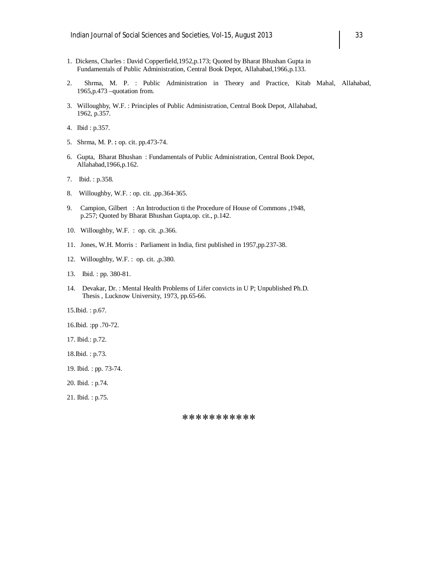- 1. Dickens, Charles : David Copperfield,1952,p.173; Quoted by Bharat Bhushan Gupta in Fundamentals of Public Administration, Central Book Depot, Allahabad,1966,p.133.
- 2. Shrma, M. P. : Public Administration in Theory and Practice, Kitab Mahal, Allahabad, 1965,p.473 –quotation from.
- 3. Willoughby, W.F. : Principles of Public Administration, Central Book Depot, Allahabad, 1962, p.357.
- 4. Ibid : p.357.
- 5. Shrma, M. P. **:** op. cit. pp.473-74.
- 6. Gupta, Bharat Bhushan : Fundamentals of Public Administration, Central Book Depot, Allahabad,1966,p.162.
- 7. Ibid. : p.358.
- 8. Willoughby, W.F. : op. cit. ,pp.364-365.
- 9. Campion, Gilbert: An Introduction ti the Procedure of House of Commons ,1948, p.257; Quoted by Bharat Bhushan Gupta,op. cit., p.142.
- 10. Willoughby, W.F. : op. cit. ,p.366.
- 11. Jones, W.H. Morris : Parliament in India, first published in 1957,pp.237-38.
- 12. Willoughby, W.F. : op. cit. ,p.380.
- 13. Ibid. : pp. 380-81.
- 14. Devakar, Dr. : Mental Health Problems of Lifer convicts in U P; Unpublished Ph.D. Thesis , Lucknow University, 1973, pp.65-66.

15.Ibid. : p.67.

- 16.Ibid. :pp .70-72.
- 17. Ibid.: p.72.
- 18.Ibid. : p.73.
- 19. Ibid. : pp. 73-74.
- 20. Ibid. : p.74.
- 21. Ibid. : p.75.

\*\*\*\*\*\*\*\*\*\*\*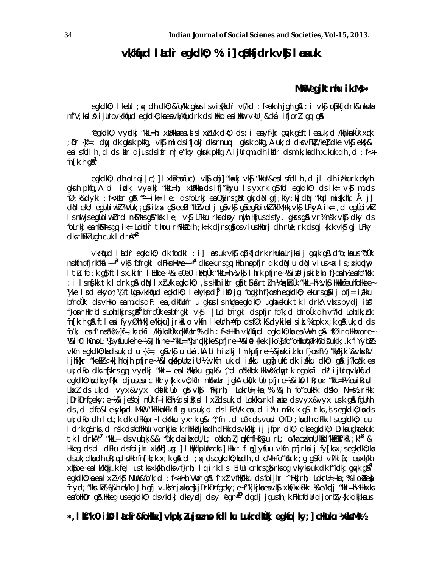### **vk/k qfud laLd`r egkdkO; % :i] oSpkfjdrk vk Sj laosnuk**

#### **MKW** egjktnhu ik.Ms  $*$

egkdkO; I keUr ; qx dh dkO; &fo/kk gksus I s vi {kkd`r vf/kd : f<@knh jgh g\$A : i vk\$j o\$pkfjdrk&nksuka nf'V;kal & ijUrq vk/kfud egkdkO;k sea vk/kfudrk ds i Hkko es i Hkr vkUrj&cká ifjorZu gq g&

^egkdkO; vyndkj "kkL=h; x bFkka ea ,sl s lxZu/k dkO; ds : i ea yf{kr gnµk gSftlea uk;d /khjknkÙk x q k ;  $\mathfrak{d}$ r {kf=; day dk gksuk pkfg, vk\$j mlds ifjokj dks rnuq i gksuk pkfg,A uk;d dks vFk1 /ke] dke vk\$j ek\$k& esi sfdlh, d ds ikir djus ds ifr m|e"khy gkuk pkfg,A ijUr q mudh ikfir ds mik;ksa dh x.kuk dh, d : f<+  $fn$ [krh q $\mathbb{A}^1$ 

egkdkO; dh oLrq i|c)] lxksI esa fuc) vk\$ ohj] "kaki vk\$ "kkUr&esisfdlh, d jl dh izkkurk okyh gkuh pkfg,A bl idkj vyddkj "kkL=h; xuFkka ds ifj"khyu Is yxrk g\$ fd egkdk0; ds ik= vk\$j muds  $f\mathcal{O}$ ; k&dyki : f< $x$ Lr g $\mathbb{S}$  ^^---ik= le; ds foLrkj es $0$ Syrs g $\mathbb{S}$  tgk; dN gfj;kfy;k] dN "kqd misk.hk; Ålj]  $dN$  ekU; egÙoi wk $l$  ?kVuk,  $i$  g $\delta$  id  $x$  g $\delta$  eeLi "khZ volj g $\delta$  vk $\delta$  g $\delta$  egRoi wkZ ?kfM +; k̥ vk $\delta$  LFkyA ik= ,d egÙoi wkZ l s nuljs egÙoi w.kZ rd nkSM +rs gâ "ksk le; vk\$ LFkku rks d p y nujh Hkjus ds fy, gkrs gå vr% ns"k vk\$ dky d s foLrkj eankM  $rs$  gq, ik= Lohdir thou rhFkk adh;k=k djrs g $\delta$  os vius Hkhrj dh rUe;rk ds gj {k.k vk $\delta$  gj LFky dks rhFkl ugh cuk I dr A<sup>\*\*2</sup>

vk/kqfud l aLdir egkdkO; dk fodkl : i] l anuk vk\$ ophtjdrk rhuksLrjksij gyvk g\$A dfo;ksus "oÙk now.fnpfjrk"kafl---<sup>--3</sup> vk**S**, ^bfrgkl dFkkn+kkure~---<sup>~4</sup> dks ekursgq, Hkh nopfjr dk dqN u dqN vius <ax ls; qxkuqdny lt $\overline{\mathbf{u}}$  fd;k g $\overline{\mathbf{s}}$  ftls x.kifr lEHkoe~ %& e0e0 iHkmÙk "kkL=h½ vk $\overline{\mathbf{s}}$  lhrk pfjre~ %&iko jokid kn f}onh½ eafo"k sk : i ls n $\int$ kk tk ldrk gß d $\theta$ l lx CU/k egkdkO; , sl s Hkh iklr g $\delta$ tsl s $\kappa$ t Zuh ½n $\kappa$ khÙk "kkL=h½ vk $\int$ s HkwHkfeuhfoHkee ~ <sup>y</sup>jke lood ekyoh;½] ftUgavk/kqfud egkdkQ; lekykpd]<sup>5</sup> ikQ jglfogkjh f}onh egkdkO; ekursg}i ij pfj= i*t*kku bfroùk ds vHkko es muds dF; es, dkfllofr u gkus I s mllgs egkdkO; ugha ekuk tk I drkA vkxs pydj its f}onh Hkh bl s Lohdkjrs g**&<sup>6</sup>** bfroùk ea bfrgkl vk§ I | Ld bfrgkl ds pfjr fo'k;d bfroùk dh vf/kd Lohdk; *I*rk  $f$ n $\lceil$ krh g& ftleslfyyØhMk] e/kqiku] jrkklo vkfn lkeUrh #fp ds fØ;k&dykikslsik;% cpk x;k g& uk;d ds fo'k; esa ^l nea"k% {kf=; ks okfi /khjksnkÙkx q.kkfUor% dh : f<+ Hkh vk/kqfud egkdkO;ksa esa VWh g\$A ^fØLrq Hkkxore~ ½&ih0lh0npL;½ ysfuuke`re~½&Jhine~ "kkL=h½ rqdkjke&pfjre~½&i@{kek jko½ fo"oHkku\% ¼ih0d\$0ukjk;.k fiYyb½ vkfn egkdkO;kadsuk;d u {kf=; gâvk\$j u chã.kA blh izlkj lhrkpfjre~ ¼&jok id kn f}onh½; "kkskjk ¼&vksfV ijhf{kr "kek½ >kįlh"ojh pfjre~ ¼&l çkkkpUnz iUr½ vkfn uk;d izkku ughà ukf;dk izkku dkO; g&l j?ko,a"k esa uk; dRo dks n{krs gq vyadkj "kkL= ea l a"kksku gyk& ^,d o a"kHkok Hkuik% dytk cgoksfi ok\* ijUrq vk/kqud egkdkO;ka dks yf{kr djus earc Hkh y{k.k vO;kfIr nkskxtr jgkA cksf/klÙo pfjre~ %&ik\$lR;or "kkL=h½ eaiR;sd Lkxl ds uk; d vyx&vyx cks/kl Ùo g§ vk§ 'Hkkjrh; LokrU=  $\frac{1}{7}$ kn; % ¼&Jh fo"oukFk d s'ko N=½ rFkk  $j$ DrkDrfgeky; e~ %&ijes"oj nÙk f=ikBh½ ds i $k$ ; sd lxZ ds uk;d Lok/khurk lax le ds vyx&vyx usrk g\$a fgUnh ds, d dfo&lekykpd MkOO "kEHkwukFk flag us uk; d ds lEcU/k ea, d i t'u mBk; k gS tks, sl s egkdkO; ka ds uk; dRo dh I eL;k dk dFkapr~ I ek/kku yxrk g& "; fn , d oa'k ds vusd 0; fDr;ka dh dFkk I s egkdk0; cu ldrk gS rks, d ns"k d s fofHkUu vorkjka; k rhFk bijka dh dFkk d s vk/kkj ij jfpr dkO; dks egkdkO; D;ka ugha ekuk tk I drkA<sup>\*\*7</sup> "kkL= ds vuq kj&& "uk; da i kxqiU; L; oakoh; *I J* qrkfnfHk%@u rL; o/ka cw; knU; kRd'kkZHkf/kRl;k<sup>\*\*8</sup> & Hkkeg ds bl dFku ds foijhr xka/kh] usg: ] l tkk'kpUnz cksl ] Hkxr fl ag] ysfuu vkfn pfjrka ij fy[ks x; s egkdkO;ka d s uk; dka dh e R; q dks Hkh fn [kk; k x; k g\$A bl ; qx d s egkdkO; ka dh , d cM+h fo "kskrk ; g gS fd vf/kl  $\{$ ; ea xk/kh xk $\mathfrak{g}$ oe~ ea lk/kq'kj.k feJ us tks xk<sub>i</sub>/kh dks vf}rh; lqirk ls lEiUu crkrs g $\mathfrak{g}$  rks og vkykpuk dk f"kdkj gqvk g $\mathbb{S}^9$ egkdkO;kses I x Z vk\$ NUn&fo'k;d : f<+ Hkh VWh g\$A ^lxZ vfHk/kku ds foijhr ^ Hkkjrh; LokrU=  $\frac{1}{2}$ ksn;% ioksZe sh fryd;"kks.kb% %Jh ek/ko Jh gfj v.k½ rjaxkae) jDrkDrfgeky;e~f"k[kjka ea vk\$ xbf/kxkFkk ¼&e/kpdj "kkL=h½ Hkkxks es folkDr g& Hkkeg us egkdk0; ds vkdkj dks y **dj** d sv ^egr<sup>\*10</sup> dgdj jgus fn;k Fkk fdUrq i jorhZ y{k.kdkjksus

#### **\*, lks<sup>r</sup>k 0 ikg I ad`r&foHkx] vkpk;Zujsizne fdlku Lukrdkökj egkfo|ky;] cHkuku ¼xksMk½**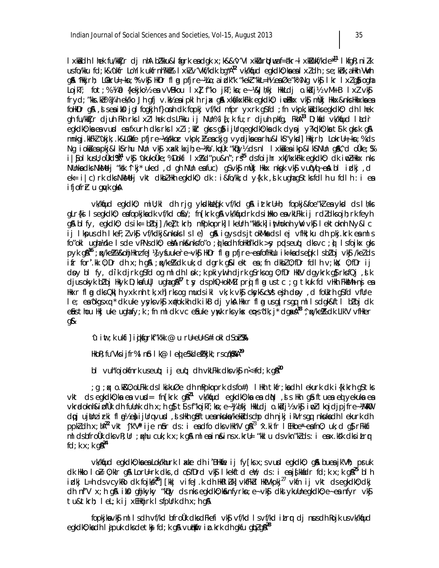lxkiddh Ihek fu/kkZjr dj nhA bZ'kku&l figrk endgk x;k&&^v'VlxkWurtl; wua f=äkr~ lxkWukf/kde<sup>\*11</sup> lkfgR;niZk us fo/kku fd;k&^ukfr LoYik ukfrnh?kk% lxkZ v'Vkf/kdk bg\*A<sup>12</sup> vk/kfud egkdk0;kseslxZ dh ;s e;kZnk, a Hkh VWh g& ^Hkkjrh; LOkkrU=  $\frac{1}{2}$ kn;% vk\$ HkDr fl ag pfjre~ ¼Lo; a izlk"k "kekZ "kkL=h½ ea Øe"k% Ng vk\$ lkr lxZ g\$ogha LojkT; fot;% ¼i a {kekjko½ ea vVBkou lx] f"ko jkT;kn;e~ ¼&Jh/kj HkkLdj o.kidj½ vM+B lx Z vk\$ fryd;"kks.kb% %Jh ek/ko Jh gfj v.k½ esipklh rjax g\$a xk\$/kxkFkk egkdkO; iwoBkkx vk\$j mÙkj Hkkx&nks Hkkxkses foHkDr g&, , sl s esa i kosi jglfogkjh f}onh dk fopkj vf/kd mfpr yxrk gSfd ; fn vkpk;ksidks egkdkO; dh I hek gh fu/kk $\bar{I}$ jr djuh Fkh rks lxZ lhek ds LFkku ij NUn% l $\bar{I}$ ;k fu;r djuh pkfg, FkhA<sup>13</sup> D;kafd vk/kqfud laLd `r egkdkO;kses vusd es fxurh dks rks lxZ i;kIr gksrs g\$ijUrq egkdkO;ks dk dysoj y?k plkO;ks t Slk gksrk g\$A  $m$ kgj.kKFk $l$  'ukjk;.k&LOkkfe pfjre~ ½es/kkor vkpk;  $\nu$  ea ckjg vyadjka ea rhu&lkS "yksd] Hkkjrh; LokrU=  $\frac{1}{2}$ kn; % ds Ng ioka ea pkj&lkS rhu NUn vkSj x axklkxjh;e~ ¼fo'.kopÙk "kbpy½ ds nl lxka ea ik†p&lkS NUn g&A^,d oÙke; S% i Sjolkusu; oÙkd<sup>e</sup>\$<sup>14</sup> vkSj ^ukukoùke; % Dokfi lx % d"pu&n"; r<sup>st5</sup> ds foijhr xkf/kxkFkk egkdk0; dk iwoZ Hkkx nks NUnka dks NkMelj "ksk ^lkj\* uked ,d gh NUn ea fuc) gS vk\$j mÙkj Hkkx nkspk vk\$j vuqVqj~ esaA bl izdkj ,d ek= i|c)rk dks NkMelj vkt dkbZ Hkh egkdkO; dk : i&fo/kk;d y{k.k , slk ugha q\$ tks fdlh u fdlh : i esa ifjofr*r* u gyk gka

vk/kqud egkdk0; miU;kl dh rjg ykdkkleq[k vf/kd g& iztkrU=h; fopkj&foe"kl ea ykd ds lh/ks gLr{k i l s egkdk0; ea fopkjka dk vf/kd ofio/; fn[krk g& vk/kfjudrk ds i ilkko ea vkLFkk ij rdZ dks ojh;rk feyh g\$ blfy, egkdk0; ds ik= bZoj] /ke] tkrh; mPpkoprk] lkeUrh "kksk.k] inthoknh ywV vk\$j lektoknh Ny&lc ij lk pus dh lkeF; Z vk §v f/kdkj&nk uks ls le`) g&a igys ds jtokMka ds lej vfHk;ku dh pkj.krk eamls fo"okl ugha ¼de ls de vPNs dkO; ekA nks&nks fo"o ; q) ka dh foHkhf'kdk > sy p qds euq; dks vc ; q) ls fojkx gks pyk g\$1<sup>6</sup>; «/ke% »&ohjHknz feJ½] ysfuuke`re~ vk\$j HkDr fl ag pfjre~ esa fofHkUu ik=k sads eq[k l s bZ'oj vk\$j /keZ d s ifr for'.kk 0;Dr dh x;h g $\Delta$  ;  $\alpha$ /ke $\Delta$  dk uk;d dgrk g $\Delta$ lekt ea;fn dkb $\Delta$ 0;fDr fdlh v;k $\Delta$ ; 0;fDr ij d by bl fy, dik dirk gS fd og mldh l bk; k pkiywlh dirk gS rks og 0;fDr HkIV dgykrk gS rks fQj, slk djus okyk b<sup>z</sup>oj Hkyk D;k sfull| ugha g &<sup>17</sup> t sy ds phQ+ okM Zu prg fl g us t c ;g tkuk fd vHkh Fkk&M + nsj es Hkxr fl a dk s Qk i h yxk nh tk, xh] rks og muds ikl vk;k vkSj cksyk&c vi esjh d soy ,d foukrh g S fd vfure le; ea ^okgs xq \* dk uke ysyks vk\$x #ok.kh dk ikB dj yk a Hkxr flag us girs gq mlls dgk&ftl bZoj dk eSus thou Hkj uke ugha fy;k; fn mldk vc eSiuke yw;k rks ykx eq>s^dk;j\* dgaxA<sup>18</sup> ^; qx/keZ% dk LIk'V vfHker gS&

 $\lambda$ u int;k ukfi] iqjksgrkf"k'kk @ u rU=eU= S#iokldS o $r$ SSA

HkoR;fu'Vks ijfr% lnSo lk@ leq|eS% deZfHkjkI;rs cq/kS%AA**<sup>19</sup>**

bl vuh"ojokfnrk u seuq; ij euq; dh vkLFkk dks vk**\$** n<+fd;k g\$<sup>20</sup>

; g;  $\kappa$  o.k20; oLFkk ds I ksikuØe dh mPpkoprk ds fo#) I Hkh tkfr; ka dh I ekurk dk i{kikrh g\$ tks vkt ds egkdk0; ka ea vu**sd= fn[krk g&<sup>21</sup> vk/kfud egkdk0; ka ea diN** , is Hkh g& ftuea ei yekuka ea vkradoknh&ipfÙk dh fuUnk dh x;h q\$t\$s f"kojkT;kn;e~ ¼Jh/kj HkkLdj o.kbJj½ vk\$imoZ lkojdjpjfre~ ¼MkO dpjujtInzirki fl ag½ e) ijUrq vusd , sl s Hkh g\$ftueank suka /kek ad s chp dh njkjikVrs gq, nk suka dh lekurk dh ppkZ dh x;hA<sup>22</sup> vkt ^jk'V<sup>a</sup> ije n\$or ds : i esa dfo dks vHkh'V g\$<sup>23</sup> ^x.kifr lEHkoe~\* esfn0; uk;d g\$rFkkfi mlds bfro Ùk dks vR;Ur ; qxhu cuk;k x;k g\$A mlea ins&ins x.krU= "kklu ds vkn"kZ ds : i ea x.ks"k dks it\_r q fd;  $k \times k$ ;  $q\text{A}^{24}$ 

vk/kqfud egkdkO; ka ea Lok/khurk I axte dh i 'BHkqie ij fy[ks x; s vusd egkdkO; g& buea jk'Vh; pruk dk Hkko I o*E* 0;kIr g\$A LorU=rk dks ,d o\$fDrd vk\$I kekftd ewY; ds :i esa js[kknfdr fd;k x;k g\$<sup>25</sup> blh idkj L=h ds vcykRo dk fojksk<sup>26</sup>] [kk| vifeJ.k dh HkRlZuk] vkfFkd HkrVkpkj<sup>27</sup> vkfn ij vkt ds egkdkO;dkj dh n $f'V$  x;h g $\emptyset$  ik $\emptyset$  ghjkyky "k $\emptyset$ y ds nks egkdk $0$ ;k $\emptyset$ nfyrk $n$ ;e~ vk $\emptyset$  dkslykuUnegkdk $0$ ;e~ ea nfyr vk $\emptyset$ tu&tkrh; leL;k ij xEHkhjrk lsfpUrk dh x;h g&

fopkjka vk\$ mll s dh vf/kd bfroùk dks dFkefi vk\$ vf/kd l s vf/kd itrr dj nus dh Rojk us vk/kfud egkdkO; ka dh I ajpuk dks det <del>kaj</del> fd;k g&vu**t**ik fir i p.krk dh gkfu glpZ g&<sup>28</sup>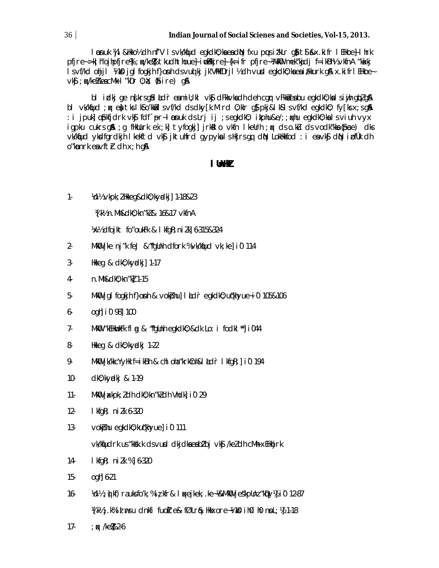loonuk ¼jl&Hkko½ dh nf'V l s vk/kqfud egkdkO;ksesa dnN fxu puus it'kLr g) tSl s&x.kifr lEHkoe} lhrk pfjre~ >ki h"ojhpfjre%; x/ke% tkudhthoue} i wbkkjre} {k=ifr pfjre~ ¼MkO mek"kadj f=ikBh½ vkfnA "kakj l s vf/kd ohjjl ¼iko jglfogkjh f}onh d s vuqlkj jk'VHkfDrjl½ dh vurd egkdkO;ksesi/kkurk g\$A x.kifrlEHkoe~  $\nabla$ k $\mathbf{\hat{s}}$  ;  $\alpha$  /ke% escMk l "kDr 0;  $\mathbf{\hat{s}}$ ; (stire) g&

bl izdkj ge ns[krs g\$l kLd r esmiU;kl vk\$ dFkkvksdh deh cgr vFkkiesbu egkdkO;ksl s i wjh gbZ g\$A bl vk/kqfud ; qx eat tks lkS o'kkails vf/kd ds dky[k.M rd 0;kIr q\$ pkj&lkS ls vf/kd egkdk0; fy[ks x;s gaA : i jpuk] ophfjdrk vk\$j fdf´pr~ l pnuk ds Lrj ij ;s egkdkO; ikphu&e/;; qxhu egkdkO;ka ls viuh vyx igpku cukrs g& ; g fHkUurk ex;k] tyfogkj] jrkklo vkfn lkeUrh ; qx ds o.ku ds vodk"kka (\$pce) dks vk/kqfud yksdfgrdkjh lkekftd vk\$j jktuhfrd gypyks ls Hkjrs gq, dqN LokHkkfod : i esivk\$j dqN i pfÙk dh o"konrk eavft $r$  dh x;h qA

#### **lUnHk Z**

1- ¼d½ vkpk;Z Hkkeg&dkO;kyadkj] 1-18&23

¼[k½ n.Mh&dkO;kn"kZ & 16&17 vkfnA

¼x½ dfojkt fo"oukFk & lkfgR;niZ.k] 6-315&324

- 2. MkO jke nj"k feJ & $^{\prime\prime}$ fgUnh dfork % vk/kqfud vk;ke] i $0$  114
- 3- Hkkeg & dkO;kyadkj] 1-17
- 4- n. Mh&dk0; kn"k1 1-15
- 5- Mkilliglfogkjh f}onh & vokiphu] lildir egkdk0;uqkhyue~i 0 105&106
- 6- ogh] i`0 98] 100
- 7- MkO "kEHkwukFk fl a & "fgUnh egkdkO; &dk Lo: i fodkl" i044
- 8- Hkkeg & dkO;kyadkj 1-22
- 9- MkOD jk/kkcYyHk f=ikBh & chloha "krkCnh&l  $\text{Id}$ r lkfgR;] iO 194
- 10- dkO;kyadkj & 1-19
- 11- Mk $\mathbf{0}$  jakkpk;  $l$  dh dk $0$ ; kn"k $l$  dh Vhdk $l$  i $0$  29
- 12- **I** kfqR; ni Zk 6-320
- 13- vokbhu egkdk0; kuq'khyue] i0 111 vk/kqfudrk us "kksk.k ds vusd dkjdka eabl"oj vk $\mathfrak s$  /keldh cM + xEHkhjrk
- 14- **I** kfgR; niZk %] 6-320
- 15- ogh] 6-21
- $16 \%$ d½;  $\phi$  kf) ra uks fo'k; % iz; kfr& l  $\alpha$ ejkek;. ke~ $\%$ MkOU jes"kpUnz "k $\phi$ y½ i $0$  12-87  $\n 1$   $W_1$  is the surfact of the fundate  $\blacksquare$  for  $\blacksquare$  . The  $W_2$  in  $W_3$  in  $W_4$  is the surfact of  $W_1$  is  $W_2$  if  $W_3$  if  $W_4$  is  $W_5$  if  $W_5$  is the surfact of  $W_5$  is the surfact of  $W_5$  is the surface
- 17- ;  $\alpha$  /ke $\beta$  2-6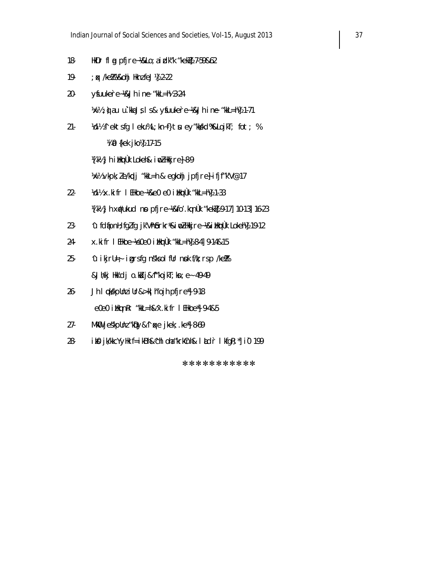- 18- HkDr fl g pfjre~ % 2 Lo; a i x dk "kekZ} 7-59&62
- 19- ; qx /keZ% ¼&ohj Hknz feJ½] 2-22
- 20- ysfuuke`re~ ¼&Jh in~e "kkL=h½ 3-24 1⁄k½ ; g) a u u` .kka J s l s & y fuukere~1⁄&Jh ine "kkL=h!} 1-71
- 21- *Vollia* ekts fg leku% L;kn~ f}tu ey"kk kd%&LojkT; fot; % **Vi 0** {kek jko!} 17-15 ¼[k½ Jh i<code>i</code>kmÙk Lokeh& indZHkkjre}8-9

1⁄k½ vkpk; le/kpdj "kkL=h & egkohj jpfjre} ifjf"k'V@17

- $22 \frac{\text{Volb}}{\text{X}} \times \text{ki}$  fr I EHkoe~ $\frac{\text{Re}}{\text{Re}}$  e0 i Hkmu)  $\frac{\text{lk}}{\text{E}}$   $\frac{\text{lk}}{\text{E}}$  1-33 ¼[k½ Jh x#ukud no pfjre~¼&fo'.kq nÙk "kek½] 9-17] 10-13] 16-23
- 23- ^u fd apnH; fgZ fg jk'Vh brkr\*&i wZ Hkkjre~ 1& i Hkmulk Lokehl4 19-12
- 24- x.kifr I EHkoe~ %e0e0 i Hkmulk "kkL=h % 8-4] 9-14&15
- 25-  $\sqrt{u}$  ikjrU=  $\frac{1}{2}$  igrs fg ns" ks olfUr n sok f/k; rs p /ke  $\frac{w}{2}$ &Jh/kj Hkk'dj o.kdj&^f"kojkT;kn;e~ 49-49
- 26- Jh I çkskpUnz iUr&>kil h"ojh pfjre\*] 9-18 e0e0 iikq nRr "kkL=h&^x.kifr I EHkoe\*] 9-4&5
- $27-$  MkO jeskpunz "k $D\psi\&\Upsilon$  are jkek; .ke $\ddot{}$  8-69
- 28- ik $\Omega$  jk/kkcYyHk f=ikBh&^chloha "krkCnh& l  $\Lambda$ d`r lkfgR; "| i0 199

\*\*\*\*\*\*\*\*\*\*\*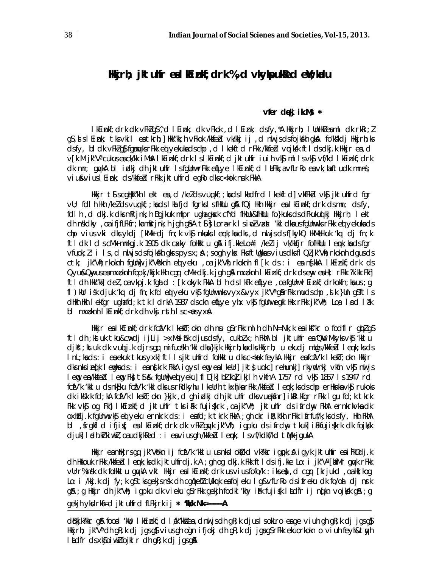## Hikirh; iktulfr eal klinkf; drk %, d vkykpukked eit; kalu

#### vfer dekj ik.Ms \*

I kEinkf; drk dk vFkIg\$^, d I Eink; dk vFkok, d I Eink; dsfy, \*A Hkkjrh; I UnHkI eaml dk rkRi; I q\$,sl{ink; tksvkil eatkrh;]Hkk"kk;hvFkok/kkfeZdvk/kkjij,clnuljsclsfojkskh qknA fo'kskcljHkkjrh;ks dsfy, bldk vFk/q\$fqnyksrFkk ei yekukadschp, d lkekftd rFkk /kkfebd vojksk ftldsdkj.k Hkkjr ea,d v[k.M jk"V" cukus ea ck/kk iMhA I kEinkf; drk I slkEinkf; d jktuhfr iuih vk\$ mllsvk\$ vf/kd I kEinkf; drk dk mn; quyka bi idkj dh jktuhfr isfgünwrFkk enlye i kEinkf; d i aFkk, a vfLrRo ea vk; haftudk mnns; viu&viuslEink; ds/kkfeblrFkk jktuhfrd egRodksc<kok nuk FkkA

Hkkjr t¶scqHkk"kh lekt en,d /keldsvuqkf;;kndslkhdfrd lkekftd]vkfFkblvk§jktuhfrd fgr vU; fdl h Hkh /keldsvugkf; ;kadslka fjd fgrkslsfHkUu g& fQj Hkh Hkkjr ealkEinkf;drk dsmn; dsfy, fdl h, d dkj.k dksmRrjnk; h Bgjkuk mfpr ughagksk cfYd flkUu&flkUu fo}kuks ds dFkuku¢ kj lkkjrh; lekt ch nskolky, oa ifjfLFkfr; kamRrjnk; hijgh gâ Ats} Lora=rk Isin02 vaxt 'kkl olka usfgUnnvks rFkk ed yekuka ols chp vius vki dks ykdj [kMk dj fn; k vk\$ nkuks l enk; ka dks , d nu js ds f[kykQ HkMelkuk 'kq dj fn; k ftl dk I clscMk mnkgj.k 1905 dk cakky follkktu gå ifj.kkeLo#i /kelij vk/kkfjr foflkUu I emk;ka dsfgr  $v$ fuok;  $l : i \, l$  s, d nu is ds fojkkh gkrs  $pvs x$ ;  $A$ ; sogh ykx Fks ftligkus vius dks fl Ql jk"Vh; rkoknh dgus ds ctk; jk"Vih; rkoknih fgüni) jk"Voknih ed yeku , oa jk"Vih; rkoknih fl [k ds : i ea n{kkA l kEinkf; drk ds Qyu&Qmyuseamxpknh fopkj/kkjk Hkh cqm cMk dkj.k jqh q&mxpknh I kEinkf; drk dsemy eaHk; rFkk ?k.kk Fkh] ftldh Hkk"kk]del,oa vkpj.k fgald : [k okyk FkkA blhdslkFk en[Lye ,oa fgllnwl Einkf; drkokfn; ka us ; g fl) kur isk djuk 'kq dj fn; k fd ed yeku vk\$ fquhwnks vyx&vyx jk"V° q\$ rFkk muds chp, s k }un q\$ftl s dikin likn I ekfar ughafd; k tk I drkA 1937 dsckn eflye yhx vk\$ faUnwegki likk rFkk jk"Vh; Loa I nd I ak bl mxpknh lkEinkf; drk dh vkj rsth lsc<usyx&

Hkkjr ealkEinkf; drk fcfV'k lkekT; okn dh nu gSrFkk mlh dh N=Nk; k eaikf"kr o fodflr glplgS ftldh;kstuk tku&c⊯dj ijlij >xMsifik djusdsfy, cukblx;h FkhA bl jktuhfr ea^QW Mkyks∨k\$, 'kklu djkš; ktuk dk vud j.k djrs qq mifuoskh 'kkl dka }kjk Hkkjrh; ka dks Hkkjrh; u ekudj mUqs /kkfebl lemk; ks ds InL; kads: i eaekuk tkus yxk] ftllsjktuhfrd follkktu dksc<kok feykA llkkjr eafcfV'k I kekT; okn llkkjr dks nks i edk I engkads: i eanskrk FkkA i gysleng ealkeUr] jkt} uokc] rehunki] rkyndnki vkfn vk\$ nul js leng ea/kkfebl leng Fkj t\$i & fgUnju ed yeku] fl D[k] b] kb] ikjlh vkfnA 1757 rd vkj 1857 ls 1947 rd fcfV'k 'kkl u ds nk\$ku fcfV'k 'kkl dks us rRdkyhu I keUrh tkxhjkarFkk /kkfebl I emk; ks ds chp erHknkavk\$r rukoks dk iksk.k fd; kA fcfV'k I kekT; okn }kjk, d gh idkj dh jktuhfr dksvuekfinr] ikkl kfgr rFkk I gu fd; k tkrk Fkk vk\$ og Fkh] I kEinkf;d jktuhfr tks i Fk fuji{krk ,oa jk"Vh; jktuhfr ds ifrdny FkhA ernkrkvkadk oxlicij.k fgünwvkij ed yeku ernkrk ds: i eafd; k tkrk FkkA ; gh ckr i R; k'kh rFkk i frfuf/k; ks dsfy, Hkh FkhA bl , frgkfld ifjif; ealkEinkf; drk dk vFkZ guyk jk"Vh; igpku ds ifrdny tkuk] i Fkfujifkrk dk fojksk djuk] I adh.kirkiwkl, oa udkjkRed : i eavius gh /kkfed I enk; I svf/kdkf/kd tMk-jgukA

Hkkjr eamHkjrsgq jk"Vokn ij fcfV'k 'kkl u usnkslokI/kd vk?kkr igpok;å igyk jktuhfr eaiFkDdj.k ch Hkkouk rFkk /kkfebl I emik; kschk jktuhfrdj.k A ; gh og chkj.k Fkk ftl dsifj.kke Lo: i jk"Va [kmfMr guyk rFkk vUrr% nsk dk follktu gyvkA vkt llkkjr eal kEinkf; drk usviusfofo/k : iksea, d cgyr [krjukd , oallk; kog Lo: i /kkj.k dj fy;k g\$tksgekjsnsk dh cgqkehl cU/kqrk eafo|eku Ig&vfLrRo ds ifreku dk fo/oal dj nrk g\$\; g Hkkjr dh jk"Vh; igpku dk vieku g\$rFkk gekjh fodkl 'khy ilik fuji{k l kudfr ij n{kn vojksk g\$\; g

#### gekjh ykdrki=d jktuhfrd fLFkjrk ij \* 'kkk Nk=------A

dBkjk?kkrg& foord 'kwl; IkEinkf;d Iak"kkaIea,dnnljsch gR;k djus IsokLro eage viuh ghgR;k djjgsg \$ Hkkjrh; jk″Vªch gR;k clj jgsg}viusgh ogn ifjokj ch gR;k clj jgag\$rFkk ekuorkokn o viuh feyh&tnyh I Ldfr ds xk\$oi wkZ fojkIr dh gR; k dj jgs g&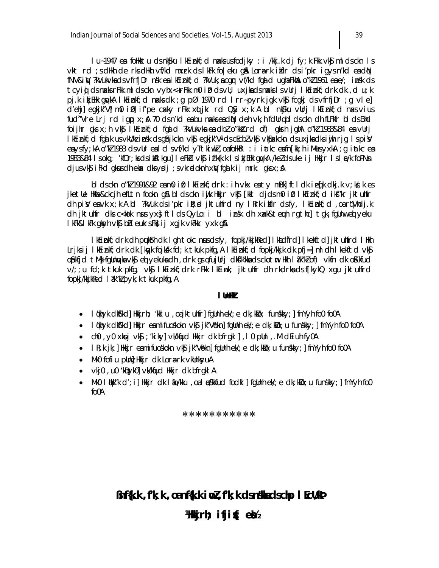lu~1947 en foHkktu dsnk§ku lkEinkf;d naksusfodjky :i /kkj.k dj fy;k Fkk vk§mldsckn ls vkt rd ; s dHkh de rks dHkh vf/kd mxrk ds I kFk fo|eku g& Loraerk i kflr ds i 'pkr i gys n'kd eadN fNV&iW ?kVukvkadsvfrfjDr nsk ealkEinkf;d ?kVuk;acqm vf/kd fqdd uqhaFkhao"k21961 eae/; insk ds tcyig dsnaksrFkk mldsckn vyhx<+rFkk m0 i0 dsvU; uxjkadsnakslsvUrj lkEinkf;drk dk ,d u;k pj.k ikjEHk gwkA IkEinkf;d naksdk ;g pØ 1970 rd Irr-pyrk jgk vk\$ fcgkj dsvfrfjDr ;g vle] d'ehj] egkjk"Vj m0 i 0] i f'pe cakky rFkk xqtjkr rd Q\$y x;k A bl nk\$ku vUrj lkEinkf;d naxs vius fud"Vre Lrj rd igp x; \$ 70 ds n'kd e s bu n x ks e s d N deh vk; h fdUrg bl ds ckn dh fLF kfr bl ds Bhd foijhr qks x;h vk\$ I kEinkf;d fqald ?kVukvka ea dbl o"kka" rd of) qkrh jqhA o"kl 1983&84 ea vUrj IkEinkf; d fqalk usvkWk insk ds q\$njkckn vk\$ eqkjk"V" ds cEcbZvk\$ vk\$akkckn ds uxjka dks injh rjq Ispi¥ eaysfy; kA o"k21983 ds vUr eal cl svf/kd yTtkiwk2, oafoHkRl : i iatkc eafn[kk; h i MusyxkA ; q iatkc ea 1983&84 Isokg; 'kfDr; ksdsib&lkgu] leFkU vk\$ if'k{k.k IsikjEHk quykA /keZdsuke ij Hkkjr Isloc/k foPNsn djusvk\$ iFkd gkusdh eka< dks ydj ; svkradoknh xw fgalk ij mrk: gks x; A

bldsckn o "kl1991&92 en molif) I klinkf; drk : ih vkx en tymBk| ftIdkieq[k dkj.kv; kd; kes jketle Hkfe&ckcjh efLtn fookn q\$ bldsckn iwjk Hkkjr vk\$ [kkl djdsm0 i0 lkEinkf;d iks"kr jktuhfr dh piveavk x; k A bl ?kVuk dsi'pkr ile; d jktuhfrd ny I krk ilfir dsfy, I kEinkf; d , oarq'Vhdj.k dh iktuhfr dks c<kok nus yx} ftlds QyLo: i bl insk dh xxk&teuh rgthc] tgk; fgllnw ed yeku I kFk&I kFk gksyh vk\$ bh eukrsFk}ij xgjk vk?kkr yxk g&

I kEinkf; drk dh pukfrh dk I gh tokc nusdsfy, fopkj/kkjkRed] I kadfrd] I kekftd] jktuhfrd I Hkh Lrjksij I kEinkf; drk dk [kqyk fojksk fd; k tkuk pkfg, A I kEinkf; d fopkj/kkjk dk pfj=] ml dh I kekftd vk\$ opkfjd tMi fqUnyka vkj ed yekuka dh , drk grafujUrj dkfk'kka ds ckotm Hkh I ak"kl of) vkfn dk oKkfud v/; ; u fd; k tkuk pkfg, vk\$ I kEinkf; drk rFkk I kEink; jktuhfr dh rkdrkads f[kykQ xqu jktuhfrd fopkj/kkjkRed I ak"kl pyk; k tkuk pkfg, A

#### I Unlik

- I qkhyk dk\$'kd] Hkkjrh; 'kkl u ,oajktuhfr] fgllnh ek/;e dk;k'lo; funskky;] fnYyh fo0 fo0A
- I qkhyk dkfkd] Hkkjr eamifuoskokn vkfj jk"Vbkn] fgUnh ek/; e dk; klo; u funskky; ] fnYyh fo0 fo0A
- ch0, y0 xkpj vkg; 'kiky] vk/kqud Hkkjr dk bfrgkl], l0 pUn, .M dEiuh fy0A
- $\bullet$  I R; k jk; ] Hkkjr eamifuoskokn vk $\mathfrak{g}$  jk"Vbkn] fqUnh ek/; e dk; klo; u funskky; ] fnYyh fo0 fo0A
- Mk0 fofiu pllni Hkkjr dk Lora-rk vkllnkyuA
- vkj0, u0 'kDyk0] vk/kqud Hkkjr dk bfrqkl A
- MkO I tik "k d'; i] Hkkjr dk I to/kku , oa I pSkkfud fodkl ] fqUnh ek/; e dk; kilo; u funskky; ] fnYyh foO  $f<sub>0</sub>0A$

#### \*\*\*\*\*\*\*\*\*\*\*

## Bnf{k.k, f'k; k, oanf{k.k i wZ, f'k; k dsn\$kadschp I EcU/kP

## Wakjrh;  $\mathbf{ifji}$  $\mathbf{\hat{i}}$ ;  $\mathbf{e}$  $\mathbf{\hat{z}}$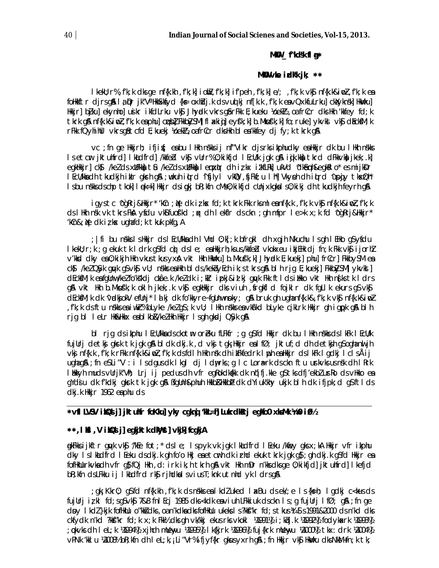#### MKU \_f"kd\$k fl g\*

#### MKO vke idkk jk;  $**$

IkekU; r%, f'k; k dks ge nf{k.kh , f'k; k] i ohū, f'k; k] i f'peh , f'k; k] e/; , f'k; k vk§nf{k.k&ino], f'k; k ea folikkftr djrsg\$l 1ą pr jk″VªlikkSkfyd {k⊊ oxlidj.k dsvuql kj nf[k.k ,f'k;k eavQxkfuLrku] ckXyknsk] likwku] Hkkjr] bjku] ekynho] usikr ikfdLrku vk\$ Jhyndk vkrs g\$rFkk E; kueku ¼oek½, oa frCcr dks Hkh 'kkfey fd; k tkrk gå nf{k.k&imDl, f'k; k enphu] cupb] Fkkb3ySM] flakig] eyf'k; k] b.Mkuf'k; k] fo; ruke] ykvkl vk\$ cl&ck\$M; k rFkk fQyhihUl vkrsgåtcfd E; kuekj Yoekl2, oafrCcr dksHkh blea'kkfey dj fy; k tkrk gå

vc ; fn ge Hkkjrh; ifjit(; eabu I Hkh nskks ij nf"Vikr djsrks ikphudky eaHkkjr dk bu I Hkh nskks Is etcr jktuhfrd] I khdfrd] /khfed vkj vUrr% 0; kikfjd I EcU/k jgk gå i gik.kknj tkrd dFkkvknj jkek; k] egkilikir] ck) /kelds xilfkk) tû /kelds xilfkk) lemxir dhirk izikt ikfliki ukVd 'dikêmh&egkillo\* es mijkiDr i Ecü/kkadh tkudkjh ikir gkrh gå ;wkuh ilrd ^ifjlyl vklid ,fjFkf;u l hi] Vkyeh dh iltrd ^upgiy tkx.Qh\* Isbu nskksdschp tkok] I ęk=k] Hkkjr dsigkj bR; kfn cMs0; kikfjd cUnjxkgkals0; kikj dh tkudkjh feyrh g&

igystc ^ogRrj&Hkkjr\* 'kCn ; Ne dk iz kx fd; k tkrk Fkk rksml eanf{k.k , f'k; k vk\$ nf{k.k&iw], f'k; k ds I Hth nsk vk tkrs FloA ysidu vkos fuos'kd ; q ch I eldir ds ckn ; qh mfpr I e>k x; k fd ^oqRrj&Hkijr\* 'kCn&; Ne dk iz k $x$  ughafd; k tkuk pkfg, A

; | fi bu nskks Ishkkjr ds I Ecl/kkadh I Vhd 0; k[; k bfrgkl dh xgjh Nkuchu Isgh I Ehko g\$yfdu I kekU; r; k; q ekuk tk I drk q\$fd ci) ds le; ealkkijrh; ks us/kkfebl vkokxeu i kijEHk dj fn; k Fkk vk\$j i jorhZ v'kkod ciky ea 0; ki kjh Hkh vkus tkus yxå vkt Hkh HkWku] b.Mkufk; k] Jhyolk E; kuekj] phu] frCcr] FkkbySM ea ck) /kel QSyk quyk qS vk\$ vU; nskks eaHkh blds/kekbyEch ik; s tkrs q& blh rjg E; kuekj] Fkkb3ySM] ykvksl] dEckfM; k eafgUnw/kelfo'kskdj châe.k /keldk i; kir ipkj&id kj gwk Fkk ftlds illkko vkt Hkh nsks tk ldrs g& vkt Hkh b.Mkusfk;k okih jkek;.k vk§ egkHkkjr dks viuh , srgkfld fojklr dk fgLlk ekurs g\$ vk\$ dEckfM; k dk 'vadkjokV efUnj' I a kj dk fo'kkyre-fgUnwnoky; g& bruk gh ughanf{k.k&, f'k; k vk\$ nf{k.k&inoZ , f'k; k dsftu nskks ea iwkir% blyke /kelgs; k vU; lHkh nskks ea vkirkd blyke cjklrk Hkkjr gh igppk g& blh rig bl letr HW&Hkkx eablkb&/kelHkh Hkkjr Isgh gksdj Q\$yk g\$A

bl rjg ds ikphu I EcU/kka ds ckotm oreku fLFkfr ; g g\$fd Hkkjr dk bu I Hkh nskks ds I kFk I EcU/k fujUrj detkj gkrk tk jgk gå bldk dkj.k, d vkj tgk; Hkkjr ealfØ; jktuf; d dh detkjh g\$oghanuljh vkj nf{k.k ,f'k;k rFkk nf{k.k&iw],f'k;k dsfdlh Hkh nsk dhibeTkfedrk lppheaHkkjr dslkFk lgdkj lclsÅij ughag&; fn eSLi"V: i Isdgusdk Ikgl dj Idpurks; g IcLornaerk dsckn ftu unrk∨ksusn sk dh IRrk I blkkyh muds vUrjk"Vh; Lrj ij pedus dh vfr eqRokdkalkk dk nijifj.kke q\$tks dfj'ekblurRo ds vHkko ea qYdju dk f'kdkj gkrk tk jgk gå ßfgUnh&phuh Hkkb&Hkkbþ dk dYiuk'khy ukjk blh dk ifjpk; d g\$ftlds dkj.k Hkkjr 1962 eaphu ds

#### \*vfl LVSV ikQs j] jktuhtr foKku] yky cgknj 'kL=h] Lukrdkerj egko0 xksMk ¼n0 i0½

### \*\*, I KsI, V i KsQsI j] eqkjktk dkWyst] vkjk] fcqkjA

g)kFkksijkftr gyvk vk\$ ^/kEe fot;\* dsle; lspyk vk jgk lkaldfrd lEeku /kfiey gksx;kA Hkkjr vfr ikphu dky Islhadfrd I Eeku dsdkj.k gh fo'o Hkj enetchr dk irhd ekuk tkrk jgk g\$; gh dkj.k g\$fd Hkkjr en fofiklurkvkadh vfr q}fQj Hkh ,d: irk ik;h tkrh q& vkt Hkh mDr n'kksdksqe 0;kikfjd] jktuhfrd] I kefjd bR; kfn dsLFkku ij IkLdfrd rkg rjhdkalsviusT; knk utnhd yk IdrsgA

gk; Kkr0; q\$fd nf{k.kh , f'k; k ds n\$kks ealkdZuked laxBu ds ek/; e ls {ks=h; lgdkj c<kusds; fujUrjizkI fd;sq\$vk\$ 7&8 fnIEcj 1985 dks<kdk eaviuh LFkkiuk dsckn Is;q fujUrj IfØ; q\$ ;fn qe dpy I kdl }kjk fofikuu o"kkidks, oan'kdkadksfofikuu ukeks I s?kki"kr fd; s tkus¼ti s 1991&2000 dsn'kd dks ckfydk n'kd ?kkf"kr fd; k x; k Fkk½ dks gh vk/kkj ekus rks vkokl ¼991½ i; kbj. k ¼992½ fodykaxrk ¼993½ ; pkvks dh I eL; k ¼994½; xjhch mUewyu ¼995½; I k{kjrk ¼996½; fuj{krk mUewyu ½000½; tkx: drk ½004½; vPNk 'kkl u ½2008½ bR; kfn dh l eL; k, i Li "Vr% ifjyf{kr gkusyxrh g&; fn Hkkjr vk\$ HkWku dksNkM+fn; k tk;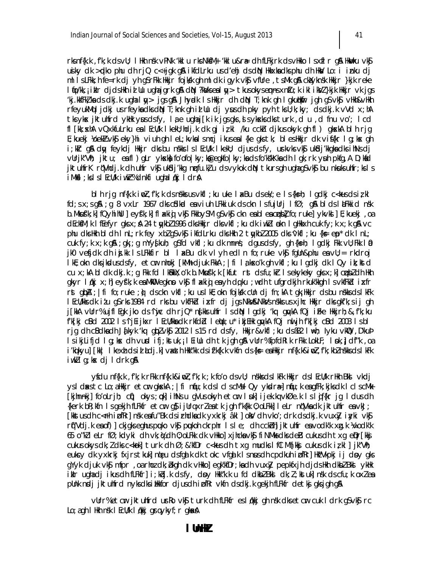rks nf{k.k, f'k; k ds vU; I Hkh nsk vPNk 'kkl u rks Nk\$M+ 'kkl u&rædh fLFkjrk ds vHkko I s xfl r g\$A HkWku vk\$ usiky dk > plko phu dh rjQ c<+jgk g\$i ikfdLrku us d'ehj ds d\$N Hkkxka dks phu dh HkN/ Lo: i inku dj ml IsLFkk;h fe=rk dj yh q\$rFkk Hkkjr fojksk qh ml dk igyk vk\$ vfUre ,tsMk q& ckXyknsk Hkkjr }kjk reke I (io/kk, jikir cijcisilkh id Uu ughajgrk g& ci(N) ?ka/kseal y> tkusokysempas xnfu; k iki ika/Z}kjk ilkkjr vk jgs kj.kkfFkłkadsdkj.k ughalny> jgsg& Jhyndk IsHkkjr dh diN T;knk gh Igkuthkir jgh g\$vk\$ vHkh&vHkh rfeyukMq I jdkj us rfeyka dks d(N T; knk gh id Uu dj yus dh pky pyh tksU; k; ky; ds dkj.k vVd x; hA tks yksk jktuhfrd ykłk yus dsfy, ląe ughaj [k ik jgsgks, syksks dks turk, du, d fnu vo'; lcd fl [kk; xhA vQxkfuLrku ealEcU/k IkekU; hdj.k dk gj izkl /ku cckh djkusokyk ghfl) gkxkA blh rjg E; kueki Yoek½ vk\$ eky}hi viuh qh IeL; kvkalsmci ikus eal{ke qkstk; bles Hkkir dk vif{kr Iq; kx qh i;kir q& dıy feykdi Hkkir dksbu nskks is i Ecli/k i kekli; dius ds fy, usrkvks vk\$ uk\$di′kkqka dks ihNs di vurjk"Vh; jktu; eafl) gLr ykska fo'ofolky; keegkfolky; ka ds fo'ks'kkka dh I gk; rk yuh pkfg, A D; kad jktuhfrK rí Vhdj.k dh uhfr vk\$ uk\$dj'kkq nrfu.k}u dsvykok dN tkursgh ughagSvk\$ bu nkuksuhfr;ksls iMkfl;kslslEcU/k iwkht%dnkfi ughalqkj ldrA

bl h rjg nf{k.k ind, f'k; k ds nskks us vkfl; ku uke l akBu ds ek/; e l s {ks=h; l gdkj c<k-us ds iz kl  $fd$ ; s  $x$ ; s  $q$ \$; q 8  $vx$ Lr 1967 clks c\$dkad ea viuh LFkkiuk cls ckn Is fujUrj IfØ; q \$ bl cls I alFkkicl nsk b. Mkuśk; k] fQyhi hUl ] eyśk; k] fl akig vk\$ FkkbySM qSvk\$ ckn ea bl ea cubl fo; ruke] ykvkd ] E; kuekj , oa dEckSM; k I fEefyr gks x; A 24 tykb2 1996 dks Hkkjr dks vkfl; ku dk i wk2 I okn I gHkkxh cuk fy; k x; k gA vc phu dks Hkh bl dh I nL; rk fey xbl q\$ vk\$ i kfdLrku dks Hkh 2 twkbl 2005 dks 'vkfl; ku {k= ep' dk I nL; cuk fy; k x; k q&; qk; ; q mYy{kuh; q\$fd vkfl; ku dk mnns; dqusdsfy, qh {ksh; l qdkj Fkk vll; Fkk I @ jk0 vefjdk dh ijk ls LFkkfir bl læBu dk vlyh edln fo; ruke vk\$ fqUn&phu eavU; = rkdroj I kE; okn dks jkudus dsfy, etcur nhokj [kMh+ djuk FkkA ; | fi I a kso'k gh vkfI ; ku I gdkj dk I Qy i k; kstd cu x; kA bl dk dkj.k; g Fkk fd I kBkkX; o'k b. Mkufk'; k [kfut rst dsfu; kir I sekykeky gks x; k] cubizdh Hkh gkyr l¢kj x;h] eyf'k;k ea MkO egkno vkj flakig ea yh dqku ;wdh tufgrdkjh rkuk'kkgh IsvkfFkd ixfr rst qubA ; | fi fo; ruke ; u) cls ckn vkfl ; ku us lkE; okn fojksk clln clj fn; kA tok; Hkkjr cls bu nskks cls lkFk I EcU/kks dk itu q\$ rks 1984 rd rks bu vktFkid ixfr dj jqs NkV&NkVs nskks us xjhc Hkkjr dks qkf'k; s ij qh j[kkA vUrr% ujfl Eqk jko ds^iwjc dh rjQ\* n{kks uhfr IsdN Iqdkj 'kq qwykA fQj iFke Hkkjrh; &, f'k; ku f'k[kj cBd 2002 Is^ij[ijkxr IEcU/kkadk rkfdb] letju; u\* ikj[Hk qqvkA fQj nuljh f'k[kj cBd 2003 Isbl rig dh cBdkadh Jąkyk 'kq glpzvk\$ 2012 1 s 15 rd dsfy, Hkkjr&vkfl ; ku ds B82 I \th; lyku vkll2, D'kub IsikjLifjd Ig;kx dh vurd ifj;kstuk,;IEiUu dh tk jgh g& vUrr%fpfdRIk rFkk LokLF; Ink,}df"k ,oa i'kikvu] [kk| I kexh dsid hdj.k] vaxth Hkk"kk dsif'k{k.k vkfn ds{k= eaHkkjr nf{k.k&iwZ,f'k; kbZn\$kksdsl kFk iwklg; kx dj Idrk g&

yfdu nf{k.k, f'k; k rFkk nf{k.k&iwl, f'k; k; k fo'o dsvU; nskksds I kFk Hkkjr ds I EcU/k rHkh Bkd vkdj ys I daxs tc Lo; a Hkijr etcir gkskA; | fi nfu; k ds I cl s cMs I Qy ykdra=] nfu; k eagfFk; kjks dk I cl s cMk [kjhn-nkj] fo'oLrjh; cfi) okys; pk] ihNs u gVus okyh etcm I suk] i jek.kq vkØe.k I s I gif{kr jg I dus dh {kerk bR; kfn Isgekjh fLFkfr etcm q\$ ijUrqxrleatk jgh f'k{kk 0; oLFkk] leLr nq'Vkadk jktuhfr eavkJ; [kkstus dh c<Fh i pfRr] nsk eafu"Bk ds i rhdka dk yxkrkj âkl ] oky dh vko'; drk ds dkj.k vuxiy i yki vkj rt"Vdj.k ea of) ckigks eghus puko vk\$ pukoh ckrphr Isle; dh cckhh| jktuhfr ea vodk'k xg.k ¼vodk'k 65 o"kileLr fØ; kdyki dhvk; kjdh0; oLFkk dkvHkko] xjhckavk\$j fiNMksdksdeB cukusdhtxg epr[kk=j cukus okys dk; l dks c<kok] turk dh Ø; &'kfDr c<kus dh txg mudks I fCl Mh[kkj cukus dk iz kl] jk"Vh; eukcy dk yxkrkj fxjrstkuk] ngeu dsfgalk dk tokc vfgalk I snusdh cpdkuh i pfRr] Hk'Vkpkj i j doy gks qYyk djuk vk\$ mfpr , oa rhoz dk; bkqh dk vHkko] eqk'kfDr; ka dh vux}y pepkfxjh djds Hkh dkbZ Bks ykHk ikir ughadjikus dh fLFkfr] i; kbj.k dsfy, dpy Hkk"k.k u fd dkbl Bkd dk; l; kstuk] nsk dscfu; k oxlea pllnk ndj jktuhfrd nyksdksihkkfor djusdh i bfkr vkfn dsdkj.k gekjh fLFkfr detkj gksjgh g\$

vürr%etar jktuhfrd urko vký turk dh fLFkfr esl (kkj gh nsk dksetar cuk I drk gSvký rc Lo; a gh I likh nsk I EcU/k I gkkj grg ykyf; r gkak A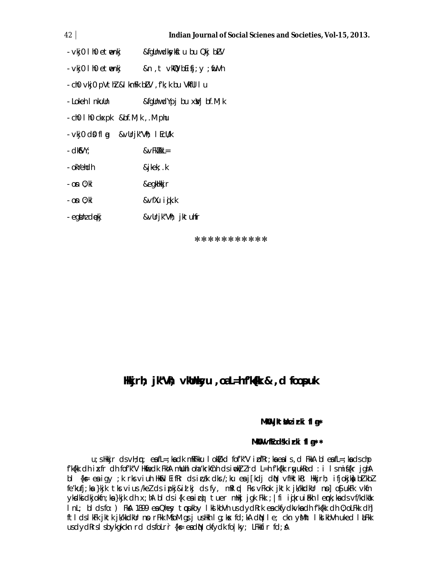#### $42<sub>1</sub>$

- &fgUnwdkykftu bu Qkj bLV · ∨kj0 l h0 etmenkj
- vkj0 l h0 etmenkj &n, t vkip bEifi; y; fuVh
- cho vkjo pVthl &I kmFk bLV, f'k; k bu VkfUl I u
- Lokeh I nkulln &fgUnwdYpj bu xVj bf.M; k
- ch0 l h0 ckxpk &bf.M; k, .M phu
- vkj0 d0 fl a &vUrjk"Vh; I EcU/k
- $-d$ **KSVY**:  $&\vee$ Fk $k$ k $L=$
- okYehdh &jkek; .k
- on 0: kl &egkHkkjr
- $-$  on  $0:$  kl &∨fXu iġk.k
- egtinz diekj &∨Urjk″Vħ; jktuhfr

\*\*\*\*\*\*\*\*\*\*\*

# Hkjrh; jk'Vh; vkhhkyu , oaL=h f'k(k & , d foopuk

### MKW jktthzirki flg\*

### MKW vfEcdsk irki fl a\*\*

 $u$ ; s Hkkjr cls  $v$ H;  $p$ ; eafL=; ka clk mRFkku I ok $t$ /kcl fof'k" $V$  i  $\overline{D}$ fRr; ka ea I s, cl FkkA bl eafL=; ka cls ch $p$ f'k{kk dh ixfr dh fof'k"V Hkifedk FkhA mlluhl oha'krkCnh dsimok) Ird L=h f'k{kk ryukRed : i Ismif{kr jghA bl {k= ea igy ;k rks viuh Hk&l EifRr cls icak clks /;ku ea j[kdj diN vfHktkR; Hkkjrh; ifjokjka bl kbl fe'kufj; ka }kjk tks vius /kel ds ipkj&id kj ds fy, mRI pl Fks vFkok jktk jk/kkdkUr no] oS| ukFk vkfn yksdkickjokfn; ka }kjk ch x; hA bl cls i{k ea icy}tuer mHkj jgk Fkk ; | fi igkruiEkh lenk; ka cls vf/kclkak InL; bl ds fo: ) FkA 1899 en Ohey topukby I kd kbVh us dydRrk en ckfydkvkn dh f'k{kk dh 0; oLFkk dh] ftldslkFk jktk jk/kkdkUr no rFkk MfoM qs j usHkh I q;kx fd;kA diN I e; ckn yMht I klkbVh uked I alFkk usdydRrsIsbykgkckn rd dsfoLrr {k= eadN ckfydk fo|ky; LFkkfir fd; A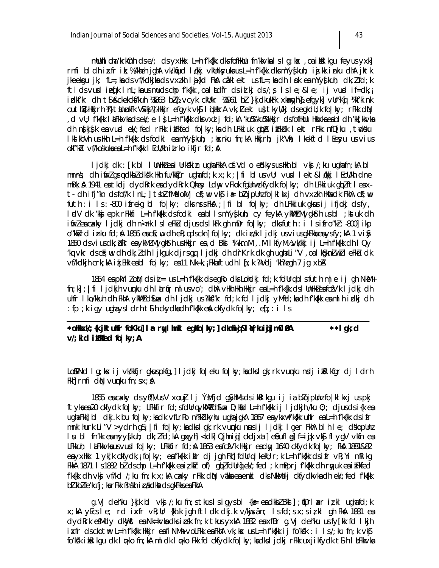mlluhl oha 'krkCnh ds e/; ds yxHkx L=h f'k{kk dks fofHkllu fn'kkvka l s l q; kx, oa ikkl kqu feyus yxk] rnfi bldh ixfr ik;%/kheh jghA vk/khjud lqkkj vkUnksyuka us L=h f'k{kk dks mYys[kuh; ijj.kk inku dhA jktk jkeekgu jk; fL=;kads vf/kdkjkads vxzkh lij{kd FkA câklekt usfL=;kadh lipk eamYy§kuh; dk;lifd;k ftldsvurd in  $[\ell]$ k In $L$ ; ka us mudschp f'k $\{kk, o\}$  I  $k$ dfr dsilkjds/; s I sle; ≤ ij vurd if=dk, i idki'kr dh ti & ckekcks/kuh ¼1863 bZA vcyk ckU/kr ¼1961 bZ }kjdkukFk xkaxgyhA efgyk] vUr%i ¼kf'kink cuthy Hkirh Ki}thnukFk VSkkjYj Hkir efgyk vk\$ liiHkrA vk; lekt u}tkyl/kj dsegkdl; k fo | ky; rFkk diN , d vU; f'k{kk | hFkkvka dsek/; e | } L=h f'k{kk dks vxd j fd; kA 'ku%'ku%'Hkkjr dsfofHkUu Hkkxka ea b| dh 'kk[kkvka dh ngkjgk ea vurd ek/; fed rFkk i tFkfed folky; ka dh LFkkiuk qtpA i tFkLk I ekt rFkk nfD[ku, tudsku IkikbVh usikh L=h fk{kk dsfodkl eamYy∮kuh; ;kxnku fn;kA Hkkirh; jk″Vħ; Ikekftd IEesyu us∨ius okf"kbl vf/koskukaeaL=hf'k{kk l EcU/kh itrko ikfjr fd; A

I jdkj dk : [k b] I UnHklea I Urks'kin ugha FkkA cf. Vd o efdkys us Hkh b] vkj /; ku ugha fn; kA b] mnns; dh ifirl gradkbl dksk Hkh fu/kkljr ughafd;k x;k ; | fi bl usvU; vurd lekt&l fkkj l EcU/kh dne mBk; A 1941 ea tkdj dydRrk eadydRrk Qhey Ldw vFkok fgUnwckfydk folky; dh LFkkiuk glplftleaxt - dh ifj"kn dsfof/k | nL; | tsbl fMidokVj cF;w vk\$ ia= blojpUnu fo | k| kxj dh vxu kh Hkfiedk FkhA cF;w futh: i Is: -800 ifrekg bl fo|ky; clks nrs FkA; | fi bl fo|ky; clh LFkkiuk gkussij ifjokj clsfy, ladV clk 'kkj epk rFkkfi L=h f'k{kk cksfockl easbllsmYy{kuh; cy feykA ykMWZMygk\$th usbl ; kstuk clh ifirleacakly ljdkj dh n<rk lsleFkLu djusdslkFk gh mDr fo|ky; dksfuth : i lsifro"kl: -800] ikp o"kkird inku fd; A 1856 eacF; w dh eR; qdsckn] fo|ky; dk indk I jdkj usviusqkFkkaeaysfy; kA 1 vi y 1850 ds vius dk; bRr ea ykMI Mygksth us Hkkjr ea, d Bks ¼ km. M, . M I kfyM½ vk/kkj ij L=h f'k{kk dh I Qy 'kq vkr ds cf;w dh dk;ldh I jkquk djrs qq I jdkj dh drKrk dk qh uqha Li"V, oa I kâkniwkl e Fku dk vf/kdkjh crk; kA ikjEHk eabl fo|ky; ea11 Nk=k, ; Fkhaftudh I {; k ?kVdj 'kh?kgh 7 jg xbA

1854 en pkYlloM dsii= usl=hfk{kk dseqRodksLohdkjfd;kfdllrgblsfuthm|e ij gh NkM+  $\{n; k\}$ ;  $\|f\|$  i jdkjh vunku dh larfir mlusvo'; dhA vHkh Hkh Hkijr eal=h f'k{kk ds lUnHkleafcfV'k ljdkj dh uhfr I ko/kkuh dh FkhA ykWll d\$uax dh I jdkj us?kk\$"kr fd;k fd I jdkj yMfd;ka dh f'k{kk ea ml h i dkj dh : fp; kiqy uqhaysidrht\$hckydhadhfk{kkenAckfydkfo|ky; ef;: i is

| *oHkxk/;{k jktuhfr foKku]Ir rylhnkl egkfo ky;]clknhij&l (rkuij]m0i0A | $**I$ ak; d |
|----------------------------------------------------------------------|-------------|
| $V$ ; kid iller light follow $\mu$                                   |             |

Lo\$PNd Ig; kx ij vk/kkfjr gkuspkfg,] ljdkj fo|eku fo|ky; kadkslgk; rk vunpku ncdj ib&lkfgr dj ldrh Fkh] rnfi d $\mathbb N$  vumku fn;  $sx$ ;  $\mathbb A$ 

1855 en cakky ds yff|VusV xou] I j ÝMfjd g\$yhMs ds i till kgu i j i a blojpUnz fo | kl kxj us pkj ftyka ea 20 ckfydk folky; LFkkfir fd; sfdUrqykWlZ d\$ux D; kad L=h fk{kk ij ljdkjh /ku 0;; djusdsi{k ea ugha Fkk] bi dkj.k bu fo|ky;ka dk vfLrRo nh?kdkyhu ugha jgkA 1867 ea ykxwf'k{kk uhfr ea L=h f'k{kk ds ifr mnkl hurk Li"V >ydrh q\$; | fi fo | ky; kadks | qk; rk vunku nusij | jdkj | qer FkhA bl h | e; dskopUnz I u bi fn'kk eamyy{kuh; dk; I fd; kA gqxyh] <kdk] Qjhniqj] ckdjxat] e&ufl qj] f=iqik vk\$j flygV vkfn ea LFkkuh; I &Fkkvka us vurd folky; LFkkfir fd; A 1863 eafcfV'k Hkkjr eadly 1640 ckfydk folky; FkA 1881&82 eayxHkx 1 yk[k ckfydk, i fo|ky; eaf'k{kk i klr dj jgh Fkh] fdUrq I kekU; r; k L=h f'k{kk ds i fr vR; Yi mRI kg FKKA 1871 Is1882 bł dschp L=h f'k{kk eaizklr of) glplfdUrglek'; fed ; k mPprj f'k{kk dh rgyuk eaikFkfed f'kfkk dh vkj vf/kd /; ku fn; k x; kA caxky rFkk dN vakka ea enkl dks NkMdj ckfydkvka dh ek/; fed f'kfkk b] kb] fe'kufj; ka rFkk Bnskh i cakclka cls gkFkks ea FkhA

q. Vj cleh'ku }kjk bl  $v$ kj /; ku fn; stkus lsiq ysbl {k = e a clkb  $l$  Bki]; tprlaxr i zkl ughafcl; k x;kA yEcsle; rd ixfr vR;Ur {kh.k jqh ftldk dkj.k v/kojsân; Isfd;sx;si¿kl qh FkA 1881 ea dydRrk efMdy dKWst ea Nk=kvkadks i psk fn; k tkus yxkA 1882 ea xfBr g. Vj deh'ku us fy[kk fd l kjh ixfr dsckotm L=h fk{kk Hkkjr eafiNMh voLFkk eaFkhA vk;kx usL=h fk{kk ij fo'ksk : i ls/;ku fn;k vk\$ fo'ks'k ibelkgu dk løko fn; kA mldk løko Fkk fd ckfydk fo|ky; kadks ljdkj rFkk uxjikfydk t\$ h lå Fkkvka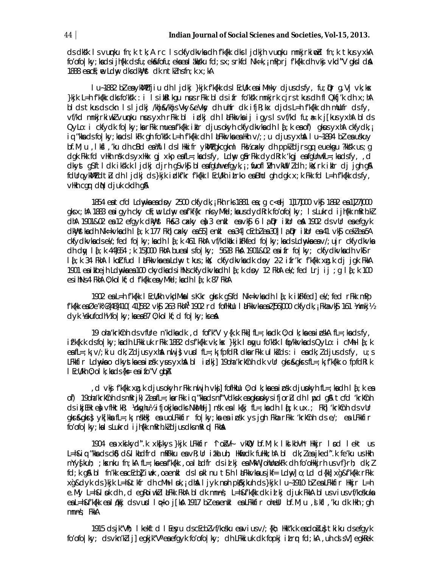ds dkk I svunku fn; k tk; A rc I sckfydkvka dh fk{kk dks I jdkjh vunku mnkjrki md fn; k tkusyxkA fo'ofo | ky; ka ds i jh{kk ds fu; ek&fofu; eka ea | akkku fd; s x; s rkfd Nk=k, ; mPprj f'k{kk dh vkj vkd‴V gks | d**á** 1888 eacf; re Ldny dks dkhlyst dk ntkl ns fn; k x; kA

I u~1882 błenykWl?fjiu dh I jdkj }kjk f′k{kk ds I EcU/k en i Mrky djusdsfy, fu;Dr q.Vj vk;kx }kjk L=h fk{kk dksfo'ks'k : i Isib&lkqu nrusrFkk bldsifr fo'ks'k mnkjrk cjrstkusdh flQkfj'k dh x;hA bl ds tkus ds ckn Islidki /khj&/khjs Vky&eVky dh uhfr dk ifjR; kx djds L=h f'k{kk dh mllufr ds fy, vf/kd mnkjrkiwklvunku nasyxh rFkk bl idkj dh laFkkvka ij igyslsvf/kd fu; a=.k j[kusyxhA blds  $QyLo: i$  ckfydk fo | ky; ka rFkk muea f'k{kk iklr djusokyh ckfydkvka dh l $j$ ; k ea of) qkus yxhA ckfydk, i iq "kka cls fo|ky; ka cls l kFk qh fo'ks'k L=h f'k{kk clh l laFkkvka ea Hkh v/; ; u cljus yxha l u~1894 bZ ea uskuy bf.M; u, lkfl, 'ku dh cBd ea)ftldslikkifr ykWZqkcqkml Fk½ cakky dh ppkZdjrsqq euekqu ?kksk us; q  $\frac{1}{2}$  dgk Fkk fd vHkh nsk ds yxHkx gj xkp eafl=; kads fy, Ldny gårFkk dydRrk 'kgj eafgUnwfl=; kads fy, d dkyst q\$ftldk iksk.k ljdkj djrh q\$vk\$ bleafqUnwefqyk,; ; fiuoflI/h vkWulldh ; kX; rk iklr dj jqh q& fdurg ykwiz dtiu dh I jdkj ds}kjk i dkf'kr f'k{kk I Ecu'kh i Lrko ea Bhd gh dgk x; k Fkk fd L=h f'k{kk dsfy, vikh cgr dN djuk ckdh g&

1854 en t cfd Ldw/kn en dpy 2500 ckfydk, i Fkh rks 1881 en ; q c<elj 1]17]000 vkg 1892 en 1]27]000 gks x; hA 1883 ea i gyh cky cf; w Ldw ea f'kf{kr nks yMfd; ka us dydRrk fo'ofo | ky; Is Lukrd i jh{kk mRrh.kI dhA 1901&02 ea 12 efgyk dkWyst Fk&3 cakly ea 3 enkl ea vk\$ 6 la Dr i kUr ea 1902 ds vUr ea efgyk dkWystka dh Nk=kvka dh I{j; k 177 Fkh] cakky ea 55] enkl ea 34] cEcbZ ea 30] I a Dr ikUr ea 41 vk\$ cekZ ea 5A ckfydkyka ds ek/; fed fo|ky; ka dh 1 {j; k 461 FkhA vf/kdkak i kFkfed fo|ky; ka ds Ldnyka ea v/; ujr ckfydkyka dh dw lif; k 44|654; k 15|000 FkhA buealsfo|ky; 5628 FkA 1901&02 eaifrifo|ky; ckfydkvkadh vklir I {; k 34 FkhA I koltfud I aFkkvka ea Ldny tkus; kx; ckfydkvka dk dpy 2-2 i fr'kr f'kfkk xg.k dj jgk FkkA 1901 en ikbejh Ldnykn en 100 ckydkn ds ihNsckfydkvkn dh I {; k dny 12 FkhA ek/; fed Lrj i j ; q I {; k 100 es i hNs 4 FkhA 0; kol kf; d f'k{kk ea yMid; ka dh 1 $\xi$ ; k 87 FkhA

1902 en L=h fk{kk | EcU/kh vkdMkn | s Kkr gkrk g\$fd Nk=kvkn dh | {; k i kFkfed] ek/; fed rFkk mPp f'k{kk eaØe'k%3]48]410(41]582 vk\$ 263 FkhA<sup>1</sup> 1902 rd fofHkUu | **a**Fkkvka ea2]56]000 ckfydk, <sub>i</sub> Fkhavk\$ 161 ¼mnkj½  $dyk$  Vekufodh's fo | ky; ka ea 87 0; ko | kf; d fo | ky; ks ea

19 oha 'krkinh ds vfilre n'kdka dk , d fof'k" $V \ y\{k.k\ Fkk\}$  fl=; ka dk 0; ol k; ka ea i oskA fl=; ka ds fy, if'k{k.k dsfo|ky; kadh LFkkiuk rFkk 1882 dsf'k{kk vk; kx }kjk Irtyu fo'ks'k Ifo/kkvkadsQyLo: i cMh I{; k  $ea f = k_i v / k_i u dk; l dy$  as  $y x h$  and  $i \} v u d f l = k_i f p f d R l d l a r F k l l k s d s : i ea d k; l dy u s s f y, u; s$ LFkkfir Ldwyka o dkystka ea i oskyws yxha bliotkij 190ha 'krkchh dk vUr qkr&gkrs fL=; k; f'k{kk o fpfdRl k I EcU/kh 0; ol k; ka ds {k = ea i fo"V qlpA

d ∨kj fk{kk xq.k cljusokyh rFkk nwljh ∨kj]fofHkUu 0;olk;kaeaipsk cljupkyh fL=;kach lą̃;k ea, of) 19oha 'krkCnh dsmRrjk) leafL=; karFkk iq "kkadsnf"Vdksk eagkwokysifjorlu dh I mod g& tcfd 'krkCnh ds ikjEHk en vfHktkR; *Vdtyhu½* ifjokjka dks NkMdj] nsk ea lk{kj fL=; ka dh lq̃;k ux.; Fkh] 'krkCnh ds vUr gkr&gkr} yk[kka fL=;k; nskHkj ea uoLFkkfir fo|ky;ka ea ipsk ys jgh Fkha rFkk 'krkCnh ds e/; ea LFkkfir fo'ofo | ky; ka I s Lukrd i jh{kk mRrh.kldjusdksmRI qd FkhA

1904 ea xknikyd‴k xkn[kys}kjk LFkkfir ^lonšV-l ∨kND bf.M;k IknlkbVn\* Hkkjr Inod Iekt us L=h&iq "kka ds ck\$) d&l khdfrd mRFkku ea vR; Ur itka uh; Hkfiedk fuHkk; hA bl dk; lea jked". k fe'ku us Hkh  $mYyfkuh$ ; ; kxnku fn; kA fL=; ka ea f'k{kk, oa l $kdfr$  ds id kj ea MkW johUn $nkFk$  dh fo'ohkkjrh us vf}rh; dk; l fd; k q& bl fn'kk ea cEcbl iwk, oa enkl ds I pkl nu t S h I aFkkvka us jkf = Ldwl o; Ld d{kk] xq&f'k{kk rFkk xg&dyk ds}kjk L=h&tkfr dh cMh I pk, dha I jyk nph pk%kjkuh ds}kjk I u~1910 bł ea LFkkfir Hkkjr L=h e.My L=h&I ok dh, d egRoiwkII LFkk FkhA bldk mnns; L=h&f'k{kk dk id kj djuk FkkA blus vius vf/koskuka eal =h&fk{kk ealdkkj dsvund lopko j[ka\$ 1917 b] eaenkl ealFkkfir ohebl bf.M;u, dikfl, 'ku dk Hkh; gh mnns; FkkA

1915 ds jk"Vh; I kekftd I Eeyu ds cEcbl vf/kosku envius v/; {kh; Hkk"k.k endolu} tkiku ds efgyk fo'ofo | ky; ds vkn'klij] egkjk"V<sup>a</sup> ea efgyk fo'ofo | ky; dh LFkki uk dk fopkj itrr fd; kA, uh cd sV] egkRek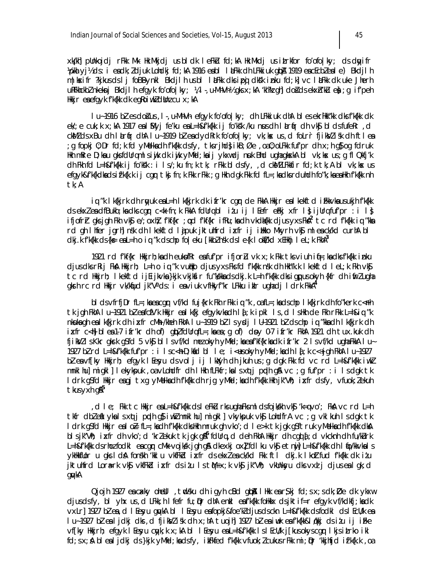xk/kh| pUnkojdj rFkk Mk·llk.Mkjdj usbldk leFku fd;kA llk.Mkdj usitrkfor fo′ofo|ky; dsdwyifr Vpka yj½ ds: i eadk; Zdjuk Lohdkj fd; kA 1916 eabl I aFkk dh LFkkiuk qbA 1919 eacEcbZeale) Bkdjlh m | kxifr ?kjkus ds | j foBBynkl Bkdjlh us bl latkk dks ipoj dksk inku fd; k] vc latkk dk uke Jherh uRFkhckblnkeknj Bkdjlh efgyk foorfolky; ¼l-,u-Mh-Vh-½ gks x;kA 'kh?k gh] do š ds ekxh'ku e); g ifoeh Hkkjr ea efgyk f'k{kk dk egkoiwkZdUnz cu x; kA

I u-1916 bì es doi us, I -, u-Mh-Vh- efgyk fo'ofo | ky; dh LFkki uk dhA bl es ekrHkk"kk dks f'k{kk dk ek/; e cuk; k x; kA 1917 eal Myj fe'ku ea L=h&f'k{kk ij fo'ks'k /ku nus dh lurfir dh vkg bl ds fufekr, d ckMZ ds xBu dh làrfir dhA lu~1919 bZ eadydRrk fo'ofo|ky; vk; kx us, d foLrr fjikMZ isk dh ftlea g fopkj 0; Dr fd; k fd yMelkadh f'k{kk dsfy, tksrjhd} i kB; Øe , oa0; oLFkk fuf'pr dh x; h g} og fdruk; Hkh mRre D;kau gksfdUrqmlsiyik dk iyik yMifd;kaij ykxwdj nuk Bhd ughagkxkA bl vk;kx us;g fl Qkfj'k dh Fkh fd L=h&f'k{kk ij fo'ks'k : i ls/; ku fn; k tk; rFkk bl dsfy, , d ckMZLFkkfir fd; k tk; A bl vk; ks us efgyk&f'k{kdkadsif'k{k.kij cgrtkj fn;k Fkk rFkk; q Hkh dgk Fkk fd fL=;kadksrduhdh fo"k;kaeaHkh f'k{kk nh tk; A

iq "k I k{kjrk dh rnyuk eal=h I k{kjrk dk ifr'kr cgnr de FkkA Hkkjr eal kekftd i Fkkvkausukjh f'k{kk ds ekxl en dfBukb; kn dks car c<k fn; k FkkA fdUru bl i/u ij l Eefr ehkj xfr l sijUru fuf'pr : i l s ifjofr} qksjqh Fkh vk\$e/;oxh}f′kf{kr ;od f′kf{kr ifRu;kadh vkdh{kk djusyxsFkA<sup>2</sup> tc rd f′k{kk iq ″kka rd gh Ihfer jarh] nsk dh I kekftd I ajpuk jktuhfrd i xfr i j i ilkko Mkyrh vk\$ mleack/kd curhA bl  $\alpha$ kj.k f'k{kk ds{ks= exal=hoiq "k dschp fo|eku [kkb]nsk dsle{k lokt/kd xEHkhj lel;k FkhA<sup>3</sup>

1921 rd f'kf{kr Hkkjrh; ka dh eukofRr ea fuf'pr ifjorL vk x; k Fkk tks viuh iq=; ka dks f'k{kk inku djus dks rRij FkA Hkkjrh; L=h o iq "k vulkko djus yxs Fks fd f'k{kk nsk dh Hkh"k.k I kekftd I eL; k Fkh vk\$ tc rd Hkirh; I kelftd i jEi jkvka }kjk vkjkfir fu"kkka ds dkj.k L=h f'k{kk dks igpus okyh {kfr dh ifm?uqha gkrh rc rd Hkijr vk/kfjud jk"Vªds: i eaviuk vfHkyf"kr LFkku iklr ughadj Idrk FkkA<sup>4</sup>

bl ds vfrfj $Dr$  fl=; ka ea cgr vf/kd fuj{krk Fkh rFkk iq "k, oa fl=; ka ds chp l k{kjrk dh fo "kerk c<Fh tk jgh FkhA I u~1921 błeafcfV'k Hkkjr ealk{kj efgykykadh I {; k i pkl I s , d I sHkh de Fkh rFkk L=h&iq "k nkuka gh ea lk{kjrk dh ixfr cMh /kheh FkhA I u~1919 bł Isycj I U~1921 bł ds chp iq "kka dh I k{kjrk dh ixfr c<N| blea1-7 ifr'kr dh of) q\blfdUrqfL=;kaea;q of) dpy 0-7 ifr'kr FkhA 1921 dh tux.kuk dh fjikWllsKkr gkrk gSfd 5 vk\$ bllsvf/kd mezokyh yMfd; ka eaf'kf{krkadk ifr'kr 2 lsvf/kd ughaFkkA lu~ 1927 bì rd L=h&fk{kk fuf'pr : i Isc<h D;kid bl Ie; i<usokyh yMid;kadh I $i$ ;k c<+jqh FkhA Iu~1927 bì ea vf[ky Hkkjrh; efgyk l Eesyu ds volj ij l kklyh dh jkuh us ; g dgk Fkk fd vc rd L=h&f'k{kk iwkl mnklhu]migkl]lekykpuk, oa vLohdfr dh IHkh fLFkfr; kalsxqtj pqdh q\$ vc ; q fuf'pr : i Isdgk tk I drk q\$fd Hkijr eagj txg yMelkadh fk{kk dh rjg yMfd;kadh fk{kk Hkh jk"Vh; ixfr dsfy, vfuok;lekuh tkus yxh g&<sup>5</sup>

d le; Fik tc Hikijr en L=h&f'k{kk ds leFkLirksugha Fksmldsfojk/kh vk\$j 'k=qvo'; FkA vc rd L=h, tkfr dbleftykalsxqtj pqdh g}iwklmnklhu]migkl]vkykpuk vk\$ LohdfrA vc ;g vklkuh Isdgk tk I drk q\$fd Hkijr eal o⊨ fL=;kadh f′k{kk dksHkh mruk qh ∨ko′;d I e>k tk jqk q\$ftruk yMelkadh f′k{kk dkA bisjk"Vh; ixfr dh vko'; d 'kriekuk tk jgk giki<sup>6</sup> fdlirq, d deh FkhA Hkkjr dh cgqi  $\{$ ; d vkcknh dh fu/kūrk L=h&f'k{kk dsrhozfodkl eacgqr cMk vojksk jgh g& dkexkj ox}fdlku vk\$ etnij] L=h&f'k{kk dh I qo/kkvkals vkHkfilor u gks I då fonskh 'kkl u vkfFkid i pofr ds ekxl en ck/kd Fkk ft I dkj.k I koltfud f'k{kk dk i tu jktuhfrd Lora-rk vkj vkfFkd ixfr dsitu IstM+x;k vkj jk"Vh; vkUnksyu dksvxd j djusealqk;d qwkA

 $Q$ jojh 1927 e $a$  cakky ohebil, tudsku dhiqyh c $B$ d qub $\overline{a}$  likk e $a$ r $\overline{s}$ kj fd; sx; s dk;  $\overline{D}$ e dk ykxu djusdsfy, bl yhx us, d LFkk; h l fefr fu; pr dhA enkl eafk{kk foHkkx dsjktif=r efgyk vf/kdkfj; kadk vxLr] 1927 bl ea, d I Eeyu gykA bl I Eeyu eafopkj&foe'kl djusdsckn L=h&f'k{kk dsfodkl dsI EcU/k ea I u~1927 bì ea ljdkj dks, d fjikylisk dh x; hA tuojh] 1927 bì ea iuuk ea f'k{kk&lakkj ds itu ij ifke vf[ky Hkkjrh; efgyk l Eeyu cyk; k x; kA bl l Eeyu est = h&f'k{kk l s l EcU/k j [kusokyscgr l kjs i trko i kl fd; sx; A bleal jdkj ds}kjk yMfd; kadsfy, ikFkfed f'k{kk vfuok; I cukus rFkk mi; Dr 'kkjhfjd if'k{k.k , oa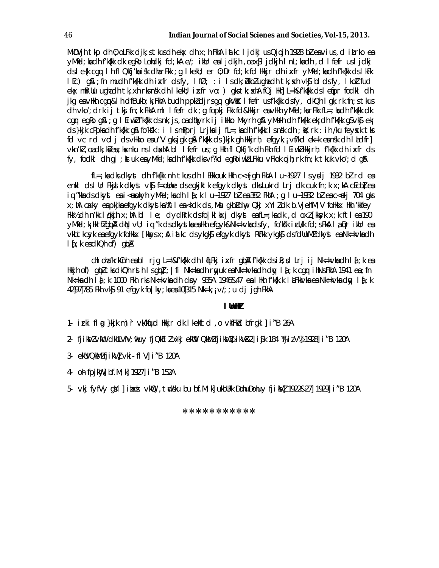MkDVjh tkp dh 0; oLFkk djk; s tkus dh ek $\times$  dh  $\times$ ; h FkhA iatkc I jdkj us Qjojh 1928 bł ea vius, d itrko ea yMfd; ka dh f'k{kk dk eqRo Lohdkj fd; kA e/; ikUr eal jdkjh , oa x\$l jdkjh I nL; ka dh , d I fefr us I jdkj dsle{k cqr lh fl Qkfj'ka isk dharFkk ; q l kekU; er 0; Dr fd; k fd Hkkjr dh ixfr yMfd; kadh f'k{kk dslkFk  $\overline{1}$  Ec)  $\overline{a}$  and  $\overline{b}$  from uch f'k{kk ch i  $\overline{x}$  from  $\overline{c}$  to  $f$  if  $\overline{c}$  : i is dk;  $\overline{c}$  blow changed the tk;  $\overline{x}$  to  $\overline{x}$  blows function ekx mRiUu ughadh tk, xh rks nsk dh I kekU; ixfr vo: ) gks tk; xhA fQj Hkh] L=h&f'k{kk ds I efipr fodkl dh jkg ea vikh cgr&l h dfBukb; k; FkhA budh ppkl djrsgq gkVkik I fefr usf'k{kk dsfy, dkQh I gk; rk fn; s tkus dh vko'; drk ij tkj fn; k FkkA ml I fefr dk ; g fopkj Fkk fd&Hkkjr ea vHkh yMfd; karFkk fL=; kadh f'k{kk dk car eako a ; a I Eiwki fk{kk ds nk; js, oa d¢kyrk ij illkko Mkyrh a % yMelh dh fk{kk ek; dh fk{kk a svk\$ ek; ds }kik cPpkadh f'k{kk q\$ fo'ks'k : i IsmPpri Lrikaij fL=;kadh f'k{kk Isnsk dh ;kk; rk : ih /ku feysk tks fd vc rd vol j ds vHkko eau"V gksjgk gå f'kfkk ds }kjk gh Hkkjrh; efg yk, j vf/kd ek=k eansk dh I kudfr] vkn'kl, oadk; kiea; kxnku nsldxhAbl lfefr us; q Hkh fl Qkfj'k dh Fkh fd l EiwklHkkjrh; f'k{kk dh ixfr ds fy, fodkl dh gj ; kstuk eayMiid; kadh f'k{kk dksvf?kd egRoi wklLFkku vFkok ojh; rk fn; k tkuk vko'; d gA

 $fL =$ ; ka ciks cikyst cih f'k{kk nh tkus cih i EHkkouk Hkh c<+ jgh FkhA i u~1927 i s ysdj 1932 bi rci ea enkl dslur Fkjilk dkyst vkj f=oline dsegkjktk efgyk dkyst dks Lukrd Lrj dk cuk fn; k x; kA cEcblea iq "kka cls clkyst ea i<eupkyh yMfcl;ka clh l{;k l u~1927 bł ea 382 FkhA ;q l u~1932 bł ea c<elj 704 qks x; hA cakiy en pkjknefqyk dkystkn Xitlen <kdk ds, Msu qkbLdny Qkj xYlldk b.VjehfM, V folkkx llkh 'kkfey Fkk½ dh n'kk l¢kkjh x;hA bl le; dydRrk dsfo|klkxj dkyst eafL=;kadk ,d oxl[kksyk x;k ftlea190 yMid; k; Hkrhlgba din vU; iq "k ds dkystka ea Hkh efgyk&Nk=kvka dsfy, fo'ks'k i cU/k fd; s Fka la prikUr ea vkbtkcsyk en efgyk folikkx [kksys x; A i atkc ds ykgk\$ efgyk dkyst RkFkk ykgk\$ ds fdlluMZ dkyst en Nk=kvkndh  $1f$  : k ea dkQh of ) qbA

chioha krkchh ea bi rjq L=h&fk{kk dh li[LFkj i xfr qibA fk{kk ds i R; d Lrj i j Nk=kvka dh li {; k ea Hkkjh of) qubltksdkQhrsthlsqlbl; |fi Nk=kadhrqyuk ea Nk=k∨kadhdqy la[;k cqurihNsFkhA 1941 ea;fn Nk=ka dh 1 {; k 1000 Fkh rks Nk=kvka dh doy 935A 1946&47 ea 1 Hkh f'k{k.k 1 **kFkkvka ea Nk=kvka dqy** 1 {{; k 42]97]785 Fkh vk\$ 91 efgyk fo | ky; kaea 10]315 Nk=k, ; v/; ; u dj jgh FkhA

#### I UnHZ

- 1. irki fl q }kjk m) r vk/kfud Hkir dk I kekftd , o vkfFkd bfrgkl | i "B 26A
- 2. fjikVzvkW chullVhV; nkuy fjQkElzVwkj ekWV QkMzfjikVZA ikV&2]i\$k 184 VijizVYA 1928]i"B 120A
- 3- ekUVQKMZ fjikVI vki- fl V] i "B 120A
- 4- oh fpjkWy] bf.M; k] 1927] i "B 152A
- 5. Vki fyfVy qYl | ikxi VKIQ, tudsku bu bf.M; k| ukbUFk DohuDohuy fiikVl 1922&27| 1929| i"B 120A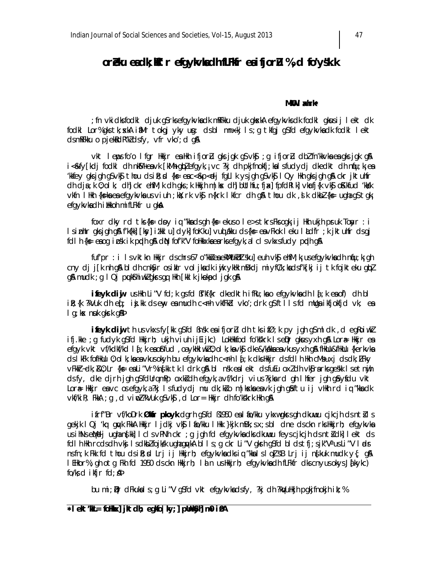# oreku eadk; ktr efgykvladh fLFKfr eaifjoru %, d fo'ysk.k

#### MKO I xhrk\*

; fn vkidls fodkl djuk g\$rksefgykykadk mRFkku djuk gkskA efgykyks dk fodkl gkusij lekt dk fodki Lor%gkstk; skA imMr tokgi yky un: dsbl mnxkj ls; g tkfgj g\$fd efgykykadk fodki lekt dsmRFkku o pjekkark"kadsfy, vfr vko'; d q&

vkt leps fo'o lfgr Hkkjr en Hkh ifjorlu gks jgk g\$vk\$; g ifjorlu dbl fn'kkvkn en gks jgk g\$ i<&fy[kdj fodkl dh nkM+eavk [kMh qblefqyk, vc ?kj dh pkjfnokfj; kalsfudydj dkedkt dh nfu; kj ea kkfey aksjah aSvk\$thou dsil:¤{k}=eac<&p<djfallkysjah aSvk\$lQy Hkhaksjah a& ckrjktuhfr dh dja; k 0; ol k; dh] ckr ehfM; k dh qks; k Hkkjh m | kx dh] bUthfu; fja: | fpfdRl k] vkrfj{k vk\$ oKkfud 'kkkk vkfn I Hkh {k=ka ea efgykvka us viuh ;kx;rk vk\$ n{krk I kfcr dh q& thou dk ,sl k dkbl {k= ugha q\$ tgk; efgykvkadh i likkoh mi fLFkfr u gka

foxr dky rd tks {k = dby iq "kka ds gh {k = ekus o  $l$  e >s tk rs Fks ogk; ij Hkh ukjh pruk Toayr : i IsinhIr qksjqh q\$A fk{kk] [ksy]itkkI u]dyk] foKku]vuqldkku ds{ks=envFkok I eku Illdfr ;k jktuhfr dsqj foll h {k= eaoq ipsk ik pudh q& diN fof'k"V follkkxkaearksefqyk, alcl svkxsfudy pudh q&

fuf'pr : i Is vktkn Hkkjr dschrs67 o"kkieaekWlukbItsku]euh vkj ehfM; k; usefqykvkadh niju; k; gh cny dj j[k nh q& bl dh cnkSyr osiklr vol jkadk iwjk ykłk mBkdj miyfC/k; kadsf'k[kj ij tk fojkteku qbl g& mudk; g I Qj puktshiwkZgkssgg Hkh [kkl k jkekpd jgk g&

ifeyk diw ushkh Li"V fd;k asfd Bf'kf{kr dkedkth ifRu;kao efgykykadh l{;k eaof) dh bl ik;{k ?kVuk dh eqf; inj.kk dseny entmudh c<rh vkfFkd vko';drk q\$ftllsfd mUqn ikfjokfjd vk; en  $I$  g; ke nuk gkrk g& $P$ 

**ifeyk dij** th us vkxs fy [kk q\$fd Bnsk ea ifjor] dh tks ifØ; k py jgh q\$ml dk, d eqRoiwk] ifi.kke ; q fudyk q\$fd Hkkirh; ukjh viuh ijEijkc) LokHkkfod fo'kskrk IseDr qkusyxh q\$ Lor# Hkkir ea efgyk vkt vf/kdkf/kd l{; k eaofrfud , oaykłki wkl0; ol k; kavkf dke&/kdkkaeavkusyxh g& flłklu&flłklu {kerkvka ds I kFk fofikulu 0; ol k; kaea vkus okyh bu efgykvkadh c<Fh I {; k dks Hkkjr ds fd I h Hkh cM\$ uxj ds dk; LFky vFkkr-dk; Ru; Lr {k= eaLi"Vr% nfkk tk | drk q& bl nsk ealekt ds fuEu oxidh vkfrarks geskk lsetnijh dsfy, dke djrh jgh g\$fdUrqmPp oxk}dh efgyk, a vf/kdrj vius?kjkard gh Ihfer jgh g\$yfdu vkt Lor<sub>#</sub> Hkkir eavc osefqyk, a?ki Isfudydi mu dk; kio m|kxka eavk jgh qaftu ij vHkh rd iq "kka dk vkf/kiR; FkkA; g, d viw2?kVuk gSvkG; d Lor= Hkkjr dh fo'ks'krk Hkh g&

ifrf"Br vf/koDrk Ølder ployk dgrh g\$fd B1950 ex li to/kku ykxwgkrsgh dkuwu cjkcjh ds ntil s gekjk I Qj 'kq gyak FkkA Hkkjr I jdkj vk\$ I ao/kku I Hkk }kjk mBk; s x; s bl dne ds ckn rks Hkkjrh; efgykvka usihNseMeljughangkk] I clsvPNh ckr; g jgh fd efgykvkadksdkuwu feyscjkcjh dsntłdk] lekt ds foll h Hkh rcolsolh vkj Isolkblfojkk ughagykA bl Is; g ckr Li"V gkrh g\$fd bl ds tfj; sjk"Va usLi"V I adr nsfn; k Fkk fd thou dsilt; x Lrj ij Hkirh; efgykvka dksig "kkalsloUsB Lrj ij nskuk mudk y{; q& I EHkor%; gh otg Fkh fd 1950 ds ckn Hkkjrh; I an us Hkkjrh; efgykvka dh fLFkfr dks cnyus okys Jarkykc) fo/ks d ikfir fd; AD

bu mi; Dr dFkukals; q Li"V q\$fd vkt efqykvkadsfy, ?kj dh ?kVuHkjh pqkjfnokjh ik; %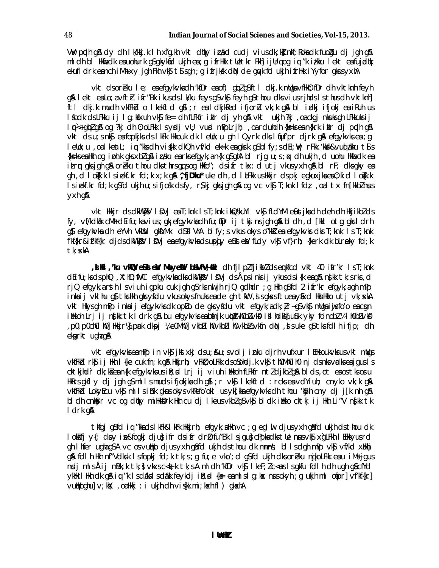VW prdh g\$ dy dh Ik/kkj.k I h xfg.kh vkt d¢ky icákd cudj vius dk;k} nkf; Roka dk fuo qu dj jgh g\$ ml dh bl Hkmedk eauohurk q\$qkykmd ukjh ea;q ifrHkk tUetkr Fkh]ijUrqoq iq "k i/kku lekt eafujrdok ekufl drk eanch iMh xy jgh Fkh vkj tj sgh ; g ifrjkk din de guyk fd ukjh ifrikk i Yyfor gkusyxhA

vkt dsoreku le; eaefgykvkadh 'kfDr eaof) gblg\$ftl dkj.k mllgavfik0; fDr dh vktknh feyh g& lekt ealo; a vfth i fr"Bk i kus ds l k/ku feys gS vk\$ feyh gS thou dks vius rjhds l s thus dh vktknh] ftl dkj.k mudh vkfFkd o lkekftd g\$l;r ealdkjkRed ifjorLu vk;k g\$ bl idkj ifjokj eaiRuh us I fodk ds LFkku ij I g; kfxuh vkf fe= dh fLFkfr iklr dj yh g\$ vkt ukjh ?kj , oa ckgj nkuks gh LFkkuks ij Imestaplan og ?kj dh 0; olfkk Isycij vU; vuci mPplrjh; , oarduhdh {k=ksean{krk ikir dj ppdh q& vkt ds u; s nkj en fopkjks ds I kFk Hkkouk dk I ello; u gh I Qyrk dks I fuf'pr djrk gå efgykvks en ; g leUo; u , oa l keat L; iq "kks dh vigkk dkQh vf/kd ek=k ea qkrk q\$bl fy; s dEl; Wj rFkk 'kkkk&vudjakku t\$s {ks=kseaHkhoq iph.k gksxblg& inzaku earksefgyk,an{k g\$ghAbl rjg u;s;qx clh ukjh,cl uohu Hknfeck ea itrr gksjgh g& oreku thou dksthrsgqsog Hkfo"; dsifr tkx: d utj vkusyxh g& bl rF; dksgky ea gh , d I o{k.k I siekf.kr fd;k x;k g\$\ ^,f**jD'ku**\* uke dh , d I **k**Fkk usHkkjr dspkj egkuxjka ea 0;kid I o{k.k Isiekf.kr fd;k q\$fd ukjh u;sifjosk dsfy, r\$kj qksjqh q& oq vc vk\$ T;knk Ifdt; ,oal tx fn[kkblnus yxh q&

vkt Hkkjr ds dkWkjV IDVj ea T; knk Is T; knk i kQskuYI vkj fLdYM eLust jka dh deh dh Hkjikblds fy, vf/kdkak cMh dEifu; ka vius; gk; efgykvka dh fu; tDr ij tkj nsjgh g& bl dh, d [kkl otg gks l drh g\$ efgykvka dh eYVh VkWd gk\$YMx d\$\$IVhA blfy; svkus okys o"kki ea efgykvks dks T; knk Is T; knk f'kf{kr&if'kf{kr djdsdkWkjVIDVj enefgykvkndsupjy elusteWfLdyvkljvf}rh; {kerk dk bLrekyfd;k tk: xkA

**, i kii , 'ku vkl @e @skteW Move #V baVhV; aki** ch fjip? fjikV? clserkfcd vkt 40 ifr'kr ls T; knk dEifu; ks ds phQ, XthD; fiVCl efgykvka dks dkWkijVIDVj ds Åps inks ij ykus ds i{k eag&ns[kk tk; s rks, d rjQ efgyk, a rsth I sviuh igpku cuk jgh g\$rks nul jh rjQ gdhdr ; g Hkh g\$fd 2 ifr'kr efgyk, a gh mPp inkaij vkl hu q\$ tks Hkh qks yfdu vkus okys fnuks eade qh tklt, js gkss ftueayfixd HknHkko utj vk; skA vkt Hkysgh mPp inkaij efgykvksdk opLo de gksyfdu vkt efgyk, adk; jr~g\$vk\$ mUgaiisfo'o eacgn ilikkoh Lrj ij n∮kk tk ldrk q\$k bu efqykvkseabánjk uloþ4 h0bDvk\$ itlhdk}}u£uk yky fdnobZ¼lh0bDvk\$ , p0, p0ch0l h0] Hkkjrk] pnk dkpj ¼ e0Mh0] vkbDl h0vkbDl h0vkbk vkfn dN , is uke g\$tksfdlh ifjp; dh ekarkt ughag&

vkt efgykvkseamPp in vks jkstxkj dsu; &u; svolj inku djrh vufxur I EHkkoukvksusvkt mllgs vkfFkd rk\$ ij Hkh I {ke cuk fn; k q\$ Hkkjrh; vFkD; oLFkk dsoSohdj.k vk\$ th0Mh0ih0 nj dsnks vadkseajgus I s cktkjhdr dk; kšean{k efgykvks usili; xi Lrj ij viuh ilkkoh fLFkfr ntl djkbl q& bl ds, ot eaos tks oru HkRrs gkflydjjgh g\$mllsmuds ifjokjka dh g\$l;r vk\$lkekftd : rcks ea vdYiuh; cnyko vk;k g& vkfFkd LokyEcu vk\$ mllsi\$hk gkusokysvkRefo'okl usykFkkaefgykvksdh thou 'k\$yh cny dj jFk nh g& bi dh cnk\$yr vc og d¢ky miHkk\$vrk Hkh cu dj i keus vkblg\$vk\$ bi dk iHkko cktkj ij Hkh Li″V ns[kk tk I drk q&

tkfgj g\$fd iq "kkadslkFk&lkFk Hkkjrh; efgyk;aHkh vc ;g eglul djusyxh g\$fd ukjh dsthou dk lokifj y{; doy ine&fogkj dju}ifr dsifr dril; fu"Bk I sjgu}cPpkadkstlle nusvk\$ xgLFkh I EHkkyusrd gh I hfer ugha gSA vc os vudko djus yxh gâfd ukjh ds thou dk mnns; bl I s dgh mPp vk\$ vf/kd xHkhj g& fdlh Hth nf"Vdlsk Isfopkj fd; k tk; s; g fu; e vko'; d g\$fd ukjh dksoreku nojkolfkk eau iMsjgus ngli mlsÅij mBk;k tk;} vkxs c<k;k tk;s A mldh 'kfDr vk\$ lkeF; lc<es ls gkfu fdlh dh ugh g\$cfYd ykłk likh dk q& iq "k ls daks ls dakk feykdj i k; d {k= e a m ls lg; kx nusokyh; g ukjh m l o apr]vf'kf{kr] vudkoghu] v; kk; , oalkkj : i ukjh dh vi (kk mi; kxh fl) gkxhA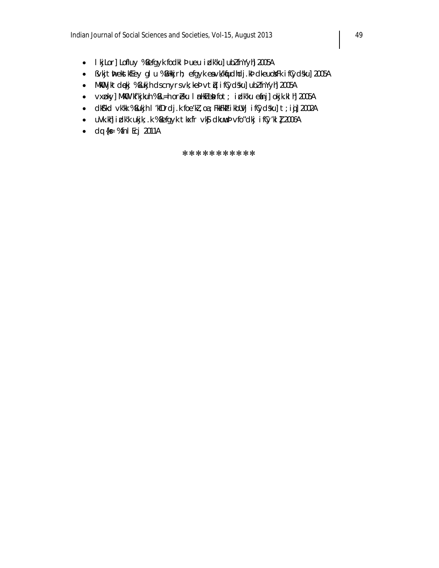- I kj Lor] Lofluy %Befgyk fodkl b ueu i dk'ku] ubl fnYyh] 2005A
- · Bvkjth ekstkfEey gl u % BHkkjrh; efgyk ea vk/kfudhdj.kb dkeuoYFk ifCydsku] 2005A
- MkW jktdękj % Bukjh dscnyrsvk; kel vtų iflydsku] ublfnYyh] 2005A
- vxpky] MkO 'kf'kjkuh %BL=h oreku I mHkZeb fot; i clk'ku efnj] okjk.kl h] 2005A
- · dk\$'kd vk'kk %Bukjh I 'kfDrdj.k foe'kl, oa ; FkkFkb i kbUVj i fCydsku] t ; igj] 2002A
- uVk.kh] idk'k ukjk; .k %Befgyk tkxfr vk\$ dkuwub vfo"dkj ifCy'kl 】 2006A
- $\bullet$  dq {k fnl Ecj 2011A

\*\*\*\*\*\*\*\*\*\*\*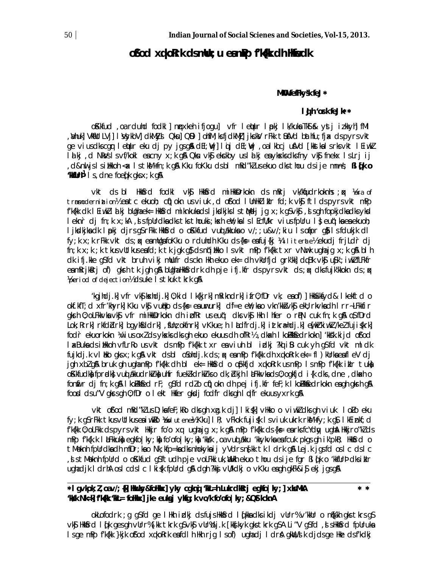## ofod xglork dsmlu; u eamPp f'Kilk dh Hinedk

### MKU fefFkysk feJ\*

#### I dh 'ork feJk\*\*

okkfud, oa rduhd fodkl | nrxkeh ifjoqu] vfr letur lpkj lk/kuka TkS & ystj izkkyh fMl , Whuk] VMiUtLVj] I VsykbV] cIkMIysI Qku] QDI ] ohfM; ks fj cIkMJj] jkckV rFkk tiusVcI bathfu; fj x cIspyrsvkt ge viusdkscgr lettur eku dj py jgsgå dEl; Wjllojj dEl; Wj , oalkbcj ufVd [kkstkalsrksvkt lEiwk] I a kj, d NkVs I s vf/kokl eacny x; k g\$ Qku vk\$ ekckby us I a kj eaykxks dks fny vk\$ fnekx I s Lrjij , d&nu jslsilikkoh < x lstkM+fn; k q& Kku foKku dsbl mRd"klusekuo dksthou dsije mnns; Bl(k o **'Millr<sup>p'</sup>** I s, dne foed k q ks  $x$ ; k q  $\mathbb{A}$ 

vkt ds bl Hikisrd fodkl vks Hikisrd millikisrkokn ds mRrj vk/knjudrkoknis ; qx Yera of trnmodernimtion% em tc ekuoh; cii) okn us viuk, d ofod I UnHklikIr fd; k vkj ftl ds pyrs vkt mPp f'k{kk dk lEiwkZlalkj bUqhaek= HkKsrd miknkukadsljksdkjkslstMedjjqx;k qSvk\$, ,st sqh fopkjdkadksyksd leknr dj fn; k x; kA, d s fpUrdka dks tks thouki; ksh eY; ka l s l EcfU/kr vius fpUru l } eu(); ka ea ekuoh; ljkodkjka dk Ipokj djrsgSrFkk HkkSrd o oKkfud vuot akkuka o v/;; u&v/; kiu Isofipr g) Isfdukjk dl fy; k x; k rFkk vkt ds; q eamllgafoKku o rduhdh Kku ds{k= eafuj{kj ¼ l l i terate½ ekudj frjLdr dj fn; k x; k ; k tkus vUtkus eafd; k tk jgk g} ds n(illko Is vkt mPp fk{k txr vNrk ughajg x; k g& bl h dk ifj.kke g\$fd vkt bruh vikj mllufr dsckn Hkh ekuo ek= dh vkllrfjd grk'kk] dqBk vk\$ u\$k'; iwkl fLFkfr eamRrikRri of) gkrh tk jgh g& bUgha HkGirdrk dh pje ifj.kfr ds pyrsvkt ds; « dksfujk'kkokn ds; « Yperiod of dejection<sup>y</sup> dsuke Is tkuk tkrk g&

kgindj.k| vfr vkS| kxhdj.k| 0; kid | k{kjrk| mRikndrk| ifr0; fDr vk; eaof)| HkKxkfyd& | kekftd o old.ktT; d xfr'khyrk] Kku vk\$ vullko ds{k= eaururk] df=e eW; kao vkn'kk}vk\$ ekU; rkvkadh I rr~LFkkfir gkrh 0; oLFkkvka vk\$ vfr milkkkDrkokn dh i bfRr useuq"; dks vk\$ llkh I hfer o rp?N cuk fn; k g& o\$fDrd Lok; Rrrk] rkfdblrk] bgykfddrk], flln; okfnrk] vKkue; h I Ldfrdj.k] ittkra=hdj.k] en[krkiwk]/kel fuji{krk] fod'r ekuorkokn ¼vius oxlds yksk sdks gh ekuo ekuus dh ofRr½, dkakh I kollkkfedrkokn] 'kksk.kijd of'od I akBuka ds illkkoh vfLrRo usvkt dsmPp fk{kk txr eaviuh bl idkj ?kd iB cuk yh qS fd vkt mldk fujkcij.k vi biko gksx;k g\$ vkt cisbi o Sohcij.k cis; q< e am Pp fk{kk cih xqko Rrk ek= fi ) kurka e a fi e V cij jgh xblg& bruk gh ughamPp f'k{kk dh bl ek= Hkk&rd o opkfjd xqkoRrk usmPp IsmPp f'k{kk iklr tuk okkfudko fprodko vuo akkudrkivko uhfr fuekkdrkivks o dk; dkjn I aFkkvka ds 0; ogkfjd i {k dks, dne, dkach o fonfir dj fn; k gå I kollkkfed rF; g\$fd rdlo cfi) okn dh pej ifj.kfr feF; k I kollkfedrkokn engh gkrh gå food dsu"V gkrsgh 0; fDr o I ekt Hkfer gkdj fodfr dksgh I pdfr ekuus yxrk g&

vkt of od mRd"klus D; ka feF; kRo dks gh xg.k dj] I ki (k] vHkko o vi ukl dks gh vi uk I oLo eku fy; k g\$rFkk tkusvUtkuseaiwklo Xbolutene½ Kku] IR; vFkok fuji{k Isviuk ukrk rkM+fy; k g\$l kEinkf; cl f'k{kk 0; oLFkk ds pyrs vkt Hkkjr fo'o xq ughajq x; k g& mPp f'k{kk ds {k= earks fcYdw, ugh& Hkkjro"kZ ds mPp f'k{k.k | aFkkuka egkfo|ky; ka fo'ofo|ky; ka 'kksk , oa vud akku 'kkykvka ea fcuk pkgs gh i k'pkR; Hkksrd o t Meknh fpurdkadh mfDr; kao Nk; kfp=kadks nhokykaij y Vdrs ng kk tk I drk g & Lej.k j g sfd os I c ds I c , I st Meknh fpUrd o oKkfud qSftudh pje voLFkkiuk, WHkh ekuo thou dsije fgr BI (k o 'kkfUrp dksikIr ughadjk I drhA oslcdslc I ki (k fpUrd gA dgh ?kkj vU/kdkj o vKku eagh gkFk&i j ekj jgsgA

#### \*1 gvkpk; 1 , oav/; {k] Huxky&foHkx] yky cgknj 'kA=h Lukrclkerj egkio | ky; ] xksMkA  $* *$ 'kkk Nk=k] f'k[kk 'kkl= foHkkx] jke euksjj yksq; k vo/k fo'ofo | ky; & QSt kcknA

okLofodrk ; g g\$fd ge I Hkh i chkj dsfujsHkKfrd I (kka dksikdj vUrr% v'kkUr o n\$(kh gkstkrsg\$ vký Hkkárd I dk ges gh vürr% [kk tkrk gśvký vür%dj.k [kkýkyk gks tkrk gśA Li "V gśfd ,d sHkkárd fpüruka Is ge mPp fk{kk }kjk ofod xqkoRrk eafdIh Hkh rjg Is of) ughadj IdrA gkWl, sik djds ge Hke ds fkdkj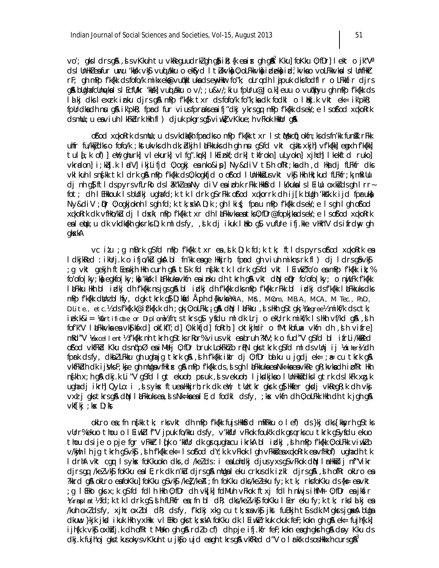vo'; gksldrsg&, svKkuhtu vkReguudrkZghg\$iR;{keairghg&<sup>2</sup> Kku]foKku 0;fDr]lektojk"Va ds I Uniliki eafur uuru 'kkkk vk§ vuoj alku o ek§yd I tiukvka) 0; oLFkkvka) ideka id; kvkao voLFkkvka I s I Unfilkir rF; gh mPp fk{kk dsfofo/k mikxek@vuqkklukadsenyHkurfo"k; oLrqdh ljpuk dksfodflr o LFkkfir djrs g& blighafcling/kalslEcfli/kr 'kkkk| vuddkku o v/;; u&v/; ki u fpllru@Jo.k| euu o vudkhyu gh mPp f'k{kk ds Id kj dks I exrk inku djrs g&mPp f'k{kk txr ds fofo/k fo"k; ka dk fodkl o I dkj.k vkt ek= ik'pkR; fpUrdkadh nu gå ik'pkR; fprd fur viusfprukseaifj"dkj ykrsgq mPp f'k{kk dsek/; e I sof'od xqkoRrk dsmlu; u eaviuh I kFkdrk Hkh fl ) djuk pkgrs q\$viwkl vKkue; h vFkok HkkUr q&

of od xqkoRrk dsmllu; u ds vkdk{kh fprdks o mPp fk{kk txr ls tMs c(i) okfn; ks ds fn kk funikk r Fkk uhfr fu/kkjdks o fofo/k; kstukvks dh dk; blkjh I LiFkkuks dh gh nu g\$fd vkt cjkstxkjh] vf'k{kk] egyxh f'k{kk] tul{;k of)] eW;ghurk] vlekurk] vlfg".krk] lkEinkf;drk] tkfrokn] uLyokn] xjhch] lkekftd ruko] vkrodon] i; kbj.k lodV] ikjLifjd 0; ogkj ea nko&ip] Ny&diV t\$h ofRr; ka dh , d Hka dj fLFkfr dks vki kuh isngkk tki drk q& mPp fk{kk ds0; kogkfjd o ofod i Unlikki usvkt vkj likh lik; kud fLFkfr; k; mRi Uu dj nh q} ftlds pyrs vfLrRods låk"klea NydiV ea i bh.k rFkk Hkkfrd lk/kukals l Eillu oxksids qh Irrfot; dh I EHkkouk I s blidkj ughafd; k tk I drk q\$rFkk of/od xqkorrk dh i j[k bligh 'kks'k.k i jd fpruka Ny&diV ; pr 0; ogkjoknh Isgh fd; k tk; xkA D; k ; gh I ki{; fpru mPp f'k{kk dsek/; e Isgh I gh of/od xqkoRrk dk vfilko/ku dj I dxk\ mPp fk{kk txr dh I aFkkvkaeatk 0; fDr@fopkjkadsek/; e I s of/od xqkoRrk ealetju; u dk vkdki(kh gks rks D; k ml ds fy, , si k dj i kuk likko g\$ vufUre i fj.kke vHkh"V ds i frdny gh qkxkA

vc itu ; q mBrk q\$fd mPp fk{kk txr ex, dk D; k fd; k tk; ftl ds pyrs of od xqkoRrk ex I dkjkked : ikUrj.k o ifjo/ku gka bl fn'kk eage Hkkjrh; fprd gh viuh mikn; rk fl ) dj I drsgâvk; g vkt gekjh ft[enkjh Hkh curh g\$ t\$k fd n{kk tk ldrk g\$fd vkt l[iwk]fo'o eamPp f'k{kk ik;%; fo'ofo | ky; ka egkfo | ky; ka 'kkk | aFkkuka vkfn ea inku dh tkrh ga vkt da epr fo'ofo | ky; o nijLFk f'k{kk I LEKku Hkh bi izlkj dhf'k{kk nsjgsg\$A bi izlkj dhf'k{kk dksmPpf'k{kk rFkk bi izlkj dsf'k{kk I LEKkuks dks mPp f'k{kk dbinz bl hfy, dgk tkrk g} D; kid Åph d{kkvka ¼u.a., m.s., m.com., m.b.a., m.c.a., m. Tec., Ph.D., D.Lite., etc.% dsf'k{k.k@if'k{k.k dh ; gk; 0; oLFkk, ; g& dk\ l LiFkku , sl s Hkh gStgk; Woegree% mikf/k dsctk; iek.k&i= Mertificate or Diplomk fn; stkrsg\$. yfdu mldk Lrj o ekU; rk mikf/k IsHkh vf/kd g\$., slh fof'k"V I &Fkkvka ea vkS| k\$xd| okf.kfT; d| 0; ki kfjd| foRrh; | cktkjhdr o fMtkbfuax vkfn dh , sh vifre| mRd"V Vexcellent½ f'k{kk nh tkrh q\$tksrRor% vius vki ensbruh?kfV;k o fud"V q\$fd bl ifrLi/kkkled ofod vkffkd Kku dsn(fpØ eniMelj 0; fDr bruk LokFkklo rPhN gks tkrk g\$fd mldsvUnj ij Kotherk dh fprk dsfy, dkblLFkku gh ughajg tkrk g&, d h fk{kk iklr dj 0; fDr baku u jgdj ek= ; a= cu tkrk g& vkfFkdh dk ijsVksF; kje gh mUgavfHkir gå mPp fk{kk ds, s gh I aFkkuka ea Nk=ka ea vkRe gR; kvka dh i DfRr Hkh n{kh x; h g& dkj.k Li"V g\$fd I gt ekuoh; pruk ,si vekuoh; I jksdkjkso I UnHkkidks I gtrk ds I kFk xg.k ughadj ikrh] QyLo: i , s syks ftues Hkkjrh; rk dk ell; tlletkr gkrk g} Hkfer gkdj vkRegR; k dh vkj vxd j gks tkrs gå då lå Fkkuks ea, i s Nk=ka ea l E; d fodkl ds fy, ; kx vkfn dh 0; oLFkk Hkh dh tk jgh gå  $\vee$ kf $[k]$ ; k $\times$  D; k $\&$ 

okLro en; fn ng kk tk; rks vkt dh mPp fk fkk fujs HkkGrd mRFkku o I ef) ds }kj dks [kksyrh qS tks vUrr%ekuo thou o I Eiwkl f"V jpuk fo/kku dsfy, v'kkfUr vFkok fouk'k dk grankscu tknk q\$yfdu ekuo thou dsije o pje fgr vFkkr lík o 'kkfur dk gruughacu ikrkA bl idkj ,sh mPp f'kfkk 0; oLFkk viwklo v/kijh I h jg tkrh q\$vk\$, d h fk{kk ek= I sofod dY;k.k vFkok I gh vFkkd ea xqkoRrk ea vfllkof) ugha dh tk I drhA vkt cgr I sykx foKkuokn dks, d /ke/ds: i eaLohdkj djusyxsqSvFkok dN I mHkkij nf"Vikr djrsgq /kelvkg foKku eall; rk dk n'ku djrsg& mllgaleku crkusdk izkl djrsg&, sh ofRr okLro ea ?kkrd g& okLro eafoKku] foKku gSvkg /ke] /keA ; fn foKku dks/keleku fy; k tk; rksfoKku ds{ks= eavkt g I Eilko gks x;k g\$fcl fcll h Hkh 0;fDr clh vkjk|fclMuh vFkok ftxj fcll h nwljsihfMr 0;fDr eajkfir; Vatrmpimt½ fd;k tk ldrk g\$,sih fLFkfr ea;fn bl dR; dks/kelvk\$j foKku lEer eku fy;k tk; rkslalkj ea /kuh oxldsfy, xjhc oxlbl dR; dsfy, f'kdkj xkg cu tk; xa vkj jkst fuBkjh t'is dk.M gkrsjgakah blga dkuw }kjk jkd ikuk Hkh yxHkx vl EHko qks tk; xkA foKku dk I Eiwkirkuk ckuk feF; kokn qh q& ek= fujh{k.k] ijh{k.k vk\$ oxhidj.k dh ofRr tMekn qh q& rdlo cf) dh pje ifj.kfr feF;kokn eaqh qkrh q& doy Kku ds dkj.k fujhoj gkstkusokysvKkuhtu jkjo ujd enghtkrsg& vkfRed d"V o Inklk dsosHkkxh cursg&<sup>3</sup>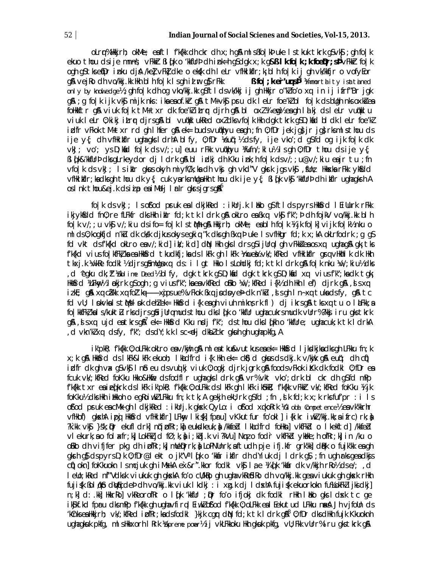olrr%Hkkjrh; okMe; eaftl f'k{kk dh ckr dh x; h q& ml sBfo | kb uke Istkuk tkrk q\$vk\$; qh fo | k ekuo thou dsije mnns; vFkkr Bl(k o 'kkfUrb dh ink=h qSdqk x;k q&**B Ikfo|k;k foeDr;sb<sup>4</sup>vFkkr** fo|k ogh q\$tksefDr inku djA /ke] vFk] dke o ek\$k dh leLr vfHkikflr;k;blh fo|k ij gh vk/kkfjr o vofyEor g& veiRo dh vo/kkj.kk Hkh blh fo |k lsgh id ur g}rFkk **B** fo | ;  $k$  er'urs $\overline{p}^5$   $\overline{y}$  mmortal ity is at tained only by knowledgeh; gh fo | k ch og vko/kkj.kk g\$ftl dsvk/kkj ij gh Hkkjr o"klfo'o xq in ij ifrf"Br jgk q& ; q fo | k i jk vk\$ mi jk nks : ika ea of kkr q& tM+vk\$ pru dk l eLr foe'kl bl fo | k ds bllqh nks oxk& ea follklftr g& viuk folk tM+txr dk foe'k'itrr djrh g& bl oxl¼ emyleagh lalkj dsletr vuolklu viuk leLr 0; kikj itrr djrsg\$bl vu@kklukRed oxZdksvfo|k Hkh dgk tkrk g\$D; kad bldk leLr foe'kZ idfr vFkok tM+txr rd gh I hfer g& ek= budsvudkhyu eagh ; fn 0; fDr jek jg} jr jg} rksmlsthou ds ije y{; dh vfHkibflr ughaqks I drhA blfy, 0;fDr Yeu(; Yb dsfy, ije vko'; d q\$fd og ijk fo|k dk  $v$ kJ; vo'; ys D; kind fo |k ds v/; ; u] euu rFkk vunkhyu kfufn/; kl u½ ls qh 0; fDr thou ds ije y{; Bl [k&'kkfUrÞdksqLrkeydordjldrkg&blidkjdhKku ink;hfo|kdsv/;;u@v/;kiu eajrtu;fn vfo | k ds vkJ; I s i klr gkus okyh miyfC/k; ka dh vkg gh vkd"V gkrk jgs vkg , fUn; Hkkxka rFkk ykfdd vfikilfir; kadksgh thou dk y{; cuk yarksmligalkh thou dk i je y{; ßl dk vk\$ 'kkfllrb dh i lfir ughagksh A oslnk thou&ej.k dsiip eniMelj Irlr gkrsjgrsg<sup>ne</sup>

folk ds vkJ; Is of od pruk ealdkjked : ikUrj.k I bko q\$ftlds pyrs HkKfrd I EiUurk rFkk ikjykfidd fn0; re fLFkfr dks Hkh iklr fd; k tk I drk g& okLro ea Bxq vkf f'k"; b dh fojkV vo/kkj. kk bl h folk v/; ; u vk\$ v/; kiu dsifo= folk IstMh q& Hkkjrh; okMe; eablh folk ¼ jk folk] vijk folk½ nku o ml ds 0; kogkfjd n'kLu dk ckkk djkus okysegkiq "k dks gh Bxq b uke Is vflkgr fd; k x; kA okLrfodrk ; g gS fd vkt dsfk{kd okLro eav/; kid] ik/; kid] dŵl Hkh gksl drsg\$ijUrqlgh vFkka'eaos xq ughag& gk; tks f'k{kd vius fo|kfFk}ka ea Hkk\$rd tkudkfj;ka ds |kFk gh |kFk ½mue¥z vk/;kfRed vfHkiltflr grg vHkhll k dk Hkh tkxj.k ¼vkRe fodkl½ djrsq\$mUqaxq ds: i lgt Hkko IsLohdkj fd;k tk I drk q& fo|k nku ¼v/;kiu½ dks d ^egku dk; i Xublime Deed½ blfy, dgk tkrk g\$ D; kid dgk tkrk g\$ D; kid xq viusf'k"; ka dk tgk; Hkkfird XLFkny½ Inokjrk qSoqh;q viusfk";kaeavkfRed oBko ¼v/;kfRed i{k½ dh Hkh I ef) djrk q&, tsxq izkE; g& xq cākk xq fol'.kq-------xjosue% vFkok Bxq jodoye) dk n'kū, js gh In-xq tukadsfy, g& tc fd vU; I pkvkalstMslpk dehlek= Hknfrd i {k eagh viuh mikns rk fl } dj ikrsg& tks xq tu o lalFkk; a fo | kkfFk¿ ka | s/kuktł rksdjrsqåijUrqmudsthou dks| qk o 'kkfUr ughacukrsmudk vUrr%?kkj iru gkstkrk g&, Jsxq ujd enthrsg&<sup>7</sup> ek= Hkbsrd Kku ngdj f'k"; ds thou dks I (kh o 'kkflure; ughacuk; k tk I drkA d vkn'kl xq dsfy, f'k"; dsdY; k.k l sc<dj dkbl ckr gkuh gh ugha pkfg, A

ik'pkR; f'k{kk 0; oLFkk okLro ea v/kijh q\$ ml ea tku&vutkus ea ek= Hk|\$rd | jk|ck|jka dks qh LFkku fn; k x; k g\$ Hk\$rd ds I kFk&I kFk ekuoh; I kLedfrd i {k Hkh ek= ck\$) d gkus ds dkj.k v/kijk g\$ euq"; dh cii) indfr dk gh vax g\$vk\$l n\$ eu dsvudkj viuk 0; ogkj djrk jgrk g\$ foodsvFkok iKk dk fodkl 0; fDr ea fcuk vk/; kfRed foKku Hkko&Hkfe dsfodfl r ughagks I drk g& vr% vkt vko'; drk bl ckr dh g\$fd mPp f'k{kk txr eaieq{krk dslkFk ik'pkR; f'k{kk 0;oLFkk dslkFk qh lkFk ik\$bkR; f'k{kk vFkkF vk/;kfRed foKku ¼ijk fokku½ dks Hkh i Hkkoh o eqRoiwkl LFkku fn; k tk; A qekjh ekU; rk q\$fd ; fn , d k fd; k x; k rks fuf'pr : i l s ofod pruk eacMk qh I dkjkRed : ikUrj.k qksk QyLo: i ofod xqkoRrk XGI obd Competence% eavk'kkrhr vfHkof) gkshA ipg HkKfrd vfHkilfIr] LFkw, I ki{k] fpru] vKkutfur fo'okl] i{kikr iwkZkkj.kk;aifrc)rk;à ")".kk vk\$}}\$k; Dr ekufl drk| nifipfRr; k) eukidkeuk; } /kkfebl | k)udfrd follkn| vkfFkbl o | kekftd| /kkfebl viekurk; a o fol a fr; k} LokFkijd fØ; k; hi; kbj.k vi?kVu] Nm o fodr vkfFkbl ykkke; hofRr; k} in /ku o olko dh vifjfer pkg dh ipfRr;k] mlleprrk;) LoPNUnrk; aftudh pje ifj.kfr grk'kk] dBk o fujk'kk eagh gkrh g\$ ds pyrs D; k 0; fDr@lekt o jk"V" I (ik o 'kkiir i kflr dh dYi uk dj I drk g\$; fn ugh irks geadkjs cijokn] fo Kkuokn Ismcjuk ghi MskkA ex&r".kkor fodkI vkji lae XI (jk 'kkar dk v/kkjh r Rol b dse/; d I ello; kRed nf"Vdksk vi ukuk ah akskA fo'o cl/kRo ah uaha vkRe£dRo dh vo/kkj.kk qea vi ukuk ah aksk rHkh fuji{k ßol¢kb dWicde) dh vo/kkj.kk viuk lkdkj : i xg.k dj ldxhA fuji{k ekuorkokn fu%LokFklijkidkj] n;k] d: .kk] HkkrRo] vkReorofRr o I ([k 'kkfUr ; Dpr fo'o ifjokj dk fodkl rHkh I blko gks I dxk tc ge ik\$kf.kd fpru dksmPp f'k{kk qh uqhavfirql EiwkZo\$'od f'k{kk 0; oLFkk eal Eekutud LFkku naka Jh vjfoUn ds 'kûnksealkkirh; vk/; kf $R$ ed ipf $R$ ; kadsfodkl}kjk cgr d $\mathbb N$  fd; k tk l drk g $\mathbb R^8$  0; fDr dksdlkh fujk Kkuoknh ughagkuk pkfg, ml silkkxorh i Rrk Kupreme powr½ i j vkLFkkoku likh gkuk pkfg, vU; Fkk vUrr% i ru gks tkrk g\$l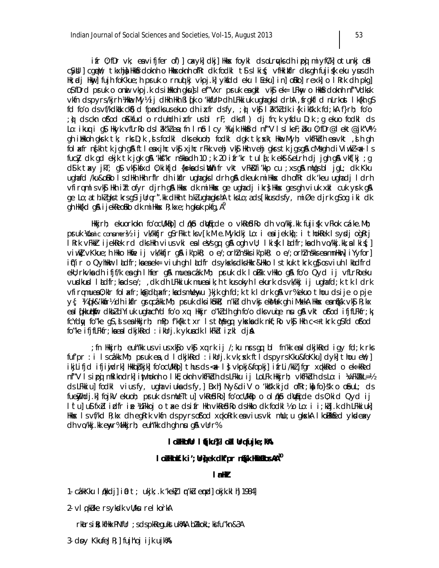ifr 0; fDr vk; eavifjfer of)] cxyk] ckj] Hkkx foykl cksoLrykschipg miyfCk] otunkj cfd c\$ybl] cgeW; tkxhj) Hkk\$rdoknh o Hkkxoknh ofRr dk fodkl t\$slki{; vfHkildfr dksgh fuji{k eku yusdh Hk; adj Hkny] fujh foKkue; h pruk o rnuq kj vkpj.k] ykfdd eku I Eeku] in] oBko] rexk] o I Rrk dh pkg] os fDrd pruk o onii vkpj.k ds i ilkoh gkuls I ef "Vxr pruk ea gkl vks" ek= LFkny o Hkksrdoknh nf "Vdksk vkfn dspyrs/kjrh Wilwe.My½ ij dilith lith BI (k o 'kkfUrb dh LFkki uk ughagks I drhA ,frgkfl d nLrkost I k{kh gS fd fo'o ds vf/kdkak ck $\delta$ ) d fprdks us ekuo dhi xfr ds fy, ;  $\hat{\phi}$  vk $\hat{\mathfrak{g}}$  I  $\hat{\mathfrak{g}}$  k'kl dk i {k i ksk.k fd; kA f}rh; fo'o ; où ds ckn of od of Klfud o rdulidli i xfr us bl rF; dks fl ) dj fn; k yfdu D; k ; g ekuo fodkl ds Lo: ikuq i q\$. Hkyk vfLrRo dsl &l"k"ea; fn In\$ I cy !kujk Hkk\$rd nf"V I sl keF; bku 0; fDr@l ekt@jk"V% gh iilkoh gkrk tk; rks D;k, disfodkl dks ekuoh; fodkl dgk tk; xk\ Hke. Myh; vkfFkdh eavkt, dih gh fol axfr n{kh tk jgh g& ftl eaxjhc vk\$ xjhc rFkk vehj vk\$ Hkh vehj gkrstk jgsg& cMsgh cliViwkZ<ax Is fucky dk gd ekjk tk jgk gå 'kkf'kr nskkadh 10 ;k 20 ifr'kr tul {;k ekst&eLrh dj jgh gå vkf[kj ;g d\$lk taky jkT; g\$lvk\$|k\$xd 0;kikfjd {k∍kadsi¥thifr vkt vFk&fi′kkp cu ;xsg\$lmllgsbl jgL; dk Kku ughafd /ku&oBko IsdHkh Hkh rflr dh ikflr ughagksldrh g\$\dkeuk miHkkx dh ofRr dk 'keu ughadj Idrh vfirqmlsvk\$ Hkh izītofyr cljrh g& Hkkx clk miHkkx ge ughaclj ikr}Hkkx gesgh viuk xkl cuk yrk g& ge Lo; a th.kZgks tkrsgSijUrqr".kk dHkh th.kZughagkshA tksLo; ads [kkusdsfy, miØe djrk qSog iki dk gh Hk{kd g\$ i jekReoBko dk miHkk $x$  R; kxe; h gkuk pkfg, A<sup>9</sup>

ilkkjrh; ekuorkokn foʻocl/killo] cidkib divijicde o vklesdiko dh vo/kkj.kk fujis(k vFkok czáke.Mh; pruk Komic conumer½ ij vk/kkfjr q\$rFkk tksv[k.M e.Mykdkj Lo: i eaijek.kq: i thokRek lsy¤dj oqRrj IRrk vFkkir ijekRek rd dksHkh viusvki ealeVsqq q& ogh vU; Iki{k Il∟dfr;kadh vo/kkj.kk;alki{;] viwk]vKkue;h Hkko Hkfie ij vk/kkfjr g\$ ik'pkR; o e/;orhl nskks ik'pkR; o e/;orhl nskks ea mnHkur] iYyfor] ii("ir o QyhHkur laldfr; ka ea ek= viuh gh laldfr dsyksk dkshkkr&hkko lstkuk tkrk g}osviuh lkaldfrd ekU; rkvka dhifjf/k ea ghilhfer gå muea câk.Mh; pruk dkiloFkk vHkko gå fo'o Qydij vfLrRoeku vurdkurd I adfr; kadse/; , dk dh LFkkiuk mueaik; h tkusokyh I ekurk ds vk/kkj i jughafd; k tk I drk vfirqmuea0; klr fol xfr; k@d( xfr; kadsmllew,u }kjk gh fd; k tk l drk q& vr%ekuo thou dsije o pje eal (kuutkur dkbldYiuk ughacfYd fo'o xq Hkkjr o"kldh gh fo'o dks vuie nu ga vkt of'od ifjfLFkfr; k fcYdy fo"ke g\$, si sea Hkkjrh; mPp f'k{kk txr lstMsgq ykxkadk nkf; Ro vk\$ Hkh c<+ tkrk g\$fd o\$'od fo"ke ifjfLFkfr; ka ea I dkjkRed : ikUrj.k ykuadk I kFkd iz kl dja

fn Hikjrh; euh″kk usviusxk§ovk§xqrk ij /;ku nrsgq bl fn′kk ealdkjkRed igyfd;k rks; fuf'pr : i Iscâkk.Mh; pruk ea ,d I dkjkRed : ikUrj.k vk; xk ftI dspyrs Kku&foKku] dyk] thou eYi; ] ikjLifjd ifjiyjdrk] Hkkbþkjk] fo'ocl/kk]o] thus ds <x l} vkpkj&fopkj] ifrLi/kkljfgr xqkkRed o ek=kRed nf"V Isipoj mRikndrk] inthoknh o IkE; oknh vkfFkdh dsLFkku ij LoLFk Hkkjrh; vkfFkdh dsLo: i ¼vFk/kkL=½ ds LFkkiu] fodkl vius fy, ugha viuka ds fy,] Bxh] Ny&diV o 'kks'k.kijd ofRr;ka] fo}s'k o o\$euL; ds fuelyhdj.kj fojkV ekuoh; pruk ds mlleTtuj vkRe£dRoj fo′ocl/kklo o ol¢k\$o dlykjcde ds 0;kid Qyd ij I tul u\$ fxb idfr ie WEkkoj o txe dsifr Hkh vkRefdRo dsHkko dk fodkl ½ o Lo: i i; kbj.k dh LEkkiuk] Hkkex Isvf/kd R; kx dh egRrk vkfn dspyrsof/od xqkoRrk eaviusvki mllu; u gkekA I kollkkfed ykdeavy dh vo/kkj.kk enyr%Hkkjrh; euh"kk dh gh nu g& vUrr%

#### I oškofur I tifku% I oš I Urgfujke; kA

#### I ošHknití.k i'; Urig ek dik'pr n**a** k HikkHkos AA<sup>10</sup>

#### $\mathsf{I}$  alk

1. câkKku l¢kkdj]io0 t; ukjk; k 'kek]lqn'ku eqnd]okjk.klh]1984]

2- vl q küke rs yksolk vülksu rel korkA

rktrs it; kfHkxPNfUr ; s ds pkRegukst uk%AA blkkokL; ki fu"kn&3A

3. doy KkufeJR; j fujhoj i jk ujk%A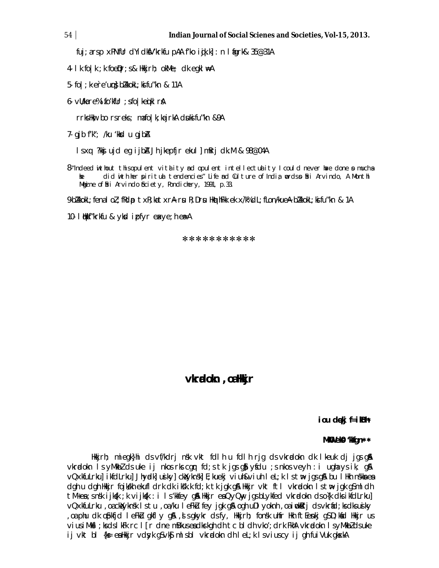fuj; a rs p xPNfUr dYidkfV'krkfu pAA f'ko i qik.k] : n | figrk& 35@31A

4-  $lk$  fo $|k|$ ;  $k$  foe $\theta$ r;  $s$  & Hkkjrh; okMe; dk egkl  $#A$ 

5- fo  $|$ ; k·e`re'uurs} bZkkokL; ksifu"kn & 11A

6-  $VU/k$ a re% ifo'kfUr ; sfo|keqiklr\$A

rrks Hkw; bo rs reks; ma fo  $|k|$ ; ka jrkA d suksifu "kn &9A

 $7-$  gjb f'k"; /ku 'kksd u gjb $A$ 

ls x q: ?kksj ujd eg ijbZA Jh jkepfjr ekul] mRrj dk.M & 98@04A

 $8$ -"Indeed without this opulent vitality and opulent intellectuality I could never have done  $s$  much as she did with her spiritual tendencies." Life and Culture of India; words so Shri Arvindo, A Monthl Magine of firi Arvindo ficiety, Pondichery, 1991, p.33.

9-bZkkokL; fena loZ; fRd ptxR; ka txrA rsu R; Drsu HkathFkk ek x /k% dL; fLon:/kueA bZkkokL; ki fu"kn & 1A

10- l qHkkf"krkfu & yksd izpfyr eaxye;h ea=A

\*\*\*\*\*\*\*\*\*\*\*

**vkr adokn ,oa Hkkjr**

**iou dqekj f=ikBh**

#### **MkW** ekg 'kkfan\*\*

Hkkjrh; miegk}hi ds vf/kdrj nsk vkt fdlh u fdlh rjg ds vkradokn dk lkeuk dj jgs gå vkradokn Is yM kbZ ds uke ij nkos rks can fd; s tk jas g $\delta$  ysfdu ; s nkos veyh : i ugha y sik, g $\delta$ vQxkfuLrku] ikfdLrku] Jhyadk] usiky] ck axykn sk] E;kuekj viuh&viuh leL;k ls t w> jgs g\$A bu lHkh nskka ea dgh u dgh Hkkjr fojk kh ekufldrk dk iks"k.k fd;k tk jgk g& Hkkjr vkt ftl vkradokn ls the jgk g\$mldh tM+ea; s nsk ijk $(k ; k \vee i)$ kk : i l s 'kkfey g $\alpha$  Hkkjr ea QyQny jgs bLykfed vkradokn ds o {k dks ikfdLrku] vQxkfuLrku ,oa ckatyknsk ls tu ,oa /ku leFk Lu fey jgk g\$A ogh uDlyoknh ,oa i wkarrj ds vkrafd;ks dks usiky , oa phu dk ophfjd leFku gkfly g& , is gkykr ds fy, Hkkjrh; fonsk uhfr Hkh ftEenkj gS D;k fd Hkkjr us vius iM kal; ks ds lkFk rc l[r dne mBkus ead krkgh dh tc bldh vko'; drk FkhA vkradokn ls yM kbZ ds uke ij vkt bl {ks= esa Hkkjr vd syk gS vkSj ml s bl vkradokn dh leL;k ls vius cy ij gh fuiVuk gk sxkA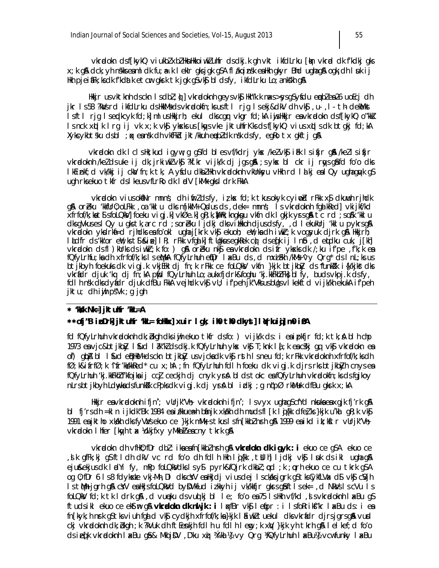vkrælokn dsffkykQ viukblxblkknikkojwkluhfr dsdkj.k gh vkt ikfdLrku flyn vkræl dk fkdkj gks x; k gå dck; yh nskks eaml dk fu; a=. k l ekir gks jgk g\$A fl akq insk ea Hkh gkyr Bhd ugha gå ogk; dh l uk ij Hkh pjeifiFk; ks dk f'kdatk etcır gkırk tk jgk g\$vk\$ bldsfy, ikfdLrku Lo; ankskh g&

ilkkjr us vktknh dsckn i sdbl; i) vkradoknh geysvk\$ llkh"k.k naxs>sysgSyfdu epblea 26 uoEcj dh jkr Is58 ?kWsrd ikfdLrku dsHkkMsdsvkrdokfn; ksusftl rjg Isekj&dkV dh vk\$, u., I. th dekMkst IsftI rjg Isendkcyk fd;k|mlusHkkjrh; ekul dkscgnr vkgr fd;kA injsHkkjr ensvkradokn dsf[kykQ o"kk] Is nck xqlk Irg ij vk x; k vkg yksks us [kqvs vke jktuhfrKks ds f[kykQ vius xqls dk btgkj fd; kA Xykcykbtsku dsbl ; ak eansk dh vkfFkd jkt/kkuh eapbidk nsk dsfy, egRo tx gkftj g\$

vkrælokn dk lclshk; kud igyw; g g\$fd bles vf/kdrj ykx /ke/vk\$ ikk lsifjr g\$\/ke/lsifjr vkrodoknh /ke/dsuke ij dk; jrkiwk/vk\$ ?kf.kr vijk/k dj jqsq\$ ; sykx bl ckr ij raysq\$fd fo'o dks lkEinkf; d vk/kkj ij ckà/fn; k tk, A yśdu dkbłlkh vkradoknh vkUnksyu vlkh rd lalkj ea l Qy ugha qayk g\$ ugh rksekuo tkfr ds I keus vfLrRo dk I adV [kMk gks I drk FkkA

vkrodokn viusokiNr mnns; dh i firl dsfy, i z kx fd; k tkusokyk cy i o dr Fkk x \$ dkuwh r jhdk g\$\ orbeku 'kkfUr0; oLFkk , oa 'kklu clks m [kkM+ Qxdus cls, dek= mnns; Is vkradoknh fqalkked] vkijkf/kd xfrfof/k; ka t\$ sfolQkV] foeku vigj.k] vkØe.k] gR; k, ]UHk; kngkgu vkfn dk I gkjk yrsgå tc rd ; so%k 'kkl u dksgVkuses I Qy u gkstk, a rc rd ; soreku ljdkj dksvihkoh djusdsfy, , d I ekukllrj 'kkl u pykrsg A vkradokn yksdrkf=d rjindks es fo'okl ugha j[krk vk\$ ekuoh; e), ka dh i wkr; k vogsyuk djrk g\$ Hkkjrh; ladfr ds kk'or en'; ks ts skip]l R; rFkk vfgalk] ft Ugkus egkRek conds efk i j Info, d entdku cuk, j[kh] vkrælokn ds fl ) kurks ds i wkr; k fo: ) g\$ orzeku nkg en vkrælokn ds i fr ýkseks dk /; ku i f'pe , f'k; k en<br>fQfyLrhfu; kn dh xfrfof/k; ks l s etMA fQfyLrhuh efDr l axBu ds , d mxinh /kMs ^vy Qrg\* ds l nL; ks us btikbyh foekuks dk vigj.k vkjEHk di fn;k rFkk ce foLQkV vkfn }kjk btikbZy ds 'funk?k i{k/kjks dks vkríidr djuk 'kq dj fn; kA píjid fQyLrhuh Lo; a ukxfjdrk&foghu 'kj. kkFkhZ Fk} bl fy, buds vkpj. k ds fy, fdl h nsk dls dyfidr djuk dfBu FkkA vejhdk vk\$ vU; if'peh jk"Vks us bUgs vI kekftd vijk/kh ekukA if'peh jktu; dhijh pšVk ;g jgh

#### $*$  'kkk  $Nk=$ ] jkt ulfr 'kkl=A

#### \*\*ofj"B ipDrk jktuhr 'kL= foHkx| xuir I qk; ih th dkyt| I (rkuig) m0 inA

fd fQfvLrhuh vkradoknh dk; bkqh dks i jh ekuo tkfr dsfo: ) vijk/k ds: i ea i pkfjr fd; k tk; a bl h chp 1973 en vjc&btjkbZy I fud I ak"k2 ds dkj.k fQfyLrhuh ykx vk\$ T;knk I {;k en cskj qq vk\$ vkradokn en of) glipA bl I liud eliBHkM+dsckn btjkbZy usvjckadk vk§rsth Isneu fd;k rFkk vkradoknh xfrfof/k;ksdh fØ;k&ifrfØ;k ^ifr'kk/kkRed\* cu x;hA ;fn fQfyLrhuh fdlh foeku dk vigj.k djrs rksbtjkbZyh cnysea fQfyLrhuh 'kj.kkFkh2 f'kfojka i j cc] ceckjh dj cnyk yrk bl ds tokc eafQfyLrhuh vkradokfn; ks ds fqjkoy nLrsbtjkbyh Ldnykadsfunkšk cPpksdk vigjk djyrå blidkj; gn (pØrkMuk dfBu gkrk x; kA

Hkkjr eavkradoknhifjn"; vUrjk"Vh; vkradoknhifjn"; Isvyx ughagScfYcl nkukaeaxgjk fj'rk g\$ bi fj′rsch =kin ijkdk″Bk 1984 ea itkkueæh bánjk xkalkh chimucisfi [k i qi{kk cifeł, ks}kjk u`kal qR;k ∨k\$ 1991 en jktho xkakh chls fy VWs ekuo ce }kjk mMk;s tkus Is fn [kkb] nrh q& 1999 en ikclik; kftr vUrjk"Vh; vkradokn I hfer [kayh tax kdkjfxy yMkbl&eacny tkrk q&

 $v$ kradokn dh vfillo; fDr dbl: ika ea fn [kkbl nsh q& vkradokn dk i q vk : i ekuo ce q SA ekuo ce , sik gfFk;kj g\$ftldh dkV ∨c rd fo′o dh fdlh Hkh lgi{kk , tbilh] ljdkj ∨k§i luuk ds ikl ugha gµA eju&ekjusdk ladYify, mPp foLQkVdkslsy\$ pyrk&fQjrk dkbl; od ; k ; orh ekuo ce cu tkrk q\$A oq 0; fDr 6 Is8 fdykste vkj·Mh, DI dks cYV ealkjdj vius dej Isckaksjgrk gStks CykfLVax d\$vk\$cVjh Is tMh jgrh g& cYV ealkijsfolQkVd byDVkfud izkkyh ij vk/kkfjr gkrsgåftlsek=,d NkVsIscVu Is fol QkV fd; k tk I drk q&, d vuneku ds vunt kj bl I e; fo'o ea 75 I slkh vf/kd, s svkradokn h I ax Bu q\$ ftudsikl ekuo ce eksting & vkradokn dk nuljk : i lıx fBr vk şi lefipr : i lsfoRrik s"kr lıx Bu ds: i ea fn[kyk; h nsk q\$tksviuh fqd d vk\$ cydkjh xfrfof/k; ka}kjk I aiwkl tuekul dksvkradr djrsjgrsg&vud ckj vkradoknh dk; bkgh; k?kVuk dhftEenkjh fdlh u fdlh lem; k xw, }kjk yh tkrh g& lelkef; d fo'o ds ieq[k vkradoknh I akBu gå & Mkbji0V , D'ku xaj ¼Ýkal ¼ vy Org ¼OfyLrhuh I akBu¼ varfunky I akBu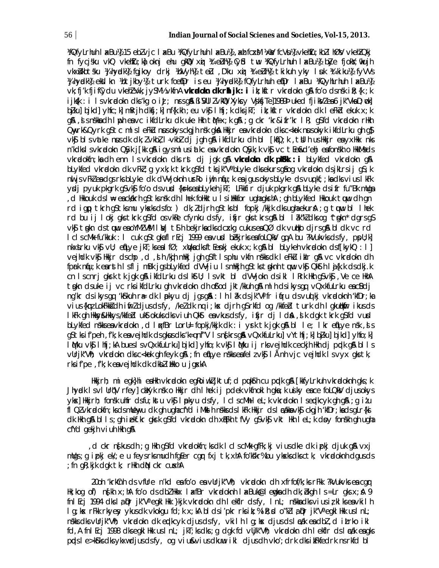WiQfyLrhuh I akBull, 15 ebl vjc I akBu WiQfyLrhuh I akBull, akh fcaM lisk) fcVsull, vkehľu; kbl I hØlv vkehľQkj fn fycjsku vkQ vkehľu;ka oknj ehu gkO xaj ¼teLnM (y£d tw ¼QfyLrhuh IaxBu) biye fjokY;nkujh vkxilkbtsku Kulhyndkk fqjkoy drkj KoVyhk telu D'ku xnj Ktelnkk tkikuh yky I uk Kitkikuk fyVVs Whyrdki) ekkikn i/otjkbyl) turk foei@r is eu Whyrdki) fQfyLrhuh ei@r IxBu i/iQyhLrhuh IxBull vk; fj'k fjiflydu vkehl'Avk; jySM½ vkfnA **vkradokn dk rhljk: i** ik; kftr vkradokn qA fo'o dsnsk ik; {k ; k ijksk : i Isvkradokn dks'kg o i $U$ ; nrsgå BisVUI ZvkKQ Xyksy VsjksjTe]1989Þuked fjiksVZea6 jk″VkaD;nck] bikul bikdl yhfc; kl mRrih dkfi; kl nf{k.kh ; eu vkf l hfi; k dks jkT; ik; kftr vkradokn dk l eFkd ekuk x; k g&, d s nskka clh I uph ea vc ikfclLrku clk uke Hkh t M+x;k g& ;g ckr 'kr&ifr'kr I R; g\$fcl vkrødokn rHkh Onyrk&Qyrk q\$tc ml sleFkU nusokysckgjh nsk qkA Hkkjr eavkradokn dksc<kok nusokyk ikfdLrku qh q\$ vký bisvatke nuscik dk; l vkbl, i vkbl dj jgh gå ikfdLrku dh bi [kqo; k , tul h us Hkir ea yxHkx nks n'kdkslsvkradokn QSyk j[kk q\$ i qysml usiatkc envkradokn QSyk; k vk\$ vc tEen&d'ehj enfonskh o HkkMsds vkrodokfn; ka dh enn Is vkrodokn dks rst dj jgk gå vkrodokn dk pl6kk : i blykfed vkrodokn gå blykfed vkrødokn dk vFW; g yxk; k tkrk g\$fd tksjk"V° blyke dksekurs g\$og vkrødokn dsjklrsij g\$; k nul js vFkZ endqs rks blyke dk dVV joknh urko iujh niju; k enjqus okys blyke ds vun kf;; kn dks vius I kFk ydj pyuk pkgrk g\$vk\$ fo'o dsvud {k=kseabLykeh jkT; LFkkfir djuk pkgrk g& bLyke dsifr fu"Bk mllga d Hkkouk ds I ⊯ea ckakrh g\$tks nsk dh I hek foHkktu I s i Hkkfor ugha gkrhA; gh bLykfed Hkkouk tuuu dh gn, rd igp tkrh qs tks mu yksks ds fo: ) dk; ldjrh qs tks bl fopkj /kkjk dks ugha ekura; q tuu bl lhek rd bu ij I okj gks tkrk g\$fd os vkRe cfynku dsfy, ifjr gks tkrs g& bl I ak"kl dks og ^tgkn\* dgrs g\$ vký tgkn dstuwu eaoYMZ VMIN) tý hekjrkadksdoxkg cukusea QØ dk vutko djrsgå bldk vc rd I clscMk fu'kkuk : I cuk q\$tqkafl rEcj 1999 eavusd bekjrks eafoLQkV qqA bu ?kVukvks dsfy, ppU;k] nkxtrku vk $\mathfrak{g}$  vll; efilye jkT; ksealfØ; xiVkadksftEenkjekuk x; kgiAbl blykeh vkradokn dsf[kykQ: 1] vejhdk vkj Hkkjr dschp, d, ih /kjh mHkj jgh gSftlsphu vkfn nskks dk leFku iklr gå vc vkradokn dh fprk nfu; k earsth IsfljmBk jgsbLykfed dVVjiu IsmHkjh gStkstgknh tuuu vk\$ QkSth Ij{k.k dsdkj.k on Isonri gkrk tk jgk gå ikfdLrku dslkttl; Isvkt bl dVVjokn dsikl I Rrk Hkh gsvkg, Ve ce HkhA t gkn dsuke i j vc rksikfdLrku gh vkrælokn dh of/od jkt/kkuh g\$ mlh dsikysgq vQxkfuLrku eacBdj ng'kr ds ikys gq 'k\$rkuh rædk lpokyu dj jgs g& : lh låk ds jk"Vifr ifiru ds vuolkj vkradoknh 'kfDr; ka vius {kmz LokFkk}dh ifmzdjusdsfy, /kezdk ng i; kx djrh q\$rkfd og /kkfebl turk dh I gkutkhmr ikusds I kFk gh Hkky&Hkkys/kkfeblukStokuks dks viuh QkSt entvkus ds fy, ifjr dj I dnA, slk dgk tkrk g\$fd vurd blykfed nskkseavkradokn, dlwtBr LorU= fopkj/kkjk dk : i yrk tk jgk g& bl le; lkr en[Lye nsk, ds g\$tksif'peh, f'k; k eavejhdk dsgkusdks'k=q nf"V Isn{krsg&vQxkfuLrku]vYthfj; k] b]ku] bjkd]yhfo; k] I Mku vk\$ I hfj;kA bues I svQxkfuLrku] bjkd] yhfo;k vk\$ I Mku ij rksvejhdk ceckjh Hkh dj prdk q& bl I s vürjk"Vh; vkradokn dksc<kok gh feyk gå ; fn efLye nskkseafel zvk\$ I Ånh vjc vejhdk I svyx gks tk, rksif'pe, f'k; k eavejhdk dk dkblikkou jqxkA

Hkkirh; mi eqk}hi eaHkh vkradokn eqRoiwkljktuf; d puksh cu pakk g& [kkfyLrkuh vkradoknh gks; k Jhyndk I svl UrqV rfey] chXyk nsk o Hkkjr dh I hek ij pdek vkfnokl h gka; k usiky eace foLQkV djusokys ykx] Hkkjrh; fonsk uhfr dsfu; kstu vk\$ Ipkyu dsfy, IclscMh IeL; k vkradokn Iseplkcyk gh g&; g izu fl Qlvkradokfn; ks ds mulenyu dk gh ugha cfYd i Mhelh nskks ds I kFk Hkkjr ds I adkha vk\$ ckgjh 'kfDr; ka ds gLr{ki dk Hkh g& bl l s ; gh i ekf.kr gkrk g\$fd vkrødokn dh xQFkh tfVy g\$vk\$ vkt Hkh l eL; k doby fonskh gh ugha cfYd gekjh viuh Hkh g&

d ckr ng kus dh; q Hkh q\$fd vkradokfn; ks dk I cl s cMk qfFk; kj vius dke dk i pkj djuk q\$ vxj, mllgs; g i pkj ek/; e u feysrksmudh fg[er cgr fxj tk, xhA fo'kskr%bu ykxksdksctk; vkradoknh dgusds ; fn qR; kjk dqk tk; rHkh dN ckr cuxhA

20oh 'krkcnh ds vfure n'kd ea fo'o ea vurik"Vh; vkradokn dh xfrfof/k; ks rFkk ?kVukvks ea car  $Hk$ ; kog of) ng kh x; hA fo'o ds dbl Hkkx I axfBr vkradoknh I axBuks@I emgka dh dk; bkgh I s = Lr gks x; A 9 fnl Ecj 1994 dksla Dr jk"V" egkl Hkk }kjk vkrødokn dh lekfir dsfy, InL; nskka dks vius iz kl ks ea vkil h Ig; kx rFkk rkyey ykusdk vkokgu fd; k x; kA bldsi'pkr rksik; % ik; d o"kIla pr jk"V" egkl Hkk uslnL; nskks dks vulrik"Vh; vkradokn dk endkcyk djus ds fy, vkil h I g; kx djus ds I ask endbl, d i Lrko i kl fd, A fni Ecj 1998 dksegki Hkk us i nL; jkT; ks dks; g dgk fd vljk"Vh; vkradokn dh i ekfir ds i azk engks ppds I e>kfrks dks ykxwdjus ds fy, og viu&vius dkunu ikl djus dh vko'; drk dks ikFkfedrk ns rkfd bl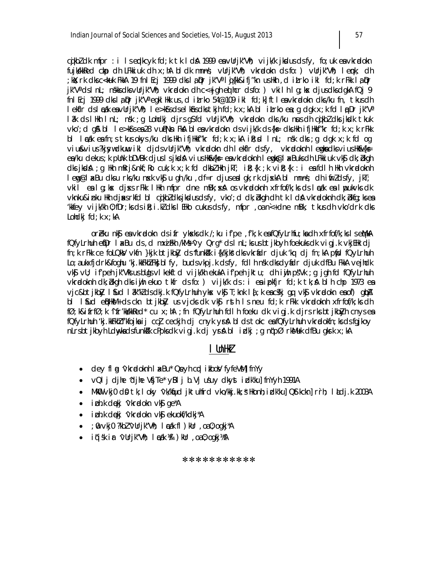cikbidk mfpr: i Isepkcyk fd; k tk I då 1999 en vUrjk"Vh; vijk/k jkdusdsfy, fo; uk en vkradokn fujkkkRed ckp dh LFkkiuk dh x; hA bl dk mnns; vUrjk"Vh; vkradokn ds fo: ) vUrjk"Vh; lenk; dh ;kKr;rk dksc<kuk FkkA 19 fnlEcj 1999 dkslą®r jk″Vªlqj{kk&ifj″kn usHkh ,d iŁrko ikl fd;k rFkk lą®r  $i^{\prime\prime}$ V<sup>a</sup> ds InL; nskks dks vUrjk "Vh; vkradokn dh c<+jqh eq hcr ds fo: ) vkil h Iq; kx djus dks dqkA fQj 9 fnl Ecj 1999 dkslaßer jk"V" egkl Hkk us, d it rko 54@109 ikl fd; k] ft leavkradokn dks/ku fn, tkus dh lekfir dslæak ea vUrjk"Vh; le>k\$rs dselk\$ns dks tkjh fd;k x;kA blitrko ea;q dqk x;k fd la Drik"Va låk ds lilkh InL; nsk ; g Lohdkj djrs g\$fd vUrjk"Vh; vkrælokn dks /ku næs dh cijkb? dks jkedk tkuk vko'; d gå bl l e>kôrs ea 28 vul?Nn Fkå bl ea vkradokn ds vijk/k ds {k = dks Hkh ifjHkkf"kr fd; k x; k rFkk bl lækk e $\frac{1}{2}$  fn; s tkus okys /ku dks Hkh ifjHkkf"kr fd; k x; kA ik; sd lnL; nsk dks; g dgk x; k fd og viu&vius?kjsywdkuw ikl djdsvUrjk"Vh; vkradokn dh lekflr dsfy, vkradoknh lengka dksviusHk&{ks= ea/ku dekus; k pünk bDVBk djusisjkdå viusHk&{k= eavkrdoknh lengk@l axBuks dh LFkkiuk vk\$ dk; bkgh dks jkdå; q Hkh mRrj&nkf; Ro cuk; k x; k fd dkbl Hkh jkT; iR; {k ; k viR; {k : i eafdlh Hkh vkradoknh lemq@laxBu dksu rks/ku nsk vk\$u gh/ku , df=r djusealgk; rk djskA bl mnns; dh ifirldsfy, jkT; vkil ealg; kx djxs rFkk lHkh mfpr dne mBk; xxA os vkradoknh xfrfof/k; ks ds lazk ealpukvks dk vknku&inku Hkh djasrkfd bl cikbldksjkdusdsfy, vko'; d dk; bkgh dh tk I dA vkndoknh dk; bkfg; ksea kkfey vijk/kh 0; fDr; ks ds iR; i.k/ dks I EHko cukus ds fy, mfpr, oa n<+ dne mBk, tkus dh vko'drk dks Lohdkj  $fd$ ;  $k \times j$ :  $kA$ 

orblu nkj es vkradokn ds i fr yksks dk /; ku i f'pe , f'k; k es fQfyLrhfu; ks dh xfrfof/k; ks I s et/lkA fQfyLrhuh efDr I xBu ds, d mxiFth /kMs 'vy Qrg \* ds I nL; ks us bt jkbyh foekuks dk vigj.k vkjEthk dj fn; k rFkk ce foLQkV vkfn }kjk btjkbly ds'funkl'k i{k/kjk's dksvkrfidr djuk 'kq dj fn; kA pfid fQyLrhuh Lo; a ukxfjdrk&foghu 'kj.kkFkhZFk} blfy, budsvkpj.k dsfy, fdlh nsk dksdyfidr djuk dfBu FkkA vejhdk vký vU; ifrpeh jkrVks us bUqs vI kekftd vijk/kh ekukA ifrpeh jktu; dh iwih psVk; q jgh fd fQfyLrhuh vkradoknh dk; bkgh dks i jh ekuo tkfr ds fo: ) vijk/k ds : i ea i pkfjr fd; k tk; a blh chp 1973 ea vjc&btjkb}y I \$ud I &k"k]dsdkj.k fQfyLrhuh ykx vk\$ T;knk I {;k eac&kj qq vk\$ vkrælokn eaof) q(bA bl I fud enBHKM+ ds ckn btjkb3y us vjcks dk vkg rsth Is neu fd; k rFkk vkradoknh xfrfof/k; ks dh fØ; k&ifrfØ; k ^ifr'kkkkRed\* cu x; hA ; fn fQfyLrhuh fdlh foeku dk vigj.k djrs rks btjkblyh cnys ea fQfyLrhuh 'kj.kkFkhZf'kfojka ij ccj ceckjh dj cnyk yrk bl ds tokc eafQfyLrhuh vkradokfn; ks ds fqjkoy nLrsbtjkbyh Ldwykadsfunkkik cPpksdk vigjkdjyråblidki; gn (pØrkMuk dfBu gkrk x;kA

## I UnHkZ

- dey fl g 'vkradoknh I ax Bu' Qeyh cad i kbowl fyfeVM] fnYy
- $VQI$  i dihe 'dihe Vfite' y $BI$  i b. Vi usuv dkyst i dk'kul fn $Y$ yh 1991A
- MkW  $\vee$ kj $0$  d $\Omega$  tk; I oky  $\vee$ k/kfud jktuhfrd  $\vee$ ko/kkj.kk;  $\frac{1}{3}$  Hkonh; i dk/ku] Qstkckn] rrh; I ludj.k 2003A
- i bh.k dekj 'vkradokn vkj ge\*A
- i ph.k dekj 'vkradokn vkj ekuokf/kdkj\*A
- $\bullet$  ; 0  $\vee$ kj0 ?kbl  $\vee$ Urjk"Vh; l cak fl  $\circ$  kUr, oa 0; ogkj  $A$
- iqisk ir 'vUrjk''Vih; I cak ¼I ) kUr , oa 0; ogkj½A

#### \*\*\*\*\*\*\*\*\*\*\*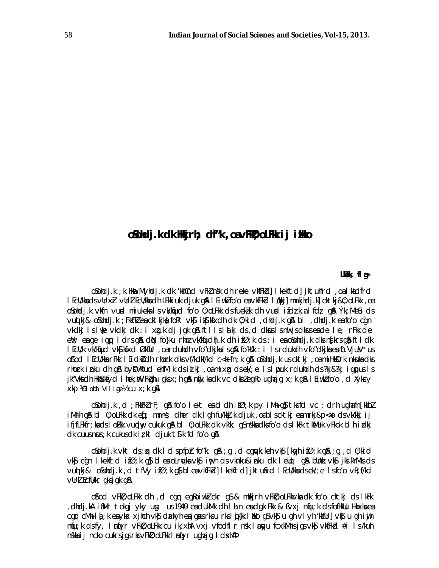# oSohdj.k dk Hkjrh; df"k, oavFk0; oLFkk ij iHko

#### LkTk; fl g∗

osolicijski; k Hikme. Myhcijski cik "kkfûnd vFki nski cih reke vkfFkicij i kekftdij jktulifrdi, oa i kludfrdi I EcU/kkadsvUrxh vUrl EcU/kkadh LFkkiuk djuk q& I Eiwklfo'o eavkfFkd I (kkj] mnkjhdj.k] cktkj&0; oLFkk, oa osohdj.k vkfn vurd miukekals vk/knjud fo'o 0; oLFkk ds fueklk dh vurd ifdzk, alfdz gå Ýk; MeCu ds vuolki& oSohdi.k; FkkFk2 en cktkjknh foRr vk\$ ikS| kfxdh dk 0; kid , dhdi.k q& bl , dhdi.k en fo'o can vkdkj Islinje vkdkj dk : i xg.k dj jgk gå ftllslåkj ds, d dkuslsnir jsdkuseade le; rFkk de ent; en ge igp I drs gn dn fo}ku rhoz vk/kfudhj.k dh ifø;k ds : i en osohdj.k dks nsikrs gn ftldk I EcU/k vk/kfud vkS| kfxd ØkfUr , oarduhdh vfo"dkjka I sq& fo'ks'k : i I srduhdh vfo"dkjka ea 'b. Vjušu' us ofod I Ecu/kka rFkk I Eidkidh rhork dks vf/kdkf/kd c<k fn; k q& oSohdj.k us cktkj, oa milkkidrk nkuka dks rhork inku dh gå byDVMfud ehfM; k ds id kj, oamixg ds ek/; e Islpuk rduhdh ds ?kj&?kj igpus Is jk"Vita dh Hkkîkkiyd I hek, WyFkighu gks x; h g& niij; ka dk vc dkbi egko ugha jg x; k g& I Ei wki fo'o, d Xykcy Xkp XGI obl Village 26 Cu X; k q &

o\$ohdj.k , d ;FkkFk2rF; g\$A fo′o lekt eabldh ifØ;k py iMh⊦g}}tksfd ∨c :drhughafn[kkb2 iMrh q& bl 0; oLFkk dk eq; mnns; dher dk I qh fu/kkj.k djuk, oabl scktkj eamrkj&p<ko dsvk/kkj i j ifjfLFkfr; kads I oFkk vundhuy cukuk gå bl 0; oLFkk dk vk'k; g\$nskkadks fo'o ds I kFk tkålluk vFkok bl h i dkj  $dk$  cuus nus; k cukus dk iz kl djuk ts k fd fo'o q&

oSohdj.k vkt ds; px dk I clspfpr fo"k; g\$ ; g, d cguyk; keh vk\$ [kayh ifØ; k g\$ ; g, d 0; kid vk§ c`gn Ikekftd ifØ;k g}bleadrydavk§ inth dsvknku&inku dk Iello; g& bllnk vk§ jkslkYMksds vuotki& oSohdi.k, dtfVyifØ;k q\$bleavkfFkdllkekftdliktu\$rd IEcWkkadsek/;e Isfo'ovR;f/kd vurl Ecfu/kr gksjgk g&

of'od vFMD; oLFM: dh, d cgr egRoiwkl ckr g\$ & mHkjrh vFMD; oLFMkvMadk fo'o cktkj ds I kFk dhdj.kA ifMr tokqj yky ung: us 1949 en dukMk dh I an en digk Fkk & Byxj niju;k dsfofilklu Hkkxknen, cgnr cMh-lá; k ea ykns xjhch vk\$ claxkyh ea jgaxsrksu rkslij{kk likko g\$vk\$ u gh vlyh 'kkfUr] vk\$ u gh iijh niju; k dsfy, l rijyr vFkD; oLFkk cu ik, xhA vxj vfodfl r nsk l riyu fcxkM rsjgs vk\$ vkfFkd #i ls/kuh nskka i j ncko cukrsjgs rks vFkD; oLFkk I rfyr ughajg I dsxhAP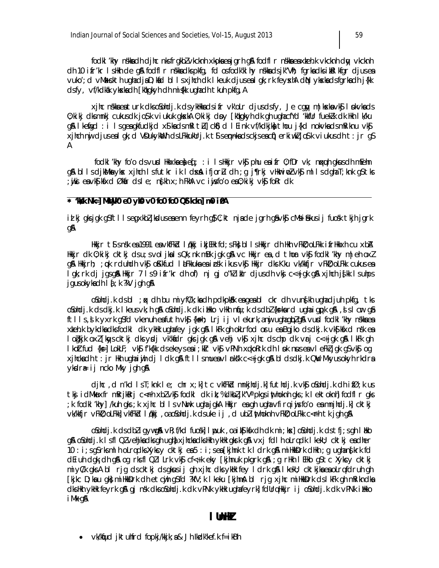fockl 'khy nskka ch cljhc nksfrgkbl vkcknh xkpka ea jgrh gå foclfl r nskka ea xkeh.k vkcknh clty vkcknh dh 10 ifr'kr I sllkh de gå fodfl r nskka dks pkfg, fd osfodk'kl hy nskka ds jk"Vh; fgrka dks i ktel kfgr djusea vuko'; d vMaxskth ughadjaD; kid bl I s xjhch dk I keuk djusea I gk; rk feyschA diN ykskadsfgrkadh j{kk dsfy, vf/kdkak ykska dh [kqkgkyh dh mi {kk ugha dh tkuh pkfg, A

xjhc nskka ea turk dks oSohdj.k ds ykHkka ds i fr vk'oLr djus ds fy, Je cqny m | kxka vk\$ I bkvka ds 0; ki kj dksmnkj cukusdk jo\$k viukuk gkskA 0; ki kj doy [kqkgkyh dk gh ughacfYd 'kkfUr fuekZk dk Hkh I k/ku g& Ikenigd : i Isgenigkfudkjd x\$knidsmRIt Li| ck\$)d I Eink vf/kdkjkni thou j{kd nokvknidsmRiknu vk\$ xjhch nij djuseal gk; d VDukykitch dsLFkkukUrj.k tSsennkadsckjseach) erki wkljo\$k viukusdh t: jr gS A

foolkl 'khy fo'o olsvusol Hkkxkae) eq[; : i IsHkkjr vk\$ phu eaifr 0; fDr vk; nqxquh gksusolh mEehn g& bllsdjk&Mayksx jhch Isfutkr ik Idsx& ifjorLu dh ;g j¶rkj vHkurinoZvk\$j mllsdghaT;knk g\$tks ;wiki envkSikfxd Økfrdsle; n:fkhx;hFkhAvciwisfo′oen0;kikjvk\$fokrdk

#### \* 'M&k Nk=] MMMjk0 e0 yk0 v0 fo0 fo0 QStkckn] m0 i0A

id kj gksjgk g\$ftllsegxkbZjkduseaenn feyrh g\$ C;kt njade jgrh gâvk\$ cMsi£kusij fuosk tkjh jgrk gA

Hkkjr t¶snsk ea 1991 ea vkfFkid Iqkkj ikjEHk fd;sFkj bl IsHkkjr dh Hkh vFkid;oLFkk ifrHkkxh cu xbA Hkkjr dk 0; kikj cktkj dsu; svoljkalsQk; nk mBk jgk g\$ vc Hkkjr ea, d thor vk\$j fodkl 'khy m|eh oxl g& Hkkjrh; ; pk rduhdh vk\$ oKkfud I LFkkuka ea i osk i kus vk\$ Hkkjr dks Kku vk/kkfjr vFkD; oLFkk cukus ea lgk; rk dj jgsg\$a Hkkjr 7 ls9 ifr'kr dh of) nj gj o"kliklr djusdh vkj c<+jgk g\$a xjhch j{kk lsuhps jgus okyka dh I { ; k ?kV jgh g\$

osolicij. k cis bil ; ak cih bu mi yf $C/k$ ; ka cih polkpkak ea gea bil ckr cih vung kh ugha cijuh pkfg, tks oSohdj.k ds dkj.k I keus vk; h g& oSohdj.k dk i ilkko vHkh niju;k ds dbl {ks=kard ugha i gpk g&, sl cur qâ ftlls, i k yxrk q\$fd vkenuh eafuth vk\$ {k+h; Lrj i j vl ekurk, anij ughaqiplg& vurd fodkl 'khy nskkaea xteh.k bykdkadksfodki dk ykłk ughafey jgk gå i kFk gh okLrfod oru ea Bgjko ds dkj.k vk\$| kfxd nsk ea logkjk oxi[kwyscktkj dksydj vk'kadr gksjgk g\$ vehj vk\$j xjhc dschp dk vrj c<+jgk g\$ lkFk gh I koltfud {k=] LokLF; vk\$j f'k{kk dsekeyseai;kIr vk\$j vPNh xqkoRrk dh I pk nuseavl eFkl jgk g\$vk\$j og xjhckadh t: jr Hkh ugha iyih dj I dk g& ftl I smueavl rksk c<+jgk g& bl dsdkj.k QW Mkyusokyh rkdra ykdra⊨ij ncko Mky jgh g\$l

djhc, d n'kd lsT; knk le; chr x; k] tc vkfFkd mnkjhdj.k] futhdj.k vkj oSohdj.k dh ifØ; k us tkj idMkaxfr mRrjkRrj c<<del>r</del>h xbZvk\$ fodkl dk it;%dkbZjk"Vªpkqsinthoknh qks;k lektoknh| fodfl r qks ;k fodki 'khy] /kuh gks ;k xjhc bi isvNurk ughajgkA Hkkjr eagh ughavfirq iujsfo'o eamnjhdj.k] cktkj vk/kkfjr vFkD; oLFkk] vkfFkd I qkkj , oa oSohdj.k ds uke ij , d ublinthoknh vFkD; oLFkk c<Fh tk jgh g\$

osohdj.k ds dbl i gywga vR; f/kd fuosk] I puk, oa i ks ks x dh dk mi; ks dosohdj.k ds t fj; s gh I liko g\$\o\$ohdj.k IsflQZvehjkadksghugh}xjhckadksHkhykHkgkrkg\$\vxjfdlhoLrqdk IkekU; cktkjeadher 10 : i; sgSrksmlhoLrqcksXykcycktkjea5 : i; sea [kjhnktkldrkg&miHkkDrkcHkh; gughan{krkfd d Ei uh dgk; dh g\$ og rksfl QZI Lrk vk\$ cf<+k eky [kjhnuk pkgrk g\$ ; g rHkh I EHko g\$ tc Xyksy cktkj miyC/k qksAbl rjg dscktkj dsqksusij qh xjhc dksykHk fey Idrk q& IkekU; cktkjkaeaoLrqfdruh qh [kjkc D; ka u gk}miHkkDrk dhetcijh gSfd ?kfV; k I keku [kjhna]bl rjg xjhc miHkkDrk ds I kFk gh mRikndka dks Hkh ykHk feyrk g\$qj nsk dks oSohdj. k dk vPNk ykHk ughafeyrk| fdUrq Hkkjr i j oSohdj. k dk vPNk i Hkko i Mk q&

## I Unik

•  $vk/kfud$  iktuhfrd fopkj/kkjk; a& Jh Ikdk'kef.k f=ikBh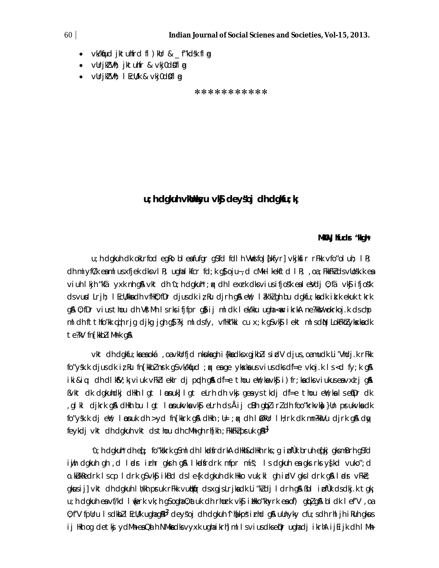- vk/kfud jktuhfrd fl ) kur & \_f"kdsk fl a
- vUrjk"Vh; jktuhfr & vkj0d0fl a
- $\bullet$  vUrjk"Vh; I EcU/k & vkj0d\$fl  $\alpha$

\*\*\*\*\*\*\*\*\*\*\*

## u; h dakuh vklhkyu vkj deyšoj dh dakfu; k

#### MKU Jifuds "Kah\*

u; h dgkuh dk okLrfod egRo bl eafufgr gSfd fdl h VWsfoJ{kfyr] vkjksir rFkk vfo"ol uh; IR; ch miyfü'k eamlus xfjek clksvl R; ughalkfcr fd; k g}oju~, d cMk l kekftd l R; , oa; FkkFkl clsvUosk. k ea viuh I kih "kfä yxk nh q& vkt dh 'u; h dqkuh'; k dh I exrk dks vius ifjos'k eal eVdj 0; fä vk\$ ifjos'k ds vuid Lrih; I Ecl/kka dh vfiki); fDr djus dk iz Ru djrh q& eY; I  $\frac{2}{N}$ ki dh bu dakfu; ka dk ik.k ekuk tkrk q& 0; fDr vius thou dh VstMh Isrks ififpr q& ij ml dk I ek/kku uqha < ikrkA ne?kkVwokrkoj.k ds chp ml dh ft thfo'kk cujh rjq djkq jqh q\$?kj ml dsfy, vfHk"kki cu x;k q\$vk\$ lekt mlsdN LokFkh2vkskadk te?kV fn[kkbliMrk q&

vkt dh dqkfu; kaea oká , oa vkUrfjd nkuka qh i {kka dks x qjkbl s i dV djus , oa mudk Li'Vhdj.k r Fkk fo"ysk.k djus dkir, ku fn [kkb] nsrk q\$ vk/kfjud; p; ea qe ykska us vius dks df=e vkoj.k ls <d fy; k q& iki&iq; ch cllk\$V;k;viuk vFk?lek|r clj pochlq\$\ clf=e thou eY;kavk\$ji)fr;kaclksviukuseavxaljq\$\ Bykt dk dgkuhdkj dHkh Igt Impuk] Igt eLrh dh ykj gen ystkdj df=e thou eYy;kn Isen[Dr dk giki djkrk gå dilin bu i gt i manukvis vig elrh ds Åij cBh gipi i ri dh foo"krkvid. }Un prukvis dk, fo"ysk.k cij ewl; I nonuk cih >yci fn [kkrk g& cilikh; il=; qx cih I Øklir I li; rk cik mn?kkVu cijrk g& city feykdi vkt dh dgkuh vkt ds thou dh cMh gh rh[kh ; FkkFkl pruk g\$p<sup>1</sup>

'u; h dgkuh\* dh eqf; fo"kkirk q\$ml dh | kalfrdrkA dilkh&dilkh rks; q i pfùk bruh eq[kj qksmBrh q\$fd iwih dgkuh gh ,d Indr intr gkrh g& Ikndfrdnk mfpr mís; Is dgkuh ea gks n's y{kd vuko";d o.kükkedrk iscp idrk g\$vk\$j ikBd dsie{k dgkuh dk Hkko vuk;ki ghirdV gksidrk g\$l indr vFke; gkusij] vkt dh dgkuh I h/kh pruk rFkk vutklifr dsxgjsLrjkadk Li "k] dj I drh g& Bbl i nfûk dsdkj.k tgk u; h dgkuh ea vf/kd l (erk vk; h q\$ ogha 0; at uk dh rhork vk\$ i likko"khyrk ea of) qipl q\$ bl dk l ef'V, oa 0; f'V fpUru Isdkbll EcU/k ughag\$p<sup>2</sup> deysoj dh dgkuh "I hand g" ulnyky cfu; sdh rhljh i Ruhgkus ij Hkh og detkj ydMh eaQa h NMhadk vyxk ughaikrh]mllsviusdkseppr ughadj ikrhA ijEijk dh IMh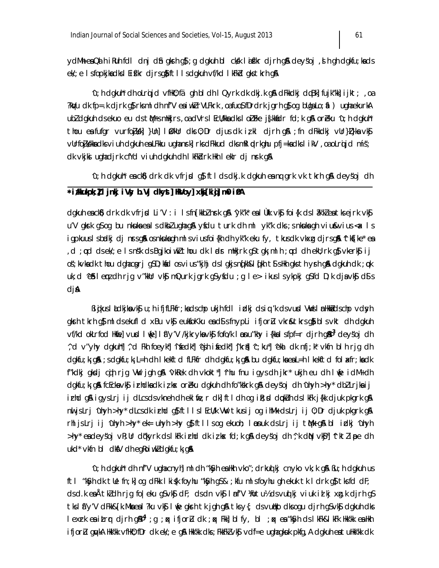ydMheaQdhikuhfdldnjd\$ngkrhq\$;qdqkuhblcksklafkrdjrhq\$Adeysoj,shqhdqkfu;kads ek'; e Isfopkjkadksl Eifk'r djrsgjiftllsdgkuh vf/kd IkFkd gkstkrhgja

u; h dgkuh\* dh olrqijd vfilk0; fä gh bl dh l Qyrk dk dkj.k g\$ dFkkdkj dqBk] fujk"kk] ijkt; ,oa ?kWu dk fp=.k djrk g}rksml dh nf'V eaiwkl rVLFkrk, oafuo\$fDrdrk jgrh g}og bllgaLo; ial) ughaekurkA ubl dgkuh ds ekuo eu ds thas milkjrs, oa dVrs I Ecli/kka dks I oli Fke js kkadr fd; k gå oreku 'u; h dgkuh' thou entufor vurfojkki }Uni InOkUr dks 0;Dr djus dk izkl djrh qn ;fn dFkkdkj vUr}D}kn vkj vürfojkkka dks viuh dgkuh ea LFkku ughanrk) rks dFkkud dksmRI ptrkghu pfj=ka dks I ikV, oa oLrijd mís; dk vkjki ughadjrk cfYd viuh dgkuh dh I kFkdrk Hkh I eklr dj nsrk g&

 $\gamma$ ; h dgkuh\* ea ck $\delta$ ) drk dk vfrjd g $\delta$  ft l ds dkj.k dgkuh ea na grk vk tkrh g $\delta$  deysoj dh

### \*i/kukpk; ! I jnkj i Vsy b. Vj clkyst] HkVoy] xkj[ki j] m0 i 0A

dgkuh eacks) drk dk vfrjid Li'V : i Isfn[kkbz] night g& "yk"k" eal Ùkk vksj foi{k ds lâk'kzeatksejrk vksj u'V gkurk q\$oq bu nkuukaealsdkblughag&ytidu turk dh ml yk"k dks;snkuukagh vius&vius<ak ls igpkuuslsbadkj cljnnrsg\$h osnkukagh mlsviusfoi{kh chlyk″k eku fy, tkusck vkx.g cljrsg\$h ^tkf[ke\*eaw d; on the ket and the wind of the set of the set of the set of the set of the set of the set of the set of the set of the set of the set of the set of the set of the set of the set of the set of the set of the set of the s os; kvkadk thou dghacgrj g\$D; kád osvius "kjhj dslgkjsn [kh&l [kh t\$sHkh gksth ysh g& dgkuh dk ; pk uk; d ^e\$ lemz dh rjg v″kkUr vk§mQurk jgrk g\$yfdu ;g le> ikus lsykpkj g\$fd D;k djavk§d\$s djA

Bigikus I lackijka vk§u; hifjfLFkfr; kackschpukjh fell indkjelsig 'k els vund VNVs I nnHkkåelschpvelsyh gkrh tkrh g}mldsekufld xBu vk}eukfoKku ead\$sfnypli ifjorù vkr&tkrsg}blsvkt dhdgkuh vf/kd okLrfod Hkiel vuxl lifel lif"y'V /kjkrykavk\$ fofo/k limanu"khy i {kkal sfpf=r djrh q&b<sup>3</sup> deysoj dh ^, d v"yhy dgkuh"] ^, d Fkh foeyk"] ^ifedk"] ^ejh ifedk"] ^jkril] ^c; ku"] ^ekl dk nfj; k\* vkfn bl h rjg dh dgkfu; k; g&; sdgkfu; k; L=h dh I kekftd fLFkfr dh dgkfu; k; g& bu dgkfu; ka ea L=h I kekftd fol a<fr; ka dk f"kdkj gkdj cuh rjg VW jgh g& ^vkRek dh vkokt\*]^rhu fnu igysdh jkr\* ukjh eu dh lvje idM+dh dgkfu; k; g& fcEckavk\$ irhdkadk iz kx oreku dgkuh dh fo"kskrk g& deys"oj dh 'uhyh >hy\* dbl Lrjkaij irhd gå igyslrj ij dlcs ds vkneh dh eklfie; r dk] ft I dh og i it; d d¢kuh ds I kFk j{kk djuk pkgrk gå nuljslrj 'uhyh >hy' dlcsdk irhd g}ftllsl EcU/k VW tkusij og ihMk dslrj ij 0; Dr djuk pkgrk g& rhljslrj ij 'uhyh >hy' ek= uhyh >hy q}ftllsog ekuoh; Imsnuk dslrj ij tMk q\$ bl irdkj 'uhyh >hy\* eadeysoj vR; Ur d¢kyrk ds I kFk irhd dk iz kx fd; k g& deysoj dh ^, k dN vk\$\*) ^tktZipe dh ukd\* vkfn bl dkfV dh egRoiwkZdgkfu; kj g&

u; h dgkuh\* dh nf'V ugha cnyh] ml dh "k\$yh ea Hkh vko"; drkuq kj cnyko vk; k g\$ Bu; h dgkuh us ftl "kSyh dk tle fn; k] og dFkk I ki{k foyhu "kSyh gS&; kfu mlsfoyhu gh ekuk tk I drk g\$tksfd dF; dsd.kea Atkldhrjg fo|eku g\$vk\$j dF; dsdnvk\$j Innf′V \fotu½ dsvuqlkj viuk ialkj xg.k djrhg\$ tkslá"y'V dFkk&[k.Mkaeal?ku vk\$ li(e gkrh tk jgh g&tksy{; dsvutko dksogu djrh gSvk\$ dgkuh dks lexrk ea itrqr cljrh g\$u¤°;g ;qx ifjorłu clk ;qx Fkk]blfy,bl ;qx ea "k\$yh cls lkFk&lkFk Hkk′kk ea Hkh ifjorlu gyuka Hkk'kk vfHk0; fDr dk ek/; e g& Hkk'kk dks ; FkkFkl vk\$ vdf=e ughagksuk pkfg, A dgkuh eatuHkk'kk dk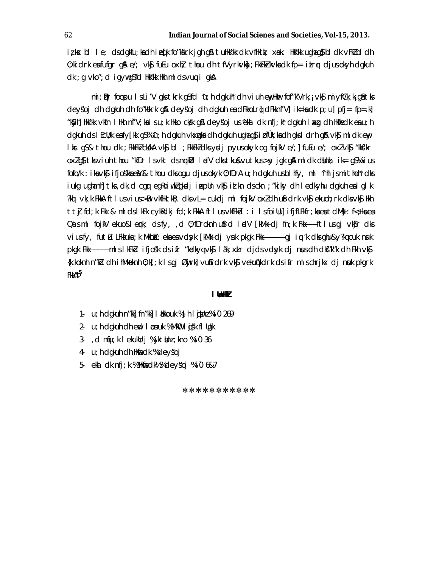iz kex bl le; clsclgkfu; kach ied[k fo″kskrk jgh g\$l tuHkk'kk clk vfHkik; xøk: Hkk'kk ughag\$bl clk vFkZbl clh  $0$ ; kidrk eafufgr q& e/; vk\$ fuEu oxh} thou dh tfVyrkvk $\frac{1}{2}$ ; FkkFkrkvka dk fp= itrr djusokyh dqkuh dk; g vko"; d igywgSfd Hkk'kk Hkh ml ds vuq i gkA

mi;  $\mathbf{p}$ r foopulsli'V gks tkrk g $s$ fd 'u; h dgkuh'dh viuh enyllkur fof"k'Vrk, i vk $\mathbf{\hat{s}}$  miyf $C/k$ ; kig $\mathbf{\hat{s}}$  tks deysoj dh dgkuh dh forkskrk g& deysoj dh dgkuh ex dFkkoLrij dFkknf'Vj ik=kx dk p; uj pfj= fp=.kj "kSyh]Hkk'kk ∨kfn lHkh nf'V;kalsu;k Hkko cks/k q\$A deysojus^ekal dk nfj;k\* dqkuh laxq dh Hkfiedk ealu;h dgkuh ds i Ecil/k eafy[kk q\$%^u; h dgkuh vkxgkå dh dgkuh ughaq\$ i pfük; kadh gks i drh g& vk\$ mi dk eny likrg\$&thoudk;FkkFkZckkAvk\$bl;FkkFkZdksydjpyusokyk.ogfojkVe/;]fuEue/;oxZvk\$"kkfkr oxlg} tksiuh thou "kfDr Isvkt dsnmkllr IndV dkstku&vutkus>sy jgk g& ml dk dlinh; ik= gS¼vius fofo/k : ikavk\$ ifjoskkaek& thou dksogu djusokyk 0; fDrA u; hdgkuh usblhfy, ml ^rhljsmithoh\* dks iukg ughanh] tks, dk, d cgr egkoiwklgksdj ineplln vk\$ id kn ds ckn ; "kiky dh I edkyhu dgkuh ealglk ?kq vk;k FkkA ftlusvius>BB vkfHktkR; clksvL= cukclj ml fojkV oxlclhu\$rdrk vk§ ekuoh;rk clksvk§ Hkh tt] fd;k Fkk & mldslkFk cykRdkj fd;k FkkA ftlusvkfFkbl : i lsfoiUu]ifjfLFkfr;kaeatdM}:f<+kaea Qalsml fojkV ekuo&lenk; dsfy, ,d 0; fDroknh ufird ladV [kMk dj fn;k Fkk------ftlusgj vkfir dks viusfy, futli LFkkuka; k Mkbik: eka ea vdsyk [kMk dj ysik pkqk Fkk-----------------------qj iq 'k dks qhu&y?kq cuk nsik pkgk Fkk------------mlslkFkbd ifjosk dsifr "kødkyqvk\$ läk; xtr djdsvdsyk dj nusdh dkf"k"k dh Fkh vk\$ {k.koknh n"kü dh ihMkoknh 0;k[;k | sqj Øwjrk] vu\$rdrk vk\$ vekuf{kdrk dsifr mlschrjkx dj nuk pkgrk FkkAÞ<sup>5</sup>

#### I UnHZ

- 1. u; h dgkuh n"kk] fn"kk] I blkkouk %Jh I gismz%i0 269
- 2. u; h dgkuh dh end I psnuk % MkOU I gisk fl Ugk
- 3. d nfu; k l ekukUrj % jktUnz; kno % i 0 36
- 4 u; h dgkuh dh Hkfredk %deysoj
- 5- ekal dk nfj; k % Wakmiedk½ % deysoj % i 0 6& 7

\*\*\*\*\*\*\*\*\*\*\*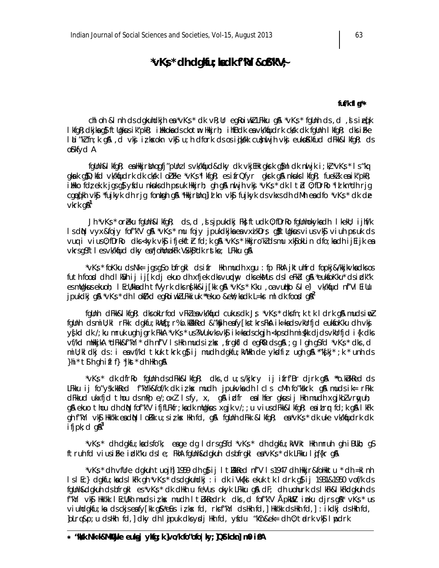# $*$ v $K$ s  $*$  dh dgku; kadk f''kYi &o $8$ 'k'V $\div$

#### fuf/k fl a\*\*

chi oh & i nh ds dgkuhdkjh e $a^*vKs^*$  dk vR; Ur egRoiwk LFkku g $a^*vKs^*$  fgUnh ds, d, i sieq[k l kfqR; clkjka q\$ftUqkus ik"pkR; iHkkoka cls ckotm Hkkjrh; ihfBclk ea vk/kquclrk cksk clk fqUnh l kfqR; clks iFke laLi "ki fn; k q\$a , cl vknj iz kokokn vk\$j u; h clfork cls os injkokk cu}nul jh vknj eukonKkfucl clFkk&lkfqR; cls of kfyd A

fgUnh&I kfgR; ea Hkkjrbing gfj"pUnz I svk/kfjucl&clky clk vkjEHk gksrk g}ml clk nul jk i ; kč \*vKs \* I s "kq gkurk g)D; kfd vk/kfjudrk dk ck/k I olifke \*vKs\*l kfgR; esifrQfyr gkurk g\$ nku.ksl kfgR; fuekZk ea ik"pkR; illko fdz ek k jas af yfdu nkuks dh pruk llkirh; ah an nu jh vkj "vKs" dk l td 0; fDrRo "id kn"dh rja cged[kh vkʃj \*fujkyk dh rjg fonksph gʃå \*llkkjrblnq]id kn vkʃj fujkyk ds vkxs dh dMh eadfo \*vKṣ\* dk de  $v$ krk g $\mathbb{A}^1$ 

Jh \*vKs \* oreku fgUnh&l kfgR; ds,d, sjpukdkj Fk; ftudk 0; fDrRo fgUnhokykadh I kekU; ijhf/k lsdN vyx&fojy fof″k'V g\$\\*vK\$\* mu fojy jpukdkjkaeavxikDr\$ g\$ftllgkusviusvk\$j viuh pruk ds vuq i vius0; fDrRo dks <kyk vk\$ ifjekft}r fd; k q\$\\*vK\$\* Hkkjro'k]dsmu xk\$okLin dfo; kadh ijEijk ea vkrsgSftlesvk/kfud dky ea\*johlnukFk VSkl\$\*dk rstke; LFkku g&

\*vK;\* foKku dsNk= jgsgSo bfrgkl dsifr Hkh mudh xgu : fp FkhA jktuhfrd fopkj&/kkjkvkadksos\* futh food dh dikVh ij ij[k dj ekuo dh xfjek dksvundny dksekMus dsi eFkid q& \*eukfoKku\* dsidk"k es mügkus ekuoh; I Ecü/kka dh tfVyrk dks ng kk&ij [kk g& \*vKs \* Kku , oa vudko &l e) vk/kqud nf'VI Eillu jpukdkj g $\lambda$  \*vKs \* dh I okt/kd eg $k$ oiwkl LFkkiuk \*\*ekuo &eli; kadk L=kr ml dk food g $\lambda^2$ 

fgUnh dFkk&IkfqR; dksokLrfod vFkZeavk/knjud cukusdk Js \*vKs\* dksfn;k tk Idrk q& mudsinuZ fgünh dsmiü; ki rFkk dgkfu; kWed; r%o.kWkked & "k\$yh eafy[kstkrsFkA ik=kadsvkUrfjd eukfoKku dh vkj y{kd dk /; ku mruk ugh jgrk FkkA \*vKs \* us?kVukvks vk\$ ik=kadsckgjh <kpsdh mi{kk djds vkUrfjd i{k dks vf/kd mHkkjkA \*dFkk&f"kYi\* dh nf'V IsHkh mudsizkx, frgkfld egR0k dsgnA ; g I gh gSfd \*vKs \* dks, d mill; kl dkj ds : i ea vf/kd tkuk tkrk g}ij mudh dgkfu; kWHkh de ykdfiz ugh g\$\ \*"k{kj\*; k \* unh ds }hi\* t\$ h gh ifl f} \*jkst\* dh Hkh g\$

\*vK;\* dk dfrRo fgUnh ds dFkk&l kfgR; dks, d u; s/kjkry ij ifrf'Br djrk g\$\ \*\*o.kLukRed ds LFkku ij fo″ysk.kkRed f″kYlk&fof/k dk izksx mudh jpuk∨kadh Icls cMh fo″kskrk q\$l muds ik= rFkk dFkkud ukxfjd thou dsmPp e/; oxl lsfy, x, g& idfr eal hfer gkusij Hkh mudh xgjkblvryuh; g& ekuo thou dh dN fof"k'V ifjfLFkfr; kadk mUgkus xgjk v/; ; u viusdFkk&l kfgR; eaitrr fd; k g&l kFk gh f"kYi vk\$ Hkk'kk eadNp I oFkk u;si¿kx Hkh fd, g\$a fgUnh dFkk & lkfgR; ea\*vKs\* dk uke vk/kqfudrk dk ifjpk; d  $q\mathbb{A}^3$ 

\*vKş\* dh dgkfu;kadsfo'k; eage dg Idrsg\$fd \*vKş\* dh dgkfu;kWvkt Hkhmruh gh iBUkh;g\$ ftruh fd viusiFke idk"ku dsle; FkhA fgUnh&dgkuh dsbfrgkl ea\*vKs\* dk LFkku liffkr g&

\*vK; \* dh vfUre dgkuh tuojh] 1959 dh qj; i i tlkkRed nf'V I s1947 dh Hkir&foHktu \* dh =kl nh IslEc} dgkfu; kadslkFk gh \*vK; \* dsdgkuhdkj : i dk iVk{ki ekuk tk ldrk g}ij 1931&1950 vof/k ds fgünh&dgkuh ds bfrgkl es\*vKs\* dk dilkh u feVus okyk LFkku g& dF; dh uohurk ds I kFk&I kFkdgkuh ds f"kYi vk\$j Hkk'kk IEcU/kh mudsizksx mudh ItZukRedrk dks,d fof"k'V ÅpkbblZ inku djrsg\$\\*vK;\*us viuhdqkfu; ka ds ckjs eafy[kk q&\*e£us iz kx fd, rks f"kYi ds Hkh fd,] Hkk'kk ds Hkh fd,] : ikdkj ds Hkh fd, jolrq&p; u dsHkh fd, ] dky dh I jpuk dksyrdj Hkhfd, yfdu "kCn&ek= dh 0; trdrk vk\$ I mpdrk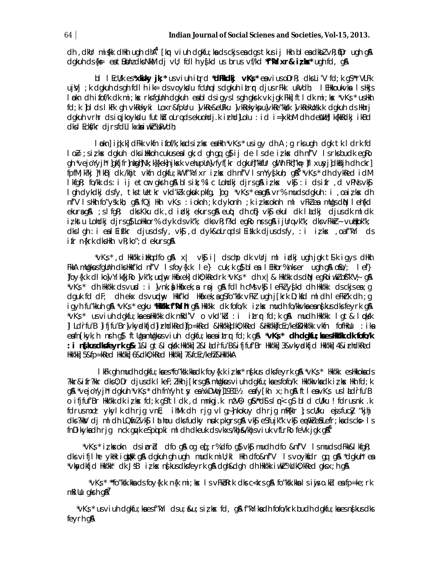dh , dillr mi{kk dilih ugh diha<sup>4</sup> [km viuh dgkfu;ka ds ckjs ea dgs tkus ij likh bl ea dikbl vR;mDr ugh g&  $d$ gkuh ds $\{ks - es$ t $\Omega$ bhz dks $NkM$  dj $Vl$ ; fdlh y $\int kdx$  us brus  $Vf/kd$  "f" $Ni$ ixr& iz $kx$ " ugh fd, g $\Omega$ 

bl I EcU/k es\*xkiky jk;\* usviuh ittrd \*dFkkdkj vK;s \* esviusoDrR; dksLi'V fd;k g\$ \*rVLFk ujvj; k dgkuh dsgh fdlh ik= dsvoykdu fcllnglsdgkuh itror djusrFkk ukVdh; I EHkkoukvka I sHkjs løkn dhifof/k dk mi; kx rksfqUnh dgkuh ensbldsigyslsghgkrk vkjgk Fkk]ftldk mi; kx \*vKs \* usHkh fd; k ]bl ds I kFk gh vkRekyki Loxr&fpUru ]vkRe&eUFku ]vkRekykpu]vkRe"kkk ]vkRekUosk.k dgkuh ds Hkhrj dgkuh vrhr dsiwikoykdu futho olradsekuohdi.k irhdllolu : id i=lxkbM dh deWhllk{kkRdkj ikBd dks I Eckf/kr djrsfdLI kxka i wkr%ukVdh;

løkn]i¢k.k]dFkk vkfn ifof/k;kadsizkx ealkh "vKs" usigv dh A ;g rksugh dak tk I drk fd lo E ;sirkx dgkuh dksihkkoh cukusealgk;d gh gq g}ij de Isde irkx dh nf′V Isrksbudk egRo gh \*vejoYyjh\* ]qkfjfr]nkgh]Nk; k]{kek]njksk vehupUn]vfyf[kr dgkuh]"kkfUr gWh Fkh]"k# ]fl xusyj]dkBjh dh ckr] fpfM;k?kj |\*ikBj dk /khjt vkfn dgkfu;kW f"kYixr i¿kx dh nf'V IsmYy{kuh; g&<sup>5</sup> "vKs" dh dykRed idM I kfqR; fo/kk ds: i ij etcur qksh q& blsik;%lc Lohdkj djrsq& izkx vk\$: i dsifr , d vPNsvk\$ I gh dykdkj dsfy, tks tlletkr vkd'klk gkuk pkfg, ]og \*vKs\* eag& vr% muds dgkuh : i , oa iz ks dh nf'V Ishkh fo"ysk.kh; q& fQj Hkh vKs : ioknh ; k dykonh ; k iz ksoknh ml vFkZea mUqs dN Ieh{kd ekuraga ; sifga; dks Kku dk , d i dkj ekursga euq; dh cqi} vknj ekul dk laldkj djus dk mil dk iz kstu Lohdki dirs g\$ LoHkor% dyk ds vk"k; dks vR; f?kd egRo nrs g\$ ijUrq vk"k; dks vFkkr- vudkok"k; dkslgh:iealEifkr djusdsfy, vkfj, ddyk&oLrqdslEifk.kdjusdsfy, :i izkx ,oaf"kYi ds ifr n{krk dksHkh vR; ko"; d ekurs q&

\*vK;\*, d Hkk'kk ihkqdfo g\$ x| vk;ji| dschp dk vUrjmlidkjugh jgk t\$lk igys dHkh FikA milginus fallnih dis Hikif'id nf'V Is foy{k.k le} cuk; k qi} blea I EHkor% niks er ugh qiA ofio/; lef} |foy{k.k dl ko|vYik{kjRo |vk"k; uplny Hkáxek| dk0; kRedrk \*vKs \* dh x | & Hkk'kk ds diN eqRoi wkZ of"k'V; q& \*vKs\* dh Hkk'kk dsvuxd : i ]vnk;)i Hkáxek; a roj q& fdl h cMsvk\$ l eFkZy{kd dh Hkk'kk dsckjsea; q dguk fd dF; dh ekx ds vundhy Hktf'kd Hktixek; a g\$ fo"ksk vFkl ugh j[krk D; k\$d ml dh l eFkrk dh ; q igyh fu"kkuh g\$ \*vKs \* egku \*Hkkkk f"kViht g\$ Hkk'kk dk fofo/k izkx mudh fo/kkvka ean{kus dks feyrk g\$ \*vKs\* usviuh dgkfu;kaeaHkk'kk dk mRd'V ovkd'k'd:i itrrfd;k g\$ mudh Hkk'kk lgt& l¢ksk II Ldrfu'B lifjfu'Br|vkydkfjd|irhdkRed|fp=kRed &Hkk'kk]dk0; kRed &Hkk'kk]fcEc/keh&Hkk'kk vkfn fofHkUu : ika eafn[kyk; h nrh q} ftligamligkus vi uh dgkfu; ka ea i trr fd; k q& \*vKs\* dh dgkfu; ka es HKK dk fofo/k : i n{lusdlsfeyrk g& 1&l qt&l cksk Hkk'kk] 2&l Ld`rfu'B&ifjfuf'Br Hkk'kk] 3&vkydkfjd Hkk'kk] 4&irhdkRed Hkk'kk] 5&fp=kRed Hkk'kk] 6&dk0; kRed Hkk'kk] 7&fcEc/keh2&Hkk'kkA

I KFk gh mudh dgkfu; kaes\*fo"ksk.kkadk foy{k.k iz kx\* ns[kus dksfeyrk g& \*yKs \* Hkk'kk esHkkokads ?kkr&ifr?kkr dks0; Dr djusdk I kef; ZHkh j[krsg&mUqkusviuh dgkfu; kaesfofo/k Hkk'kkvkadk iz ks Hkh fd; k a% \*veioYvih\* dakuh \*vKs \* dh fnYvh tw ea¼vDVmil1931½ eafv[kh x;h a% ftleavKs usladrfu'B o ifjfuf'Br Hkk'kk dk iz kos fd; k g\$ftldk, d mnkgj.k nzV0; g&\*d\$sln<g\$ bld cU/ku ! fdrusnk: .k fdrusmx! ykylk dh rjg vnE; iMk dh rjg vlg; nkokuy dh rjg mRfklr 1; scU/ku ejsfucky "kihj dks?kkV dj ml dh LQfirz vk\$ I athou dks fudky nuk pkgrs g& vk\$ eS fujk"k vk\$ e prikze\$ Lefr; ka ds ck> I s  $f \cap D$ ikykadh rjg nck quyk espojpki mldh dkeuk dsvkxs/khjsk/khjsviuk vfLrRo feVk jok q $\beta^6$ 

\*vKs \* iz kxokn ds iprid dfo q\$ og eqf; r% dfo q\$ vk\$ mudh dfo &nf'V Is muds dFkk&I kfqR; dks vifjlhe ykhk ighbk gå dgkuh gh ugh mudk mill;kl Hkh dfo&nf'V ls voyksdr gg gå \*dgkuh\* en \*vkydkfjd Hk/kk\* dk JsB iz kx ns[kusdksfeyrk g& dgh&dgh dh Hk/kk iwkh=%dk0; kRed gksx; h g&

\*vKs\* \*\*fo″ksk.kkadsfoy{k.k n{k mi;kx lsvFkbRrk dksc<krsq\$\ fo″ksk.kkalsiwjso.kZu eafp=ke;rk\*  $m$ killu qksh q $\lambda$ <sup>7</sup>

\*vKş\*usviuh dgkfu;kaesf"kYi dsu;&u;si;kx fd, g&f"kYikadh fofo/krk budh dgkfu;kaesnşkusdks\* feyrh q&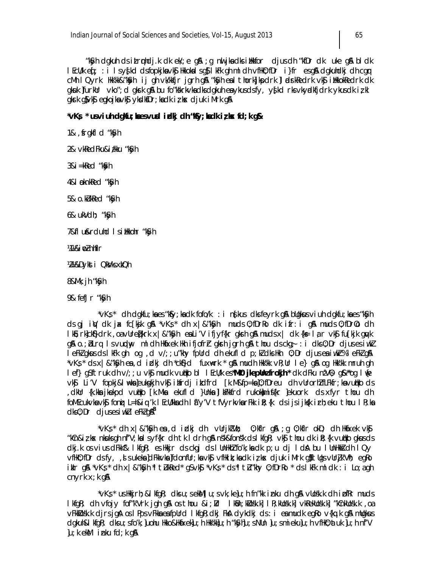"kSyh dgkuh ds itruphdjk dk ek/; e g\$ ; g nuljkadks illkkfor djus dh "kfDr dk uke g\$ bl dk l EcU/k eq[; : i l sys[kcl clsfopkjknsvk\$ Hkkoknllsg}lkFk gh ml clh vfHk0; fDr i}fr esg\$A clgkuhclkj clh cgqr cMh I Qyrk Hkkkk&"K\$yh ij gh vk/kkfjr jgrh g\$1 "K\$yh esil thork]jkpdrk |lædsrkRedrk vk\$j illkkokRedrk dk gkuk ]furkUr vko"; d gkrk gå bu fo"kkrkvkadksdgkuh eaykusdsfy, y{kd rksvkyalkfjdrk ykusdk iz kl gkrk g\$vk\$ eqqkojka vk\$ ykdk\$Dr;ka dk iz kx djuk iMrk g&

\*vKs \* usviuh dgkfu; kaesvusdidkj dh "kSy; kadki z kx fd; k g &

1&, frgkfl d "kSyh

2& vkRedFku&itku "kSyh

 $3&i = kRed$  " $k\$ 

4&I pknkRed "kSyh

5& o.kUkRed "kSyh

6& ukVdh; "k\$yh

7&fl u&rduhd I sillkkohr "k\$yh

'41 火im' nhflr

121/&Dyksti QkWks xkQh

8&Mk; ih "k\$/h

9& fefJr "kSyh

\*vKş\* dh dgkfu;kaes "k\$y;kadk fofo/k : i n{kus dksfeyrk g\$ bllgkus viuh dgkfu;kaes "k\$yh  $ds$  gj iV dk jx fc $f$ kjk g $\alpha$  ' $vKs$ ' dh  $x \mid \alpha''ks/h$  muds 0; fDrRo dk ifr: i g $\alpha$  muds 0; fDr0o dh IkS; rk]ckS}drk , oa vUre{krk x | & "kSyh ea Li'V ifjyf{kr gksrh g& muds x | dk {k= lar vk\$ fu[kjk gwk g& o.; blrg Is vurday mldh Habkek Hahifjofrh glarhigrh g& thou ds ckg; : i dks 0; Dr djuses iwkl lefk/gkusdslkFkghog,dv/;;u"khyfpUrddhekufldp;k/dksHkh0;Drdjuseaiwkr%leFk/g&l \*vK; \* ds x | & "Kyh ea, d i dkj dh \*ckf}d fuxukrk \* q\$ mudh Hkk'kk vR; Ur l e} q\$ oq Hkk'kk mruh qh lef} q\$ftruk dh v/;;u vk\$ mudk vutko bl lEcU/k es\*Ml0 jkepUnzfrokjh\* dk dFku nzV0; q&\*\*oq l∮e vk\$ Li'V fopkj&l\#ka]eukskihvk§imtrdjikdfrd [k.M&fp=ka]0;fDreu dhvUrorhZfLFkfr;kavutkods dkir {k.kka jkekpd vullko [k.Mka ekufld }ilnka ]lla?kkfrd rukok)mis{kr ]ekuork ds xfyr thou dh, foMEcukvkavk\$ foni L=h&iq'k IEcU/kkadh Ia"y'V tfVyrkvkarFkk iR; {k dsijsijks{k irh; eku thou IR; ka  $dk0$ ; Dr  $djus$  esiwkll eFklq $\AA^8$ 

\*∨K;\* dh x|&″k\$yhear,diidkj dh vUrjkIVb;  $0$ ; kflr g&; g  $0$ ; kflr ok $D$ ; clh Hkmáxek vk $\oint$ "kûn&iz kx nkuksgh nf'V;kalsyf{kr dh tk ldrh g&nsk&fonsk dslkfgR; vk\$ thou dk iR;{k vutkko gkusds dkj.k os vius dFkk^& IkfqR; es Hkkjr ds ckqj ds I UnHkhZ fo'k; ka dk p; u dj I dA bu I UnHkkZ dh I Qy vfHkO; fDr dsfy, ,d s ukeka ]dFkkvka ]fdonfUr; ka vk\$ vfHkik; ka dk izks djuk iMrk q\$ftUqs vUr]k'Vh; eqRo iklr g& \*vKş\* dh x|&"K\$yh \*I tIukRed\* g\$vk\$ \*vKş\* ds\*I tIu"khy 0; fDrRo \* ds I kFk ml dk : i Lo; a gh cnyrk $x; k$  g&

\*vKs \* us Hkkjrh; & I kfgR; clks u; s ekM] u; s vk; ke]u; h fn"kk inku clh g\$\vUosk.k clh i pfRr mucls lkfqR; clh vfojy fof"k'Vrk jqh q\$ os thou &i;Ur lkBn;kUosk.k| lR;kUosk.k| vkRekUosk.k| "kCnkUosk.k ,oa vFkkllosk.k cijrsjg A oslPps vFkka ea fpllrd lkfg R; dkj FkA dykdkj ds: i ea mudk eg Ro v{kq.k g A mllgkus dgkuh&I kfgR; dksu; sfo'k; Juohu Hkko&HkfaxekJu; h Hkk'kkJu; h "k\$yhJu; sNUn Ju; smiekuJu; h vfHkO; atuk Ju; h nf'V  $|u; k$  ek $M$  inku fd;  $k$  q $A$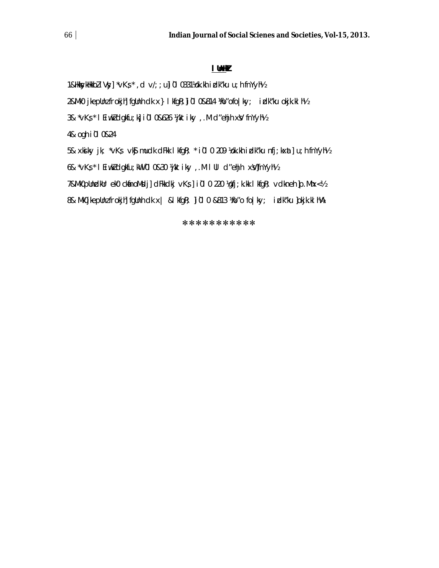#### **lUnHkZ**

1&HkkykHkkbZ iVy] \*vKs \*,d v/;;u]i0l0331¼ok.kh idk"ku u;h fnYyh½

2&Mk0 jkepUnz frokjh] fgUnh clk x } l kfgR; ]i 01 0&814 ¼o"ofo | ky; izlk"ku okjk.kl h½

3& \*vKs \* lEiwkldgkfu;k ii0l0&626 ¼jktiky ,.M d"ehjh xV fnYyh½

4& ogh i0l0&24

5& xkiky jk; \*vKs; vk\$ mudk dFkk lkfgR; \* i0l0 209 ½ok.kh izlk"ku nfj;kx at] u;h fnYyh½

6& \*vKs \* lEiwkZ dgkfu; kW i 0l0&30 ¼jktiky ,.M lUl d"ehjh x y]fnYyh½

7&Mk0pUndkUr ek0 ck anoM sdj] dFkkdkj vKs ] i 01 0 220 ¼gfj; k.kk l kfgR; vdkneh ]p.Mhx<½

8& Mk0jkepUnz frokjh] fgUnh dk x | &l kfgR; ]i0l0 &813 ¼o"o fo|ky; izlk"ku ]okjk.kl h¼A

\*\*\*\*\*\*\*\*\*\*\*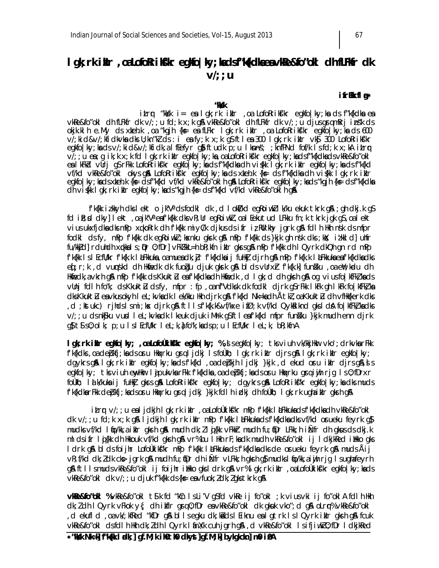# **lgk; rk ikln**, oa Lofo Rrik skr egkfo | ky; ka ds f"k kdk a ea vkRe&fo"okl dh fLF kfr dk **v/;;u**

### **i** frEk fl a\*

**"kks/k** 

*itr*r "kksk i= ea lgk;rk iklr ,oa LofoRriks'kr egkfo|ky;ka ds f"k{kdka ea vkRe&fo"okl dh fLFkfr dk v/;;u fd;k x;k g& vkRe&fo"okl dh fLFkfr dk v/;;u djus grqmRrj ins"k ds *okjk.klh e.My ds x zkeh.k ,o a "kgjh {ks= esa fLFkr lgk;rk izkIr ,o a LofoRriksf'kr egkfo|ky;ksa d s 600 vi; kid&v/; kfidkvka dks U; kn"kZ ds : i ea fy; k x; k q\$ ftlea 300 lqk;rk itlr vk) 300 LofoRrik\$'kr* egkfo|ky;kadsv/;kid&v/;kfidk,alfEefyr g}ftudk p;u lknns; ;knfPNd fof/k lsfd;k x;kA itrr *v/;;u es;q ik;k x;k fd lgk;rk itlr egkfo|ky;ks,oa LofoRrikf'kr egkfo|ky;ksdsf"k{kdksdsvkRe&fo"okl eas lkFkZd vUrj gS rFkk LofoRrik sf'kr egkfo|ky;ksa d s f"k{kdksa dh vis{kk lgk;rk izkIr egkfo|ky;ksa d s f"k{kd vf/kd vkRe&fo"okl okys g& LofoRriksfkr egkfo|ky; ka ds x keh.k {ks= ds f"k{kdka dh vi s{kk l gk;rk i klr egkfo|ky;ksa d s xzkeh.k {ks= d s f"k{kd vf/kd vkRe&fo"oklh gSaA LofoRriksf'kr egkfo|ky;ksa d s "kgjh {k s= ds f"k{kdksa dh vis{kk lgk;rk izkIr egkfo|ky;ksa ds "kgjh {k s= ds f"k{kd vf/kd vkRe&fo"oklh gSaA*

f'k{kk izkkyh dks lekt o jk"Vª ds fodkl dk ,d lok I/kd eg RoiwkZ lk/ku ekuk tkrk g\$A ;gh dkj.k g\$ fd ik; sd dky] lekt ,oa jk"Vª esifk{kk dks vR;Ur egRoi wkl, oa lEekutud LFkku fn;k tkrk jgk gS, oa lekt vius ukxfjdka dks mPp x q koRrk dh f'k{kk miyC/k djkus ds ifr iz RUk'khy jgrk g & fdlh Hkh nsk ds mfpr fodkl ds fy, mPp f'k{kk dk egRoi wkz; ksknku gksrk g\$A mPp f'k{kk ds }kjk gh ns'k dks ;k)(; iz'kkld] uhfr fu/kkid] rduhdh x qkka l s ; Q r O; fDr] vFk2 kkL=h bR;kfn iklr gkrs g & mPp f'k{kk dh lQyrk dkQh gn rd mPp f'k{kk ls lEcfU/kr f'k{k.k låEkkuka ,oa muea dk; jr f'k{kdka i j fuHkj djrh g\$A mPp f'k{k.k låEkkuka ea f'k{kdka dks eq[;r;k ,d vuqnskd dh Hkmfedk dk fuoğu djuk gksrk g&blds vUrxir f'k{k.k] funisku ,oa emY;kudu dh Hkfiedk, a vkrh gSA mPp f'k{kk ds KkuktIu esa f'k{kdksa dh Hkfiedk ,d I gk;d dh gksrh gSA og vius fo|kfFkI;ksa ds vUnj fdlh fo"k; ds Kkuktū ds fy, mfpr : fp , oa nf"Vdksk dk fodkl djrk gS rFkk lkFk gh lkFk fo|kfFkZ;ka dks KkuktIu en vkus okyh I eL;kvka dk I ek/kku Hkh djrk g& f'k{kd Nk=ka dh ÅtkI, oa KkuktIu dh vfHk{kerk dks ,d ;kstukc) rjhds l s mi;ksx djrk g\$A ftll s f'k{k.k&vf/kxe ifØ;k vf/kd Qyk&liknd gks ld\$A fo|kfFkZ;ka dks  $v$ ;;u ds nk $\mathsf{S}$ ku vusd leL;kvk adk lkeuk djuk iM  $\mathsf{R}$ rk g $\mathsf{S}$ ftleaf'k $\{\mathsf{K}$ d mfpr fun $\mathsf{S}$ ku  $\{\mathsf{K}}$ kik mudh enn djrk  $q\$  $t\$ s $0;$ olk; p;u ls lEcfU/kr leL;k, a $f$  fo"k; ka ds p;u lEcfU/kr leL;k, bR;kfnA

**lgk;rk iMer egkfo|ky; ,o a LofoÙkiks'kr egkfo|ky; %,sl s egkfo|ky; tks viuh vk/kkjHkur vko';drkvka rFkk** f'k{kdks ,oa de $\hat{p}$ kfj;ka ds o $r$ u Hkqxrku g $rq$  i jdkj ls foÙkh; lgk;rk i $\hat{k}$ Ir djrs g\$A lgk;rk i $\hat{k}$ Ir egkfo|ky; dgykrs gå lgk;rk ikir egkfo|ky;ka ds f'k{kd ,oa de bkjh ljdkj }kjk ,d ekud o sru ikir djrs gå, sl s egkfo|ky; tks viuh ewyHkur l ajpukvka rFkk f'k{kdka, oa depkfj;ka ds o ru Hkqxrku gsrq i yih rjg ls 0;fDrxr foÙkh; I alk/kuka ij fuHk] gkrs g\$A LofoRrik s"kr egkfo|ky; dgykrs g\$A LofoRrik s"kr egkfo|ky;ka dks mud s f'k{kdka rFkk deþkfj;kads oru Hkaxrku grq ljdkj}kjk fdlh izlkj dh foÙkh; I gk;rk ugha ikIr gkrh gA

itrr v/;;u ealjdkjh lgk;rk ikIr ,oa LofoÙkiks"kr mPp f'k{kk likFkkuka ds f'k{kdka dh vkRe&fo"okl dk v/;;u fd;k x;k g\$A ljdkjh lgk;rk iklr mPp f'k{kk l alFkkuka ds f'k{kdka dks vf/kd orueku feyrk g\$ mudks vf/kd ltip/kk,a itkIr gksrh g& mudh dk; Z l qj{kk vFkk Ir mudh fu; qDr LFkk;h iÑfr dh gkus ds dkj.k mlds ifr lig{kk dh Hkkouk vf/kd gksrh g\$A vr% bu lHkh rF;ksa dk mudh vkRe&fo"okl ij ldkjkRed i Hkko gks ldrk g\$A blds foijhr LofoÙkik\$"kr mPp f'k{kk l'aLFkkuka ds f'k{kdka dks de orueku feyrk g\$A muds Åij vR; f/kd dk; Z dk cks> jgrk g\$ mudh fu; iDr dh i Ñfr vLFkk; h gksh g\$ mudks l io/kk,a i wjh rjg l s ugha feyrh g\$ ftlls muds vkRe&fo"okl ij foijhr ilkko gks ldrk g\$vr% lgk;rk iklr,oa LofoÙkik s'kr egkfo|ky;ksds vkRe&fo"okl dk v/; ; u djuk f"k{kk ds {k= ea vfuok;  $l$  dk;  $l$  gks tkrk g&

**vkRe&fo"okl %** vkRe&fo"okl tSlk fd "kCn ls Li'V gSfd vkRe ij fo"okl ; k vius vki ij fo"oklA fdlh Hkh  $dk; l$  dh I Qyrk vFkok y $\{;$  dh itifIr grq 0;fDr es vkRe&fo"okl dk gkuk vko";d g\$ oLrqr% vkRe&fo"okl , d ekufld , oa vk/;kfRed "kfDr g& blls egku dk;kads lEiknu ea lgtrk ls lQyrk iblr gksrh g& fcuk vkRe&fo"okl ds fdlh Hkh dk; Z dh I Q yrk I anX/k cuh jarh g\$A, d vkRe&fo"okl I sifjiw.kZ O;fDr I dkjkRed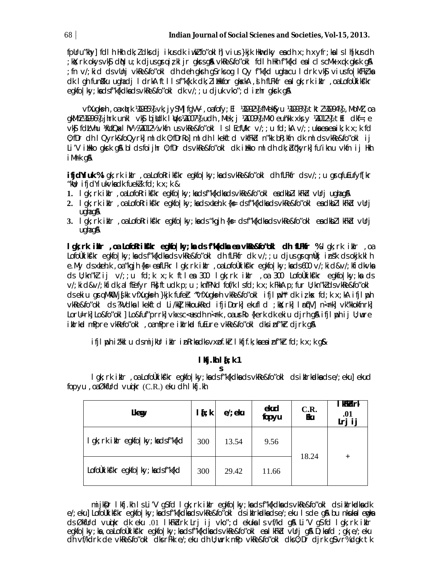fpUru"khy] fdlh Hkh dk; I dks dj ikus dk iwkI fo"oklh] vius }kjk Hkwdky ea dh x; h xyfr; ka I s I h[kus dh ;kX;rk okysvk\$ dN u;k djusgsrqiz,kljr gksrsg&N vkRe&fo″okl fdlh Hkh f″k{kd ealclscMk-xqk gksrk g& ; fn v/; kid ds vUnj vkRe&fo"okl dh deh gkrh g\$rks og I Qy f"k{kd ugha cu I drk vk\$ vius fo | kfFk} ka dk I gh funkku ughadj I drkA ftllsf"k{k.k dk; lillkfor gkskA, jh fLFkfr eal gk; rk iklr, oa LofoÙkikk'kr eakfolky; kadsf"k{kdkadsvkRe&fo"okl dk v/;; u djuk vko"; d irhr akrk q&

vfXugks=h, oa xirk ¼985½ vk; jySM] fgVV, oa fofy; El ¼992½ fMekfyu ¼993½ tktl¼994½, MoMl, oa  $QKMhZ}$  499614  $j$  in the unkluble bilded lights  $VQ$ 00714 uch , Mek; ji  $VQ$ 00914 Mk0 euh k k k y  $VQ$ 01214 til clkf=; e vk\$ fdLVhu XicfQxIhV½ X2012½ vkfn usvkRe&fo"okl IsIEcflVkr v/;; u fd;kA v/;; uka ea ea ik;k x;k fd 0; fDr dh I Qyrk&foQyrk] ml dk 0; fDrRo] ml dh I kekftd vkfFkd n"kk bR; kfn dk ml ds vkRe&fo"okl i j Li'V illkko gkrk gå bldsfoijhr 0;fDr ds vkRe&fo"okl dk illkko mldh dk; bl¢kyrk| fu'iknu vkfn ij Hkh i Mrk q&

**ifjdYiuk %l** qk; rk iklr, oa LofoRrikt'kr eqkfo|ky; ka ds vkRe&fo"okl dh fLFkfr ds v/; ; u qsqfuEufyf[kr "kul; ifjdYiuk $\vee$ kadk fuek $l$ k fd;k $x$ ;k &

- 1. lgk; rk iklr, oa LofoRrikt'kr egkfo|ky; ka dsf"k{kdka dsvkRe&fo"okl ea dkbll kFk'd vUrjugha g\$
- 2. I gk; rk i klr, oa LofoRriks'kr egkfolky; ka ds xkeh.k {ks=ds f"k{kdka ds vkRe&fo"okl ea dkbZl kFkbd vUrj  $u$ qha q $\alpha$
- 3. I gk; rk iklr, oa LofoRrikf/kr egkfo|ky; ka cls "kgjh{k= cls f"k{kclka cls vkRe&fo"okl ea clkbZl kFkicl vUrj  $u$ qha q $\alpha$

Igk; rk iMdr , oa LofoRrikfkr egkfolky; ka ds f"k(kdka ea vkRe&fo"okl dh fLFKfr % lgk; rk iMdr , oa Lofoùkikt'kr egkfo|ky; ka dsf"k{kdka dsvkRe&fo"okl dhfLFkfr dk v/;; u djus gramùkj ins'k dsokjk.kl h e.My ds xteh.k , oa "kgjh {k ≡eafLFkr I gk; rk i tlr , oa LofoÙki kf'k regkfo | ky; kads 600 v/; kid&v/; kfidkvka ds U; kn"kl ij v/;; u fd; k x; k ftlea 300 lgk; rk iklr , oa 300 LofoÙkiks'kr egkfo|ky; ka ds v/; ki d&v/; kfi dk, a I fEefyr Fk; ftudk p; u; knfPNd fof/k I sfd; k x; k FkkA p; fur U; kn"k]dsvkRe&fo"okl dsekiu gramkolija k vf kugksh }kjk fufer "vf kugksh vk Re&fo" oklifjinsh" dk iz kx fd; k x; kA ifjinsh vkRe&fo"okI ds?kVdkaIkekftd Li/kkIHkkoukRed ifjiDork| ekufld ; kk; rk| Irn[V] n<rk| vk"kkokfnrk| Lorl=rk] Lo&fo"okl ] Lo&fuf"prrk] vkxsc<usch n<rk , oaurko {kerk ck ekiu cijrh q\$ ifjl ph i j lj; wre iklrkd mPpre vkRefo"okl, oamPpre iklrkd fuEure vkRe&fo"okl dksinf"kr dirk q&

ifjl poh itkl u dsmijklr iklr inRrkadksvxof.kr I kfjf.k; kaeainf"kr fd; k x; k q&

#### $I$  *k*j.kh  $I$   $I$ <sub> $i$ </sub>  $k$  1 S

I gk; rk iklr, oa LofoÙkikf'kr egkfo|ky; ka ds f"k{kdka ds vkRe&fo"okl ds iklrkadka ds e/; eku] ekud fopyu, oaØkfUrd vuikr (C.R.) eku dh I kfj.kh

| Lkeg                                    | $1\{k\}$ | $el$ ; elu | ekud<br>fopyu | C.R.<br>Eku | i krist<br>.01<br>Lrj ij |
|-----------------------------------------|----------|------------|---------------|-------------|--------------------------|
| I gk; rk i klr egkfo   ky; ka ds f"k{kd | 300      | 13.54      | 9.56          | 18.24       | $+$                      |
| LofoÙkikf'kr egkfo   ky; kadsf"k{kd     | 300      | 29.42      | 11.66         |             |                          |

mijkDr I kfj.kh I s Li'V qSfd I qk; rk i klr eqkfo|ky; ka dsf"k{kdka dsvkRe&fo"okl dsiklrkadka dk e/; eku] Lofoùkiki'kr eakfo | ky; ka ds f"k{kdka ds ykRe&fo"ok| ds ik|rkadka ds e/; eku | s de q\$ bu nkuka | emka ds ØkfUrd vunikr dk eku .01 lkFkbdrk Lrj i j vko"; d ekuka I s vf/kd gå Li'V g\$fd I gk; rk i kulr egkfo | ky; ka , oa LofoÙki kf/kr egkfo | ky; ka ds f"k{kdka ds vkRe&fo"ok | ea | kFkd vUrj q& D; ka fd ; gk; e/; eku dh vf/kdrk de vkRe&fo"okl dks rFkk e/; eku dh U; wurk mPp vkRe&fo"okl dks 0; Dr djrk g\$ vr% dgk tk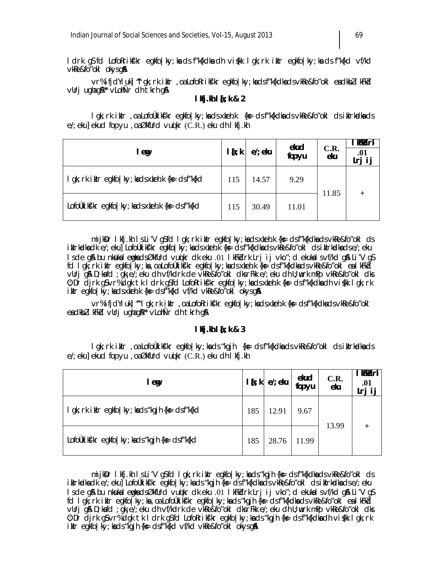ldrk gS fd LofoRriks'kr egkfo|ky;ksa ds f"k{kdksa dh vis{kk lgk;rk ikIr egkfo|ky;ksa ds f"k{kd vf/kd  $v$ k $Re&$ fo"oklokys g $\AA$ 

vr% ifjdYiuk] ^^lgk;rk ikIr ,oa LofoRriksfkr egkfo|ky;ka ds f"k{kdka ds vkRe&fo"okl ea dkbZ lkFkZd vUrj ugha g&\*\* vLohÑr dh tkrh g&

### **lkfj.kh la[;k & 2**

lgk;rk ikIr ,oa LofoÙkikf⁄kr egkfo|ky;ka ds xkeh.k {k= ds f"k{kdka ds ∨kRe&fo"okl ds ikIrkadka ds e/; eku] ekud fopyu , oa $\emptyset$ kfUrd vu $\mathfrak{g}$ kr (C.R.) eku dh I kfj.kh

| l eg                                                             | $l$ { $;$ k | $el$ ; eku | ekud<br>fopyu | C.R.<br>eku | ∣ kFkdrk<br>.01<br>Lrj i j |
|------------------------------------------------------------------|-------------|------------|---------------|-------------|----------------------------|
| I gk; rk ikir egkfo   ky; kads xkeh.k {k = ds f"k{kd             | 115         | 14.57      | 9.29          |             | $+$                        |
| LofoUki kt'kr egkfo   ky; kads x keh. k $\{k = ds\}$ f''k $\{kd$ | 115         | 30.49      | 11.01         | 11.85       |                            |

mijksDr Ikfj.kh Is Li′V g\$ fd Igk;rk ikir egkfo|ky;ka ds x keh.k {ks= ds f″k{kdka ds ∨kRe&fo″okl ds i kIrkadka dk e/; eku] LofoÙkikf'kr egkfo|ky; ka ds x keh.k {ks= ds f"k{kdka ds vkRe&fo"okl ds i kIrkadka ds e/; eku l s de gß bu nkukal emgka d sØkfUrd vuqikr dk eku .01 lkFkZdrk Lrj ij vko"; d ekukal s vf/kd g\$A Li'V g\$ fd Igk;rk ikIr egkfo|ky;ks,o a LofoÙkiks'kr egkfo|ky;ksdsxkeh.k {k= ds f"k{kdksdsvkRe&fo"okl esikFkd vUrj gSA D;k sa fd ;gk¡ e/;eku dh vf/kdrk de vkRe&fo"okl dks rFkk e/;eku dh U; wurk mPp vkRe&fo"okl dks 0; Dr djrk gS vr% dgk tk ldrk gS fd LofoRriks'kr egkfo|ky;ka ds xkeh.k {ks= ds f"k{kdka dh vis{kk lgk;rk  $i$ kIr egkfo|ky; ka ds xkeh.k {k= ds f"k{kd vf/kd vkRe&fo"okl okys g&

vr% ifjdYiuk] ^ Igk;rk ikIr ,oa LofoRriks'kr egkfo|ky;ka ds x keh.k {ks= ds f"k{kdka ds vkRe&fo"okl ea dkbZ I kFkd vUrj ugha g&\*\* vLohÑr dh tkrh q&

### **lkfj.kh la[;k & 3**

lgk;rk ikIr ,oa LofoÙkiksf'kr egkfo|ky;ka ds "kgjh {k≡ ds f"k{kdka ds ∨kRe&fo"okl ds ikIrkadka ds e/; ekul ekud fopyu , o a Økfurd vu $\mathfrak{g}$ kr (C.R.) eku dh I kfi.kh

| l eg                                                  | $\mathbf{I}$ {; k $\mathbf{I}$ | $el$ ; eku | ekud<br>fopyu | C.R.<br>eku | <b>KKALK</b><br>.01<br>lrj ij |
|-------------------------------------------------------|--------------------------------|------------|---------------|-------------|-------------------------------|
| I gk; rk i klr egkfo   ky; ka ds "kgjh {ks= ds f"k{kd | 185                            | 12.91      | 9.67          | 13.99       |                               |
| LofoÙki k\$'kr egkfo   ky; kads "kgjh {k ∈ ds f"k{kd  | 185                            | 28.76      | 11.99         |             |                               |

mijk $Dr$  Ikfj.kh Is Li'V q $S$  fd I qk; rk ikIr eqkfo|ky; ka ds "kgjh {k  $s$ = ds f"k{kdka ds vkRe&fo"okl ds i kIrkadka dk e/; eku] LofoÙki k\$'kr egkfo|ky; ka ds "kgjh {ks= ds f"k{kdka ds vkRe&fo"okl ds i kIrkadka ds e/; eku l s de g& bu nkuka I emgka d sØkfUrd vuqikr dk eku .01 lkFkZdrk Lrj ij vko"; d ekuka I s vf/kd g& Li'V g S fd Igk;rk ikIr egkfo|ky;ka ,oa LofoÙkik s'kr egkfo|ky;ka ds "kgjh {k s= ds f"k{kdka ds vkRe&fo"okl ea lkFkd vUri g& D;k a fd ; gk; e/; eku dh vf/kdrk de vkRe&fo"okl dks rFkk e/; eku dh U;wurk mPp vkRe&fo"okl dks 0; Dr djrk gS vr% dgk tk ldrk gS fd LofoRriks'kr egkfo|ky;ka ds "kgjh {ks= ds f"k{kdka dh vi s{kk lgk;rk ikIr egkfo|ky; ka ds "kgjh {k $\epsilon$  ds f"k{kd vf/kd vkRe&fo"okl okys g&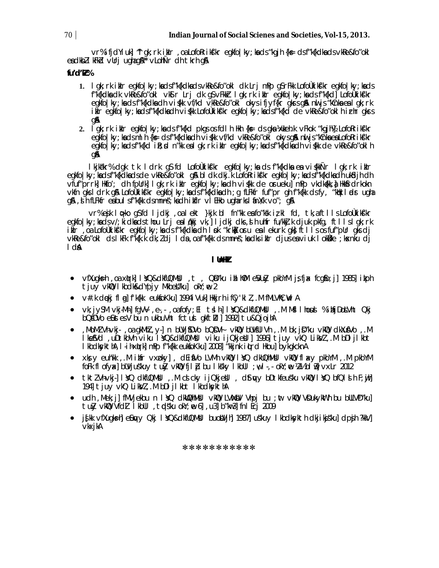vr% ifjdYiuk] ~I gk; rk iklr, oa LofoRrikf'kr egkfo | ky; ka ds "kgjh {k= ds f"k{kdka ds vkRe&fo"okl eadkbll kFkd vurjughag&\*\* vLohÑr dh tkrh g&

## fu'd'k<sup>%</sup>

- 1. I gk; rk i kir egkfo | ky; ka cisf"k{kcika cis∨kRe&fo"oki cik Lrj mPp g\$rFkk LofoÜkikf'kr egkfo | ky; ka cis f"k{kdka dk vkRe&fo"okl vkStr Lrj dk g\$vFkktr lgk; rk iklr egkfo|ky; ka dsf"k{kd] Lofolkiks'kr egkfolky; ka ds f"k{kdka dh vi{kk vf/kd vkRe&fo"okl okys ifjyf{kr gkrs g\$ ml js "kCnka ealgk; rk ikir egkfo|ky; kadsf"k{kdkadh vi{kk Lofoùkikf'kr egkfo|ky; kadsf"k{kd de vkRe&fo"okl hirhr gkrs **QA**
- 2. I gk; rk i klr egkfo | ky; ka cls f"k{kcl pkgs os fcl h Hkh {ks= cls gka ½xkeh.k vFkok "kgjh½} LofoRrikf'kr egkfolky; ka dsml h{k= dsf"k{kdka dhvi\$kk vf/kd vkRe&fo"okl okys g& nu js "kchka ea LofoRrik\$'kr egkfo | ky; kadsf"k{kd ik}; d n"kk eal gk; rk iklr egkfo | ky; kadsf"k{kdkadh vi{kk de vkRe&fo"okl h qA

lkjkakr% dgk tk ldrk g\$fd LofoÙkik\$'kr egkfo|ky;ka ds f"k{kdka ea vi{kkÑr lgk;rk iklr egkfo | ky; kadsf"k{kdkadsde vkRe&fo"okl g& bldk dkj.k LofoRrikf'kr egkfo | ky; kadsf"k{kdkadh uk\$djhdh vfuf"prrk] Hkfo'; dh fpllrk] I gk; rk ikir egkfo|ky; ka dh vi {kk de orueku] mPp vkdka[kk, ja Hkkfrdrkokn vkfn gks I drk g\$ LofoUkikf'kr egkfo|ky; ka ds f"k{kdka dh; g fLFkfr fuf"pr gh f"k{kk ds fy, "kak I ads ugha g&, d h fLFkfr eabul sf"k{kk clsmnns"; kach i kflr vl EHko ugharksl finX/k vo"; g&

Vr%ejk lopko q\$fcl ljcki, oalekt }kjk bl fn"kk eafo"ksk izkl fcl, tk,aftlls LofoÙkiks"kr egkfolky; kadsv/; kidkadsthou Lrjealn(kkj vk,] ljdkj dks, d h uhfr fu/kkj.k djuk pkfg, ftllslgk; rk ilir oa Lofoùkikfkr egkfolky; ka disfrk{kdka dh I pk "krka oru ea lekurk gka ft lls osfufrpur gkis dj vkRe&fo"okI ds IkFk f"k{k.k dk; I dj I da , oa f"k{kk ds mnns"; ka dks i klr djus ea viuk I okške ; kxnku dj  $\mathbf{A}$ 

### I thill

- ∨fXugks=h ,oa x(µrk] IYO&dkfUQMbll ,t , QD″ku iblh0M eVuły pkbYM jşfjax fcg\$o;j] 1985] ikph tjuy vkQ I kbdk&dYpjy MkbeW"ku] okY; ne 2
- $\bullet$  v#.k deki fl al fk{kk eukfokku] 1994 Vukl Hkkirh if(y'kl  $l$ , M fMLVhC; WIA
- vk; jySM vkj-Mh] fgVV , e-, , oa fofy; El tsl h] lYQ&dkfUQMWI , .M Mfl I houd % i hfjDokVht Qkj bQ\$DVo eustes V bu n ukbuVht fctus gkftll | 1992 tu&QjojhA
- , MoMI Vh·vkj· , oa gkMhI , y·] n bUVj\$DVo bQDVI vkMD bUV\$UI Vh , .M bk; jD"ku vkMD clkXu\$Vo , .M Ike\$Vd ,uDtkbVh viku IYQ&dkfUQMbl viku ijQkjebl]1996]tjuy vkQ LikVl,.M bDljIkbt I kbdkykthA, I i hxyrk| mPp f"k{kk eukfoKku| 2008| "kkjnk i urd Hkou| bykgkcknA
- $\bullet$  xks y euh'kk , M infr vxpky], dEifVo LVMh vkMD IYO dkUOhMNI vkMD flaxy pkbYM , M pkbYM foFk fl ofyx}bUVjuskuy tuły vkWD fjl ip bu lksky lkbUl ;w,l., okY;we 1/2½bl is]vxLr 2012
- tktZVhvkj]lYQ dkfUQMUI,.M csicky ijQkjeVI, d\$t¢vy bDtkfeusku vkWQ lYQ bfQlsih F;wihl 194] tjuy vkQ LikVl, M bDI jI kbt I kbdkykthA
- udh , Mek; j] fMVjekbu n I YQ dkWQhMbI vkWQ LVMbV Vhpj bu ; nt vkWQ VDukykWth bu bULVD"ku] tuly vkl UVfdl Ikbul, tolsku oky; e 6 ,u3 b"kw3 fnl Ecj 2009
- . jskk víkugks-hi elinvy Oki I YQ&dkfUQMUI buolivihi 1987 uskuy I kbdksykth dkji kiskul dpsih ?kkvi vkxjkA

\*\*\*\*\*\*\*\*\*\*\*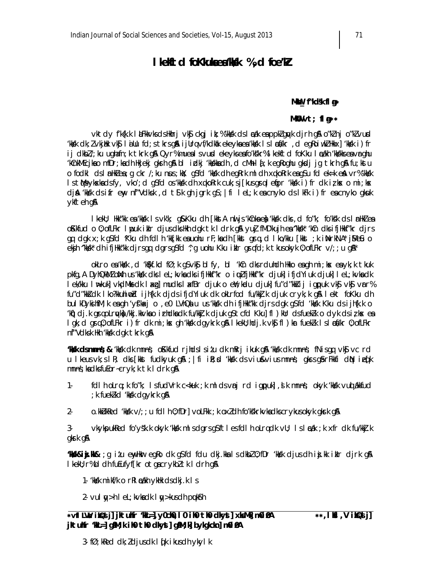# I kekitd fo Klukaea kkk %, d foe kl

#### MKU\_f"kd\$k fl g\*

#### MKOV vt; fla\*\*

vktdy fk{k.k låFkkvksdsHkhrjvk\$ckgjit;%′kkskdslæakeappkZqwkdjrhg&o"kZnjo"kZvuxd kkkk dk; I vkjihk vkj lidlu fd; s tkrsgå i jllrq vf/kdkak ekeyka ea kkkk l s læa/kr , d egRoi wkI Hkkx] 'kkk i ) fr ij dkbl/; ku ughafn; k tkrk g\$ Qyr% mueals vurd ekeyks eafo'kskr% I kekftd foKku I cakh 'kkskks ea vrghu kûnkMEcjkao mfDr;kadh Hkjekj gkrh g& blidkj 'kkkkadh ,d cMh l{;k egRoghu gkdj jg tkrh g& fu;kstu o fodkl ds i nHklea; q ckr /; ku nus; kk; q\$fd 'kkkk dheqRrk midh xqkoRrk eaq\$u fd ek=k en vr% 'kkkk Is the ykska dsfy, vko'; d qSfd os 'kkkk dh xqkoRrk cuk; sj[kusqrqlefpr 'kkkk i) fr dk izks o mi; ks dj& 'kksk dsifrew, nf"Vdksk ,d t\$k ghjgrk g\$;|fi leL;k eacnyko dslkFk i)freacnyko gkuk ykfteh g&

I kekU; Hkk"kk ea 'kkkk I s vk'k; q& Kku ch [kkstA nul js 'kCnka eà 'kksk ch's , cl fo''k; fo'ks'k cls I anHkZ ea oKkfud o 0; ofLFkr I pouk ikir djusdks Hkh dgk tk I drk gå yuj fMD'kujh ea "kkkk" 'kûn dks ifjHkkf"kr djrs gq clgk x; k g\$fcl ^Kku clh fcll h ^kk[kk eauohu rF; kaclh [kkst grq, cl l ko/kku [kkst ; k inNrkNA\* jMe&u o ekjh "kkk" dhifjHk"k djrsgq dgrsg\$fd '; g uohu Kku iklr grqfd; k tkusokyk 0; ofLFkr v/; ; u g\$\\*

okLro ea 'kkkk , d 'kkkf.kd fØ; k g\$vkkj bl fy, bl 'kCn dks rduhdh Hkko ea gh mi; kx ea yk; k tkuk pkfg, A DyhQkMZ oWh us 'kkkk dks I eL; kvka dks ifjHkkf"kr o iquIfjHkkf"kr djuk] ifjdYiuk djuk] I eL; kvka dk lek/kku l⊯kuk]vkdMksdk laxq]mudkslaxfBrdjuk o e¥;kødu djuk]fu″d″kkiij igpuk vk\$vk\$vrr% fu"d"kkidk I ko?kkuhiwd ijh{k.k djdsifjdYiuk dk okLrfod fu/kkj.k djuk cryk;k g& I ekt foKku dh bulkDykihfM; k eagh 'yf'kacjo, e0 LVhQalu us 'kkak dh ifjHkk"kk djrs dgk g\$fd 'kkak Kku ds ijh{k.k o 'ktj)clj.k graoLruykoj/kkj.kkvko irhdko dk fu/kkj.k cljuk g\$tcfd Kku]fl)kUr dsfueklk o dyk dsiłko eo lgk; d grq0; ofLFkr i) fr dk mi; ks gh 'kksk dgykrk g&l kekU; hdj.k vk\$ fl) kr fuekZk I slæ\$/kr 0; ofLFkr nf"Vdksk Hkh 'kksk dak tkrk an

**KKK dsmnns;& K**kKk dkmnns; o Kkfud rjhdslsi*t*u dkm krj ikuk g\$\ (kKk dkmnns; fNisgq vk\$ vc rd u I keus vk; s I R; dks [kkst fudkyuk q\$a ; | fi i R; sd 'kksk ds vius&vius mnns; qkrs q\$ rFkkfi d(N i eq[k mnns; kadksfuEor-cryk; k tk I drk g&

- $1$ fdl h olrq; k fo"k; I sfudVrk c<kuk; k ml dsvnj rd igpuk], st k mnns; okyk 'kksk vud akkfud ; k fueklkd 'kkk daykrk gå
- $2$ o. KNU kRed 'kksk  $\vee$ /; ; u fdl h 0; fDr]  $\vee$ oLFkk ; k ox $l$ dh fo'kskrk $\vee$ kadkscr $\vee$ kusok $\vee$ k qksrk qA

3vkykpukRed fo'ys'k k okyk 'kkkk misdgrsg\$ftiesfdih oLrqdk vU; isinzak ; k xfr dk fu/kkj.k gkrk g&

"Maśk&iji.Mk& ;g i*t*u enyHkur egRo cik g\$fcl fclu cikj.kka is cikbł0;fDr 'kk/k cijus cih inj.kk ikilr cijrk g\$A I kekU; r%bI dh fuEufyf[kr otgacrykbltk I drh g&

- 1- 'kks'k mikf/k o rRI azikh ykHk ds dkj.k I s
- 2-  $\vee$ ul  $\mathsf{y}$ >h I eL; k $\vee$ kadk I  $\mathsf{y}$ >kusdh pulk $\mathsf{y}$ h

3-  $f\emptyset$ ; kRed dk; ldjus dk I  $f$ k i kus dh ykyl k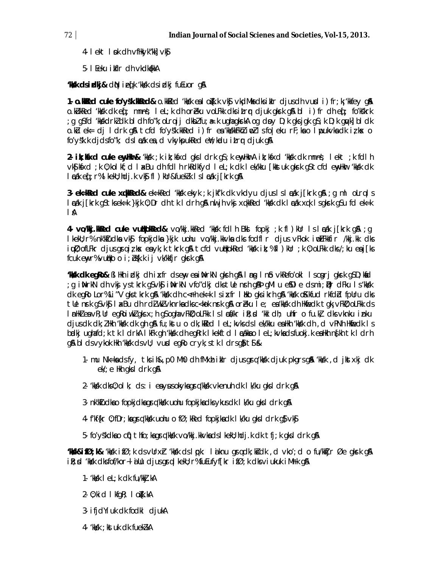- 4- lekt løk dh vfHkyk"kk] vk§
- 5- I Eeku i kflr dh vkdkakka

**KKK dsidkj& dN** iefk kkkk dsidkj fuEuor q&

1. o. Walled cuke fo'ysk. Wheel & o. kkled 'kkk eal ofk.k vkj vkdMks dks ikir djusdh vurd i) fr; k 'kkfey gla o.kükked 'kkkk dk eq[; mnns; lel;k dh oreku volfkk dksitrq djuk qksrk q& bl i) fr dh eq[; fo'kk'krk ; a a\$fd 'kkskdrkldk bldhfo"k; oLrqij dkblfu; & kuaha aksrkA og dov D; k aksjak a\$; k D; k anvkl bldk o.ku ek= dj ldrk g& tcfd fo'ys'k.kkRed i)fr ea 'kkskkFkNz inpzlsfoleku rF;kao lipukykadk izks o fo'y'sk.k djdsfo"k; dsl cak ea, d vkykpukked en kadu itrr djuk qn

2. ik; Kosed cuke eny Hoor& 'kkk'; k ik; kfsd gks I drk g\$; k eny HkrA ik; kfsd 'kkk' dk mn ns; I ekt; k fdl h vkS| kfxd ; k 0; kol kf; d 1 axBu dh fdl h rkRdkfyd I eL; k dk I ek/kku [kkstuk gkrk gS tcfd enyHkur 'kksk dk I cak eqf; r% I kekU; hdj.k vk\$fl) kUr&fuekZk I sI cak j[krk q&

**3. ek=kRed cuke xqkRed&** ek=kRed 'kkk ekyk; k jkf'k dk vkdyu djus Isl  $\epsilon$ ak j[krk q&; q ml oLrq Is læák jíkrk g§tksek=k }kjk 0; Dr dh tk l drh g\$h nuljh vkj xqkkRed 'kkyk dk læák xqk lsgksrk g\$u fd ek=k  $\mathbb{A}$ 

4. vo/kkj.kkRed cuke vublkokRed& vo/kkj.kkRed 'kk/k fdlh Bkl fopkj ;k fl)kUr Isladk j[krk q& ;q I kekU; r% nk'ktudka vk\$ fopkjdka }kjk uohu vo/kkj.kkvka dks fodfl r djus vFkok i wLFkkfir /kkj.kk dks iun, of LFkr djus graiz kx ea yk; k tkrk gå tcfd vullkokRed 'kkk ik; %fl ) kur ; k 0; o LFkk dks /; ku ea j[ks fcuk enyr%vutiko o i; b{k.k ij vk/kkfjr gkrk g&

**Hisk cike qilo&** Bilikh i iziki cih i xfr ciseny e a i NirkN qilsh q\$ I ms I nib vkRefo'oki I scsiri qilsrk q\$D;kidd g inNrkN dh vkj ystkrk q\$vk\$ inNrkN vfo″dkj dkstle nrh q&þ qMl u e\$Dl e dsmi; Dr dFku Is'kkkk; dk egRo Lor% Li "V gks tkrk g\$\ 'kksk dh c< Fh ek=k I sixfr I liko gks ikrh g\$\ 'kksk o\$Kkfud rkfdbd fpUru dks tle nrk gSvk\$ I akBu dh rdilukivknrka dksc<kok nrk g& orieku I e; ea kksk dh Hkfiedk tgk; vFki0; oLFkk ds InnHkZeavR;Ur egRoiwkZgksx;h gSoghavFkD;oLFkk Islncfk/kr iR;sd 'kkl clh; uhfr o fu.kz] clksvknku inku djus dk dk; I Hkh 'kksk dk gh g& fu; kst u o dk; kked I eL; kvks ds I ek/kku ea Hkh 'kksk dh , d vPNh Hkfiedk I s bælkjughafd; ktk ldrkAlkFkgh 'kkk dhegRrk lkekftd lækkao lel; kvkadsfuokj. kea Hkh n{khtk ldrh g& blds vykok Hkh 'kkkk ds vU; vurd egRo cryk; s tk ldrsg}it \$

- 1. mu Nk=kadsfy, tksih&, p0 Mh0 dh fMxh iklr djusgrq kkkk djuk pkgrsg& kkkk, d jkstxkj dk  $ek$ ; e Hkh qks I drk q&
- 2- 'kksk dks 0; olk; ds : i ea ysus okyka grq 'kksk vkenuh dk lk/ku gks ldrk g&
- 3- nk'kludka o fopkjdka grq 'kksk uohu fopkjka dks ykus dk I k/ku qks I drk q&
- 4- f'kf{kr 0; fDr; ka grq'kksk uohu o fØ; kRed fopkjka dk I k/ku gks I drk g} vk§
- 5- fo'ys'kdka o cif) thfo; kagrq'kksk vo/kkj.kkvkadslkekl; hdj.k dk tfj; k gksl drk g&

**ʻMakk&ifØ;k&** ʻkkok ifØ;k ds∨Urxh: ʻkkok dslopk: laiknu anrajdk;kšdk ,d ∨koʻ;d o fu/kkījr Øe qkork q\$\ ile; cd 'kksk cksfof/kor~lilu cljus grg lkekl; r%fuEufyf[kr ifØ; k cks viukuk iMfk g&

- 1- 'kks'k I eL; k dk fu/kkj.kA
- $2 0$ ; kid I kfqR; I o $k$ k.kA
- 3- ifjdYiuk dk fodkl djukA
- 4- 'kks'k; kst uk dk fueklikA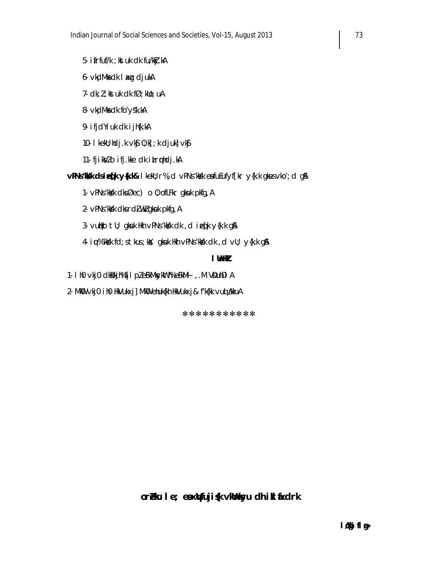- 5- ifrfuf/k ; kst uk dk fu/kkj.kA
- 6- vkdMksdk I axg djukA
- 7-  $dk; l$ ; kst uk dk f $\emptyset$ ; kllo; uA
- 8- vkdMks dk fo'ys'k.kA
- 9- ifjdYiuk dk ijh{k.kA
- 10- I kekU; hdj.k vk $\S$  0; k[; k djuk] vk $\S$
- 11- fjik Vlo ifj.kke dk itrrhdj.kA

vPNs'Mok dsie [k y{k.k& | kekl); r%, d vPNs'kkk eafuEufyf[kr y{k.k gkusvko'; d g&

- 1. vPNs 'kkkk dks Øec) o 0; of LFkr gkuk pkfg, A
- 2- vPNs 'kkkk dks rdi wkl gkuk pkfg, A
- 3- vutiko tij; gkuk Hkh vPNs kkik dk, die tik y {k.k g\$
- 4. i u<sup>%</sup> 'kks'k fd; s tkus; kk: gkuk Hkh vPNs 'kks'k dk, d vU; y{k.k g A

# I Unlik

- 1. I h0 vkj0 clkBkjh% fj1 pleSkMksykMth% eSkM4 , M VDuhDIA
- 2. MKO vkj0 i h0 HkVukxj] MkO ehuk{kh HkVukxj& f'k{kk vuq akkuA

\*\*\*\*\*\*\*\*\*\*\*

# oréku le; eaxVfuji (k vklhkyu dh i kl fixdrk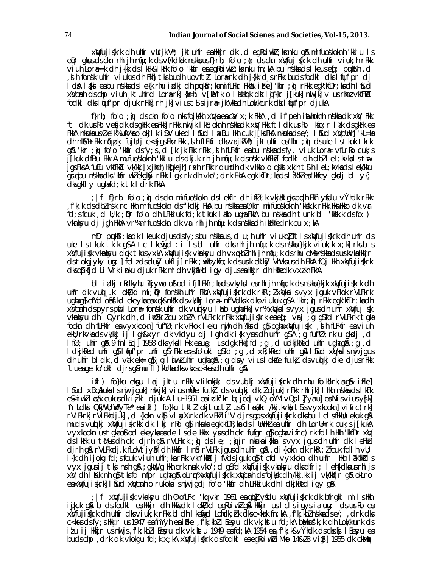xWfuji{krk dh uhfr vUrjk"Vh; jktuhfr eaHkir dk ,d eqRoiwk7;kxnku q& mifuoskoknh 'kkl u ls epr gkus ds ckn rhl jh ntju; k ds vf/kdkåk nskka usf}rh; fo'o; p) ds ckn xw[fujiskrk dh uhfr viuk; h rFkk vi uh Lora==k ch j{kk cls k k k k k k fo'o 'kkar ea eq koi wkl ; k x nku fn; k b b u nskka cls k eus eq ; puks h d ,d h fonsk uhfr viukus dh Fkh]tksbudh uovftr Lorærk dh j{kk djsrFkk budsfodkl dkslfjuf'pr dj l dá láki eabu nskkadsle{k rhu izdkj dh pukár;kamifLFkr Fkha&ifke]'khr ;ò) rFkk egk'kfDr;kadh láud xWcmh dschp viuh jktuhfrd Lora-rk]{ks=h; v[kMrk o likHkrk dk lijf{kr j[kuk] nuljk] vius rhoz vkfFkd fodkl dkl fuf'pr djuk rFkkl rhl jkl viust\$sijr# jk"Vkadh Lok/khurk dk lfuf'pr djukA

f}rh; fo'o ;  $\hat{v}$  clsckn fo'o nks fojkskh xwka ea ca/x; k FkkA, d if peh inthoknh nskka clk xw Fkk ftldk urRo vefjdk dsgkFk ea Fkk]rFkk nu jk lkE;oknh nskka dk xiv Fkk ftldk urRo lkfo; r lâk dsgkFk ea FikiA nikuka usøe k% ukVka o okji ki DV uked i Sud i axBu hikh cuk j[ksFikA nikukadse/; i Sud xiWcUnh] 'kL=ka dh nkM+rFkk nqipkj fujUrj c<+jgsFksrFkk ,sh fLFkfr dksvrjkVVh; jktuhfr ea'khr ; g) dsuke Istkuk tkrk g& 'khr ; n) fo'o 'kkar dsfy; s, d [krjk Fkk rFkk , sl h fLFkfr ea bu n skka dsfy, viuk Lora= vfLrRo cuk; s j[kuk dfBu Fkk A mufuoskoknh 'kkl u ds dkj.k rhljh niju;k ds nsk vkfFkd fodkl dh dbll eL;kvkals tw jgsFksA fuEu vkfFkd vk/kkj] xjhch] Hk[kejh] raxh rFkk rduhdh dk vHkko o c\$kstxkjh t\$ h l eL; kvkads l ek/kku grabu nskka dks 'kkáriwk' ekgkSy rFkk Igk; rk dh vko'; drk FkhA egk kfDr; ka ds I âk"k' ea 'kkfey qksdj bl y{; dksgkflyughafd; ktkldrkFkkA

; |fi f}rh; fo'o ;ò) clsckn mifuoskokn clslekflr clh ifØ;k vkjWk qkspqdh Fkh]yfclu vÝhclk rFkk fk; k ds dbl nsk rc Hkh mifuoskokn dsfkdki FkA bu nskka ea 0; klr mifuoskoknh 'kkšk.k rFkk HknHkko dk vr, fd; s fcuk, d U; k; ; pr fo'o dh LFkkiuk fd; k tkuk I liko ugha FkkA bu nskka dh turk bl 'kksk. k ds fo: )  $\vee$ knksyu dj jgh FkhA  $\vee$ r% mifuoskokn dk  $\vee$ r rhl jh n(ju; k ds nskka dh ikFkfedrk cu  $x$ ; kA

mDr puktr; kadk I keuk djusdsfy; sbu nškkaus, d u; h uhfr viukbl ft I s $x$ lvfuji skrk dh uhfr ds uke Is tkuk tkrk g\$A tc Ikenigd : i Isbl uhfr dksrhljh nnju;k dsnskka }kjk viuk;k x;k]rksbls xiyfuji{k vkinksyu dgk tkusyxkA xiyfuji{k vkinksyu dh vxipkbZrhl jh niju;k ds rhu cMs nskka ds usrkvka Hkkjr dstokgjyky ug: ] fel zdsduły ukfl j] rFkk ; wkłkykfo; k dsurk ek'kły VhVksusdh FkhA fQj Hkh xWfuji{krk dksofokfid Li "Vrk inku djuk rfkk ml dh vkjfilkd igy djuserilkkjr dh Hkfiedk vxzkh fkhA

bi ich ich richtyhu ?kisvwo of od ififLFkfr; kads vkykd earhijh níju; k ds nskka}kik xwfujiskrk dh unifr dk vud j.k I okt/kd mi; pr fonskh unifr FkhA xWfujiskrk dk rkRi; Z xWka I s vyx jquk vFkok rVLFkrk ughag\$cfYcl o\$n\$'kd ekeykaeaxqk&nk'k dsvk'kkj Lor# nf"Vdksk dksviukuk g\$A 'khr; @rFkk egk'kfDr; kadh xiVcinh ds pyrs piid Lora= fonsk ulifr dk ∨uqikyu I liko ugha Fiki] vr% xiVka I svyx jgus dh ulifr xiVfuji {k vknkyu dh I Qyrk dh , d i wlkrl cu xbl A rVLFkrk rFkk xWfuji (krk e $\text{eq}:$  vrj ; g gSfd rVLFkrk tgka fookn dh fLFkfr ea vyxkookn] fuf"Ø; rk vFkok I eku nijh dh ?kkrd g} ogha xilafuji {kr , sh fLFkfr ea viuh ekli; rkvkads vk/kkji j lgh&xyr dk vkdyu dj lgh dk i{k yus dh uhfr g\$A ; g fuf"Ø; rk u gkdj , d IfØ; unfr q& 9 fn I Ecj] 1958 dks ykoll likk ea ung: us dak Fkk] fd ; g , d udkjkRed unfr ughag& ; g , d I dkjkked unifr g\$ I fut pr unifr g\$ rFkk epsfo'okl g\$fd ; g , d xR; kRed unifr g\$ I \$ud xM; ka I snj jgus dh uhfr bl dk, d vak ek= g}; g l a wkl uhfr ughag&; g do y vius l oktre fu.kł ds vuolkj dke djus r Fkk ftuesge fo'okl djrsg\$mu fl)kUrksdksvkxsc<kusdhuhfrg\$

ifl) fo}ku ekogu Iqnj jktu rFkk vliknkojk; clsvuqlkj xlyfuji{krk clh rhu fo'kškrk;ag&k iFke] I fud xBcakuka Is nij jguk] nij jk] vius mûke fu.kt̄ds vuq kj̄dk; i djuk] rFkk rhl jk] I Hkh nskka ds I kFk e Shiwk I rak cukus dk iz kl djuk Alu-1961 en izlkfkr b; jegd vkQ oYM vQs II ynnu en Nis vius ys kl 'n Ldki Qklj U;WfyTe\* eaifl ) fo}ku tktł okjtuctj us6 læWkr /kkj.kvklj t¶svyxkookn]vifrc)rk] rVLFkrk] rVLFkhdj.k], di{kokn vkg vl ayXurk dk vFklLi"V djrsgqsxWfuji{krk dksbu I cl sfHkUu ekuk q& muds vuolkij xWfujis(krkk dk Ikj rRog) nkuka egk'kfDR;ka ds I UnHkZ ea uhfr dh LorU=rk cuk;s j[kukA vyxkookn ustgkaofod ekeykaeade Isde Hkkx yusdh ckrfufgrgfoghavifrc)rk fdlh Hkh 'kkfDrxW dslkFk u tMusdh ckr djrhg& rVLFkrk ;o) dsle; ;o)jr nkuuka i{kka isvyx jgusdh uhfr dk leFkuu dirh q& rVLFkhdik fLoVtjyM dh Hkkar I no rVLFk jqusdh uhfr q& di{kokn dk rkRi; I fcuk fdl h vU; i {k dh i jokg fd;sfcuk viuh uhfr;karFkk vkn'kkaij fVdsjguk g}itcfd vyxkokn dh uhfr lhkh lâk"kkals vyx jqusij tkj nrh q&; qkW; q Hkh crk nrk vko'; d q\$fd xWfuji{k vkmkyu dks dfri; l eh{kdka us rhl js xW ch likk nh g}tksfcl mfpr ughag\$ olrnr%xWfuji{krk xWcnh clsfojk/k ch /kkj.kk ij vk/kkfjr g\$ oklro × esxWfuji{krk]I \$ud xWcnh o rukoksIsnji jgdj fo'o 'kkir dh LFkkiuk dh I dkjkRed igy g&

; |fi xWfuji{k ∨kmkyu dh 0;ofLFkr 'kq ∨kr 1961 eaqbl yfdu xWfuji{krk dk bfrqkl mllsHkh igikuk q& bldsfodkl ealikkjr dh ilkfiedk lokt/kd eqRoiwk/q& ilkkjr uslclsiqysia ung: dsurRo eal xWifuji{krk dhuhfr dksviuk;k rFkk bldh Ikenfqd Lohdk;hk člksc<kok fn;kA,fk;kblnskkadse/; ,drk dks c<kus ds fy; s Hkkjr us 1947 en fnYyh en i Fke, f'k; kbl I Eeyu dk vk; kst u fd; kA bulkus'k; k dh Lok/khurk ds iłu ij Hkkjr usnuljs,fk;kbll Eesyu chk vk;kstu 1949 ensfcl;kA 1954 en,fk;k&vÝhchk chscksknij l Eesyu en budschp, drk dk vkokqu fd;k x;kA xWfujiśkrk dsfodkl eaeqRoiwkliMko 14&28 viây] 1955 dk ckMax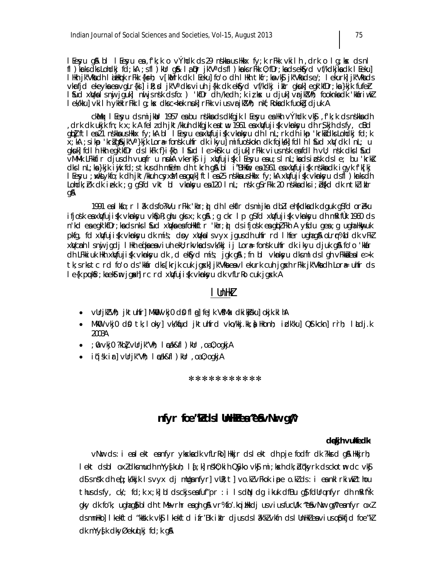lfesyu q\$l bl lfesyu ear,f'k;k o vÝhdk ds 29 n.skkarus Hkkx fy;k rFkk vkilhr,drk o lq;ksx ds nl fl) karks dks Lohdkj fd; kA; sfl) kUr q& la Dr jk"V° dsfl) karks rFkk 0; fDr; ka dsekfyd vf/kdkjka dk l Eeku] l Hkh jk"Vlach låHkrk rFkk {ks=h; ∨[kbMrk clk l Eeku] fo'o clh l Hkh tkfr;ka∨k\$j k"Vlaclse/; l ekurk]jk"Vlacls vkrfjd ekeyka en vgLr{ki] i R; d jk"V" dk vi uh j{kk dk ekfyd vf/kdkj i klr gkuk] egk kfDr; ka }kjk fufer<br>I fud xWka I sny jguk] nu jsnsk dsfo: ) 'kfDr dh /kedh ; k i z kx u djuk] vrjk!Vh; fooknka dk 'kkfiriwk! I ek/kku] vkilh ykilk rFkk I g; kx dksc<kok nuk] rFkk vius vrikt/h; nkf; Rokadk fuokā djuk A

ckMqx I Eesyu cls mijkblr 1957 ea bu nskka cls clkfgjk I Eesyu ea Hkh výhclk vk§, f'k;k cls nskka clh drk dkukjk fn;kx;k A felzdh jkt/kkuh dkfgjk estw. 1961 esxWfuji{k vknksyu dh r\$kjh dsfy, cBd, qipi fti ea 21 n shka ushkix fy;kA bi i Eesyu ea xwfujisk v km ksyu dhi n L;rk dhi kp 'krksidks Lohdkj fd;k x;kA ;sikp 'kr}q&jk"V"}kjk Lor⊕ fonsk uhfr dk ikyu] mifuoskokn dk fojkkk] fdl h I fud xW dk I nL; u gkuk] fdl hilkh egk kfDr dsl kFk f}i{kh; I fud le>kfru djuk] rFkk vius nsk entdl hvU; nsk dksl fud VMMIk LFkkfir djusdh vunefr u nukA vkerk§ij xWfuji{k leyu esu; slnL; ksdsinsk dsle; bu 'krkš dkslnL;ka}kjk iwjk fd;stkusdh mEehn dhitkrh q&bl i BHkme ea 1961 ea xWfujisk nskkadk igyk fk[kj l Eesyu ; wkkiykfo; k ch jkt/kkuh csyxM eaqyk]ftlea25 n\$kkausHkkx fy; kA xWfuji{k vknksyu clsfl ) krksch Lohdk; hk dk iek.k ; q q\$fd vkt bl vkmksyu en 120 lnL; n\$k q\$rFkk 20 n\$kkadks i; b\$kd dk ntkliklr gA

1991 en Ikfo; r I åk dsfo?kVu rFkk 'khr; i) dh I ekflr dsmijkar dbill eh{kdka dk dquk q\$fd oreku ifjosk eaxw¦fuji{k ∨knksyu ∨k\$pR;ghu gksx;k g&;g ckr lp g\$fcl xw|fuji{k ∨knksyu ch mRifùk 1960 cls n'kd ea egk'kfDr; ka ds nks I fud xivka ea folikkftr 'khr; i) ds i fjosk ea gipl Fkh A yfdu gea ; gugha likwyuk pkfg, fd xWfuji{k vknkyu dk míš; dpy xWkalsvyx jqusdh uhfr rd I hfer ughag& oLrq%bl dk vFkZ xWcmh Isnij jadj IHkh ei(kaeaviuh ekU; rkvkadsvk/kkj ij Loræfonsk uhfr dk ikyu djuk a& fo'o 'kkar dh LFkkiuk Hkh xWfuji{k vkmksyu dk , d ekfyd mís; jqk q& ; fn bl vkmksyu dksml ds l qh vFkkaleale>k tk; s rks tc rd fo'o ds 'kkir dks [krjk cuk jgxk] jk"Vka ea vl ekurk cuh jqxh rFkk jk"Vka dh Lora uhfr ds le{k puktfr; kaekstm jgakh rc rd xwtfuji{k vknksyu dk vfLrRo cuk jgsk A

# I UnHkZ

- vUrjk"Vi); jktulifr] Mkill vkj0 d\$ f| @] feJk V\$Ma< dki kj\$ku] okjk.k| hA  $\bullet$
- MkO vkj0 dΩ tk;loky| vk/kqud jktuhfrd vko/kkj.kk;) Hkonh; idk'ku| Q\$tkckn| rrh; ladj.k 2003A
- ; @ vkj0 ?kbl vUrjk"Vh; I cak&fl ) kUr ,oa0;oqkjA  $\bullet$
- $\bullet$  iqisk ir vurik"Vt; ledk&fl ) kur , oa 0; oqkiA

\*\*\*\*\*\*\*\*\*\*\*

# nfyr foe"kdsl UnHea"e&vNw qm

## dekih vulfedk\*

vNr ds: i eal ekt eanfyr ykskadk vfLrRol Hkir dslekt dh pje fodfr dk ?kkrd q& Hkirh; lekt dsbl oxidksmudh mYy{kuh; l{;k|nsk0;kih QSyko vk\$ mi;ksxh dk;dqkyrk dsckotm dc vk\$ d\$ s n\$k dh e{; k/kkjk I s vyx dj mllga nfyr] vlR; t] vo.k/ vFkok ipe o.k/ ds : i ea nkl rkiwk/ thou thus ds fy,  $cV$ ; fd; k  $x$ ; k] bl ds ckjs ea fuf"pr : i Is d $N$  dg ikuk dfBu g $\beta$  fdUrq nfyr dh mRif $N$ k gky dk fo′k; ughag) bl dh tMsvrhr eagh g\$vr%fo′.kqibkkdjusviusfucU/k ^e\$vN∎r gn^eanfyr oxl dsmnhkollkekftd "kksk.k vk\$lkekftd ifr'Bk iklr djusdslåk'k/vkfn dslUnhkZeaviusofokfid foe"kZ dk mYy{k dkyØekuol kj fd; k g\$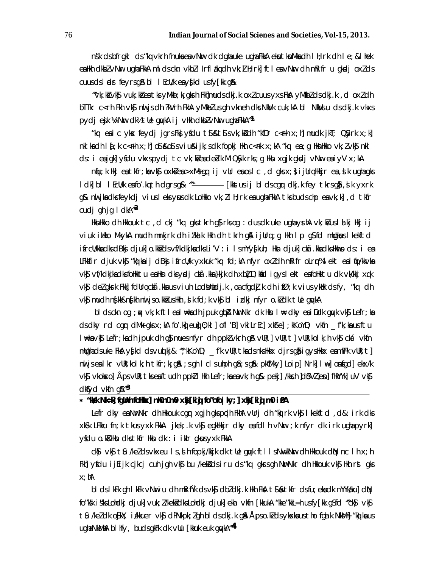nsk ds bfrgkl ds "ka vkrh fnuka ea vNur dk dgha uke ugha FkkA eku tknMka dh I H; rk dh I e; & I hek eailth cikbl vNur ugha FikiA mil cisckn vkbl i Irflakq cih vk; il H; rkj ftlea vNur cih mikifr u qikcij oxlds cuus ds l adr feyrs g& bl I EcU/k ea y{kd us fy[kk g&

"vk; kš vk\$ vuk; kš ea tks yMkb; k; gksth Fkh|muds dkj.k oxl cuus yxs FkA yMkblds dkj.k, doxldh bTTkr c<rh Fkh vk\$ muljs dh ?kVrh FkhA yMkbZ us qh vkneh dks NkVk cuk; kA bl NkVisu ds dkj. k vkxs pydjejk ¼/Nurdk½ tUe guykA ij vHkh dkbZvNurughaFkkA^<sup>1</sup>

"kq ealcykx feydj jgrsFk}yfdu t\$&t\$svk;k}dh "kfDrc<=hx;h]mudk jkT; QSyrkx;k]  $nkl$  ka clh  $l$   $j$ ; k c <  $r$ h  $x$ ; h] o  $l$  sk o  $l$  s  $v$  i u sk i k; s clk fopk i  $l$ hkh c <  $r$ k  $x$ ; kA "kq ea; q  $l$ hkn $l$ hkko  $v$ k;  $l$   $v$ k $j$   $n$ kl ds: i enjaki yfdu ykxspydj tc yk; kiendeblk. M Q\$yk rks; g Hkn xgjk akdj yNur enjyV x; kA

nqu; k Hkj ea tkfr; ka vkg oxkdea >xMs qq ij vUr ea os I c , d qks x; }ijUrq Hkkjr ea , d k ugha qks I dk| bl I EcU/k eafo'.kq th dqrsq& ^^---------------- [kkstusij bldscgr dkj.k fey tkrsg\$, slk yxrk g& nii jiadlis feylidj vius I els yus dik Lollikio vik; 21 ll; rk ea ugha FikiA tis buds chp ea vik; k], d tifr cudj ghjg I d $M^2$ 

HknHkko dh Hkkouk tc , d ckj "kq gks tkrh g}rks og : dus dk uke ugha yshA vk; kš us I al kj Hkj i j viuk illko MkykA mudh mnkjrk dh itkal k Hkh dh tkrh g& ijUrq ;g Hkh I p g\$fd mUgkws I kekftd ifrcU/kka dks dBkj djuk| o.kkš ds ∨f/kdkjka dks Li′V : i IsmYy∮kuh; Hkn djuk| ckā.kka dks Hkmo ds : i ea LFkkfir cljuk vk\$ "kòbaij clBkşifrcU/k yxkuk "kq fcl;kA nfyr oxich mRifr oLrr%lekt ealfo/kkvka vký ví/kdkjkadksfoHkktu eaHkn dksyrdj ckã.kka}kjk dh xbľ D;kíd igysl ekt eafoHkktu dk vk/kkj xqk vký delgkrk Fkk] fdUrq cká kka us viuh LodUnhdj.k, oa cfgdj.k dhifØ;k vius ykHk ds fy, "kq dh vk\$ mudh n{kk&n{kh niljso.kk}usHkh ,slk fd;k vk\$ bl izlkj nfyr o.k]dk tle quykA

bi dsckn og ;ok vk;k fti eal n⊭kadh jpuk ghpA NurNkr dk Hkn i n⊭ dky eaiDdk guyk vk\$ Lefr;ka ds dky rd cgr dMk gks x;kA fo ki eujo;ki ] ofl B vki LrEc] xkfre];kKoYD; vkfn \_\_f'k;ka usftu l #kavk\$ Lefr;kadh jpuk dh g}muesnfyr dh ppklvkrh g&vlk;]vlk;t]vlk;kol k;hvk\$ckávkfn mlighads uke FkA y{kd dsvu(kj& ^`; kKoYD; \_f'k vlR; tkadsnksHkkx djrsq\$ i qysHkkx eamPPk vlR; t] nwljsealkr ∨UR;kolk;h tkfr;k;q&n;sqh Iclsuhph q&;sq&n pk0Mky]Loip]Nrk]l⊯]onfqcl]ekx/k vký vkokxo] Äps vlík; tis eaftudh ppki i Hkh Lefr; ka ea vk; h g& pekj] /kkch ]dbVi]en] fHkYYk] uV vký dktyd vkfn g $\mathbb{A}^{\sim 3}$ 

## \* "Nsk NI=k] fglinh folkkx] nh0n0m0 xkj [ki g fo"ofo | ky; ] xkj [ki g m0 i 0A

Lefr dky ea NurNkr dh Hkkouk cgur xgjh gkspudh FkhA vUrj dh "kù) rk vk\$ I kekftd , d&: irk dks xKSk LFkku fn;k tkusyxk FkkA jkek;.k vk\$ egkHkkjr dky eafdlh vNir ;k nfyr dk irk ughapyrk] yfdu o k&llkn dks tkfr llkn dk : i i klr gkus yxk FkkA

 $cls$   $vks$  tsu /ke/ds  $v$ kxeu 1s, d h fopkj/kkjk dk tlle quyk ft l Is NuvkNur dh Hkkouk diN nc 1h x; h Fkh] yficlu i jei jk cjkcj cuh jgh vk\$ bu /kek&i cls i ru cls "kq gkrsgh NurNkr chh Hkkouk vk\$ Hkh rst gks  $x$ ; hA

bi dsikFk qh ikFk vNuriu dh mRifŸk dsvk\$ dbldkj.k Hkh FkA t\$&tkfr dsfu; ekadk mYYkaku]dN fo"ksk is'ks Lohdkj djuk] vuk; I/kekidks Lohdkj djuk] ekil vkfn [kkukA "kke"kkL=h usfy[kk q\$fd ^ck\$) vk\$j tû /keldk o\$kX; i/kkuer vk\$ dPNkpk;lgh bldsdkj.k g& Åpso.kldsykxkausthofgalk NkMk]"ko}kaus ugha NkMhA bl hfy, budsgkFk dk vllu [kkuk euk gwkA<sup>~4</sup>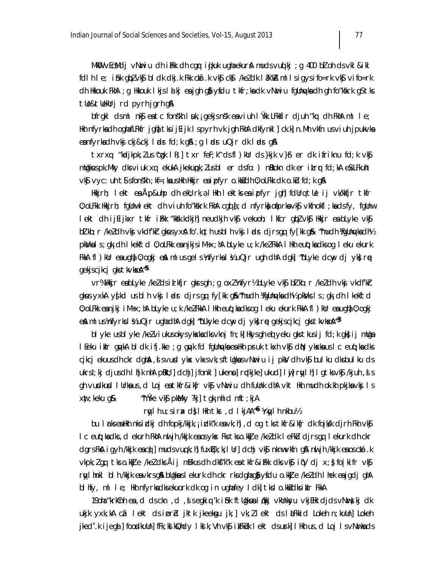MkWl ∨EcMelj ∨N∎riu elh iFkk elh cgqr igikuk ughaekura\ muels∨uqikj ;g 400 b7l oh els∨kl &ikl follhle; ifnk gobzvkn; block odkj.k Fkk chā.k vkn; ckn;) /kezolk lak/ka mllsigysifo=rk vkn; vifo=rk cih Hıkkouk FkhA ;g Hıkkouk ilkisilalki earigh g}î ysfciurtkfr;kadk ∨Nuriu fgünuykadh gh fo″kskrk g\$tks tle&tleklrj rd pyrh jgrh g&

bfrgkl dsml nkjeatcfonskhluk, igekjsnsk eaviuhlikk LFkkfir djuh "kq dhFkhAmlle; Hkh nfyrkachh oghafLFkfr jghà tks i jEijk Ispyrh vk jgh FkhA clkfynkl]ck.k]n.Mh vkfn usviuh jpukvka eanfyrkadh vkj ckj&ckj ladrfd;k q& ;q ladruQjr dk ladr q&

txrxq "koolikpk; lus^cook lR; | txr feF; k^ dsfl)kUr ds}kik v}\$ er dk ifriknu fd; k vk\$ mligkus pk. Mky dis viuk xq ekuka jkekupk; I us bl er ds fo: ) niklokn dk er i trur fd; ka esk LF kuht vký vyc: uh tý sfonskh; kf=; ka ushkh hkkjr ea i pfyr o.kkj dh 0; oLFkk dk o.ku fd; k g&

lłkkjrh; lekt ea Äp&uhp ch ekU;rk,a llłkh lektksea ipfyr jgh]fclUrq tUe ij vk/kkfjr tkfr 0; oLFkk Hkkjrh; fqUnwlekt dh viuh fo″kskrk FkhA cqd {; d nfyrk) ofiprka vk\$ vkfnokfl ; kads fy, fqUnw lekt dh ijEijkxr tkfr iFkk "kksk.kdkjh] neudkjh vk\$ vekuoh; lkfcr qbZ vk\$ Hkkjr en bLyke vk\$ bilkb; r /ke/dh vkj vkdf/kir gkusyxal fo'.kq th usbl h vkj læls cljrsgq fy[kk g& ^much ¼gUnwka dh½ pkVkals; gk; dh I kekftd 0; oLFkk eanjkjsiM+x; hA bLyke u; k /kelFkkA I Hkh euq; kadksog I eku ekurk FkkA fl)kUr e $a$ ugh) 0; ogkj e $\hat{a}$  mlusgelskhfyrkaližuQjr ugh dhA dgk] ~bLyke dcw, dj yk}re gekjscjkcj gkstk∨ksxa^<sup>os</sup>

vr%Hkkjr enbLyke /ke/dsid kfjr gkrsgh ; g ox/khfyr½ bLyke vk\$ bd kb; r /ke/dh vki vkdf/kr gkus yxkA y{kd us bl h vkj ladr djrsgq fy[kk g&^mudh !fgUnayka dh½ pkVks ls;gk;dh lkekftd 0; oLFkk eanjkj iM+x;hA bLyke u;k /ke/FkkA IHkh euq;kadksog Ieku ekurk FkkA fl)kUr eaughal0;ogkj e& mlus¼nfyrksl½uQjrughadhAdgk] ~bLkyke dcw, djyk}rę gekjscjkcj gkstkvkxkA~3

bl yke us bl yke /ke/viukus okys ykska dks vknj fn; k] Hkys gh ed yeku gks tkus ij fd; k gk} ij mllga l Eeku ikir gıykA bi dk ifj.kke ;g gıyk fd fgünyuka ea Hkh pruk tkxh vk\$ diN ykska us l c euq;ka dks cjkcj ekuus dh ckr dghal, ji svund ykne vkxsvk; sftligkaus v Nuriu i j pknV dh vk\$j bul ku dksbul ku ds ukrsl;kj cljusch lh[k nhA pBkU;]clchj]jfonkl]ukenno]rndkjke]ukucl]lwj]rnylhj lgtksvk\$j /kjuh ,sls gh vuidkuid I lirkaus, d Loj ea tkfr&i kfr vk\$ vNiri u dh fulink dhA vkt Hkh mudh ok kh pkjka vk\$ I s  $x$ nt; keku g $\&$ ^mŸke ∨kŷ pkMky ?kj] tgk; nhid mft; kjA

rty I h u; sir x d; I Hth the d I kjAA<sup>n6</sup> Very I h nkbu<sup>y</sup>

bu I rks ealkh nks izlkj dh fopkj/kkjk, i izlk"k eavk; hj , d og tks tkfr&ikfr dk fojksk djrh Fkh vk\$ lc euq; ka dks , d ekurh FkhA nuljh /kkjk eaosyks< Fks tkso.kk $U$ e /ke/dk leFk/u djrsgq lekurk dh ckr dgrs FkA igyh /kkjk excip]muds vuq k; h] fuxi[.k; k; l Ur] dchj vk\$ nknwvkfn g& nu jh /kkjk exos cká.k vkpk;lqq tkso.kkUe /keldksÅij mBkusdh dkf"k"k entkfr&iFkk dksvk§iqV dj x;}fo|kifr vk§ rnylhnkl blh/kkjk ea∨krsg\$a bllgknuslekurk dhckr rksdghag}iyfdu o.kkUe /keZdh lhek eajgdjghA bl hfy, ml le; Hkh nfyrkadksekuork dk og in ughafey Idk]tkslo.kkddksiklr FkkA

190ha "krkînh ea , d ds ckn , d , j s egki q 'k i îsk ft Ugkua I dkij vkUnkyu vkjEHk djds vNurs) kj dk ukjk yxk;kA cã lekt ds iprbl jktk jkeekgu jk;] vk;llekt ds latkkid Lokeh n;kuUn] Lokeh jkeď.k i jegal] foordkuUn] fFk; kal kQhdy I kal k; Vh vk\$i kFkUk I ekt cls urk] I Hkh us , cl Loj I s v Nurkads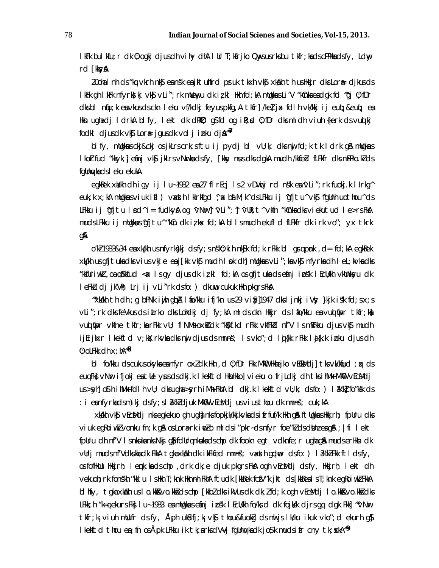IkFk bulkfu; r dk 0; ogkj djusdh vihy dhA I Ur T; kfrjko Qnysusrksbu tkfr; kadscPPkkadsfy, Ldny rd [kkyA

20ohal nh ds "kq vkrh nk\$ eansk eajktuhfrd pruk tkxh vk\$ xkdkh th us Hkkjr dks Lor& djkus ds lkFk gh lkFk nfyrk§kj ∨k\$ vLi";rk mUewyu dk izkl Hkh fd;kA mUgkwsLi′V "kCnkaeadgk fd ^gj 0;fDr dksbl níju; k en vkusdsckn leku ví/kdkj feyuspkfq, A tkir]/kelj x fdlh vk/kkj i jeug; &eug; en Hkn ughadj ldrkA blfy, lekt dk dkM∂; g,Sfd og ikt;xd 0;fDr dksmldh ∨iuh {kerk ds∨uqlkj fodkl djusdk vk\$ Lor<sub>i</sub>e jgusdk volj inku dja<sup>n7</sup>

blfy, mugkus ckj&ckj osjkLrs crk; sftu ij pydj bl vU; k; dks nuj fd; k tk ldrk g& mugkus I koltfud "kkyk, jeánj vký jkLrs vNurka dsfy, [kky nus dks dgkA mudh /kkfeld fLFkfr dks mPPko.kl ds fgllnykads I eku ekukA

egkRek xWkh dhiqy ij lu~1932 en 27 flrEcj ls 2 vDVncj rd nsk en 'vLi"; rk fuokj.k llrkg^ euk; k x; kA mulgkaus viuk ifl ) vaxsth I klrkfgd ^; a bá. M; k^ ds LFkku ij ^gfjtu^ vk\$ ^fgUnh uothou^ ds LFkku ij 'qfjtu I pd^ i = fudkyA og 'vNưr'] 'vLi"; 1 'vUR; t^ vkfn "kCnkadks viekutud I e>rsFkA mudslFkku ij mllgkus^gfjtu^ "kCn dk izkx fd;kA bl Ismudh ekufl d fLFkfr dk irk vo"; yx tkrk gA

o'ki 1933&34 ea xk/kh us nfyrks}kj ds fy; s nsk0; kih nk\$k fd; k rFkk bl grg pnk, d= fd; kA egkRek xk/kh us gfj tuka dks vius vkJe ea j[kk vk\$ mudh I sk dh] mllgkus vLi"; ka vk\$ nfyrka dh I eL; kvka dks "kkfUriwk7 ,oa o%kkfud <ax Isgy djusdkirkl fd;kA osgfjtukadsefinjinsk IEcU/kh ∨kUnksyu dk I eFkLu dj jk'Vh; Lrj i j vLi"rk dsfo: ) dkuwu cukuk Hkh pkgrsFkA

"xkalkh th clh;q bPNk iyih qba I ao/kku ifj'kn us29 vi $\delta$ y]1947 clksljnkj iVsy }kjk is'k fcl;sx;s vli"; rk dks feVkus ds itrko dks lohdkj dj fy; kA ml ds ckn Hkkjr ds I fio/kku ea vud fipr tkfr; kji vuolinipr vkine tkir;karfkk vU; fi NMsoxkidk "k\$kf.kd rfkk vkifkid nf'V IsmRFkku djusvk\$ mudh ijEijkxr Ikekftd v;kX;rkvkadks nuj djusdsmnns"; Isvko";d Iuj{kk rFkk Iaj{k.k inku djusdh 0; oLFkk clh  $x$ ;  $hA^{\wedge 8}$ 

bl fo/kku ds cukus okyka ea nfyr ox $l$  dk Hkh , d  $0$ ; fDr Fkk MkOU Hkhejko vECkMdj] tks vk/kqud ; qx ds euq Fk) vNur ifjokj en tle ynus ds dkj.k I kekftd HknHkko] vieku o frjLdkj dh tks i MMk MkWD vEcMdj us >syh| o\$ h ihMk fdlh vU; dksuqha >syrh iMk FkhA bl dkj.k lkekftd vU;k; dsfo: ) l?nk'k[ fo″ksk ds : i eanfyrkadsm)kj dsfy; sl akkdiuk Mko vEcMdjusvius thou dk mnns; cuk; kA

xkikh vk\$ vEcMdj nkseqkekuo qh uqha nksfopkjk/kkjkvkadsifrfuf/k Hkh q& ftUqkusHkkjrh; fpUru dks viuk eq $R$ oiwk $l$  vonku fn; k q $R$  os Lor $\ast$ rk in $l$ o ml ds i "pkr-ds nfyr foe "kl ds dth $u$  e $a$  q $R$ ; | fi l ekt fpUru dh nf'V I snkukanksNkj qå fdUrqnkukadschp dk fookn egt vdknfe; r ughagå mudserHkn dk vUri muds nf'Vdkskka dk FkkA tqka xkdkh dk ikFkfed mnns"; vaxth gdver dsfo: ) I ak'kZ Fkk ftl dsfy, osfofikUu Hkijrh; Iemk;kadschp ,drk dk;e djuk pkgrsFkA ogh vEcMdj dsfy, Hkijrh; Iekt dh vekuoh; rk fonskh "kkl u Ishkh T; knk hknnh FkhA ftudk [kkRek fcfV"k jkt ds [kkRealsT; knk egRoiwk/FkkA bl hfy, tgka xkalkh us lo.kko&vo.kkošdschp [kkbłdks ikVus dk dk;łfd;k ogh vEcMdj lo.kko&vo.kkošdks LFkk;h "k=qekurs Fkk; Iu~ 1933 ena mulgknus enfinji psk: IEcu/kh fo/ks;d dk fojksk: djrs.qq dgk: Fkk] ~^vNur tkfr; k; viuh mllufr dsfy, Åph ukidfj; k; vkj; thou&fuokig ds nul js l k/ku ikuk vko"; d ekurh qj} lkekftd thou ea; fn os Äpk LFkku ik tk; arksdVVj fgUnykadk jo\$k mudsifr cny tk; xkA^\*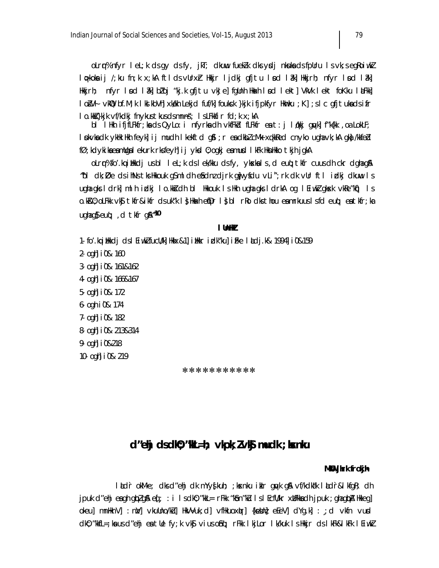olr r% nfyr lel; k ds gy ds fy, jkT; dkuw fueklk dks ydj nkuka ds fpUru ls vk; s egkoiwkl lopkoka ij /;ku fn;k x;kA ftldsvUrx}r Hkkjr ljdkj qfjtu lnd lâk] Hkkjrh; nfyr lnd lâk] Hkkjrh; nfyr Ind Iâk]błoj"kj.k gfjtu vkJe]fgUnh Hkakh Ind Iekt]VkVk Iekt foKku InLFkk] lošVł vkWQ bf.M;k lkd kbVh]xkdkh Lekjd fuf/k]foukck }kjk ifjpkfyr Hkmku ;K];slc qfjtukadsifr I o.kk }kjk vf/kdkj fnykustkusdsmnns; I sLFkkfir fd; k x; kA

bl lilkh ifjfLFkfr;kadsQyLo:i nfyrkadh vkfFkd fLFkfr eat:j løkkj qwk]f"k{kk ,oaLokLF; I pkvka dk ykłk ikh feyk) i j mudh I kekftd g\$I ; r ea dkbl cMk xqkkRed cnyko ugha vk; kA gk} /kkfebl fØ; kdyki ka ea mllga I ekurk rksfeyh] i j ykd 0; ogkj ea musd I kFk HknHkko tkjh jgkA

olrr% fo'.kq illkkdj usbl lel; k ds lek/kku ds fy, ykskals, d euq; tkfr cuusdh ckr dghag& "bi dk; De ds ihNs tks Hkouk g\$ml dh e\$ dnz djrk gju yfdu vLi"; rk dk vUr fti idkj dkuwu is ugha gks Idrk] m Ih indkj Io.kk/sidh b I Hkkouk Is Hkh ugha gks IdrkA og I Eiwk/gksxk vk/ke″kn[) Is o.k&0; oLFkk vk\$tkfr&ikfr dsuk"k l}Hkakhefpr l}bl rRo dksthou eamrkuuslsfd euq; eatkfr; ka ugha qs eut; d tkfr qs  $^{\prime\prime}$  0

#### I Unlik

- 1. fo'.kqi<code>i</code>kkdj dslEiwkIfucU/k||kkx&1||ikkr idk"ku||iFke Ikdj.k& 1994||i0&159
- 2- ogh i 0& 160
- 3 ogh i 0& 161&162
- 4 ogh i0& 166&167
- 5- ogh i 0& 172
- 6 ogh i 0& 174
- 7- ogh i 0& 182
- 8- ogh i 0& 213&314
- 9- ogh i 0&218
- 10- ogh i 0& 219

\*\*\*\*\*\*\*\*\*\*\*

# $d''$ ehj dsdK $0$ ; "KHL = h; vkpk;  $l$  vk $\beta$  mudk; kxnku

#### MKU jirk frokjim

litdr okM-e; dksd"ehj dk mYyşkuh; ;kxnku itlr quyk g& vf/kdkak litdr&lkfgR; dh jpuk d″ehjeagh gbūg\$ eq[; : i Isdk0;"kkL= rFkk "k\$n"kū IslEcfU/kr xWFkkadhjpuk ;ghagbā Hkkeg] okeu] mnHknV] : nM] vkuUno/ku] HkVVuk; d] vfHkuox(tr] {keVn} eEeV] dYg.k] : ; d vkfn vurd ck0; "kkfL=;ka us cl"ehj ea tUe fy;k ∨k\$ ∨ius o\$nq; rFkk lkjLor lk/kuk ls Hkijr cls lkFk&lkFk lEiwkZ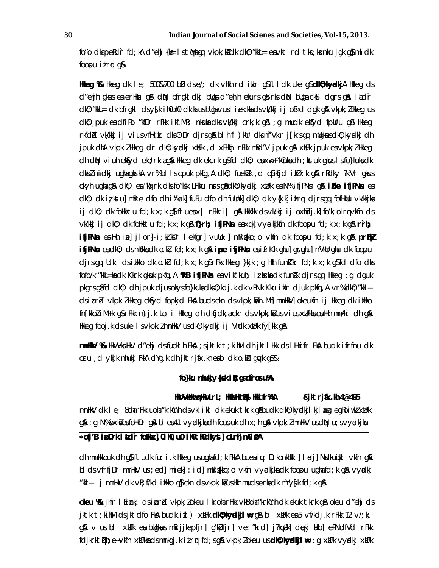foro dkspekdr fd; kA drehj {ks= lstMsqq vkpk; kidk dk0; rkkL= envkt rd tks; ksknku jogk q} mldk foopu itrr g&

**Hikeq %** Hikeq dk Ie; 500&700 bD dse/; dk vHkh rd iklr q\$ftIdk uke q\$**dk0;kyadkj**A Hikeq ds d″ehjh gkuus ea erHkn g\$A diN, bfrgkldkj bllga d″ehjh ekurs g\$rks diN, bllga ck\$, dgrs g\$A llald`r dk0; "kkL= dk bfrgkl dsy{k ih0oh0 dk.ksusbUgavud iek.kkadsvk/kkj ij ofind dgk g\$l vkpk; IHkeg us dk0; jpuk en dfiko "kfDr rFkk ikf.MR; nkukne dks vk/kkj crk;k g\$4 ;g mudk ek\$yd fpUru g\$4 Hkkeg rkfdbd vk/kkj ij vius vfilkik; dks0; Dr djrsg&h bl h fl)kUr dksnf′Vxr j[krsgq mUqkwusdk0; kyndkj dh jpuk dhA vkpk; I Hkleg dir dk0; kyndkj xUFk , d xEHkhj rFkk mRd'V jpuk g\$ xUFk jpuk es vkpk; I Hkleg dh diN vi uh ekisyd ekli; rk, agiA likkeg dk ekurk gSfd diki; ea xw:+ "kCnka dh ; kst uk gkus I sfo}kuka dk i dkblmidkjughagkrkA vr%bllscpuk pkfg,Adk0; fueklk,dopkfjdifØ;kgArRdky?kfVrgkus okyh ughagya cikû; ea "kojrk ciksfo"ksk LFkku n:rsgaacikû; kyncikj xilFk ea N% ifjPN:n gya **iFke ifjPN:n** ean dk0; dk iz kstu] mRre dfo dh izkal k] fuEu dfo dh fullnk] dk0; dk y{k.k] i£rr djrsgq fofilkllu vk/kkjka ij dk0; dk foHkktu fd;k x;k g}îftueax| rFkk i| g\$A Hkk′kk ds∨k/kkj ij oxhidj.k]fo′k;oLrq∨kfn ds vk/kkj ij dk0; dk foHktu fd;k x;k g**& f}rh; ifjPNn** eaxqk] vyndkjkfn dk foopu fd;k x;k g**& r`rh; ifjPNs** ealth ine jilor i; kikor lekfgr vullo; mRifkko; o vkfn dk foopu fd; k x; k g **a prikl ifjPNs** ea dk0; ds nkskka dk o.ku fd; k  $x$ ; k q& **ipe ifjPNs** ea ifrKk ghu] grgghu] nVkUrghu dk foopu djrsgq U;k; dsilikko dk o.ku fd;k x;k g\$rFkk Hkkeg }kjk ;g Hkh funit"kr fd;k x;k g\$fd dfo dks fofo/k "kkL=kadk Kkrk gkuuk pkfg,A **'kB ifjPNsa** eavikf.kuh; izkskadk funk"k djrsgq Hkkeg ;g dguk pkgrs g\$fd dk0; dh jpuk djus okys fo}kuka dks0; kdj.k dk vPNk Kku iklr djuk pkfg, A vr% dk0; "kkL= ds i prid vkpk; i Hikeg ekfyd fopkjd Fka buds ckn ds vkpk; ki n. Mh] mnHkV] okeukfn i j Hikeg dk i Hiko fn[kkb] i Mrk g\$rFkk m) j.k Lo: i Hkkeg dh dkfjdk, a ckn ds vkpk; ki us vi us xllFkka ea Hkh mn/kr dh g\$l Hkkeg fooj.k dsuke I svkpk; I mnHkV usdk0; kyndkj i j Vhdk xtlFk fy [kk g&l

minhav ‰ Hkvvknhkv d″ehj dsfuokih Fka ;sjktk t;kihM dh jktihkk dsihkkifr Fka budk ifrfnu dk oru, d yk[k nhukj FkkA dYg.k dh jktrjáx.kh eabl dk o.ku gwk g\$&

## fo}ku nhukjy{ksk i k; gadroru%

HkVVkHomopHkVLrL; HkfeHkrl%I Hkifr%A &jktrjix.kh 4@495

mnHkV dk I e; 80harFkk uoha"krkCnh dsvkl ikl dk ekuk tkrk g&budk dk0; kyøkjl kjl &g egRoiwkZ xUFk g\$\; g N%oxk}eafolikDr g\$\bl ea41 vyclkjkadh foopuk dh x; h g\$\vkpk; ZmnlikV usdiN u; svyclkjka

# \*ofj'B ipDrk I adr foHkx], 0ih0, u0 ih0th0dkyst] cLrh m0i0A

dh mnHkkouk dh q\$ ftudk fu: i .k Hkkeg usughafd; k FkkA bueaių: DrkonkHkkl | I adj | Nsdkuqikl vkfn g& bi ds vfrfjDr mn\\V us ; ed] miek] : id] mki{kko; o vkfn vyrdkjkadk foopu ughafd;k gA vyrdkj "kkl= ij mn\\V dk vR; f/kd ilkko q $\delta$  ckn ds vkpk; kius Hkh muds erka dk mYy $\oint$ k fd; k q $\delta$ 

okeu %k jhfr I Eink; clsiprid vkpk; lokeu I kroharFkk vkBoha"krkCnh clk ekuk tkrk g& okeu cl"ehj cls jktk t;kihM clsjktclfo FknA buclk ifl ) xblFk **clk0;kyadkjl\#** gnA bl xblFk ea:5 ∨f/kclj.k rFkk 12 ∨/;k; g\$\ vius bl xblk ea bUgkuus mRrjjkepfjr] g′kþfjr] ve: "krcl] j?kopa"k] cloekjlblko] ePNclfVcl rFkk fcljkrktùµh; e∼vkfn xllFkkadsmnkgj.k il\_rqr fcl;sg& vkpk;lokeu us**clk0;kyadkjlw**e ;g xllFk vynclkj xllFk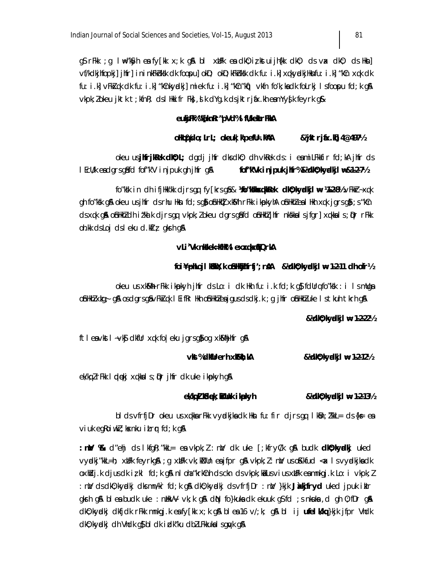q\$rFkk ;q l\#="k\$yh earfy[kk x;k qp\$ bl xblFk eardk0;iz,kstuijh{kk dk0; ds vax dk0; ds Hksn] vf/kdkjhfopki] jhfr] ininkFkhksk dk foopu] okD; okD; kFkhksk dk fu: i.k] xqkyxdkjHknfu: i.k] "kCn xqk dk fu: i.k] vFkixqk dk fu: i.k] "kCnkyndki] miek fu: i.k] "kCn"kn") vkfn fo'k; kadk foLrkj Isfoopu fd; k q& vkpk; lokeu jktk t; kfnk; ds I Hkifr Fk; , d k dYq k ds jktrjfx kh eamYyfk feyrk q&

## eukjFk%"k[knRr"pVd%lflVkekarFkkA

#### oHoq‰do;LrL; okeuk|kpefU=.k%AA &'ktrjfox.ld 4@4971/2

okeu usjifrjikek dl0; L; dgdj jhfr dksdk0; dh vkRek ds: i eamiLFkkfir fd; kA jhfr ds I EcU/k endgrsgifd fof"k'V injpukghjhfrgji fof"kVk injpuk jlfr%&Vdl0; kydkjl #&1-2-7½

fo"ksk in dhifjllkk'kk djrs qq fy [krs q\$& **14o"kskkosqkkRek dk0; kyodkjl # 14-2-81**/2 vFkkr~xqk oh fo"ksk ojå okeu usjinfr cisrhu Hkn fci;sojå ojnHknil xkmålh rFkk i kupkyhA ojnHkhizeal Hkh xqk jarsojå;s"kCn ds xqk q& ofinikhizdh i i'kalk djrsqq vkpk; i okeu dgrsq\$fd ofinikhiz jhfr nkskkals jfgr] xqkkals; iDr rFkk oh. kk ds Loj ds leku d. k $f$ i $\zeta$  gk $f$ h g $\lambda$ 

## vLi'Vk nkkek=kH%l exxqkxtEQrkA

## foi ¥phLoji kakki; k oshkhihirfiji; rsh & kokho; kyadkji w 1-2-11 ch of r½

okeu us xkMh rFkk ikpkyh jhfr ds Lo: i dk Hkh fu: i.k fd;k g} fdUrq fo″ksk : i IsmUga o\$nHkhZxkg÷g\$A osclgrsg\$vFk}&qk IEifRr Hkh o\$nHkhZeajgusclsclkj.k ;g jhfr o\$nHkhZuke Istkuhtkhrhg\$A

## & 1/dk0; kyadkj l # 1-2-221/2

ftleavkstl~vksjdkfllrxqkfoleku jgrsgjiog xksMhihfrgji

#### vkt%dkfUrerh xkMh; kA & Vollo; ky odki 1 # 1-2-121/2

ek/kg Z rFkk I odenkj x g kka I s ; D r jhfr clk u ke i k po k y h g &

ek/kg 1 k& dek; ki Uuk ikpo kyh & Vollo; ky odkj l # 1-2-131/2

bl ds vfrfj $Dr$  okeu us xqkka r $F$ kk vyxdkjka dk Hkn fu: fir djrs qq lk $Bn$ ;  $l'$ kk $l = ds$  {k= ea  $\vee$ iuk eg $\hbox{loiwl}$ ; k $\hbox{snku}$  i $\hbox{Lrr}$ r fd; k g $\hbox{\AA}$ 

:  $\mathsf{m}\mathcal{V}$  %  $\mathsf{d}$ "ehj d $\mathsf{s}$  I kfqR;"kkL= e $\mathsf{s}$  vkpk;  $l$  :  $\mathsf{m}\mathcal{V}$  dk uke  $\lceil$ ; kfry $\mathsf{C}/k$  q& budk **dk0; kyalkj** uked vycikj"kkL=h; xilFk feyrkg&;g xilFk vk;kNlin ea jfpr g& vkpk;l:ni/usoKkfud <a lsvycikjkadk oxhidj.k cijus dki z kl fd; k q\$k nl oha "krkinh ds ckn ds vkpk; kajus vi us xblFk eamnkqj.k Lo: i vkpk; Z : n)/ ds dk0; kyndki dks mn/kr fd; k q\$ dk0; kyndki ds vfrfjDr : n)/} kik **Jixkifryd** uked jpuk iklr gkrh g& ble a budk uke : n.HkVV vk;k g& dN fo}kuka dk ekuuk g\$fd ;s n.kuka ,d gh 0;fDr g& dk0; kyndkj dkfjdk rFkk mnkgj.k esty[kk x; k q\$ bl est6 v/; k; q\$ bl ij ufelk/kq}kjk jfpr Vhdk dk0; kyndkj dh Vhdk g\$ bl dk idk"ku dbl LFkkuka I sgnyk g&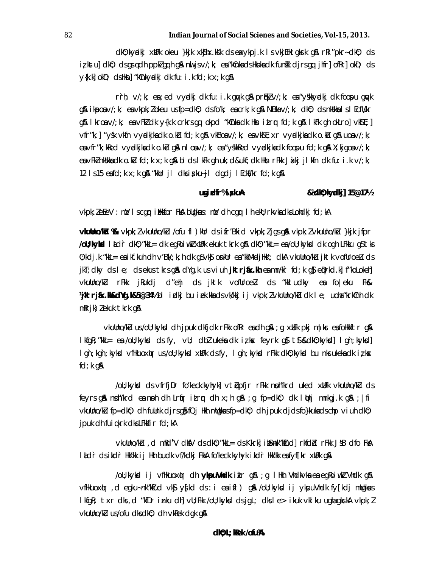dk0; kyrdkj xblFk okeu }kjk xk\$hx.ksk ds exxykpj.k IsvkjEHk qkrrk q\$ rRi"pkr~dk0; ds iz kstu] dk0; ds gsrq dh ppk/gq h g\$ nu js  $v$ /; k; ex "kCnks ds Hknks dk funik djrs gq jhfr] ofRr] okD; ds  $y(k, k)$  okD; cls Hkn] "kCnkyadkj clk fu: i.k fcl; k  $x$ ; k g&

rrh;  $v/; k$ ; ea; ed vydki dk fu: i.k qwk q& pr $f(k)$  v/; k; ea "yskkydki dk foopu qwk g\$\ ikposv/;k; esvkpk;lokeu usfp=dk0; dsfo^k; escrk;k g\$\ NBkav/;k; dk0; dsnk\$kkslslEcflVkr g\$\ Ikroav/;k; eavFkZdk y{k.k crkrs.gq okpd "kCnkadk Hkn it.rmr fd;k g\$\ IkFk gh okLro]vk\$E;] vfr"k; | "ysk vkfn vyrdkjkadk o.ku fd; k q& vkBoav/; k; eavkSE; xr vyrdkjkadk o.ku q& uoav/; k; ea vfr "k; kked vyrdkjka dk o.ku gå nl oa v/; k; ea "yskked vyrdkjka dk foopu fd; k gå X; kjgoa v/; k; ea vFklnkskka cik o klu fci;k x;k g\$ bi cisi kFk gh uk;ci&ukf;cik Hkn rFkk Jakkj ji kfn cik fu:i .k v/;k; 12 Is 15 eafd; k x; k g & "kkUr jl dks i x ku~jl dg dj l Eckt/kr fd; k g &

#### ugi dir%i ş kuA & **Xdlio**; ky**al**kj] 15@17<sup>1</sup>/2

vkpk; lefeV: niv I scgr i ilkfor FkA bligkus: niv dh cgr I h ekl; rkvka dks Lohdkj fd; kA

**vlullno/kū ‰** vkpk; *l* vkullno/kū /ofu fl ) klr ds i fr'Bkid vkpk; *l* jgs g& vkpk; *l* vkullno/kū }kjk jfpr /oU; kykd I Ldr dk0; "kkL= dk egRoiwkZ xUFk ekuk tkrk g& dk0; "kkL= ea/oU; kykd dk ogh LFkku g\$ tks 0; kdj.k "kkL= eaikf.kuh dh v'Bk/; k; h dk q\$vk\$ onkUr ea"kkM-djHkk'; dkA vkuUno/kU jktk vofUroeU ds jkT; dky ds I e; ds ekus tkrs g\$ dYg.k us viuh **jktrjfax.kh** eamn#kr fd;k g\$ epprkd.k] f"koLokeh] vkullno/kU rFkk jRukdj d″ehj ds jktk vofUroeLu ds "kkludky ea fo|eku Fk& Whatrjinx.kh&dYg.k&5@34½bl idkj bu iek.kkadsvk/kkj ij vkpk;lvkuUno/kudk le; uoha"krkCnhdk  $mRri)$  ekuk tkrk q&

vkullno/kū us/oll; kykd dhipuk dkfjdk rFkk ofRr eadh q&; q xilFk pkj m|kr eafolikkftr q& lkfqR; "kkL= ea /oU; kykd= ds fy, vU; dbl ukeka dk izkx feyrk q\$t\$&dk0; kykd] lqn; kykd] I gn; kgn; kykid vfilkuoxilir us/oll; kykid xliFk dsfy, I gn; kykid rFkk dki); kykid bu nks ukeka dk i z kix  $fd; k$  g&

/oll; kykd ds vfrfjDr fo'keck.kyhyk] vtiupfjr rFkk noh"krd uked xilFk vkullno/ku ds feyrs gå notikrd en not dt Lritr itrur dt x;t gå; g fp=dk0; dk lltnj mnkgj.k gå; lfi  $v$ kullno/k $\mu$  fp=dk0; dh fullnk djrsq\$ fQj Hkh mllgk $\mu$ sfp=dk0; dh jpuk djdsfo}kukadschp viuh dk0; jpuk dh fuigkrk dks LFkkfir fd; kA

vkullno/ku, d mRd'V dktV ds dk0; "kkL= ds Kkrk] i t&nk"kIud] rkfdd rFkk JsB dfo FkA I hadir ds i hadir Hkk'kk i j Hkh budk vf/kdkj FkkA fo'keck.kyhyk i hadir Hkk'kk enfyffkr xhlFk g\$

/oll; kykıd ij vfilkuoxlur dlı **ykouVhdk** ikir q&; q Illilıh Vlıdkvka ea eqRoiwikZ Vlıdk q& vfilkuoxim, degku-nk"ktud vk\$ y{kd ds: i ea ifl) g& /oll; kykd ij ykpuVhdk fy[kdj mllgkws I kfgR; txr dks, d "kfDr inku dh] vU; Fkk /oU; kykkd dsjgL; dksle> ikuk vklku ughagkrkA vkpk; l vkullno/ku us/ofu dks dk0; dh vkRek dgk g&

 $d\omega$ ; L; knek /ofu%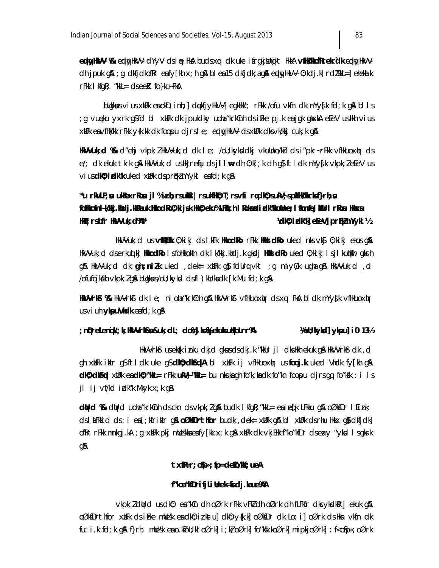eddyhWy %& eddyhkVV dYyV dsię FkA budsxq dk uke ifrgkjlhnikt FkkA vfhloWhofRrekrdk eddyhkVV dh jpuk gå ; g dkfjdkofRr exfy[kh x; h gå bl ex15 dkfjdk, agå eply/HkVV 0; kdj.k] rd/'kkL=] ehekal k  $rF$ kk I kfqR; "kkL=  $ds$ ee $K$  fo }ku~Fk $\&$ 

bligkus vius xlifk en okD; inh; dekfjylkVVj egklik'; rfkk /ofu vkfn dk mYy{k fd; k g\$ bl l s g vueku yxrk q\$fd bl xWFk dk jpukdky uoha"krkCnh dsiFke pj.k eajqk qkskA eEeV usHkh vius; xtifk eavfilk/kk rFkk y{k.kk dk foopu djrsle; eplyylikVV dsxtiFk dksvk/kkj cuk;k q&

HKVVuk; d % d"ehi vkpk; llkVVuk; d dk l e; /oll; kykddki vkullno/ku ds i "pkr~rFkk vfHkuoxlur ds e/; dk ekuk tkrk g& HkVVuk; d usHkjrefju dsjllw= dh 0;k[; k dh g} ftl dk mYy{k vkpk; leEeV us vius **dl0; idk't** uked xtlFk dsproklnYykl eafd; k q&

## "u rkVLF;su ukRexrRosu jl%irh;rsukRi|rsukfH0;T;rsvfi rqdk0;sukV;spkfHvkrksf}rh;su folikofn i Wkj.kicij.kReuk likoci Roj; ki jsk liki); eku%LFki; h i Rokazi i zik"kuline; i fionfoJkflir i rRosi likistsi Hd ; rsbfr HWVuk; d%\*\* **Vollo; idk'N eleV] prikmYykl ½**

HkVVuk; dus **vfHvlk** 0; kikj ds lkFk **HkodRo**rFkk **HkstdRo**uked nks vk§ 0; kikj ekus q& HkVVuk; d dserku¢ kj **HkodRo i** sfollkkokfn dk l k/kkj.khdj.k gk**ci i HkstdRo** uked 0; kikj l sjl kuljkfir gkrh g& HkVVuk;d dk **g`n;nizk** uked ,dek= xWFk q\$ fdUrq vkt ;g miy(/k ughag& HkVVuk;d ,d /ofufojkkh vkpk; 1 gå bligkus/oli; kykd dsfl ) klirkadk [k. Mu fd; k gå

HKWYrKGr%R HkVYrkGrdk Ie; nloha"krkCnh g\$A HkVYrkGrvfHkuoxlµrdsxq FkoA bldk mYyg{k ∨fHkuoxlµr  $us$  vi uh **ykpuVhdk** eafd; k q &

#### ; n@reLenqW; k; HKVVrKGsu&uk; clL; clo%JkG\$Nekuk=koLrr%\; **1600; kykd] ykpu] i0 131/2**

HkVVrkfr us ek(k inku dkjd gkusdsdkj.k "kkUr jl dksHkh ekuk g\$A HkVVrkfr dk , d gh xilFk ikir q\$ftldk uke q\$**dk0;dk6qdA** bl xilFk ij vfHkuoxilur usfooj.k uked Vhdk fy[kh q\$A  $dN$ ;  $dN$   $d\mathbf{F}$  and  $dN$ ;  $dN$   $d\mathbf{F}$  and  $dN$   $d\mathbf{F}$  and  $d\mathbf{F}$  by nkuka qh fo $'$ k; ka dk fo $''$ kn foopu djrs qq fo $''$ ksk : i Is jl ij vf/kd izkark Mkyk  $x$ ; k g\$

 $d$ ttrd %& dt $r$ d uoha "krk $cnh$  ds ckn ds vkpk;  $l$  g& budk I kfgR; "kkL= ea i eq[k LFkku g& oØk $Dr$  I Eink; dslatfikid ds: i ea [;kfrikilr q& oØkoDrthfor budk , dek= xblFk q& bl xblFk dsrhu Hikix q& dkfjdk] ofRr rFkk mnkgj.kA ;g xbFk pkj mlleskkaeafy[kk x;k g\$l xbFk clk vkjElk f"ko"kfDr clseavy "ykcl Isgkrk gA

#### $txf = r$ ; of px; fp=delo/ $W$ ; ue A

#### f"koa"kfDrifjLiUnek=kidj.kaue%AA

vkpk; I ditrd us dki); ex "kûn dih oØrk rFkk vFki dih oØrk dih fLFkfr diksykdkilitrj ekuk gi& oØk\$Drthfor xUFk ds iFke mUesk en: dk0; iz kstu] dk0; y{k.k] oØk\$Dr dk Lo: i] oØrk ds Hkn vkfn dk fu: i.k fd;k q& f}rh; mUesk eao.kfoU;kl oØrk] i;k}oØrk] fo"ksk.koØrk] mipkjoØrk] : f<o\$p«;oØrk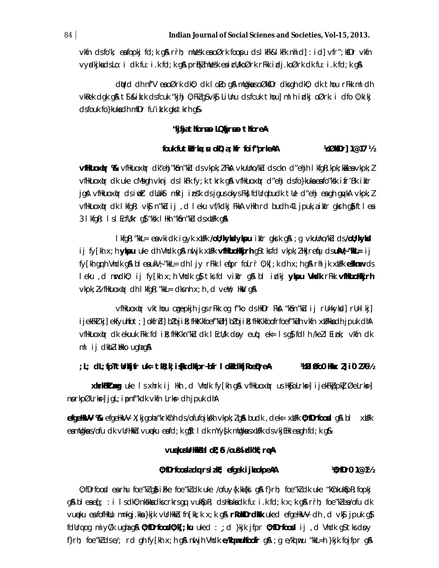$v$ kfn ds fo'k; ea fopkj fd; k qå rrh; mllesk ea oØrk foopu ds I kFk&I kFk nhid] : i d]  $v$ fr"; kfDr  $v$ kfn vychikadslo: i dk fu: i k fd; k g& prijk mllesk ea i cll/koØrk rFkk i clj. koØrk dk fu: i k fd; k g&

dight din nf'V eno Ørk dio, did lo Lo qon mulgious o ØksDr dis gh dio; did thou r Fiki m I dh vkRek dgk g& t\$ & ik.k dsfcuk "kjhj 0; FkZ gS vk\$ LiUnu dsfcuk thou] ml h irdkj oØrk: i dfo 0; kikj dsfouk fo}kukadh mfDr fu'ik.k gks tkrh g&

### "kihjathorsus LQtjrsus thoreA

#### fouk futhbrla; su old; a; Kir foif"prkeAA **%000**r 1@17 ½

**vfHauoxhr %** vfHkuoxhr dk"ehj"kSn"ku ds vkpk; I FkA vkullno/ku ds ckn d"ehjh I kfgR; kpk; ka ea vkpk; I vfilkuoxiur cik uke cMsqh vknj cisl kFk fy;k tkrk q& vfilkuoxiur ci″ehj cisfo}kuka eafo″ksk ifr′Bk iklr jgå villkuoxir dsi mit dllukst mikrj insk dsjgusokys Fkj fdllrabudk tlle d"ehj en gluka vkpk; l vfilkuoxiur dk I kfgR; vkg n"ku i j, d I eku vf/kdkj FkkA vHkh rd budh 41 jpuk, a i klr gkrh ga ft l ea 3 I kfqR; I s I Ecfl/kr q\$ "ksk I Hkh "k\$n"ku ds xtlFk q&

I kfgR; "kkL= ea vkidk igyk xblFk **/oll; kykdykpu** iklr gkrk g&; g vkullno/kU ds **/oll; kykd** ij fy[kh x;h **ykpu** uke dh Vhdk q\$\nuhijk xulFk **vfHkuoHkjrh** q\$tksfd ∨kpk;lHkjreqiu ds**ukV;″kkl=** ij fy[kh gq h Vhdk g& bl eaukV; "kkL= dh l jy rFkk l efpr foLrr 0; k[; k dh x; h g& rhl jk xUFk e Sknwr ds leku , d nurdk0; ij fy[kh x;h Vhdk g}tksfd viklr g&bl idkj ykpu Vhdk rFkk vfHkuoHkkjrh  $v$ kpk;  $l$  vfHkuoxitr dh I kfqR; "kkL= dks nh x; h, d veY; HkV q&

vfilkuoxlir vkthou cgepkjh jgsrFkk og f"ko dsikDr Fka "kôn"ku ij rU=kykd]rU=1 kj] ijekFkJ kj]ekfyuhfot;]okfrZl]bľojil};flkKkfoef"kIn|bľojil};flkKkfoofrfoef"kIn vkfn xWFkkacIh jpuk cIhA vfilkuoxiur dk ekuuk Fikk fd i R; filkKkn"ku dk I Ecli/k dov eug; ek= I sg} fd I h /ke/ I Ei nk; vkfn dk ml ij dkblikko ughag&

;L; dL;fpTtUrkijfr uk= tkR;k|i{kk dkfpr~bfr I okiidkfjRoeQireA  $\text{WDP}$  in the  $\text{W}$  and  $\text{W}$  and  $\text{W}$ 

**xhrkFkilaxg** uke Isxhrk ij Hkh , cl Vhclk fy[kh g\$1 vfHkuoxk|r usHk\$joLrks=] ijekFk}opk] ØeLrks=] norkpølrks-1 jgl; i pnf"kdk vkfn Lrks-dh j puk dhA

efgeHMV %& efgeHkVV X; kjgoha "krkCnh cls/ofufojkkh vkpk; Zg& buck, dek= xbFk 0; fDrfood g& bl xbFk eamligkus/ofu dk vliriikko vueku eafd; k gjitti dk myysk milgkus xillik ds vkj Elik eagh fd; k gj&

#### vuekusUrHkbal oL; 6 /ou%idk'kf; reA

#### 0; fDrfoodadg rsizk; efgek i jkaokpeAA  $%$  fDr0 1@1 $%$

0; fDrfood earhu foe"kl q i i Fke foe"kl dk uke /ofuy{k.kk{ki q & f }rh; foe"kl dk uke "kCnkukspR; fopkj  $q$  & bleaeq  $\gamma$ : i Isdk0; nkkkadkscrkrsqq vukt $p$ k $\gamma$ ; dshknkadk fu: i.k fd; k  $\times$ ; k q & rnh; foe "klea/ofu dk vueku estofikulu mnkgj.kks }kjk vurlikkb fn[kk;k x;k g\$ rRok\$Drdksk uked efgelikVV dh,d vk\$ jpuk g\$ fdllrq og miy $\mathcal{C}/k$  ughag $\mathbf{\Omega}$  0; fDrfood0; k[; ku uked : ; d }kjk jfpr 0; fDrfood ij, d Vhdk g\$tks day f}rh; foe"k] dse/; rd gh fy[kh x;h g& nu jh Vhdk e/ko| mulfoofr g& ;g e/ko| mu "kkL=h }kjk fojfpr g&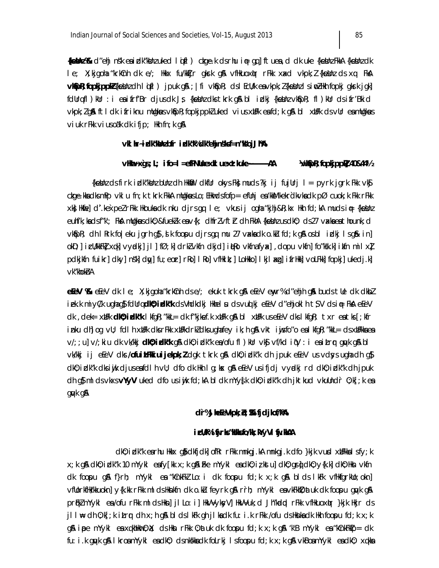{kebkhz%k d″ehj ns″k ea izlk″kblnzuked lqifl) ckge.k dsrhu i∉ gq]ftuea,d dk uke {keblnzFkkA {keblnzdk le; X;kjgoha "krkCnh clk e/; Hkkx fu/kkTjr gkrk g\$l vfHkuoxlµr rFkk xaxcl vkpk;*l* {kekJnz cls xq Fk\$l vkSpR; fopkjppkZ{keshz ch lqifl) jpuk g&; | fi vkSpR; cls I EcU/k eavkpk; Z{keshz I sinoZHkh fopkj gkrk jgk] fdUrqfl)kUr : i ea ifrf'Br cljus dk Js {ketha dks tkrk q& bl idkj {ketha vk\$pR; fl)kUr ds ifr'Bkid vkpk; I gå ft I dk i friknu mllgkus vkåpk; fopkjppkI uked vius xlifk ea fd; k gå bl xlifk ds vlir ea mllgkus  $\vee$ iuk r $F$ kk  $\vee$ ius o ak dkifjp; Hkh fn; k q &

#### vkl hr~idk"kkhzbfr idk"k%dk"ehjn\$ksf=n"k"ojJh"A

#### **Web**pr; fopkjppk<sup>2</sup> 40&44½

{kebinz dsfirk izlk"kbinz blinz dli likkilir dkflir okysfk); muds?kj ij fujlirj l = pyrk jgrk fkk vk\$ ckge.kka dksmPp vkl u fn;k tkrk FkkA mllgkusLo;EHkwdsfofp= efllnj ea kkM'kekrdkvka dk pØ cuok;k Fkk rFkk xk}Hkfie]d'.kexpelrFkk Hkoukadk nku djrsgq le; vkusij ogha "kjhj&R;kx Hkh fd;kA mudsi∉ {kekhn euhf'k; kadsf"k'; FkA mllgkausdk0; &fuekLk eav{k; dhfrlvftr dh FkhA {keUnu usdk0; ds27 vackaeathounk; d vk\$pR; clh IRrk fo|eku jgrhg}, slk foopu cljrsgq mu 27 vaxkacklo.ku fcl;k g\$losbl irdkj Isg\$k in] okD;] icl/kkFkl xqk| vyclkj] jl | fØ; k| drkl vkfn dkjd| itko vkfnafyx| , dopu vkfn| fo″kk.k| ikfn mil xl pdkjkin fuikr] dky] nsk] dw] fu; eor] rko] I ko] vfikik; ] Lolikko] I kj | azg] i frilikk] voLFkk] fopkj] ukedj.k] vk"khokhA

efeV %& efeV dk le; X; kjgoha "krkCnh ds e/; ekuk tkrk g\$ efeV enyr% d"ehjh g\$ buds tlle dk dkbl iek.k miyC/k ughag\$fdUrq**dk0;idk^k** dsVhdkdkj Hkhel µdsvuqlkj eEeV d″ehjoklh t\$V dsi∉ FkA eEeV dk, dek= xUFk **dKO; idk'k** lkfgR; "kkL= dk f"kjkef.k xUFk g\$ bl xUFk useEeV dks lkfgR; txr eatks [; kfr inku dh]og ∨U; fdl h xilFk dksrFkk xilFkdrkldksughafey ik;h g\$A vkt iijsfo″o eal kfgR; "kkL= dsxilFkkaea v/; ; u] v/; kiu dk vk/kkj **dk0; idk<sup>o</sup>k** g& dk0; idk<sup>o</sup>k ea/ofu fl ) kUr vk\$j vf/kd iqV : i eaitrqr gqvk g& bl vk/kkj ij eEeV dks/ofuit.Fkkiuijekpk; Zdgk tkrk g\$ dk0; idk″k dh jpuk eEeV usvdsysughadh g\$ dk0; idk"k dksiwjk djusexfdlh vU; dfo dk Hkh I g; kx g& eEeV usifjdj vyndkj rd dk0; idk"k dh jpuk dh qi mi ds vkxs vYyV uked dfo us iyik fd; ka bi dk mYyfk dk0; i dk"k dh jktkud vkuUndr 0; k[; k e a gayk g&

#### dr%JheEeVkpk; b; %ifjdjkof/k%

#### i cWk% i fij r ks"kkks fo/kk; kYyVI fij . kkAA

dk0; i dk"k earhu Hkkx g}i dkfjdk] ofRr rFkk mnkgj.kA mnkgj.k dfo }kjk vud xbFkkal sfy; k x; k g\$\ck0; izlk"k 10 mYykl eafy[kk x; k g\$\iFke mYykl eack0; iz kstu]ck0; gs\*j|ck0; y{k.k]ck0; Hksn vkfn  $dk$  foopu q& f}rh; mYykl ea "kCnkFkl Lo: i dk foopu fd; k  $x$ ; k q& bl ds lkFk vfHkfgrkllo; okn] vfllorkfHk/kkuokn] y{k.kk rFkk ml dsHknkfn dk o.ku feyrk g& rrh; mYykl eavkFkh0; at uk dk foopu gwk g& prikl mYykl es/ofu rFkk ml ds Hkn] jl Lo: i] HkVVyks/V] HkVVuk; d Jh"kdid rFkk vfHkuoxiur }kjk Hkjr ds jll⊯ ch 0;k[;k itrnr ch x;h g\$A blclslkFk gh jlkaclk fu:i.k rFkk /ofu clsHknkaclk Hkh foopu fcl;k x;k g\$\ ippe mYykl eaxqkhHkur0;Xt; clsHkm rFkk 0;atuk clk foopu fcl;k x;k g\$\ 4k'B mYykl ea4kCnkFktp= clk fu: i.k quyk q\$l IkroamYykl eadk0; dsnkskkadk foLrkj Isfoopu fd;k x;k q\$l vkBoamYykl eadk0; xqkka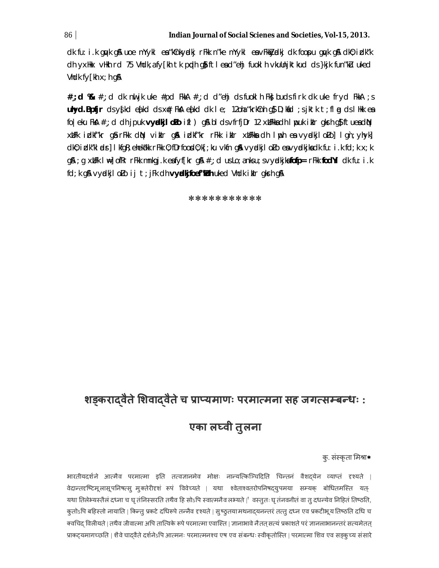dk fu: i k guyk gå uoe mYykl ea "kûnkyndkj rFkk n "ke mYykl ea vFkkyndkj dk foopu guyk gå dk0; i dk"k dh yxHkx vHkh rd 75 Vhdk, a fy[kh tk ppdh gi} ftlead"ehj fuoklh vkuUnjktkud ds}kjk fun"ku uked Vhdk fy[kh x; h q&

#, ; d  $\mathcal{R}$  #, ; d dk nut jk uke #pd FkkA #, ; d d"ehj ds fuokI h Fk; buds firk dk uke fryd FkkA ; s  $\n **uhyd.Bpfjr**\n ds y{kd e{kd ds x# Fk& e{kd cdk d dk le; 120ha "krkfnh g$ D; kf d; s jktk t; fl g dslHkkea}$ fo eku FkA  $\#$ ; d dh jpuk **vyalkjl oLo** ifl ) g& bl ds vfrfjDr 12 xHFkkadh I puk iklr gkrh g\$ftueadN xUFk idkf"kr qårFkk din viklr qå idkf"kr rFkk iklr xUFkka dh Ipph ea vydkjlolo] I qn; yhyk] dk0; idk"kl ads] I kfgR; ehek#kk rFkk 0; fDrfood0; k[; ku vkfn g& vyadkjl oLo exvyadkjkxdk fu: i .k fd; k x; k g& ; g xllFk l \=] ofRr rFkk mnkgj.k eafyf[kr g& #,; d usLo; anksu; s∨yndkjkafofp= rFkk fodYi clk fu: i .k fd; k gå vydkjl oLo ij t; jFk dh vyddkjfoef"kLuh uked Vhdk iklr gksh gå

#### \*\*\*\*\*\*\*\*\*\*\*

# शङ्करादवैते शिवादवैते च प्राप्यमाणः परमात्मना सह जगत्सम्बन्धः :

# एका लघ्वी तुलना

## क्. संस्कृता मिश्रा\*

भारतीयदर्शने आत्मैव परमात्मा इति तत्वज्ञानमेव मोक्षः नान्यत्किञ्चिदिति चिन्तनं वैशदयेन व्याप्तं दृश्यते | वेदान्तदृष्टिमूलासूपनिषत्स् मुक्तेरीदृशं रूपं विवेच्यते | यथा श्वेताश्वतरोपनिषद्युपमया सम्यक् बोधितमस्ति यत्-यथा तिलेभ्यस्तैलं दध्ना च घृ तंनिस्सरति तथैव हि सोऽपि स्वात्मनैव लभ्यते |ै वस्तुतः घृ तंनवनीतं वा तु दधन्येव निहितं तिष्ठति, कुतोऽपि बहिस्तो नायाति | किन्तु प्रकटे दधिरूपे तन्नैव दृश्यते | सुष्ठुतयामथनाद्यनन्तरं तत्तु दध्न एव प्रकटीभूय तिष्ठति दधि च क्वचिद विलीयते | तथैव जीवात्मा अपि तात्विके रूपे परमात्मा एवास्ति | ज्ञानाभावे नैतत् सत्यं प्रकाशते परं ज्ञानलाभानन्तरं सत्यमेतत् प्राकट्यमागच्छति । शैवे चादवैते दर्शनेऽपि आत्मनः परमात्मनश्च एष एव संबन्धः स्वीकृतोस्ति । परमात्मा शिव एव सड्क्च्य संसारे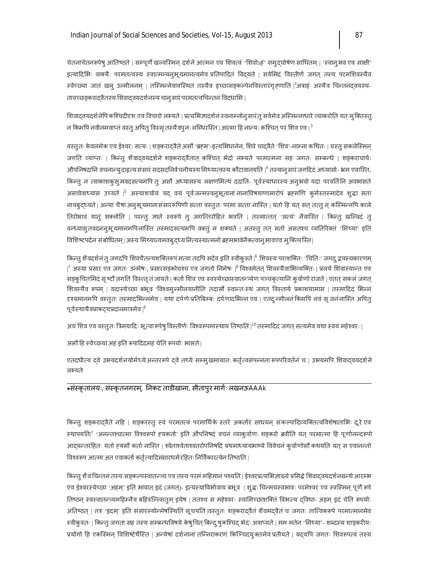चेतनाचेतनरूपेषु आतिष्ठते | सम्पूर्णे खल्वस्मिन् दर्शने आत्मन एव शिवत्वं 'शिवोऽहं' समुद्घोषेण साधितम् | 'स्वानुभव एव साक्षी' इत्यादिभिः वाक्यैः परमतत्वस्य स्वात्मन्यनुभूयमानत्वमेव प्रतिपादितं विदयते | सर्वमिदं विस्तीर्णं जगत् तस्य परमशिवस्यैव स्वेच्छ्या जातं खलु उन्मीलनम् | तस्मिन्नेवावस्थितं तस्यैव इच्छासङ्कल्पेनविस्तारंगृहणाति |<sup>२</sup>अत्राहं अस्यैव चिन्तनदवयस्य-तावच्छड्करादवैतस्य शिवादवयदर्शनस्य चानु सारं परमतत्वचिन्तनं विदधामि |

शिवादवयदर्शनेपि कश्चिदीदृश एव विचारो लभ्यते | प्रत्यभिज्ञादर्शनं स्वनाम्नोनुसारंतु सर्वमेव अस्मिन्नाधारे व्याकरोति यत् मुक्तिस्तु न किमपि नवीनमवाप्तं वस्तु अपितु विस्मृ तस्यैवपुनः लब्धिरस्ति |आत्मा हि नान्यः कश्चित् परं शिव एव | $^3$ 

वस्तुतः केवलमेक एव ईश्वरः सत्यः | शङ्करादवैते असौ 'ब्रहम'-इत्यभिधानेन, शिवे चादवैते 'शिव'-नाम्ना कथितः | यस्तु सकलेस्मिन् जगति व्याप्तः | किन्तु शैवादवयदर्शने शङ्करादवैतात् कश्चित् भेदो लभ्यते परमात्मना सह जगतः सम्बन्धे | शङ्कराचार्यः ओपनिषदानि वचनान्युदाहत्यसंसारं सदसदनिर्वचनीयस्य मिथ्यात्वस्य कौटावानयति |<sup>4</sup> तस्यानुसारं जगदिदं अध्यासो- भ्रम एवास्ति, किन्तु न त्वाकाशकुसुमवदसत्यमपि तु असौ अध्यासस्य लक्षणमित्यं ददाति- पूर्वस्याधारस्य अनुभवो यदा परवर्तिनि अवभासते असावेवाध्यास उच्यते ।<sup>5</sup> अस्याशयोयं यद् वयं पूर्वजन्मस्वनुभूतानां नानाविषयाणामारोपं ब्रह्मणि कुर्मस्तस्मादेव शुद्धा सता नावबुद्ध्यते| अन्या चैषा अनुभूयमानासंसाररूपिणी सत्ता वस्तुतः परमा सत्ता नास्ति | यतो हि यत् सत् तत्तु न् कस्मिन्नपि काले तिरोभावं यातुं शक्नोति | परन्तु ज्ञाते स्वरूपे तु जगत्तिरोहितं भवति | तस्मात्तत् 'सत्यं' नैवास्ति | किन्तु खल्विदं तु वन्ध्यासुतवदननुभूयमानमपिनास्ति तस्मादसत्यमपि वक्तुं न शक्यते | अतस्तु तत् सतो असतश्च व्यतिरिक्तं 'मिथ्या' इति विशिष्टपदेन संबोधितम्| अस्य मिथ्यात्वमवबुद्ध्य नित्यस्यात्मनो ब्रहमभावेनैकत्वानु भावएव मु क्तिरस्ति|

किन्तु शैवदर्शनं तु जगदपि शिवचैतन्यशक्तिरूपं मत्वा तदपि सदेव इति स्वीकुरुते |<sup>6</sup> शिवस्य पराशक्तिः 'चितिः' जगद् द्भवस्यकारणम्  $\vert^7$  अस्या प्रसार एव जगतः उन्मेषः, प्रसारसङ्कोचश्च एव जगतो निमेषः  $\vert^8$ विश्वमेतत् शिवस्यैवाभिव्यक्तिः | प्रलये शिवास्यान्त एव सङ्कुचितमिदं सृ ष्टौ जगति विस्त्तृ तंजायते | कर्ता शिव एव स्वस्येच्छास्वातन्त्र्येण पञ्चकृत्यानि कुर्वाणो राजते | एतत् सकलं जगत् शिवस्यैव रूपम् | यदास्येच्छा बभूव 'विश्वमुन्मीलयानीति' तदासौ स्वान्तःस्थं जगत् विस्तार्य प्रकाशयामास | तस्मादिदं भिन्नं दृश्यमानमपि वस्तुतः तस्मादभिन्नमेव | यथा दर्पणे प्रतिबिम्बः दर्पणादभिन्न एव | एतदु न्मीलनं किमपि नवं सृ जनंनास्ति अपितु पूर्वस्थायैवप्राकट्यप्रदानमात्रमेव  $|^9$ 

अयं शिव एव वस्तुतः त्रिमयादिः भूत्वा रूपेषु विस्तीर्णः विश्वरूपमास्थाय तिष्ठति |<sup>10</sup> तस्मादिदं जगत् सत्यमेव यथा स्वयं महेश्वरः |

असौ हि स्वेच्छया अहं इति रूपादिदमहं चेति रूपयोः भासते|

एतदधीत्य दवे उभयदर्शनयोर्मध्येअन्तररूपे दवे तथ्ये सम्मुखमायातः कर्तृत्वसंपन्नता रूपपरिवर्तनं च | उभयमपि शिवादवयदर्शने लभ्यते

## \*संस्कृतालयः, संस्कृतनगरम्, निकट ताडीखाना, सीतापुर मार्गः लखनऊAAAk

किन्तु शङ्करादवैते नहि | शङ्करस्तु स्वं परमतत्वं परमार्थिके स्तरे अकर्तारं साधयन् संकल्पादिव्यक्तित्वविशेषाताभिः दूरे एव स्थापयति|<sup>१</sup> 'अनन्तश्चात्मा विश्वरूपो हयकर्ता' इति औपनिषदं वचनं व्याकुर्वाणः शङ्करो ब्रवीति यत् परमात्मा हि पूर्णानन्दरूपो आदयन्तरहितः यतो ह्यसौ कर्ता नास्ति | श्वेताश्वेताश्वतरोपनिषदि प्रथमाध्यायभाष्ये विवेचनं कुर्वाणोसौ कथयति यत् स एवानन्तो विश्वरूप आत्मा अत एवाकर्ता कर्तृ त्वादिसंसारधर्म रहितः निर्विकारत्वेन तिष्ठति |

किन्तु शैवं चिन्तनं तस्य सड़कल्पस्वातन्त्र्य एव तस्य परमं महिमानं पश्यति | ईश्वरप्रत्यभिज्ञाख्ये प्रसिद्धे शिवादवयदर्शनग्रन्थे आरम्भ एव ईश्वरस्येच्छा 'अहम्' इति भावात् इदं (जगत्)- इत्यस्याविर्भावाय बभूव | शुद्धः चिन्मयस्वभावः परमेश्वर एव स्वस्मिन् पूर्णे रूपे तिष्ठन् स्वस्वातन्त्र्यमहिम्नैव बहिरुल्ल्सितुम् इयेष | ततश्च स महेश्वरः स्वामिच्छाशक्तिं विभज्य दविधा- अहम् इदं चेति रूपयोः अतिष्ठत् | तत्र 'इदम्' इति संसारस्योन्मेषस्थितिं सूचयति |वस्तुतः शङ्करादवैतं शैवमदवैतं च जगतः तात्विकरूपे परमात्मानमेव स्वीकुरुतः | किन्तु जगता सह तस्य सम्बन्धविषये केषु चित् बिन्दु षुकश्चिद् भेदः अवाप्यते | मम मतेन 'मिथ्या'- शब्दस्य शाङ्करीयः प्रयोगो हि एकस्मिन् विशिष्टेर्थस्ति | अन्येषां दर्शनानां तन्निराकरणं किञ्चिदयुक्तमेव प्रतीयते | यदयपि जगतः शिवरूपत्वं तस्य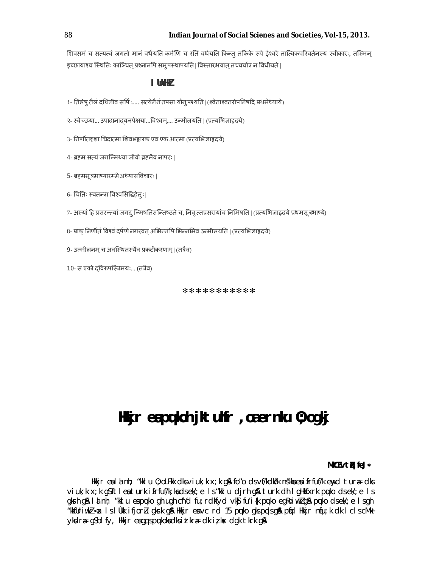शिवसमं च सत्यत्वं जगतो मानं वर्धयति कर्मणि च रतिं वर्धयति किन्तु तर्किके रूपे ईश्वरे तात्विकपरिवर्तनस्य स्वीकारः, तस्मिन् इच्छायाश्च स्थितिः काञ्चित् प्रश्नानपि समुपस्थापयति | विस्तारभयात् तच्चर्चात्र न विधीयते |

# I UnH<sub>N</sub>

१- तिलेषु तैलं दधिनीव सर्पिः..... सत्येनैनं तपसा योन् पश्यति | (श्वेताश्वतरोपनिषदि प्रथमेध्याये)

२- स्वेच्छया... उपादानादयनपेक्षया...विश्वम्.... उन्मीलयति | (प्रत्यभिज्ञाहृदये)

3- निर्णीतदृशा चिदात्मा शिवभट्टारक एव एक आत्मा (प्रत्यभिज्ञाहृदये)

4- ब्रहम सत्यं जगन्मिथ्या जीवो ब्रहमैव नापरः |

- 5- ब्रहमसू त्रभाष्यारम्भे अध्यासविचारः ।
- 6- चितिः स्वतन्त्रा विश्वसिद्धिहेतः |
- 7- अस्यां हि प्रसरन्त्यां जगदु न्मिषतिसन्तिष्ठते च, निवृ त्तप्रसरायांच निमिषति | (प्रत्यभिज्ञाहृदये प्रथमसूत्रभाष्ये)
- 8- प्राक् निर्णीतं विश्वं दर्पणे नगरवत् अभिन्नंपि भिन्नमिव उन्मीलयति | (प्रत्यभि ज्ञाहृदये)

9- उन्मीलनम च अवस्थितस्यैव प्रकटीकरणम। (तत्रैव)

10- स एको दविरूपस्त्रिमयः... (तत्रैव)

\*\*\*\*\*\*\*\*\*\*\*

# Hikjr eapukoh jktuhfr , oaernku 0; ogkj

## MME vth feJ\*

Hkkjr eald nh; "kklu 0; oLFkk dksviuk; k x; k q& fo"o dsvf/kdka"k ns"kka ea ifrfuf/k enyd tura= dks viuk; k x; k g\$ftleaturk ifrfuf/k; kadsek/; e ls "kkl u djrh g& turk dh I gHkfxrk puko dsek/; e ls gkrh g&l a nh; "kki u eapuko gh ugh cfYd fu; rdkfyd vk\$ fu'i{k puko egRoiwklg& puko dsek/; e i sgh "kkfUriwkZ<ax IslÜkk ifjorZu gksrk g& Hkkjr eavc rd 15 pulko gkspupsg& pind Hkkjr niju;k dk IclscMk ykdræ gSblfy, Hkijr eagq spukokadksittkrædkitks dgktkrkg&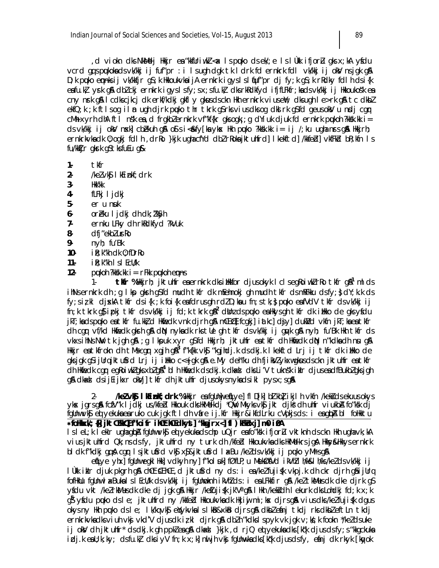d viokn dks NkMelj Hkkjr ea"kkfUriwkZ <ax Ispuko dsek/;e IslÜkk ifjorLu gksx;kA yfdu, vcrd gqspukokadsvk/kkjijfuf"pr:ilsughdgktkldrkfdernkrkfdlvk/kkjijokVnsjgkg& D; k puko ennksij vk/kkfjr g\$; k HkkoukvkaijA ernkrk igyslsl fuf"pr dj fy; k g\$; k rRdky fdl h dsi{k eafu.kł yrk g& dbłckj ernkrk igyslsfy; sx; sfu.kł dksrkRdkfyd ifjfLFkfr; kadsvk/kkj ij Hkkoukośk ea cny nrk gå I cdkscjkcj dk erkf/kdkj gkfl y gkusdsckn Hkh ernkrk viuseW; dksugh I e>rk gå tc dkbl ekfQ; k; k ftIsog iIm ugh djrk puko thr tkrk g\$rksviusdksog dknlrk g\$fd geusokNu nndjcqr cMh xyrh dhA ftl nsk ea, d frgkblernkrk vf"kf{kr gksogk; ; g dYiuk djuk fd ernkrk puµkoh ?kksk.kk i = ds vk/kkj i joks/ nsxk] cběkuh q\$ osí si<&fy[ka yks< Hkh puko ?kksk.kk i= i j /; ku ugha nsrs q\$ Hkkjrh; ernkrkvkadk 0; ogkj fdl h , drRo }kjk ughacfYd dbl rRokajktuhfrd] I kekftd] /kkfebl] vkfFkb bR; kfn I s fu/kktjr gksrk g\$tksfuEu g&

- $1.$ tkfr
- $2 \sqrt{kel}$  vk $\frac{s}{k}$  1 kEinkf; drk
- $3 -$ Hkk'kk
- 4 fLFkj I jdkj
- 5er u nuk
- oreku I jdkj dh dk; l'kyh 6-
- $7$ ernku LFky dh rkRdkfyd ?kVuk
- 8dfi"ekblurko
- 9 $nyh; fu'Bk$
- $10$  $ik; k''$ kh d $k$  0; fDr $Ro$
- $11$ iR; k"kh I s I EcU/k
- $12$ putoh ?kksk.kk  $i = rF$ kk putoh empis

tKr %Hkirh; jktuhfr eaernkrk dksilkkfor djusokyk I clsegRoiwk rRo tkfr g&'mlds  $1$ ihNsernkrk dh ; q I kp qkrh q\$fd mudh tkfr dk mEehnokj qh mudh tkfr dsmRFkku dsfy; } dY; k.k ds fy;sizkl djxkA tkfr dsi{k ;k foi{k eafdrusqh rdZD;kau fn;stk;;} puko eafVdV tkfr dsvk/kkj ij  $\ln$ ; k tkrk q $\beta$  ipkj tkfr ds vk/kkj ij fd; k tkrk q $\beta^2$  dbhz ds puko eallkys qh tkfr dk illkko de qks yfdu jkT; kads puko eatkfr fu.kk, d Hkfedk vnk djrh g& mCifE] fcgkj] iatkc] djy] dukVd vkfn jkT; ka eatkfr dh cgr vf/kd Hkifedk gkrh già din nyka dk rks tle gh tkfr ds vk/kkj i j givk già nyh; fu'Bk Hkh tkfr ds vkxsihNsNW tk jgh g\$A ;g Ikpuk xyr g\$fd Hkkjrh; jktuhfr eatkfr dh Hkfiedk dN n″kdkadh nu g\$A Hkkjr eatkfrokn dh tMscgr xgjh gå<sup>3</sup> f"k{kk vk\$ "kgjhdj.k dsdkj.k I kekftd Lrj ij tkfr dk iHkko de gksjgk g\$ijUrqjktu\$rd Lrj ij illkko c<+jgk g\$ e.My deh"ku dhfjik!/Zykxwgkusdsckn jktuhfr eatkfr dh Hkfiedk car egRoiwkigks xbig\$4 blh Hkfiedk dsdkj.k dkad dksLi'V tuknsk iklr djusendfBukbigksjgh gå dkad dsijlijkxr okVj] tkfr dh jktuhfr djusokysnykadsikl pysx;sgå

/keZvk§ IkEinkf; drk %Hkijr ea fgUnju eqllye] fl D[k] b] kb] ikjl h vkfn /kek} ds ekuus okys  $2$ ykx jgrsgå fcfV"k I jdkj us/kfebl Hkkouk dksHkMelkdj \*QW Mkyksvkj jkt djkš dh uhfr viukba fo"ksk dj fgUnwvk\$ eq yekukaearuko cuk jgk ftldh vare ij.kfr Hkkjr&ikfdLrku cVpkjsds: i eagbA bl foHkktu \*folkkxk/;{k] jkt{l"kk{] f"koifr ih[th[ clkyt] "kgjrx<] fl ) kFkl1xj] m0 i0A

lsleL;k lekir ughaghpA fgünw∨k§ eqi yekukadschp uQjr eafo″ksk ifjorłu ∨ktknh dsckn Hkh ugha∨k;kA vius jktuhfrd Qk; ns ds fy, jktuhfrd ny turk dh /kfed Hkkoukvka dks HkMelkrs jgA Hkky&Hkkys ernkrk bldk f"kdkj gqå cgr lsjktufrd vkf xf&jktufrd læBu /keldsvk/kkj ij puko yMrsgå

etilye ytıx] fgünwegki Hiki] vdkytı ny] f"kol uki] fØflP; u MekØfVd i kVtil I t/ki&l tv/ks/kelds vk/kkj i j lükk iklr cijuk pkgrh g\$ chŒt&EihŒ ,cl jktu\$rcl ny cls: i ea/keZfuji{k vkpj.k clh ckr cljrh g\$ijUrq fofHkUu fgUnwlaxBukalslEcU/k dsvk/kkjij fgUnnoknhikVhZds:i ealFkkfir gå /keZtkMusdk dke djrk g\$ yfdu vkt /ke/rkMusclk dke dj jgk g\$ Hkkjr /keIuji{k jk'Vªg\$ I Hkh /kekidh I ekurk dks Lohdkj fd; k x; k gs ysidu puuko dsle; jktuhfrd ny /kkfebl Hkkoukvkadk Hkjijmi;kx djrsg&n viusdks/kelfujis(k dgus okysny Hkh puko dsle; lk/kqvk\$ eYykvkalslkB&xkB djrsq\$ dkblefinj tkdj rksdkbleftLn tkdj ernkrkvkadksviuh vkj vkd'V djusdki; kl djrk gå dbln"kdkslspyk vk jgk v; ks; k fookn \*/keldsuke ij okV dh jktuhfr\* ds dkj.k gh ppklea g& dkad }kjk , d rjQ eq yekuka dks [kqk djus ds fy; s "kkgckuka iclj.keaU;k;ky; clsfu.k} clksiyV fn;k x;k]nuljhvkgi fgUnuvkaclks[kq'k cljusclsfy, efinj clk rkyk [knyok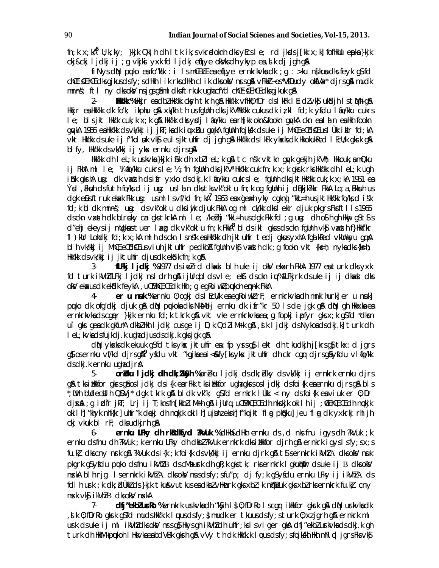$\ln(k \times k)^6$  U; k; ky; }kik Qki h dh I tk ik; s vkrødoknh dks yEcs I e; rd jksds j [kk  $x$ ; k] fofiklu epka }kik ckj&ckj ljdkjij; g vkjkj yxk fd ljdkj eflye okVks dh ykyp ea, lk dj jgh gA

fi Nys d $\mathbb N$  puko es fo "ksk : i I s m $\mathbb H$  for es efitye ern krkvks dk ; q : > ku ns kus dks feyk q\$ fd chCtCihC clksgikusdsfy; sdHkh I ik rksdHkh clik dksokV nrsg& vFkkr-os\*VfDudy okfVax\* dirsg& mudk mnns; ftl ny dksoky nsjgsgåmldksftrkuk ughacfyd chet Eihe dksgjkuk gå

HKK KK %Hkkjr eadbZ Hkk'kk cksyhtkrh g& Hkk'kk vfHk0; fDr ds I kFk I EidZ vk\$ uk&jh I s tMk g&  $2 -$ Hkkjr ea Hkk'kk dk fo'k; ikphu q& xk/kh th us fqUnh dks jk'VHkk'kk cukus dk iz kl fd; k yfdu I fio/kku cukrs I e; bis jkt Hkk'k cuk; k x; k q& Hkk'kk dis ysdj i fo/kku earh[kk okn&fookn quykA ckn eald n eaHkh fookn qqvkA 1956 eshkk'kk dsvk/kkj ij jkT;ksdk iuuxBu qqvkA fqUnh fojkkk dsuke ij MhCE, eCEdSE usl Ukk ikilr fd;kA vkt Hkk'kk dsuke ij f"kolsuk vk\$ eulsjktuhfr dj jgh g\$ Hkk'kk dslkFk yksksdk HkkokukRed I EcU/k gksrk g\$ blfy, Hkk'kk dsvk/kkj ij yksk ernku djrsg&

Hkk'kk dh I eL; k urkvka }kjk i înk dh xbl I eL; k q& tc ns'k vktkn quyk qekjh jk'Vh; Hkkouk; amQku ij FkhAml le; ¼ fio/kku cukrsle;½;fn fglJnh clksjk'V° Hkk'kk cuk fn;k x;k gkork rksHkk'kk clh leL;k ugh ifik gkrhA un: dk vasth ds ifr yxko ds dkj.k I fo/kku cukrs le; fgUnh dks jktHkk'kk cuk; k x; kA 1951 es Ýsd, Fiksuh dsfuth fo/ks dijusg: uslan dks tks vk"oklu fn; k og fgUnh ij diBkjk?kkr FkkA Lo; a, Fikksuh us dgk efisitruk ekak Fkk un: usmllsvf/kd fn; kA<sup>7</sup> 1963 en xgea-h yky cgkni "kkL=h usjktHkk'k fo/ksd isk fd; k bl dk mnns; un: ds vk"okl u dks injk djuk FkkA og ml ck/kk dks leklr djuk pkgrs Fksftlls 1965 dsckn vaxth dk bLreky cn gkstkrkA ml le; /kebhj "kkL=h usdgk Fkk fd ; g ug: dh os h gh Hkwy gsts s d"ehj ekeysij mügkustuer laxg dk vk"oklu fn;k FkkA<sup>8</sup> bldsikl gkusdsckn fgünh vk\$ vaxsth f}Hkkf'kr fl ) kur Lohdkj fd; k x; kA ml h dsckn I snšk ea Hkk'kk dh jktuhfr tedj gkus yxhA fga kRed vkunksyu ga A bl h vk/kkj ij MhC, eCdC usviuh jktuhfr pedkbA fgUnh vkj vaxth dk ; g fookn vkt {ks=h; nykadks{ks=h; Hkk'kk dsvk/kkj ij jktuhfr djusdk ek&k fn; k g&

fLFkj ljdkj %1977 dsimulrd dkad blh uke ij okV ekarh FkhA 1977 eaturk dksyxk  $3$ fd turk ikVhlfLFkj ljdkj nsldrh gå ijUrgbldsvle; ekt dsckn iu%fLFkjrk dsuke ij ij dkad dks oky ekacus dk ekîdk feykA, u EMME, E dk Hkh; q eq Roi wki pukoh em nk FkkA

er u nuk %ernku 0; ogkj ds I EcU/k ea egkoiwk rF; ernkrkvka dh mnkl hurk] er u nuk] 4puko dk ofg'dkj djuk gå din pukoka dks NkMelj ernku dk ifr"kr 50 ls de jgk gå din gh Hkkxka ea ernkrkvkadscger }kjk ernku fd;k tkrk gå vkt vke ernkrkvkaea;g fopkj ipfyr gksx;k g\$fd \*dkm ui gks geadk gkfu\*A dkbZHkh I jdkj cusge ij D;k QdZiMrk g&, šik I jdkj dsNykoadsdkj.k] turk dh I eL; kvka dsfujkdj.k ughadjus dsdkj.k gksjgk g\$

dN yksks dk ekuuk q\$fd tks yks jktuhfr ea: fp yrs q\$ I ekt dh tkudkjh j[krs q\$ tkx: d jqrs g\$ osernku vf/kd djrsg\$<sup>9</sup> y\$du vkt "kgjkaeai<&fy[ksykx jktuhfr dh ckr cgr djrsg\$y\$du vl fo/kk ds dkj.k ernku ughadjrå

 $5$ orèlu l jdkj dh dk; l'Kyh % orèku l jdkj ds dk; blky ds vk/kkj ij ernkrk ernku djrs gå tksilikkfor gkrsgåosljdkj dsi{k earFkk tksilikkfor ughagkrsosljdkj dsfoi{k eaernku djrsgå bls ,Wh bUdecUIh QDVj\* dgk tkrk g&bldk vk″k; g\$fd ernkrk lÙkk:< ny dsfoi{k eaviuk er 0;Dr cljska) ; q irdfr jkT; Lrj ij T; knsfn[kkbZiMrh q& ijUrq, u@EMh@E, @ clh nkrkjk okilh ij ;@Eih@E, @ clh nrckjk okilli "khyk nhf{kr] uhfr"k dękį dh nçkjk okilli ujunzekni f"kojkt fla pk&ku] jeu fla dk yxkrkj rhljh cki vkuk bl rF; dks udkirh g&

 $6$ ernku LFky dh rkRdkfyd ?KVuk %dHkh&dHkh ernku ds, d nks fnu igys dh ?kVuk; k ernku dsfnu dh ?kVuk; k ernku LFky dh dkbl?kVuk ernkrk dksikklfor djrh g& ernkrk igysl sfy; sx; s fu.kł dkscny nrk g& ?kVuk dsi{k ; k foi{k dsvk/kkj ij ernku djrk g& t\$sernkrk ikVhłA dksokV nuk pkgrk g\$yfdu puko dsfnu ikVhlB dscMsurk dh gR; k gkstk; rksernkrk I gkutkir dsuke ij B dksokV nxkA blhrjg Isernkrk ikVhZA dksokV nusdsfy; sfu"p; djfy; k qSyfdu ernku LFky ij ikVhZA ds fdl h urk ; k dk; blukk ds }kjk tku&vutkus ea dkbl vHknrk gks xbl ; k n@kWuk gks xbl rks ernkrk fu.kl; cny nsk vkj i kVhl B dksokV nskA

 $7.$ dfj"ekblurko %ernkrk urkvkadh "k\$yh I } 0; fDrRo I scgr i ilktfor gkrk g\$ dN urkvkadk , i k 0; fDrRogkrkgSfd mudsHkk'k.k I wusdsfy; } mudker tkuusdsfy; s turk 0; xzjgrhg&ernkrk ml urk ds uke ij ml ikVhldks okV nrs q\$ Hkys qh ikVhldh uhfr; ks I s v I ger qkA dfj"ekblurkvka ds dkj.k qh turk dh HkhM+pukoh I HkkvkaeabdVBk gksh g& vVy th dk Hkk'k.k I uus dsfy; sfojkkh Hkh mRI pl jgrs Fksvk\$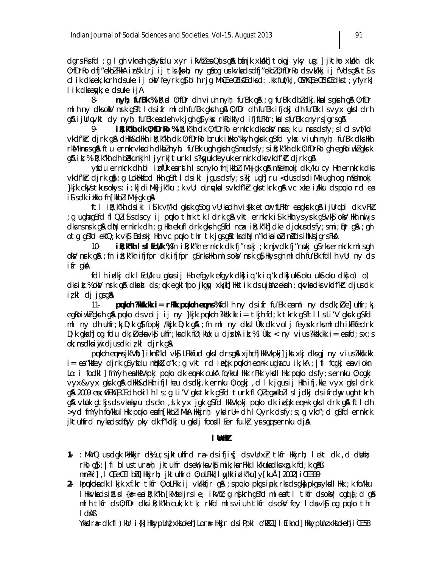dgrs Fks fd ; g I gh vkneh gå yfdu xyr i kVhlea Qa s gå bánjk xkakh] tokgj yky ung: ] jktho xkakh dk 0; fDrRo dfj"ekblFkkA insk Lrj ij tks{ks=h; ny g\$og urkvkadsdfj"ekbl0; fDrRo dsvk/kkj ij fVdsg\$A t\$s clik dksek; korh dsuke ij okl/feyrk q\$ blh rjq MhC, eCd Edksd: .kk fuf/k], CEMhC, eCd Edkst; yfyrk] l ik dkseyk; e dsuke ijA

8n vh: fu'Bk % ik: sd 0: fDr dh viuh n vh: fu'Bk q& : a fu'Bk dbl dki.kka Is akrh q& 0: fDr ml h ny dksokV nrk q\$ftl ds ifr ml dh fu'Bk qkrh q& 0; fDr dh fu'Bk ifjokj dh fu'Bk Isvyx qksl drh gå ijUrqvkt dy nyh; fu'Bk eadeh vk jgh g}ykx rkRdkfyd ifjfLFkfr; kalsfu'Bk cnyrsjgrsgå

ik; k"Wh dk 0; fDrRo % ik; k"Wh dk 0; fDrRo ernkrk dks oks/ nsus; k u nsus ds fy; s l cl s vf/kd vkdfkr djrk qå dllkh&dllkh i R; k"kh dk 0; fDrRo bruk i Hkko"kkyh qkrk q\$fd ykx viuh nyh; fu'Bk dksllkh rkM+nrs g& ftu ernkrvka dh dkblnyh; fu'Bk ugh gkrh g\$muds fy; s i R; k"kh dk 0; fDrRo gh egRoi wkl gkrk g& ik; % ik; k"kh dh bekunkjh I jyrk] turk I s?kgyuk feyuk ernkrk dksvkdf'kir djrk g&

yfdu ernkrk dh bl i pfùk earsth I scnyko fn [kkbl i M+jqk q& mEehnokj dk /ku cy Hkh ernkrk dks vkdfkkrdjrkg); g Lokkkfod kkh g\$ftldsikl jgusdsfy; s?kj ugh] ru <dusdsdiMk ugh og mEehnokj }kjk ck,Vs tkusokys: i;k] cliMk} jk″ku ;k vU; oLruµkalsvkclf'kir gks tkrk g& vc xke i/kku clspuko rcl ea is s dk i ilkko fn [kkbl i M+jqk q&

ftl ik; k"kh dsikl is k vf/kd gkrk gsog vU; kadh viskk etcr fLFkfr eagkrk ga ijUrqbl dk vFkZ g ughagSfd fl Qli\$sdscy ij puko thrk tk I drk g& vkt ernkrk i\$k Hkh ysyrk gSvk\$j okV Hkh nuljs; dks ns nrk gå din ernkrk dh; g Hkh ekufl drk gkrh g\$fd ncx ik; k"kh] dke djokus ds fy; smi; pr gå; gh otg gSfd ekfQ; k vk\$ Bidinkj Hkh vc puko thr tk jgsg\$tksdN n"kdkaimlinidsihNsjgrsFkA

ik; k"kh IslEcU/k %fn ik; k"kh ernkrk dk fj"rnkj ; k nuj dk fj"rnkj q\$rksernkrk mlsgh  $10$ oky nrk q&; fn ik; k"kh ifjfpr dk ifjfpr q\$rksHkh mlsoky nrk q}Hkysqh ml dh fu'Bk fdlh vU; ny ds ifr akA

fdlh i dkj dk l EcU/k u gkusij Hkh efgyk efgyk dkj i g'k i g'k dkj ukstoku ukstoku dkj o') o') dksit;% okV nsrk q\$\dkad ds;qx eqklfpo jkqqy xk/kn] Hkktik dsujUnzeksnh ;qxlvkadksvkdf'kir djusdk izkl dj jgsg&

**pulloh ?kkk.kk i = rFkk pulloh enns %fdl** h ny ds if r fu'Bk eaml ny ds dk;  $\overline{D}$ e uhfr; k  $11$ egkoiwklgksth gå puko ds volj ij ny }kjk pukoh ?kksk.kk i= tkjh fd;k tkrk g\$ftlls Li'V gkst g\$fd ml ny dh uhfr; k D; k q} fopkj /kkjk D; k q} ; fn ml ny dks l Ùkk dk vol j feysk rks ml dh i kFkfedrk D; k gk $x$ h] og fdu dk; Øeka vk $\frac{1}{2}$  uhfr; ka dk fØ; kllo; u dj $x$ hA it; % l Ùkk: < ny vius?kksk.kk i= eafd; sx; s  $ok:$  ns dks i uk djus dk iz kl djrk g $\mathbf{\Omega}$ 

pukoh enns jk'Vh; i itnf"kd vkj LFkkfud gks I drs gå x jhch HkVkpkj ikst xkj dks gj n y vius?kksk. kk i = ea "kkfey djrk q\$yfdu ntkkX;o"k;q vkt rd ieqfk pukoh emnk uqhacu ik;kA; | fi fcqkj ea viokn Lo: i fodkl | fnYyh ea HkVkpkj puko dk ennk cukA fo/kkul Hkk rFkk ykdl Hkk puko dsfy; s ernku 0; ogkj vyx&vyx gkrk g& dHkh&dHkh ifjIheu dsdkj.k ernku 0; ogkj, d lk jgusij Hkh ifj.kke vyx gksldrk g\$ 2009 ea; fLihCE, CE clh okilh Is; g Li'V gks tkrk g\$fcl turk fl Qlegakkbllsljckj clsifrchy ugh tkrh g& vUuk gtkjsdsvknksyu dsckn, slk yx jgk gSfd HktVkpkj puko dk iefk ennk gksldrk g& ftldh >yd fnYyh fo/kkul Hk puko eafn[kkbl i MkA Hkkjrh; ykdrll= dh I Qyrk dsfy; s; g vko"; d gSfd ernkrk jktulifrd nykadsdi(Vy pky dk f"kdkj u gkdj foodl Eer fu.k) yrsggsernku dja

## I thin

- 1. : MKYQ us dqk  $M$ kkjr d½ u; sjktuhfrd rædsifji $\zeta$ ; ds vUrx $r$  tkfr Hkkjrh; lekt dk, d dUnh; rko q}; | fi blustura=h; jktuhfr dseW; kavk\$ mik; karFkk Ik/kukadksxq.k fd; k q&B mn?kr], I Œ, eŒ I bh] Hkkirh; iktuhfrd 0; oLFkk] I wHk idk"ku] y[kuÅ] 2002] iŒ 339
- 2- bpukoka dk I kjk xf.kr tkfr 0; oLFkk i j vk/kkfjr q& ; s puko pkqs i pk; rks ds qka pkqa ykdl Hkk ; k fo/kku I Hkkvkadsik; d {k= eaik; k"kh [kMsdjrsle; ikVhl; q n{krh q\$fd ml eaftl tkfr dsokVj cqd {; d q& mlh tkfr ds 0; fDr dks i R; k"kh cuk; k tk; rkfd mls viuh tkfr ds okV fey I da vk§ og puko thr  $A$ Ab I

Ykkør# dk fl ) kUr i{k] HkkypUn}xkkokeh] Lor# Hkkjr dsiPpkl o'k&1] I Eiknd] HkkypUnzxkkokeh] iŒ 58